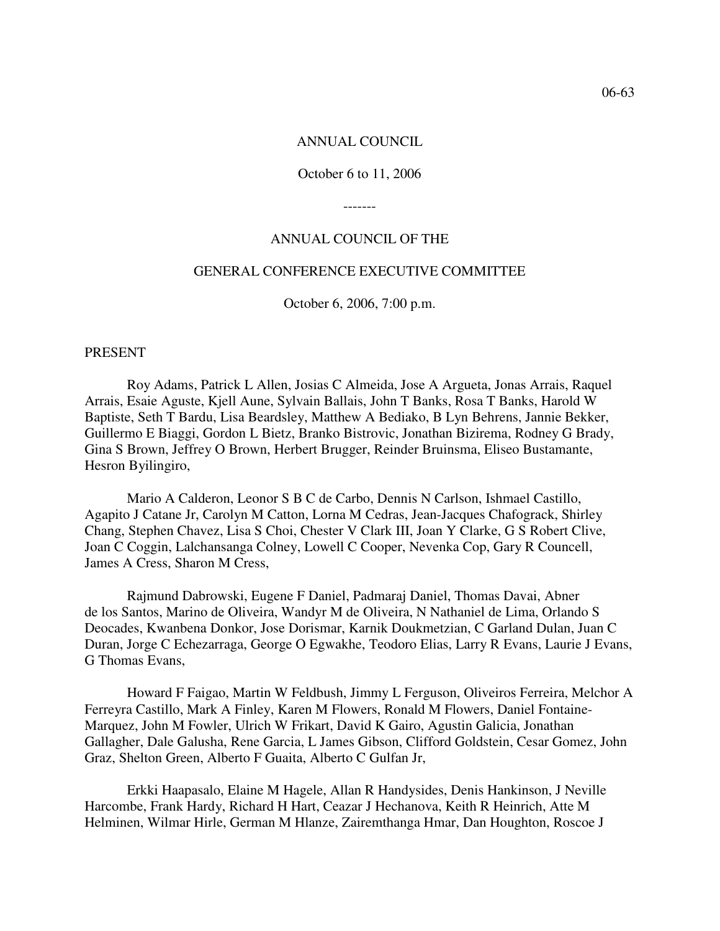### ANNUAL COUNCIL

#### October 6 to 11, 2006

-------

### ANNUAL COUNCIL OF THE

### GENERAL CONFERENCE EXECUTIVE COMMITTEE

October 6, 2006, 7:00 p.m.

### PRESENT

Roy Adams, Patrick L Allen, Josias C Almeida, Jose A Argueta, Jonas Arrais, Raquel Arrais, Esaie Aguste, Kjell Aune, Sylvain Ballais, John T Banks, Rosa T Banks, Harold W Baptiste, Seth T Bardu, Lisa Beardsley, Matthew A Bediako, B Lyn Behrens, Jannie Bekker, Guillermo E Biaggi, Gordon L Bietz, Branko Bistrovic, Jonathan Bizirema, Rodney G Brady, Gina S Brown, Jeffrey O Brown, Herbert Brugger, Reinder Bruinsma, Eliseo Bustamante, Hesron Byilingiro,

 Mario A Calderon, Leonor S B C de Carbo, Dennis N Carlson, Ishmael Castillo, Agapito J Catane Jr, Carolyn M Catton, Lorna M Cedras, Jean-Jacques Chafograck, Shirley Chang, Stephen Chavez, Lisa S Choi, Chester V Clark III, Joan Y Clarke, G S Robert Clive, Joan C Coggin, Lalchansanga Colney, Lowell C Cooper, Nevenka Cop, Gary R Councell, James A Cress, Sharon M Cress,

 Rajmund Dabrowski, Eugene F Daniel, Padmaraj Daniel, Thomas Davai, Abner de los Santos, Marino de Oliveira, Wandyr M de Oliveira, N Nathaniel de Lima, Orlando S Deocades, Kwanbena Donkor, Jose Dorismar, Karnik Doukmetzian, C Garland Dulan, Juan C Duran, Jorge C Echezarraga, George O Egwakhe, Teodoro Elias, Larry R Evans, Laurie J Evans, G Thomas Evans,

 Howard F Faigao, Martin W Feldbush, Jimmy L Ferguson, Oliveiros Ferreira, Melchor A Ferreyra Castillo, Mark A Finley, Karen M Flowers, Ronald M Flowers, Daniel Fontaine-Marquez, John M Fowler, Ulrich W Frikart, David K Gairo, Agustin Galicia, Jonathan Gallagher, Dale Galusha, Rene Garcia, L James Gibson, Clifford Goldstein, Cesar Gomez, John Graz, Shelton Green, Alberto F Guaita, Alberto C Gulfan Jr,

 Erkki Haapasalo, Elaine M Hagele, Allan R Handysides, Denis Hankinson, J Neville Harcombe, Frank Hardy, Richard H Hart, Ceazar J Hechanova, Keith R Heinrich, Atte M Helminen, Wilmar Hirle, German M Hlanze, Zairemthanga Hmar, Dan Houghton, Roscoe J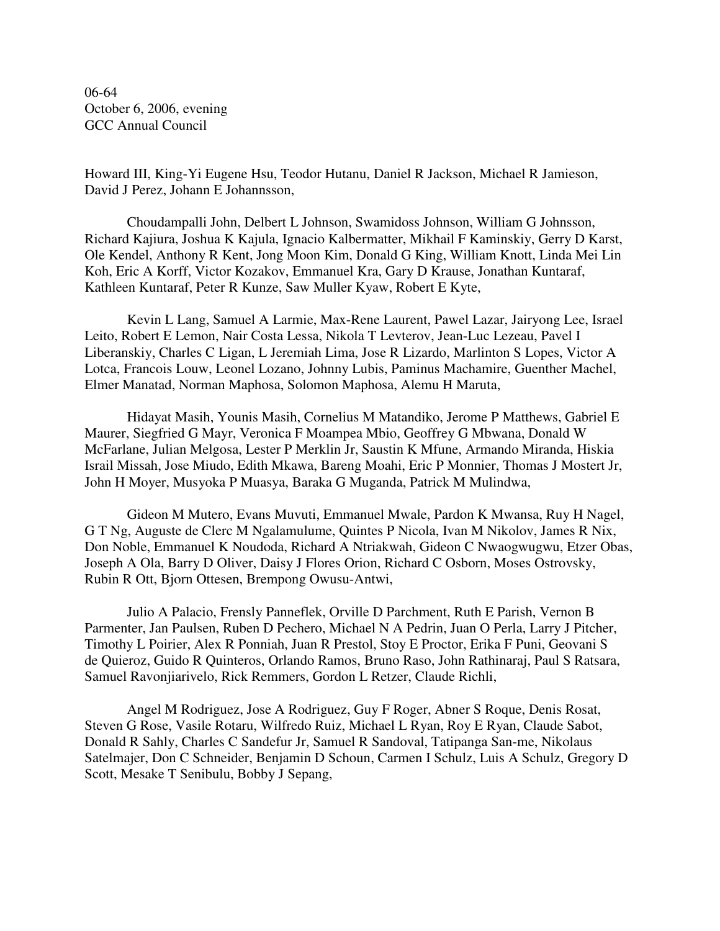06-64 October 6, 2006, evening GCC Annual Council

Howard III, King-Yi Eugene Hsu, Teodor Hutanu, Daniel R Jackson, Michael R Jamieson, David J Perez, Johann E Johannsson,

Choudampalli John, Delbert L Johnson, Swamidoss Johnson, William G Johnsson, Richard Kajiura, Joshua K Kajula, Ignacio Kalbermatter, Mikhail F Kaminskiy, Gerry D Karst, Ole Kendel, Anthony R Kent, Jong Moon Kim, Donald G King, William Knott, Linda Mei Lin Koh, Eric A Korff, Victor Kozakov, Emmanuel Kra, Gary D Krause, Jonathan Kuntaraf, Kathleen Kuntaraf, Peter R Kunze, Saw Muller Kyaw, Robert E Kyte,

 Kevin L Lang, Samuel A Larmie, Max-Rene Laurent, Pawel Lazar, Jairyong Lee, Israel Leito, Robert E Lemon, Nair Costa Lessa, Nikola T Levterov, Jean-Luc Lezeau, Pavel I Liberanskiy, Charles C Ligan, L Jeremiah Lima, Jose R Lizardo, Marlinton S Lopes, Victor A Lotca, Francois Louw, Leonel Lozano, Johnny Lubis, Paminus Machamire, Guenther Machel, Elmer Manatad, Norman Maphosa, Solomon Maphosa, Alemu H Maruta,

Hidayat Masih, Younis Masih, Cornelius M Matandiko, Jerome P Matthews, Gabriel E Maurer, Siegfried G Mayr, Veronica F Moampea Mbio, Geoffrey G Mbwana, Donald W McFarlane, Julian Melgosa, Lester P Merklin Jr, Saustin K Mfune, Armando Miranda, Hiskia Israil Missah, Jose Miudo, Edith Mkawa, Bareng Moahi, Eric P Monnier, Thomas J Mostert Jr, John H Moyer, Musyoka P Muasya, Baraka G Muganda, Patrick M Mulindwa,

Gideon M Mutero, Evans Muvuti, Emmanuel Mwale, Pardon K Mwansa, Ruy H Nagel, G T Ng, Auguste de Clerc M Ngalamulume, Quintes P Nicola, Ivan M Nikolov, James R Nix, Don Noble, Emmanuel K Noudoda, Richard A Ntriakwah, Gideon C Nwaogwugwu, Etzer Obas, Joseph A Ola, Barry D Oliver, Daisy J Flores Orion, Richard C Osborn, Moses Ostrovsky, Rubin R Ott, Bjorn Ottesen, Brempong Owusu-Antwi,

Julio A Palacio, Frensly Panneflek, Orville D Parchment, Ruth E Parish, Vernon B Parmenter, Jan Paulsen, Ruben D Pechero, Michael N A Pedrin, Juan O Perla, Larry J Pitcher, Timothy L Poirier, Alex R Ponniah, Juan R Prestol, Stoy E Proctor, Erika F Puni, Geovani S de Quieroz, Guido R Quinteros, Orlando Ramos, Bruno Raso, John Rathinaraj, Paul S Ratsara, Samuel Ravonjiarivelo, Rick Remmers, Gordon L Retzer, Claude Richli,

Angel M Rodriguez, Jose A Rodriguez, Guy F Roger, Abner S Roque, Denis Rosat, Steven G Rose, Vasile Rotaru, Wilfredo Ruiz, Michael L Ryan, Roy E Ryan, Claude Sabot, Donald R Sahly, Charles C Sandefur Jr, Samuel R Sandoval, Tatipanga San-me, Nikolaus Satelmajer, Don C Schneider, Benjamin D Schoun, Carmen I Schulz, Luis A Schulz, Gregory D Scott, Mesake T Senibulu, Bobby J Sepang,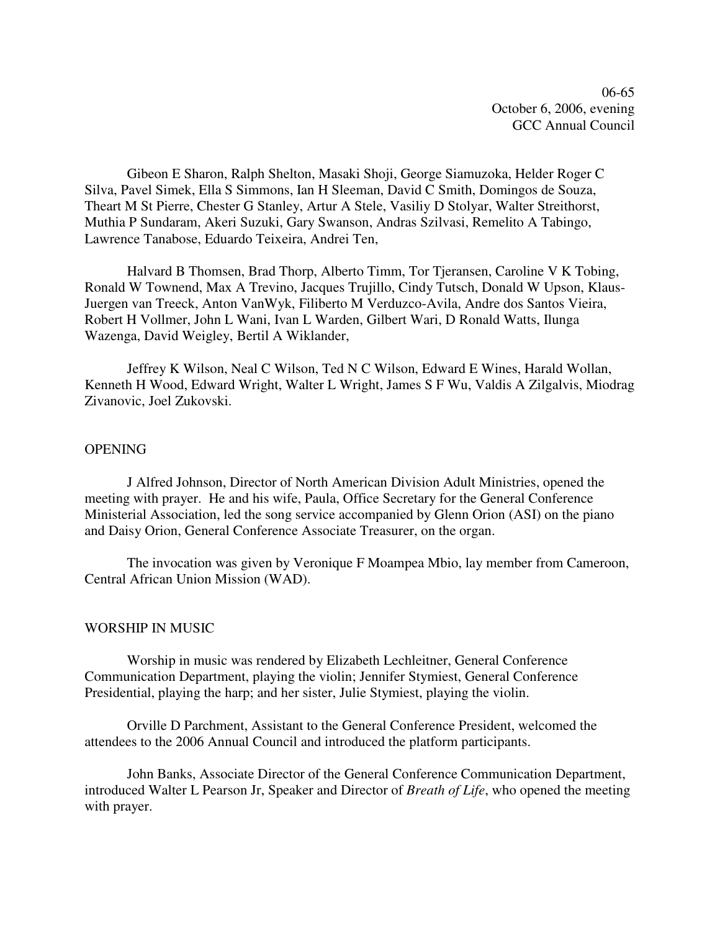06-65 October 6, 2006, evening GCC Annual Council

Gibeon E Sharon, Ralph Shelton, Masaki Shoji, George Siamuzoka, Helder Roger C Silva, Pavel Simek, Ella S Simmons, Ian H Sleeman, David C Smith, Domingos de Souza, Theart M St Pierre, Chester G Stanley, Artur A Stele, Vasiliy D Stolyar, Walter Streithorst, Muthia P Sundaram, Akeri Suzuki, Gary Swanson, Andras Szilvasi, Remelito A Tabingo, Lawrence Tanabose, Eduardo Teixeira, Andrei Ten,

Halvard B Thomsen, Brad Thorp, Alberto Timm, Tor Tjeransen, Caroline V K Tobing, Ronald W Townend, Max A Trevino, Jacques Trujillo, Cindy Tutsch, Donald W Upson, Klaus-Juergen van Treeck, Anton VanWyk, Filiberto M Verduzco-Avila, Andre dos Santos Vieira, Robert H Vollmer, John L Wani, Ivan L Warden, Gilbert Wari, D Ronald Watts, Ilunga Wazenga, David Weigley, Bertil A Wiklander,

Jeffrey K Wilson, Neal C Wilson, Ted N C Wilson, Edward E Wines, Harald Wollan, Kenneth H Wood, Edward Wright, Walter L Wright, James S F Wu, Valdis A Zilgalvis, Miodrag Zivanovic, Joel Zukovski.

### OPENING

 J Alfred Johnson, Director of North American Division Adult Ministries, opened the meeting with prayer. He and his wife, Paula, Office Secretary for the General Conference Ministerial Association, led the song service accompanied by Glenn Orion (ASI) on the piano and Daisy Orion, General Conference Associate Treasurer, on the organ.

 The invocation was given by Veronique F Moampea Mbio, lay member from Cameroon, Central African Union Mission (WAD).

### WORSHIP IN MUSIC

 Worship in music was rendered by Elizabeth Lechleitner, General Conference Communication Department, playing the violin; Jennifer Stymiest, General Conference Presidential, playing the harp; and her sister, Julie Stymiest, playing the violin.

 Orville D Parchment, Assistant to the General Conference President, welcomed the attendees to the 2006 Annual Council and introduced the platform participants.

 John Banks, Associate Director of the General Conference Communication Department, introduced Walter L Pearson Jr, Speaker and Director of *Breath of Life*, who opened the meeting with prayer.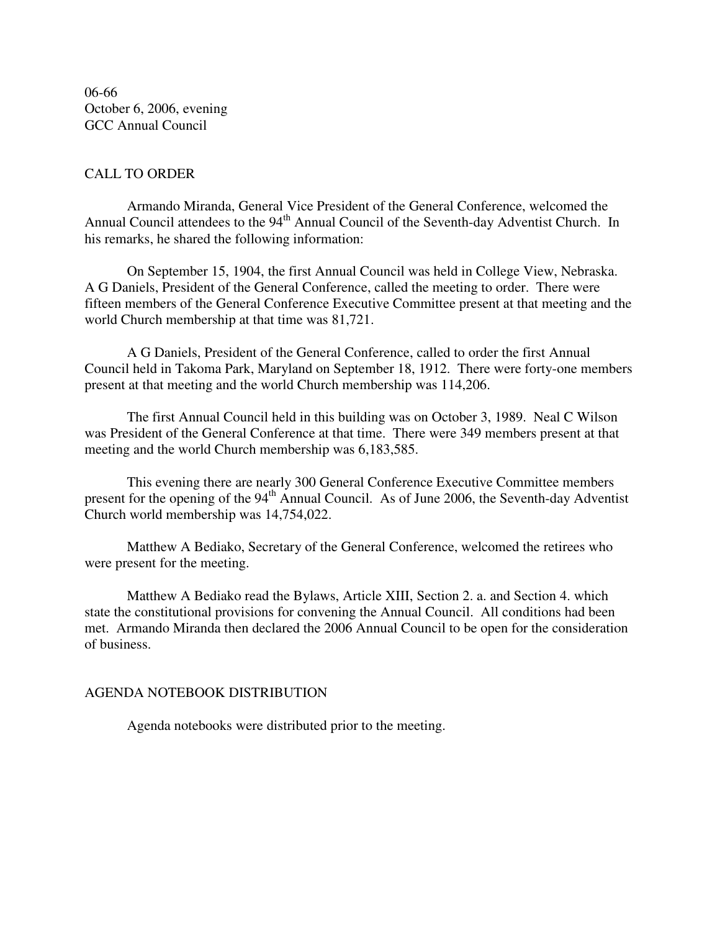06-66 October 6, 2006, evening GCC Annual Council

### CALL TO ORDER

 Armando Miranda, General Vice President of the General Conference, welcomed the Annual Council attendees to the 94<sup>th</sup> Annual Council of the Seventh-day Adventist Church. In his remarks, he shared the following information:

 On September 15, 1904, the first Annual Council was held in College View, Nebraska. A G Daniels, President of the General Conference, called the meeting to order. There were fifteen members of the General Conference Executive Committee present at that meeting and the world Church membership at that time was 81,721.

 A G Daniels, President of the General Conference, called to order the first Annual Council held in Takoma Park, Maryland on September 18, 1912. There were forty-one members present at that meeting and the world Church membership was 114,206.

 The first Annual Council held in this building was on October 3, 1989. Neal C Wilson was President of the General Conference at that time. There were 349 members present at that meeting and the world Church membership was 6,183,585.

 This evening there are nearly 300 General Conference Executive Committee members present for the opening of the 94<sup>th</sup> Annual Council. As of June 2006, the Seventh-day Adventist Church world membership was 14,754,022.

 Matthew A Bediako, Secretary of the General Conference, welcomed the retirees who were present for the meeting.

 Matthew A Bediako read the Bylaws, Article XIII, Section 2. a. and Section 4. which state the constitutional provisions for convening the Annual Council. All conditions had been met. Armando Miranda then declared the 2006 Annual Council to be open for the consideration of business.

### AGENDA NOTEBOOK DISTRIBUTION

Agenda notebooks were distributed prior to the meeting.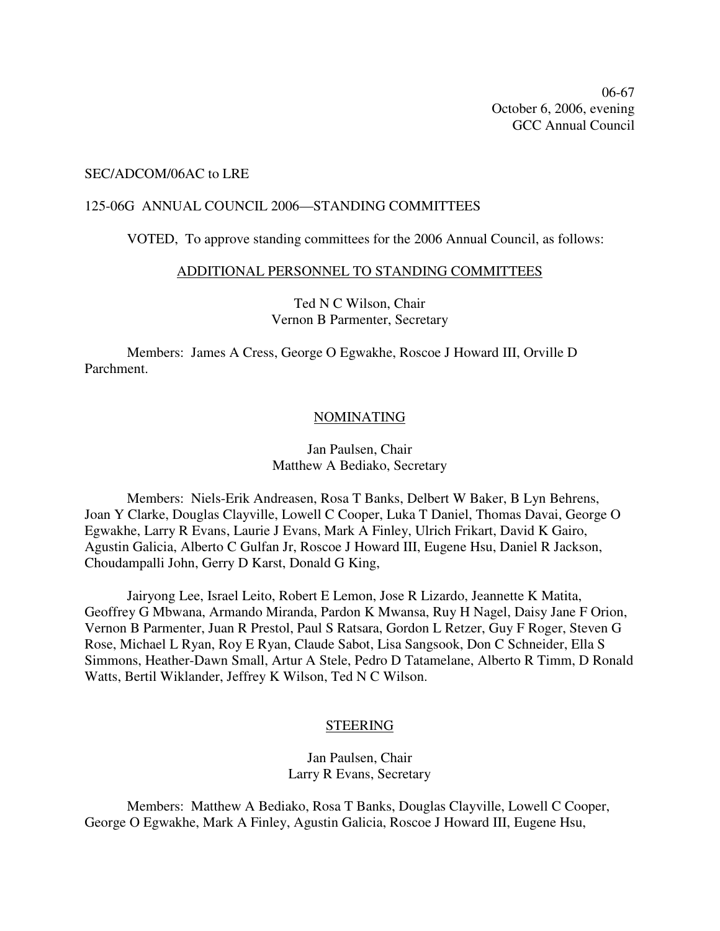06-67 October 6, 2006, evening GCC Annual Council

### SEC/ADCOM/06AC to LRE

# 125-06G ANNUAL COUNCIL 2006—STANDING COMMITTEES

### VOTED, To approve standing committees for the 2006 Annual Council, as follows:

### ADDITIONAL PERSONNEL TO STANDING COMMITTEES

Ted N C Wilson, Chair Vernon B Parmenter, Secretary

 Members: James A Cress, George O Egwakhe, Roscoe J Howard III, Orville D Parchment.

### NOMINATING

Jan Paulsen, Chair Matthew A Bediako, Secretary

 Members: Niels-Erik Andreasen, Rosa T Banks, Delbert W Baker, B Lyn Behrens, Joan Y Clarke, Douglas Clayville, Lowell C Cooper, Luka T Daniel, Thomas Davai, George O Egwakhe, Larry R Evans, Laurie J Evans, Mark A Finley, Ulrich Frikart, David K Gairo, Agustin Galicia, Alberto C Gulfan Jr, Roscoe J Howard III, Eugene Hsu, Daniel R Jackson, Choudampalli John, Gerry D Karst, Donald G King,

 Jairyong Lee, Israel Leito, Robert E Lemon, Jose R Lizardo, Jeannette K Matita, Geoffrey G Mbwana, Armando Miranda, Pardon K Mwansa, Ruy H Nagel, Daisy Jane F Orion, Vernon B Parmenter, Juan R Prestol, Paul S Ratsara, Gordon L Retzer, Guy F Roger, Steven G Rose, Michael L Ryan, Roy E Ryan, Claude Sabot, Lisa Sangsook, Don C Schneider, Ella S Simmons, Heather-Dawn Small, Artur A Stele, Pedro D Tatamelane, Alberto R Timm, D Ronald Watts, Bertil Wiklander, Jeffrey K Wilson, Ted N C Wilson.

#### STEERING

Jan Paulsen, Chair Larry R Evans, Secretary

 Members: Matthew A Bediako, Rosa T Banks, Douglas Clayville, Lowell C Cooper, George O Egwakhe, Mark A Finley, Agustin Galicia, Roscoe J Howard III, Eugene Hsu,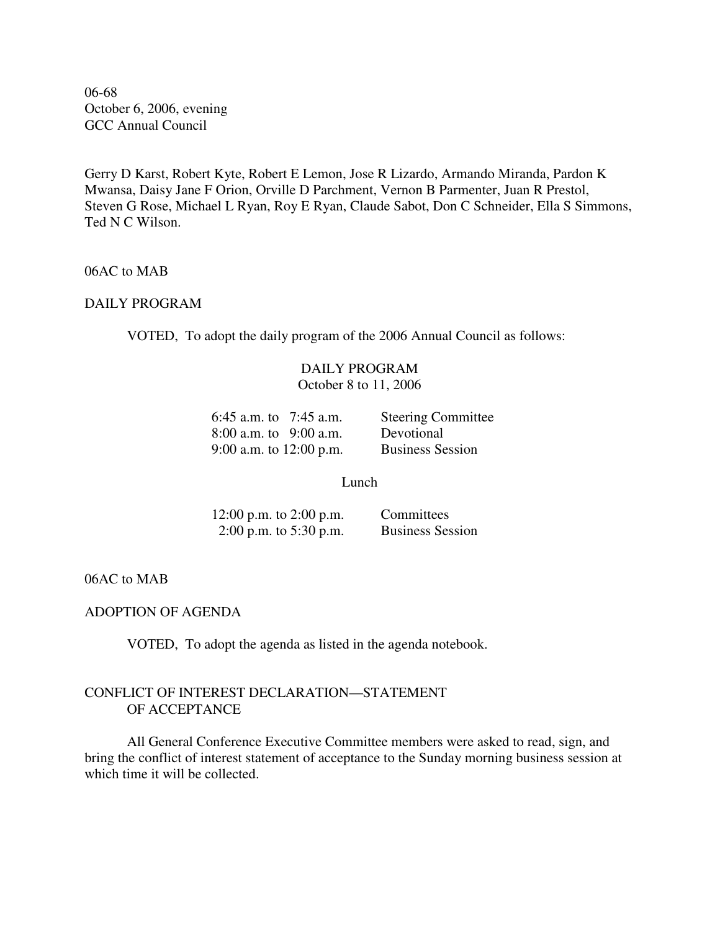06-68 October 6, 2006, evening GCC Annual Council

Gerry D Karst, Robert Kyte, Robert E Lemon, Jose R Lizardo, Armando Miranda, Pardon K Mwansa, Daisy Jane F Orion, Orville D Parchment, Vernon B Parmenter, Juan R Prestol, Steven G Rose, Michael L Ryan, Roy E Ryan, Claude Sabot, Don C Schneider, Ella S Simmons, Ted N C Wilson.

06AC to MAB

DAILY PROGRAM

VOTED, To adopt the daily program of the 2006 Annual Council as follows:

# DAILY PROGRAM October 8 to 11, 2006

| 6:45 a.m. to $7:45$ a.m.  | <b>Steering Committee</b> |
|---------------------------|---------------------------|
| 8:00 a.m. to $9:00$ a.m.  | Devotional                |
| 9:00 a.m. to $12:00$ p.m. | <b>Business Session</b>   |

**Lunch** 

| 12:00 p.m. to 2:00 p.m. | Committees              |
|-------------------------|-------------------------|
| 2:00 p.m. to 5:30 p.m.  | <b>Business Session</b> |

06AC to MAB

ADOPTION OF AGENDA

VOTED, To adopt the agenda as listed in the agenda notebook.

# CONFLICT OF INTEREST DECLARATION—STATEMENT OF ACCEPTANCE

 All General Conference Executive Committee members were asked to read, sign, and bring the conflict of interest statement of acceptance to the Sunday morning business session at which time it will be collected.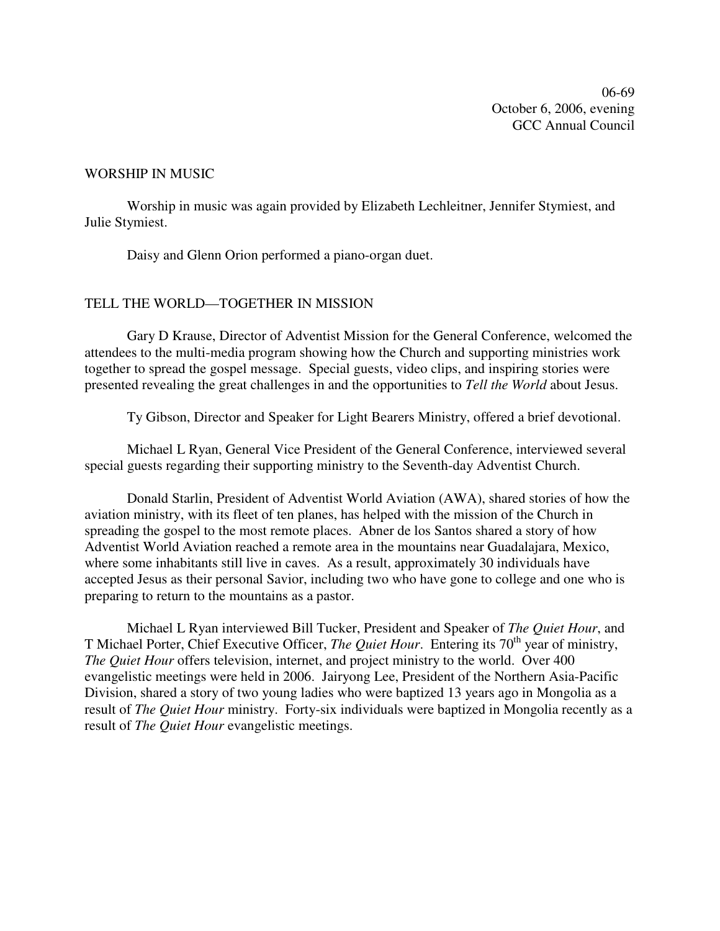06-69 October 6, 2006, evening GCC Annual Council

### WORSHIP IN MUSIC

 Worship in music was again provided by Elizabeth Lechleitner, Jennifer Stymiest, and Julie Stymiest.

Daisy and Glenn Orion performed a piano-organ duet.

### TELL THE WORLD—TOGETHER IN MISSION

 Gary D Krause, Director of Adventist Mission for the General Conference, welcomed the attendees to the multi-media program showing how the Church and supporting ministries work together to spread the gospel message. Special guests, video clips, and inspiring stories were presented revealing the great challenges in and the opportunities to *Tell the World* about Jesus.

Ty Gibson, Director and Speaker for Light Bearers Ministry, offered a brief devotional.

 Michael L Ryan, General Vice President of the General Conference, interviewed several special guests regarding their supporting ministry to the Seventh-day Adventist Church.

 Donald Starlin, President of Adventist World Aviation (AWA), shared stories of how the aviation ministry, with its fleet of ten planes, has helped with the mission of the Church in spreading the gospel to the most remote places. Abner de los Santos shared a story of how Adventist World Aviation reached a remote area in the mountains near Guadalajara, Mexico, where some inhabitants still live in caves. As a result, approximately 30 individuals have accepted Jesus as their personal Savior, including two who have gone to college and one who is preparing to return to the mountains as a pastor.

 Michael L Ryan interviewed Bill Tucker, President and Speaker of *The Quiet Hour*, and T Michael Porter, Chief Executive Officer, *The Quiet Hour*. Entering its 70<sup>th</sup> year of ministry, *The Quiet Hour* offers television, internet, and project ministry to the world. Over 400 evangelistic meetings were held in 2006. Jairyong Lee, President of the Northern Asia-Pacific Division, shared a story of two young ladies who were baptized 13 years ago in Mongolia as a result of *The Quiet Hour* ministry. Forty-six individuals were baptized in Mongolia recently as a result of *The Quiet Hour* evangelistic meetings.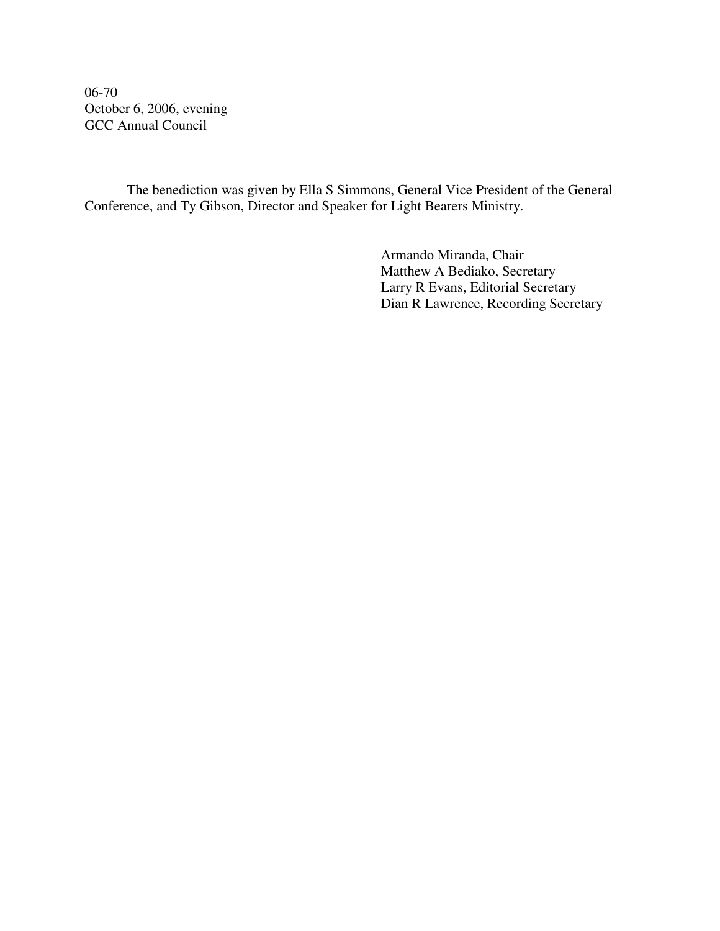06-70 October 6, 2006, evening GCC Annual Council

 The benediction was given by Ella S Simmons, General Vice President of the General Conference, and Ty Gibson, Director and Speaker for Light Bearers Ministry.

> Armando Miranda, Chair Matthew A Bediako, Secretary Larry R Evans, Editorial Secretary Dian R Lawrence, Recording Secretary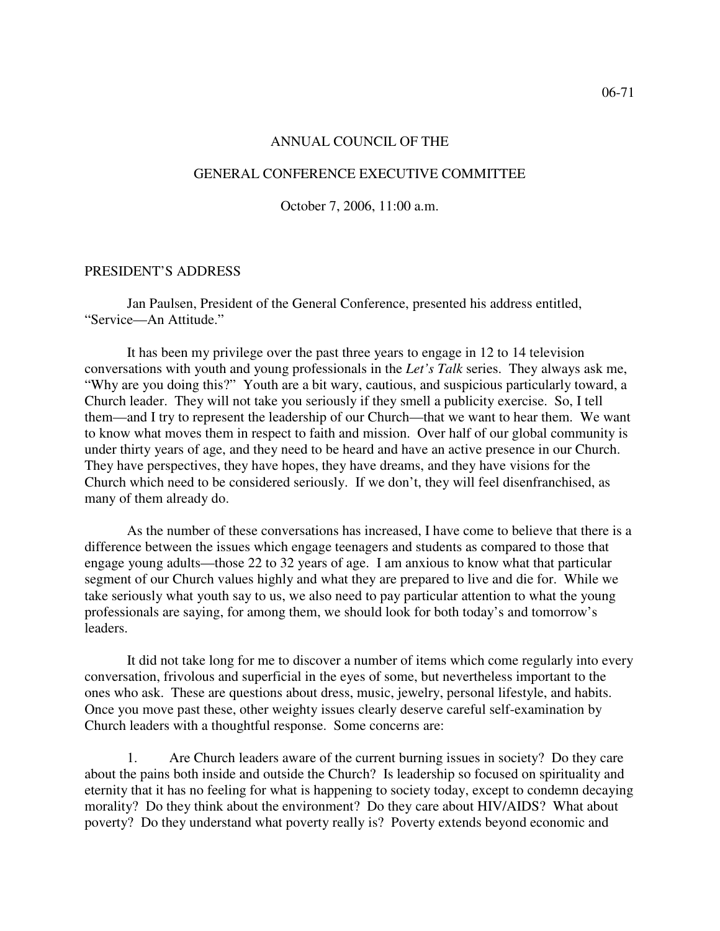### ANNUAL COUNCIL OF THE

#### GENERAL CONFERENCE EXECUTIVE COMMITTEE

October 7, 2006, 11:00 a.m.

### PRESIDENT'S ADDRESS

 Jan Paulsen, President of the General Conference, presented his address entitled, "Service—An Attitude."

 It has been my privilege over the past three years to engage in 12 to 14 television conversations with youth and young professionals in the *Let's Talk* series. They always ask me, "Why are you doing this?" Youth are a bit wary, cautious, and suspicious particularly toward, a Church leader. They will not take you seriously if they smell a publicity exercise. So, I tell them—and I try to represent the leadership of our Church—that we want to hear them. We want to know what moves them in respect to faith and mission. Over half of our global community is under thirty years of age, and they need to be heard and have an active presence in our Church. They have perspectives, they have hopes, they have dreams, and they have visions for the Church which need to be considered seriously. If we don't, they will feel disenfranchised, as many of them already do.

 As the number of these conversations has increased, I have come to believe that there is a difference between the issues which engage teenagers and students as compared to those that engage young adults—those 22 to 32 years of age. I am anxious to know what that particular segment of our Church values highly and what they are prepared to live and die for. While we take seriously what youth say to us, we also need to pay particular attention to what the young professionals are saying, for among them, we should look for both today's and tomorrow's leaders.

 It did not take long for me to discover a number of items which come regularly into every conversation, frivolous and superficial in the eyes of some, but nevertheless important to the ones who ask. These are questions about dress, music, jewelry, personal lifestyle, and habits. Once you move past these, other weighty issues clearly deserve careful self-examination by Church leaders with a thoughtful response. Some concerns are:

 1. Are Church leaders aware of the current burning issues in society? Do they care about the pains both inside and outside the Church? Is leadership so focused on spirituality and eternity that it has no feeling for what is happening to society today, except to condemn decaying morality? Do they think about the environment? Do they care about HIV/AIDS? What about poverty? Do they understand what poverty really is? Poverty extends beyond economic and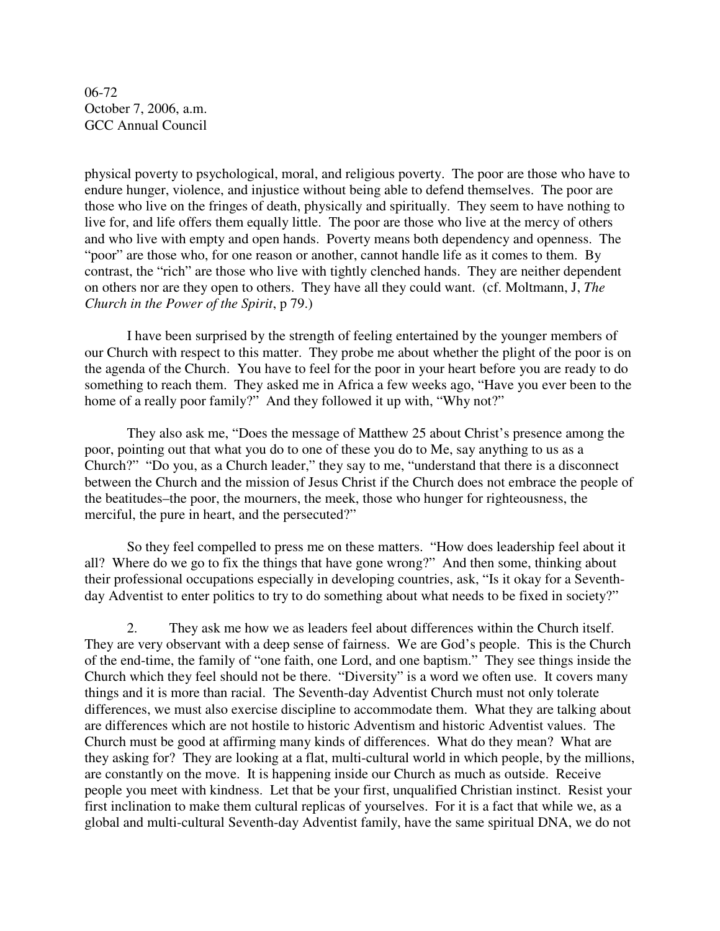06-72 October 7, 2006, a.m. GCC Annual Council

physical poverty to psychological, moral, and religious poverty. The poor are those who have to endure hunger, violence, and injustice without being able to defend themselves. The poor are those who live on the fringes of death, physically and spiritually. They seem to have nothing to live for, and life offers them equally little. The poor are those who live at the mercy of others and who live with empty and open hands. Poverty means both dependency and openness. The "poor" are those who, for one reason or another, cannot handle life as it comes to them. By contrast, the "rich" are those who live with tightly clenched hands. They are neither dependent on others nor are they open to others. They have all they could want. (cf. Moltmann, J, *The Church in the Power of the Spirit*, p 79.)

 I have been surprised by the strength of feeling entertained by the younger members of our Church with respect to this matter. They probe me about whether the plight of the poor is on the agenda of the Church. You have to feel for the poor in your heart before you are ready to do something to reach them. They asked me in Africa a few weeks ago, "Have you ever been to the home of a really poor family?" And they followed it up with, "Why not?"

 They also ask me, "Does the message of Matthew 25 about Christ's presence among the poor, pointing out that what you do to one of these you do to Me, say anything to us as a Church?" "Do you, as a Church leader," they say to me, "understand that there is a disconnect between the Church and the mission of Jesus Christ if the Church does not embrace the people of the beatitudes–the poor, the mourners, the meek, those who hunger for righteousness, the merciful, the pure in heart, and the persecuted?"

 So they feel compelled to press me on these matters. "How does leadership feel about it all? Where do we go to fix the things that have gone wrong?" And then some, thinking about their professional occupations especially in developing countries, ask, "Is it okay for a Seventhday Adventist to enter politics to try to do something about what needs to be fixed in society?"

 2. They ask me how we as leaders feel about differences within the Church itself. They are very observant with a deep sense of fairness. We are God's people. This is the Church of the end-time, the family of "one faith, one Lord, and one baptism." They see things inside the Church which they feel should not be there. "Diversity" is a word we often use. It covers many things and it is more than racial. The Seventh-day Adventist Church must not only tolerate differences, we must also exercise discipline to accommodate them. What they are talking about are differences which are not hostile to historic Adventism and historic Adventist values. The Church must be good at affirming many kinds of differences. What do they mean? What are they asking for? They are looking at a flat, multi-cultural world in which people, by the millions, are constantly on the move. It is happening inside our Church as much as outside. Receive people you meet with kindness. Let that be your first, unqualified Christian instinct. Resist your first inclination to make them cultural replicas of yourselves. For it is a fact that while we, as a global and multi-cultural Seventh-day Adventist family, have the same spiritual DNA, we do not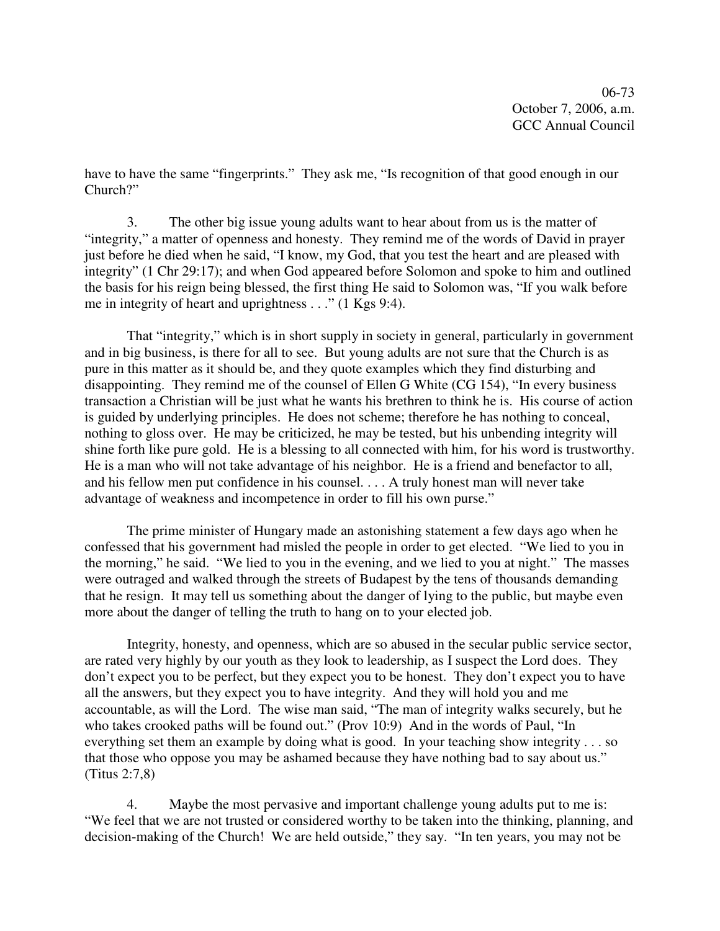06-73 October 7, 2006, a.m. GCC Annual Council

have to have the same "fingerprints." They ask me, "Is recognition of that good enough in our Church?"

 3. The other big issue young adults want to hear about from us is the matter of "integrity," a matter of openness and honesty. They remind me of the words of David in prayer just before he died when he said, "I know, my God, that you test the heart and are pleased with integrity" (1 Chr 29:17); and when God appeared before Solomon and spoke to him and outlined the basis for his reign being blessed, the first thing He said to Solomon was, "If you walk before me in integrity of heart and uprightness . . ." (1 Kgs 9:4).

 That "integrity," which is in short supply in society in general, particularly in government and in big business, is there for all to see. But young adults are not sure that the Church is as pure in this matter as it should be, and they quote examples which they find disturbing and disappointing. They remind me of the counsel of Ellen G White (CG 154), "In every business transaction a Christian will be just what he wants his brethren to think he is. His course of action is guided by underlying principles. He does not scheme; therefore he has nothing to conceal, nothing to gloss over. He may be criticized, he may be tested, but his unbending integrity will shine forth like pure gold. He is a blessing to all connected with him, for his word is trustworthy. He is a man who will not take advantage of his neighbor. He is a friend and benefactor to all, and his fellow men put confidence in his counsel. . . . A truly honest man will never take advantage of weakness and incompetence in order to fill his own purse."

 The prime minister of Hungary made an astonishing statement a few days ago when he confessed that his government had misled the people in order to get elected. "We lied to you in the morning," he said. "We lied to you in the evening, and we lied to you at night." The masses were outraged and walked through the streets of Budapest by the tens of thousands demanding that he resign. It may tell us something about the danger of lying to the public, but maybe even more about the danger of telling the truth to hang on to your elected job.

 Integrity, honesty, and openness, which are so abused in the secular public service sector, are rated very highly by our youth as they look to leadership, as I suspect the Lord does. They don't expect you to be perfect, but they expect you to be honest. They don't expect you to have all the answers, but they expect you to have integrity. And they will hold you and me accountable, as will the Lord. The wise man said, "The man of integrity walks securely, but he who takes crooked paths will be found out." (Prov 10:9) And in the words of Paul, "In everything set them an example by doing what is good. In your teaching show integrity . . . so that those who oppose you may be ashamed because they have nothing bad to say about us." (Titus 2:7,8)

 4. Maybe the most pervasive and important challenge young adults put to me is: "We feel that we are not trusted or considered worthy to be taken into the thinking, planning, and decision-making of the Church! We are held outside," they say. "In ten years, you may not be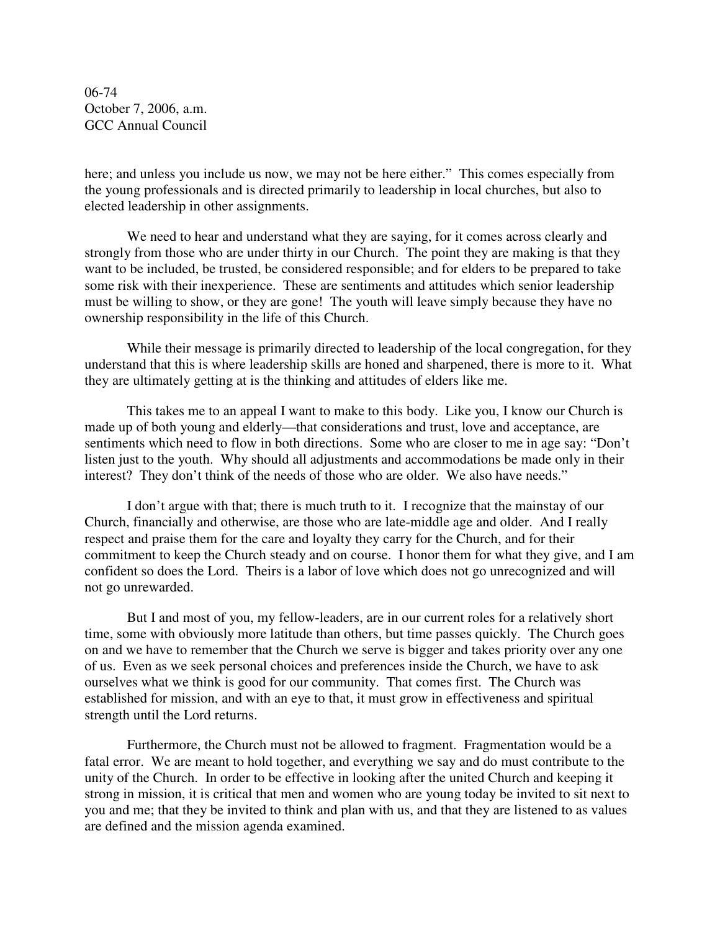06-74 October 7, 2006, a.m. GCC Annual Council

here; and unless you include us now, we may not be here either." This comes especially from the young professionals and is directed primarily to leadership in local churches, but also to elected leadership in other assignments.

We need to hear and understand what they are saying, for it comes across clearly and strongly from those who are under thirty in our Church. The point they are making is that they want to be included, be trusted, be considered responsible; and for elders to be prepared to take some risk with their inexperience. These are sentiments and attitudes which senior leadership must be willing to show, or they are gone! The youth will leave simply because they have no ownership responsibility in the life of this Church.

 While their message is primarily directed to leadership of the local congregation, for they understand that this is where leadership skills are honed and sharpened, there is more to it. What they are ultimately getting at is the thinking and attitudes of elders like me.

 This takes me to an appeal I want to make to this body. Like you, I know our Church is made up of both young and elderly—that considerations and trust, love and acceptance, are sentiments which need to flow in both directions. Some who are closer to me in age say: "Don't listen just to the youth. Why should all adjustments and accommodations be made only in their interest? They don't think of the needs of those who are older. We also have needs."

 I don't argue with that; there is much truth to it. I recognize that the mainstay of our Church, financially and otherwise, are those who are late-middle age and older. And I really respect and praise them for the care and loyalty they carry for the Church, and for their commitment to keep the Church steady and on course. I honor them for what they give, and I am confident so does the Lord. Theirs is a labor of love which does not go unrecognized and will not go unrewarded.

 But I and most of you, my fellow-leaders, are in our current roles for a relatively short time, some with obviously more latitude than others, but time passes quickly. The Church goes on and we have to remember that the Church we serve is bigger and takes priority over any one of us. Even as we seek personal choices and preferences inside the Church, we have to ask ourselves what we think is good for our community. That comes first. The Church was established for mission, and with an eye to that, it must grow in effectiveness and spiritual strength until the Lord returns.

 Furthermore, the Church must not be allowed to fragment. Fragmentation would be a fatal error. We are meant to hold together, and everything we say and do must contribute to the unity of the Church. In order to be effective in looking after the united Church and keeping it strong in mission, it is critical that men and women who are young today be invited to sit next to you and me; that they be invited to think and plan with us, and that they are listened to as values are defined and the mission agenda examined.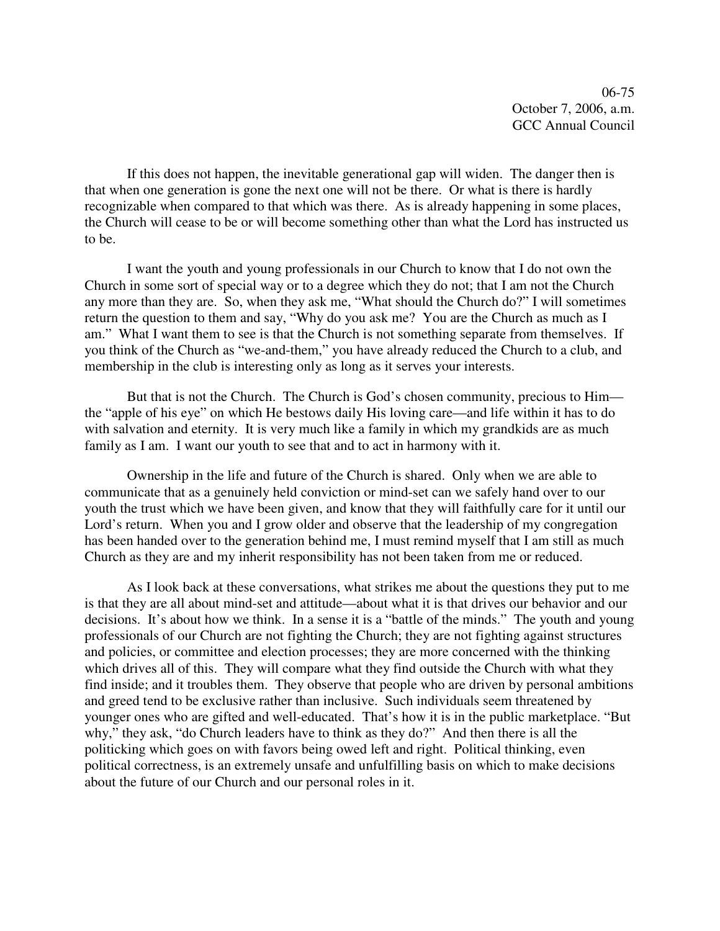06-75 October 7, 2006, a.m. GCC Annual Council

 If this does not happen, the inevitable generational gap will widen. The danger then is that when one generation is gone the next one will not be there. Or what is there is hardly recognizable when compared to that which was there. As is already happening in some places, the Church will cease to be or will become something other than what the Lord has instructed us to be.

 I want the youth and young professionals in our Church to know that I do not own the Church in some sort of special way or to a degree which they do not; that I am not the Church any more than they are. So, when they ask me, "What should the Church do?" I will sometimes return the question to them and say, "Why do you ask me? You are the Church as much as I am." What I want them to see is that the Church is not something separate from themselves. If you think of the Church as "we-and-them," you have already reduced the Church to a club, and membership in the club is interesting only as long as it serves your interests.

 But that is not the Church. The Church is God's chosen community, precious to Him the "apple of his eye" on which He bestows daily His loving care—and life within it has to do with salvation and eternity. It is very much like a family in which my grandkids are as much family as I am. I want our youth to see that and to act in harmony with it.

 Ownership in the life and future of the Church is shared. Only when we are able to communicate that as a genuinely held conviction or mind-set can we safely hand over to our youth the trust which we have been given, and know that they will faithfully care for it until our Lord's return. When you and I grow older and observe that the leadership of my congregation has been handed over to the generation behind me, I must remind myself that I am still as much Church as they are and my inherit responsibility has not been taken from me or reduced.

 As I look back at these conversations, what strikes me about the questions they put to me is that they are all about mind-set and attitude—about what it is that drives our behavior and our decisions. It's about how we think. In a sense it is a "battle of the minds." The youth and young professionals of our Church are not fighting the Church; they are not fighting against structures and policies, or committee and election processes; they are more concerned with the thinking which drives all of this. They will compare what they find outside the Church with what they find inside; and it troubles them. They observe that people who are driven by personal ambitions and greed tend to be exclusive rather than inclusive. Such individuals seem threatened by younger ones who are gifted and well-educated. That's how it is in the public marketplace. "But why," they ask, "do Church leaders have to think as they do?" And then there is all the politicking which goes on with favors being owed left and right. Political thinking, even political correctness, is an extremely unsafe and unfulfilling basis on which to make decisions about the future of our Church and our personal roles in it.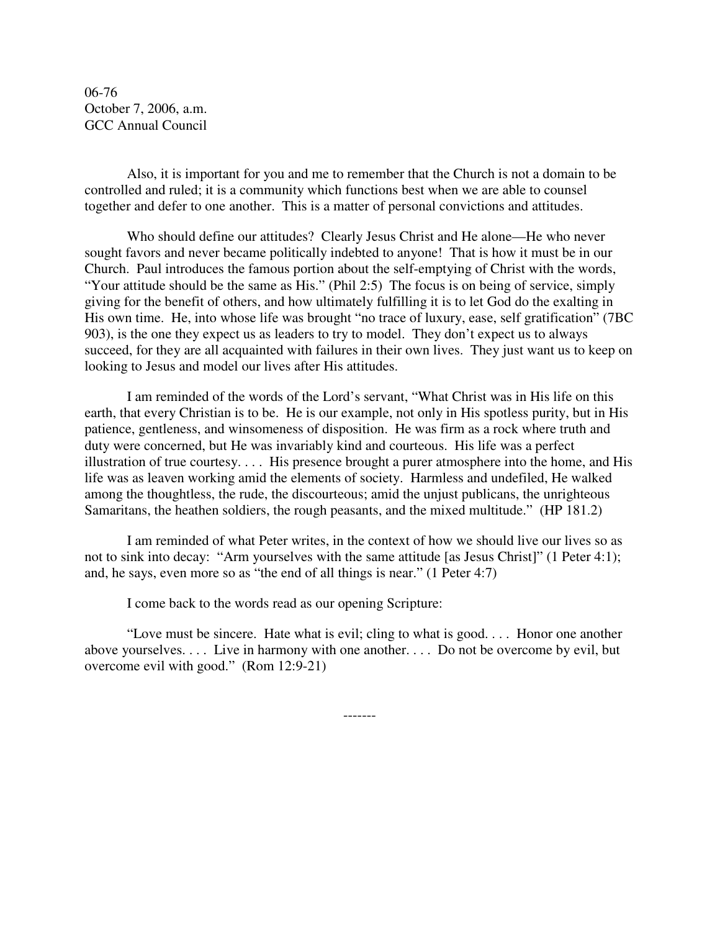06-76 October 7, 2006, a.m. GCC Annual Council

 Also, it is important for you and me to remember that the Church is not a domain to be controlled and ruled; it is a community which functions best when we are able to counsel together and defer to one another. This is a matter of personal convictions and attitudes.

 Who should define our attitudes? Clearly Jesus Christ and He alone—He who never sought favors and never became politically indebted to anyone! That is how it must be in our Church. Paul introduces the famous portion about the self-emptying of Christ with the words, "Your attitude should be the same as His." (Phil 2:5) The focus is on being of service, simply giving for the benefit of others, and how ultimately fulfilling it is to let God do the exalting in His own time. He, into whose life was brought "no trace of luxury, ease, self gratification" (7BC 903), is the one they expect us as leaders to try to model. They don't expect us to always succeed, for they are all acquainted with failures in their own lives. They just want us to keep on looking to Jesus and model our lives after His attitudes.

 I am reminded of the words of the Lord's servant, "What Christ was in His life on this earth, that every Christian is to be. He is our example, not only in His spotless purity, but in His patience, gentleness, and winsomeness of disposition. He was firm as a rock where truth and duty were concerned, but He was invariably kind and courteous. His life was a perfect illustration of true courtesy. . . . His presence brought a purer atmosphere into the home, and His life was as leaven working amid the elements of society. Harmless and undefiled, He walked among the thoughtless, the rude, the discourteous; amid the unjust publicans, the unrighteous Samaritans, the heathen soldiers, the rough peasants, and the mixed multitude." (HP 181.2)

 I am reminded of what Peter writes, in the context of how we should live our lives so as not to sink into decay: "Arm yourselves with the same attitude [as Jesus Christ]" (1 Peter 4:1); and, he says, even more so as "the end of all things is near." (1 Peter 4:7)

I come back to the words read as our opening Scripture:

 "Love must be sincere. Hate what is evil; cling to what is good. . . . Honor one another above yourselves. . . . Live in harmony with one another. . . . Do not be overcome by evil, but overcome evil with good." (Rom 12:9-21)

-------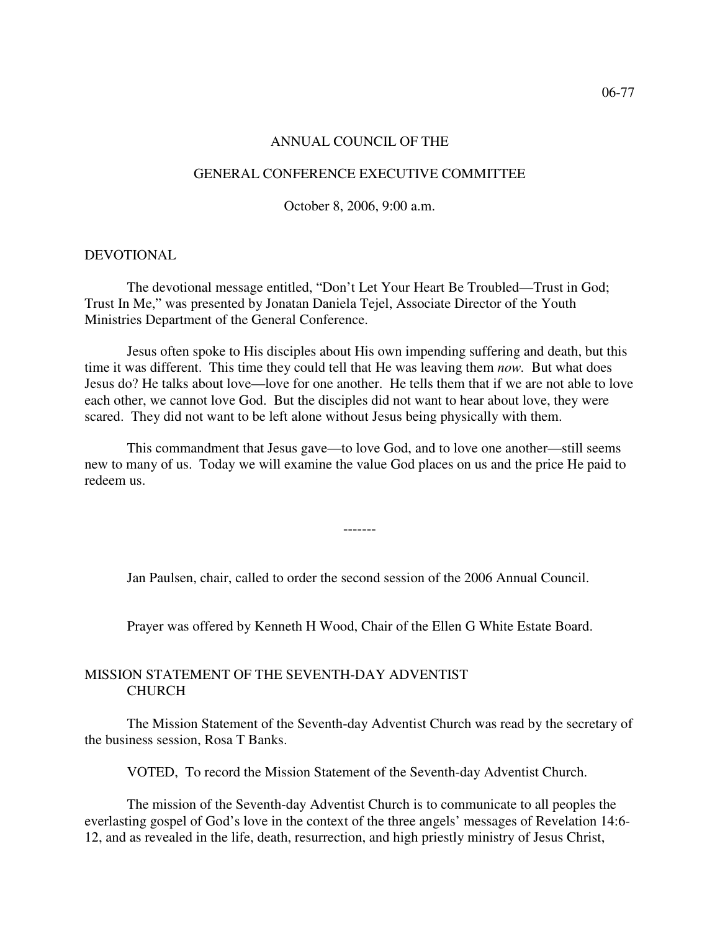### ANNUAL COUNCIL OF THE

#### GENERAL CONFERENCE EXECUTIVE COMMITTEE

October 8, 2006, 9:00 a.m.

#### DEVOTIONAL

 The devotional message entitled, "Don't Let Your Heart Be Troubled—Trust in God; Trust In Me," was presented by Jonatan Daniela Tejel, Associate Director of the Youth Ministries Department of the General Conference.

Jesus often spoke to His disciples about His own impending suffering and death, but this time it was different. This time they could tell that He was leaving them *now.* But what does Jesus do? He talks about love—love for one another. He tells them that if we are not able to love each other, we cannot love God. But the disciples did not want to hear about love, they were scared. They did not want to be left alone without Jesus being physically with them.

This commandment that Jesus gave—to love God, and to love one another—still seems new to many of us. Today we will examine the value God places on us and the price He paid to redeem us.

Jan Paulsen, chair, called to order the second session of the 2006 Annual Council.

-------

Prayer was offered by Kenneth H Wood, Chair of the Ellen G White Estate Board.

### MISSION STATEMENT OF THE SEVENTH-DAY ADVENTIST CHURCH

 The Mission Statement of the Seventh-day Adventist Church was read by the secretary of the business session, Rosa T Banks.

VOTED, To record the Mission Statement of the Seventh-day Adventist Church.

The mission of the Seventh-day Adventist Church is to communicate to all peoples the everlasting gospel of God's love in the context of the three angels' messages of Revelation 14:6- 12, and as revealed in the life, death, resurrection, and high priestly ministry of Jesus Christ,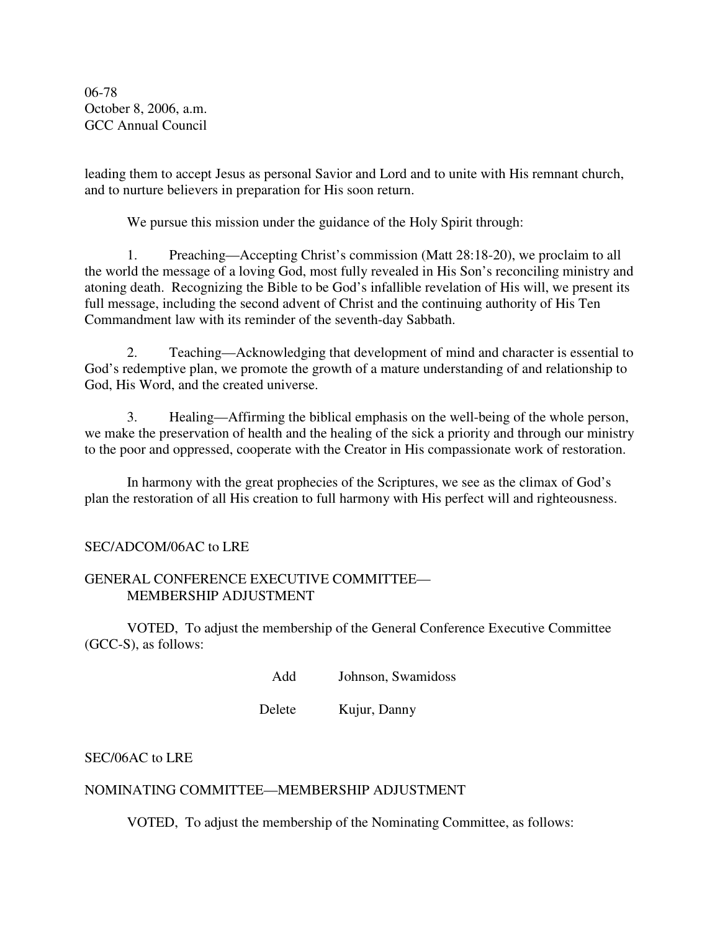06-78 October 8, 2006, a.m. GCC Annual Council

leading them to accept Jesus as personal Savior and Lord and to unite with His remnant church, and to nurture believers in preparation for His soon return.

We pursue this mission under the guidance of the Holy Spirit through:

 1. Preaching—Accepting Christ's commission (Matt 28:18-20), we proclaim to all the world the message of a loving God, most fully revealed in His Son's reconciling ministry and atoning death. Recognizing the Bible to be God's infallible revelation of His will, we present its full message, including the second advent of Christ and the continuing authority of His Ten Commandment law with its reminder of the seventh-day Sabbath.

 2. Teaching—Acknowledging that development of mind and character is essential to God's redemptive plan, we promote the growth of a mature understanding of and relationship to God, His Word, and the created universe.

 3. Healing—Affirming the biblical emphasis on the well-being of the whole person, we make the preservation of health and the healing of the sick a priority and through our ministry to the poor and oppressed, cooperate with the Creator in His compassionate work of restoration.

 In harmony with the great prophecies of the Scriptures, we see as the climax of God's plan the restoration of all His creation to full harmony with His perfect will and righteousness.

# SEC/ADCOM/06AC to LRE

# GENERAL CONFERENCE EXECUTIVE COMMITTEE— MEMBERSHIP ADJUSTMENT

 VOTED, To adjust the membership of the General Conference Executive Committee (GCC-S), as follows:

Add Johnson, Swamidoss

Delete Kujur, Danny

# SEC/06AC to LRE

# NOMINATING COMMITTEE—MEMBERSHIP ADJUSTMENT

VOTED, To adjust the membership of the Nominating Committee, as follows: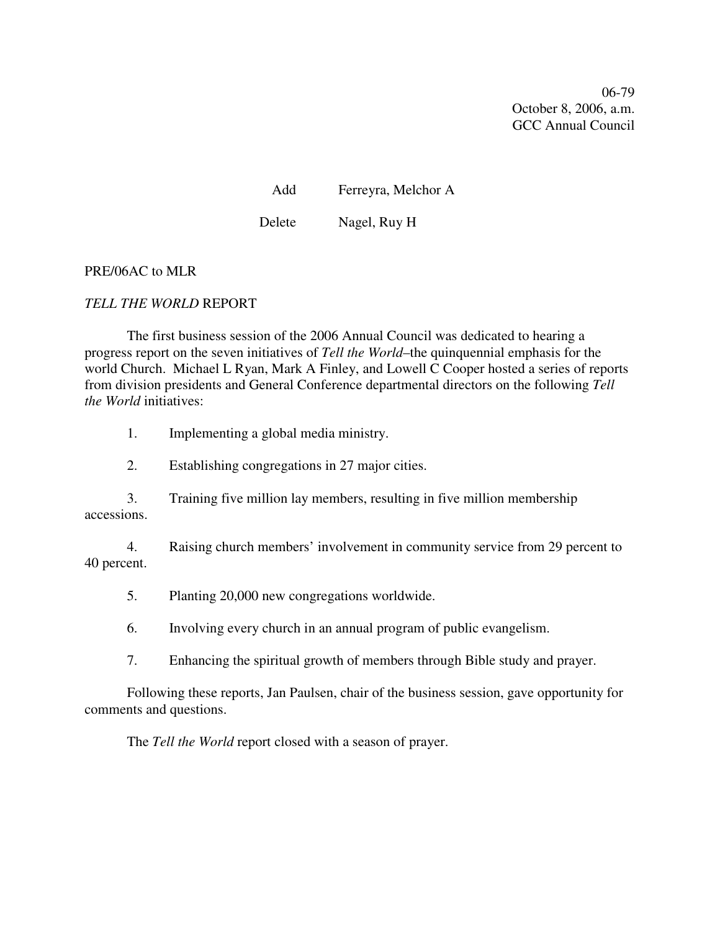06-79 October 8, 2006, a.m. GCC Annual Council

Add Ferreyra, Melchor A

Delete Nagel, Ruy H

# PRE/06AC to MLR

# *TELL THE WORLD* REPORT

 The first business session of the 2006 Annual Council was dedicated to hearing a progress report on the seven initiatives of *Tell the World*–the quinquennial emphasis for the world Church. Michael L Ryan, Mark A Finley, and Lowell C Cooper hosted a series of reports from division presidents and General Conference departmental directors on the following *Tell the World* initiatives:

1. Implementing a global media ministry.

2. Establishing congregations in 27 major cities.

 3. Training five million lay members, resulting in five million membership accessions.

 4. Raising church members' involvement in community service from 29 percent to 40 percent.

- 5. Planting 20,000 new congregations worldwide.
- 6. Involving every church in an annual program of public evangelism.
- 7. Enhancing the spiritual growth of members through Bible study and prayer.

 Following these reports, Jan Paulsen, chair of the business session, gave opportunity for comments and questions.

The *Tell the World* report closed with a season of prayer.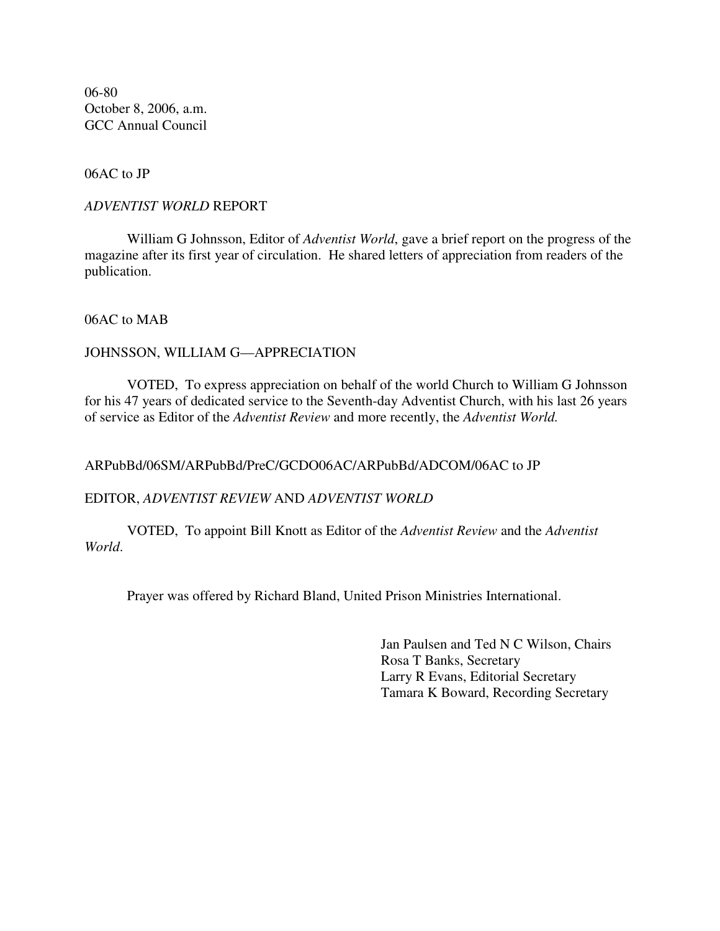06-80 October 8, 2006, a.m. GCC Annual Council

### 06AC to JP

### *ADVENTIST WORLD* REPORT

 William G Johnsson, Editor of *Adventist World*, gave a brief report on the progress of the magazine after its first year of circulation. He shared letters of appreciation from readers of the publication.

### 06AC to MAB

### JOHNSSON, WILLIAM G—APPRECIATION

 VOTED, To express appreciation on behalf of the world Church to William G Johnsson for his 47 years of dedicated service to the Seventh-day Adventist Church, with his last 26 years of service as Editor of the *Adventist Review* and more recently, the *Adventist World.* 

ARPubBd/06SM/ARPubBd/PreC/GCDO06AC/ARPubBd/ADCOM/06AC to JP

### EDITOR, *ADVENTIST REVIEW* AND *ADVENTIST WORLD*

VOTED, To appoint Bill Knott as Editor of the *Adventist Review* and the *Adventist World*.

Prayer was offered by Richard Bland, United Prison Ministries International.

 Jan Paulsen and Ted N C Wilson, Chairs Rosa T Banks, Secretary Larry R Evans, Editorial Secretary Tamara K Boward, Recording Secretary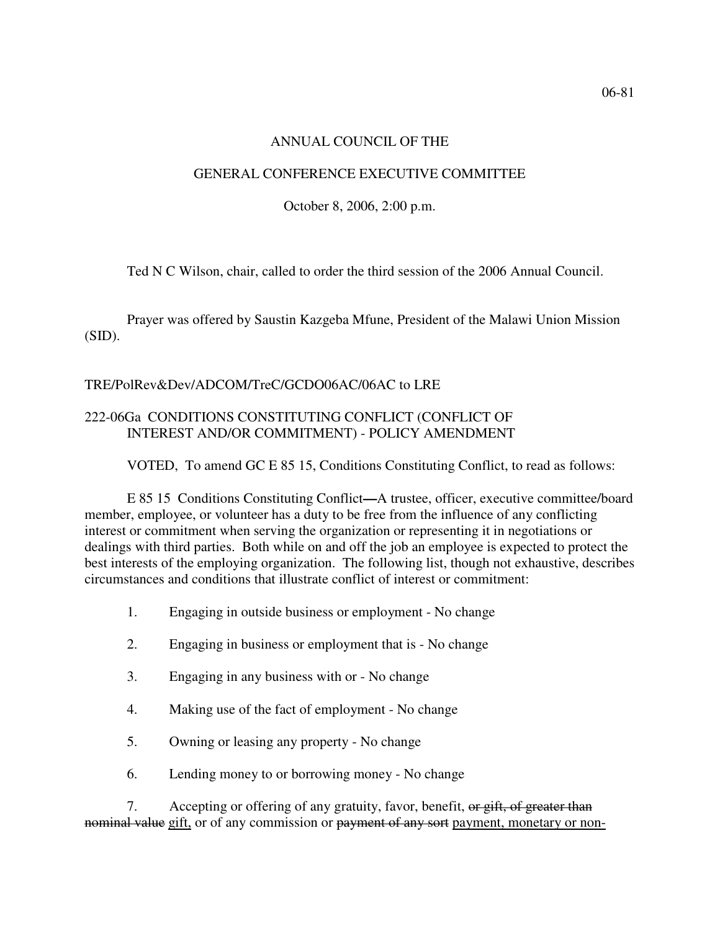### ANNUAL COUNCIL OF THE

# GENERAL CONFERENCE EXECUTIVE COMMITTEE

October 8, 2006, 2:00 p.m.

Ted N C Wilson, chair, called to order the third session of the 2006 Annual Council.

 Prayer was offered by Saustin Kazgeba Mfune, President of the Malawi Union Mission (SID).

# TRE/PolRev&Dev/ADCOM/TreC/GCDO06AC/06AC to LRE

# 222-06Ga CONDITIONS CONSTITUTING CONFLICT (CONFLICT OF INTEREST AND/OR COMMITMENT) - POLICY AMENDMENT

VOTED, To amend GC E 85 15, Conditions Constituting Conflict, to read as follows:

E 85 15 Conditions Constituting Conflict**—**A trustee, officer, executive committee/board member, employee, or volunteer has a duty to be free from the influence of any conflicting interest or commitment when serving the organization or representing it in negotiations or dealings with third parties. Both while on and off the job an employee is expected to protect the best interests of the employing organization. The following list, though not exhaustive, describes circumstances and conditions that illustrate conflict of interest or commitment:

- 1. Engaging in outside business or employment No change
- 2. Engaging in business or employment that is No change
- 3. Engaging in any business with or No change
- 4. Making use of the fact of employment No change
- 5. Owning or leasing any property No change
- 6. Lending money to or borrowing money No change

7. Accepting or offering of any gratuity, favor, benefit, or gift, of greater than nominal value gift, or of any commission or payment of any sort payment, monetary or non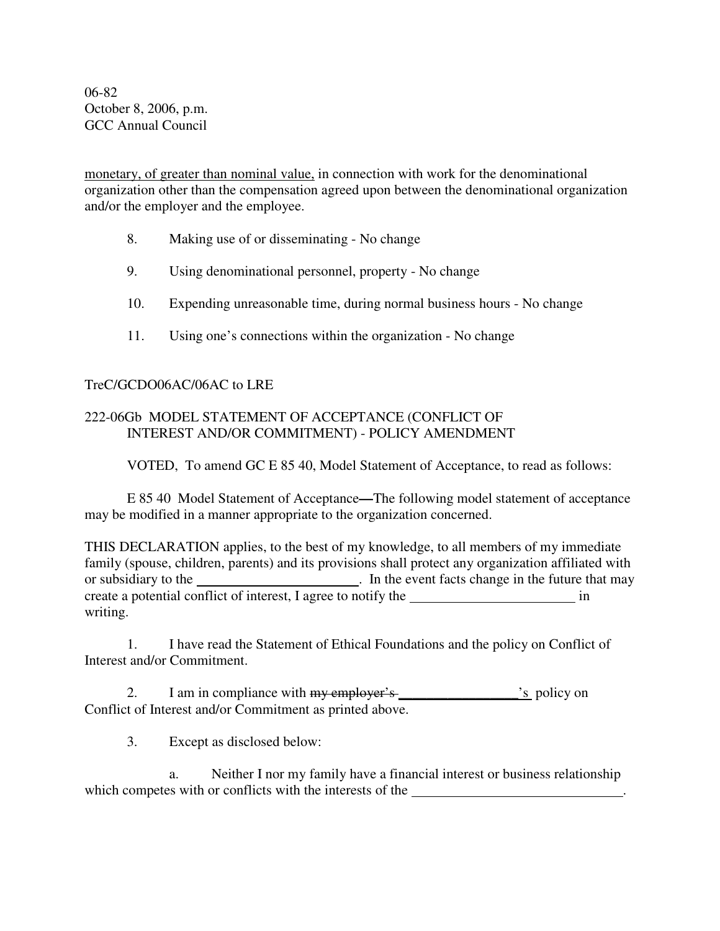06-82 October 8, 2006, p.m. GCC Annual Council

monetary, of greater than nominal value, in connection with work for the denominational organization other than the compensation agreed upon between the denominational organization and/or the employer and the employee.

- 8. Making use of or disseminating No change
- 9. Using denominational personnel, property No change
- 10. Expending unreasonable time, during normal business hours No change
- 11. Using one's connections within the organization No change

# TreC/GCDO06AC/06AC to LRE

# 222-06Gb MODEL STATEMENT OF ACCEPTANCE (CONFLICT OF INTEREST AND/OR COMMITMENT) - POLICY AMENDMENT

VOTED, To amend GC E 85 40, Model Statement of Acceptance, to read as follows:

 E 85 40 Model Statement of Acceptance**—**The following model statement of acceptance may be modified in a manner appropriate to the organization concerned.

THIS DECLARATION applies, to the best of my knowledge, to all members of my immediate family (spouse, children, parents) and its provisions shall protect any organization affiliated with or subsidiary to the . In the event facts change in the future that may create a potential conflict of interest, I agree to notify the in writing.

 1. I have read the Statement of Ethical Foundations and the policy on Conflict of Interest and/or Commitment.

2. I am in compliance with  $\overrightarrow{my}$  employer's is policy on Conflict of Interest and/or Commitment as printed above.

3. Except as disclosed below:

 a. Neither I nor my family have a financial interest or business relationship which competes with or conflicts with the interests of the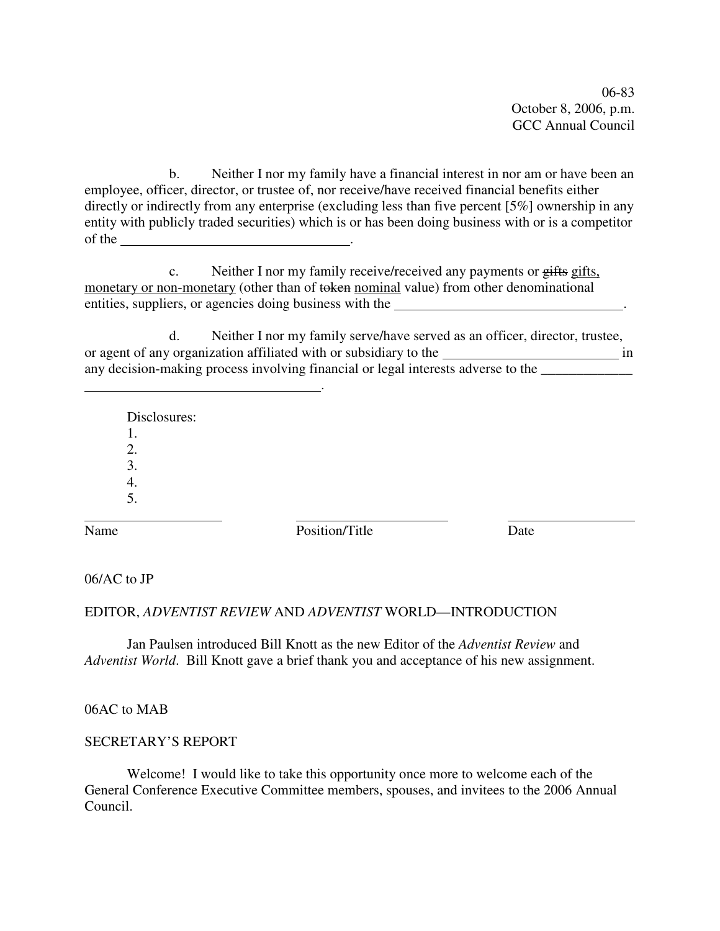06-83 October 8, 2006, p.m. GCC Annual Council

 b. Neither I nor my family have a financial interest in nor am or have been an employee, officer, director, or trustee of, nor receive/have received financial benefits either directly or indirectly from any enterprise (excluding less than five percent [5%] ownership in any entity with publicly traded securities) which is or has been doing business with or is a competitor of the .

c. Neither I nor my family receive/received any payments or gifts gifts, monetary or non-monetary (other than of token nominal value) from other denominational entities, suppliers, or agencies doing business with the \_\_\_\_\_\_\_\_\_\_\_\_\_\_\_\_\_\_\_\_\_\_\_\_

 d. Neither I nor my family serve/have served as an officer, director, trustee, or agent of any organization affiliated with or subsidiary to the in any decision-making process involving financial or legal interests adverse to the \_\_\_\_\_\_\_\_\_\_\_\_\_\_\_\_\_\_\_\_\_\_\_\_\_\_\_\_

 Disclosures: 1. 2. 3. 4. 5.

.

Name Date Position/Title Date Date

06/AC to JP

 $\overline{a}$ 

# EDITOR, *ADVENTIST REVIEW* AND *ADVENTIST* WORLD—INTRODUCTION

Jan Paulsen introduced Bill Knott as the new Editor of the *Adventist Review* and *Adventist World*. Bill Knott gave a brief thank you and acceptance of his new assignment.

06AC to MAB

# SECRETARY'S REPORT

 Welcome! I would like to take this opportunity once more to welcome each of the General Conference Executive Committee members, spouses, and invitees to the 2006 Annual Council.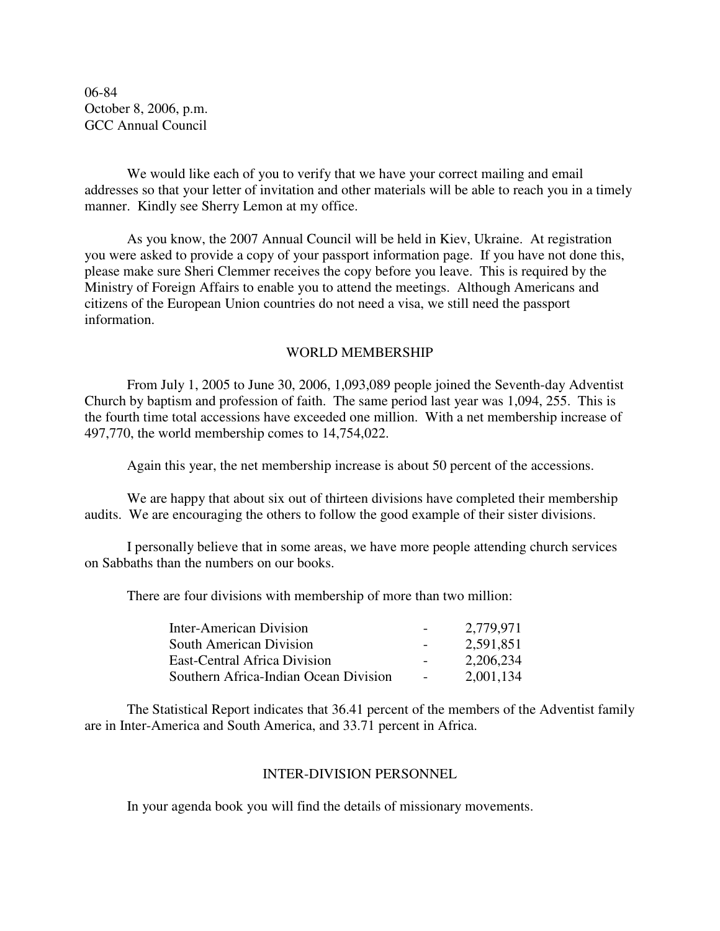06-84 October 8, 2006, p.m. GCC Annual Council

We would like each of you to verify that we have your correct mailing and email addresses so that your letter of invitation and other materials will be able to reach you in a timely manner. Kindly see Sherry Lemon at my office.

As you know, the 2007 Annual Council will be held in Kiev, Ukraine. At registration you were asked to provide a copy of your passport information page. If you have not done this, please make sure Sheri Clemmer receives the copy before you leave. This is required by the Ministry of Foreign Affairs to enable you to attend the meetings. Although Americans and citizens of the European Union countries do not need a visa, we still need the passport information.

### WORLD MEMBERSHIP

From July 1, 2005 to June 30, 2006, 1,093,089 people joined the Seventh-day Adventist Church by baptism and profession of faith. The same period last year was 1,094, 255. This is the fourth time total accessions have exceeded one million. With a net membership increase of 497,770, the world membership comes to 14,754,022.

Again this year, the net membership increase is about 50 percent of the accessions.

We are happy that about six out of thirteen divisions have completed their membership audits. We are encouraging the others to follow the good example of their sister divisions.

I personally believe that in some areas, we have more people attending church services on Sabbaths than the numbers on our books.

There are four divisions with membership of more than two million:

| <b>Inter-American Division</b>        | $\overline{\phantom{a}}$ | 2,779,971 |
|---------------------------------------|--------------------------|-----------|
| South American Division               | $\overline{\phantom{0}}$ | 2,591,851 |
| East-Central Africa Division          | $\overline{\phantom{a}}$ | 2,206,234 |
| Southern Africa-Indian Ocean Division | $\overline{\phantom{a}}$ | 2,001,134 |

 The Statistical Report indicates that 36.41 percent of the members of the Adventist family are in Inter-America and South America, and 33.71 percent in Africa.

### INTER-DIVISION PERSONNEL

In your agenda book you will find the details of missionary movements.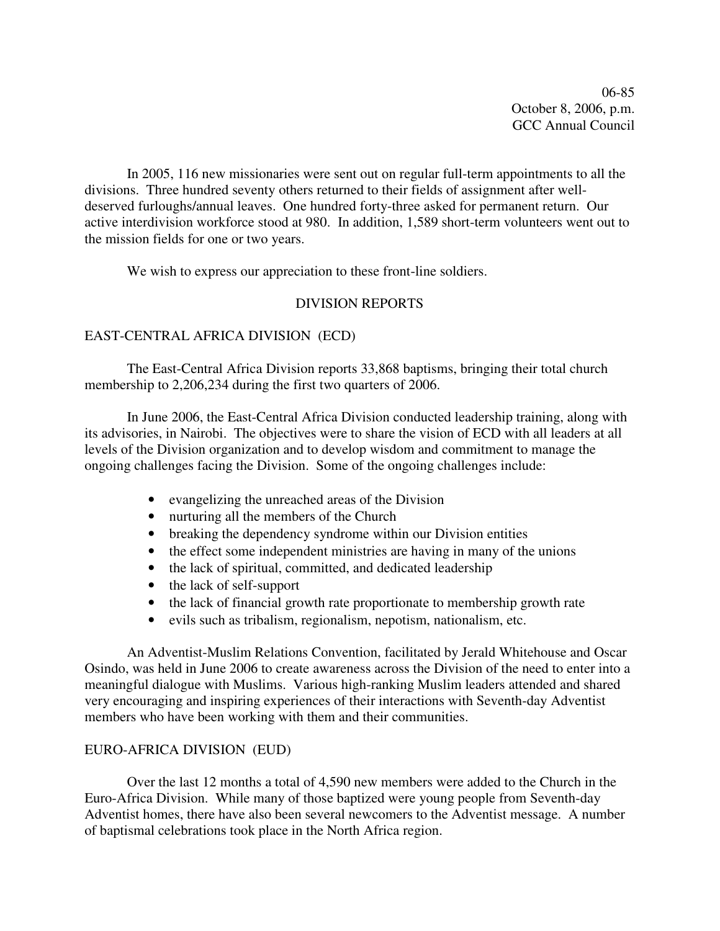06-85 October 8, 2006, p.m. GCC Annual Council

In 2005, 116 new missionaries were sent out on regular full-term appointments to all the divisions. Three hundred seventy others returned to their fields of assignment after welldeserved furloughs/annual leaves. One hundred forty-three asked for permanent return. Our active interdivision workforce stood at 980. In addition, 1,589 short-term volunteers went out to the mission fields for one or two years.

We wish to express our appreciation to these front-line soldiers.

# DIVISION REPORTS

# EAST-CENTRAL AFRICA DIVISION (ECD)

 The East-Central Africa Division reports 33,868 baptisms, bringing their total church membership to 2,206,234 during the first two quarters of 2006.

 In June 2006, the East-Central Africa Division conducted leadership training, along with its advisories, in Nairobi. The objectives were to share the vision of ECD with all leaders at all levels of the Division organization and to develop wisdom and commitment to manage the ongoing challenges facing the Division. Some of the ongoing challenges include:

- evangelizing the unreached areas of the Division
- nurturing all the members of the Church
- breaking the dependency syndrome within our Division entities
- the effect some independent ministries are having in many of the unions
- the lack of spiritual, committed, and dedicated leadership
- the lack of self-support
- the lack of financial growth rate proportionate to membership growth rate
- evils such as tribalism, regionalism, nepotism, nationalism, etc.

An Adventist-Muslim Relations Convention, facilitated by Jerald Whitehouse and Oscar Osindo, was held in June 2006 to create awareness across the Division of the need to enter into a meaningful dialogue with Muslims. Various high-ranking Muslim leaders attended and shared very encouraging and inspiring experiences of their interactions with Seventh-day Adventist members who have been working with them and their communities.

# EURO-AFRICA DIVISION (EUD)

 Over the last 12 months a total of 4,590 new members were added to the Church in the Euro-Africa Division. While many of those baptized were young people from Seventh-day Adventist homes, there have also been several newcomers to the Adventist message. A number of baptismal celebrations took place in the North Africa region.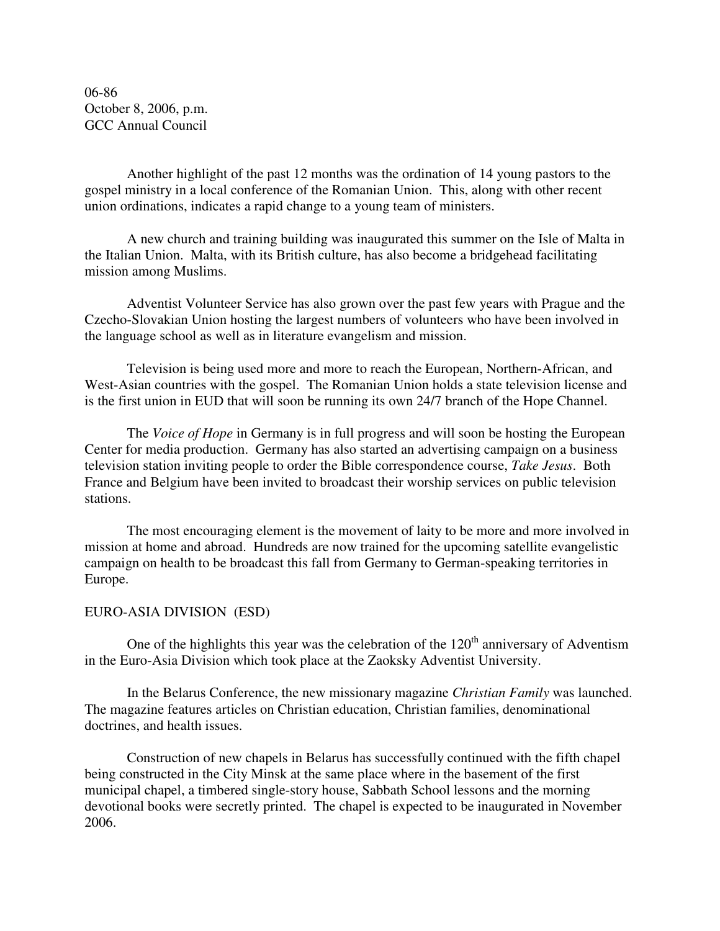06-86 October 8, 2006, p.m. GCC Annual Council

Another highlight of the past 12 months was the ordination of 14 young pastors to the gospel ministry in a local conference of the Romanian Union. This, along with other recent union ordinations, indicates a rapid change to a young team of ministers.

 A new church and training building was inaugurated this summer on the Isle of Malta in the Italian Union. Malta, with its British culture, has also become a bridgehead facilitating mission among Muslims.

 Adventist Volunteer Service has also grown over the past few years with Prague and the Czecho-Slovakian Union hosting the largest numbers of volunteers who have been involved in the language school as well as in literature evangelism and mission.

 Television is being used more and more to reach the European, Northern-African, and West-Asian countries with the gospel. The Romanian Union holds a state television license and is the first union in EUD that will soon be running its own 24/7 branch of the Hope Channel.

 The *Voice of Hope* in Germany is in full progress and will soon be hosting the European Center for media production. Germany has also started an advertising campaign on a business television station inviting people to order the Bible correspondence course, *Take Jesus*. Both France and Belgium have been invited to broadcast their worship services on public television stations.

 The most encouraging element is the movement of laity to be more and more involved in mission at home and abroad. Hundreds are now trained for the upcoming satellite evangelistic campaign on health to be broadcast this fall from Germany to German-speaking territories in Europe.

# EURO-ASIA DIVISION (ESD)

One of the highlights this year was the celebration of the  $120<sup>th</sup>$  anniversary of Adventism in the Euro-Asia Division which took place at the Zaoksky Adventist University.

In the Belarus Conference, the new missionary magazine *Christian Family* was launched. The magazine features articles on Christian education, Christian families, denominational doctrines, and health issues.

Construction of new chapels in Belarus has successfully continued with the fifth chapel being constructed in the City Minsk at the same place where in the basement of the first municipal chapel, a timbered single-story house, Sabbath School lessons and the morning devotional books were secretly printed. The chapel is expected to be inaugurated in November 2006.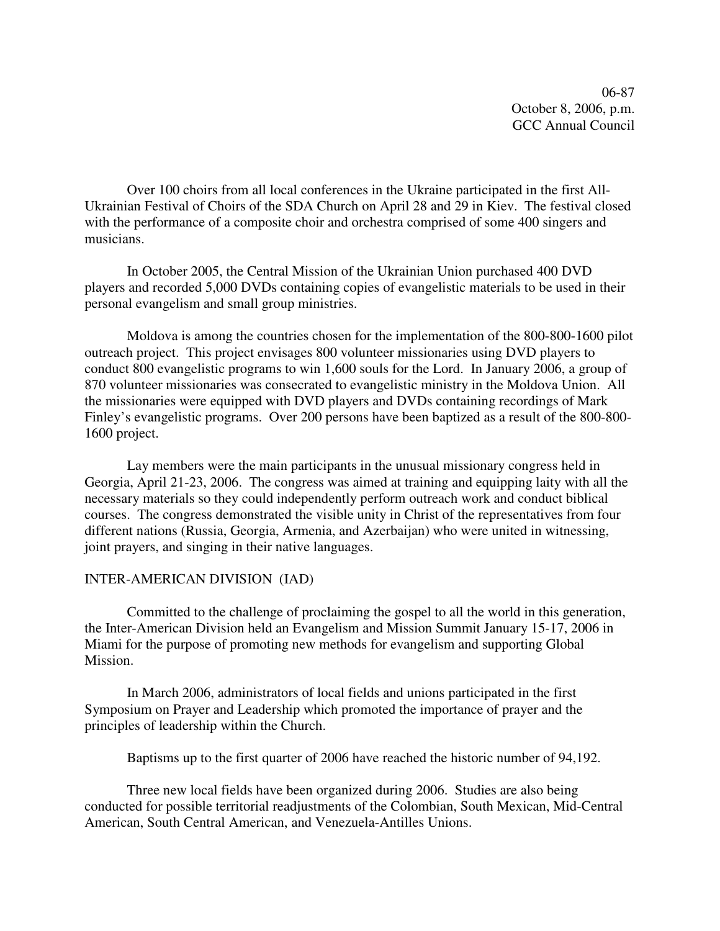06-87 October 8, 2006, p.m. GCC Annual Council

Over 100 choirs from all local conferences in the Ukraine participated in the first All-Ukrainian Festival of Choirs of the SDA Church on April 28 and 29 in Kiev. The festival closed with the performance of a composite choir and orchestra comprised of some 400 singers and musicians.

In October 2005, the Central Mission of the Ukrainian Union purchased 400 DVD players and recorded 5,000 DVDs containing copies of evangelistic materials to be used in their personal evangelism and small group ministries.

Moldova is among the countries chosen for the implementation of the 800-800-1600 pilot outreach project. This project envisages 800 volunteer missionaries using DVD players to conduct 800 evangelistic programs to win 1,600 souls for the Lord. In January 2006, a group of 870 volunteer missionaries was consecrated to evangelistic ministry in the Moldova Union. All the missionaries were equipped with DVD players and DVDs containing recordings of Mark Finley's evangelistic programs. Over 200 persons have been baptized as a result of the 800-800- 1600 project.

Lay members were the main participants in the unusual missionary congress held in Georgia, April 21-23, 2006. The congress was aimed at training and equipping laity with all the necessary materials so they could independently perform outreach work and conduct biblical courses. The congress demonstrated the visible unity in Christ of the representatives from four different nations (Russia, Georgia, Armenia, and Azerbaijan) who were united in witnessing, joint prayers, and singing in their native languages.

### INTER-AMERICAN DIVISION (IAD)

Committed to the challenge of proclaiming the gospel to all the world in this generation, the Inter-American Division held an Evangelism and Mission Summit January 15-17, 2006 in Miami for the purpose of promoting new methods for evangelism and supporting Global Mission.

In March 2006, administrators of local fields and unions participated in the first Symposium on Prayer and Leadership which promoted the importance of prayer and the principles of leadership within the Church.

Baptisms up to the first quarter of 2006 have reached the historic number of 94,192.

Three new local fields have been organized during 2006. Studies are also being conducted for possible territorial readjustments of the Colombian, South Mexican, Mid-Central American, South Central American, and Venezuela-Antilles Unions.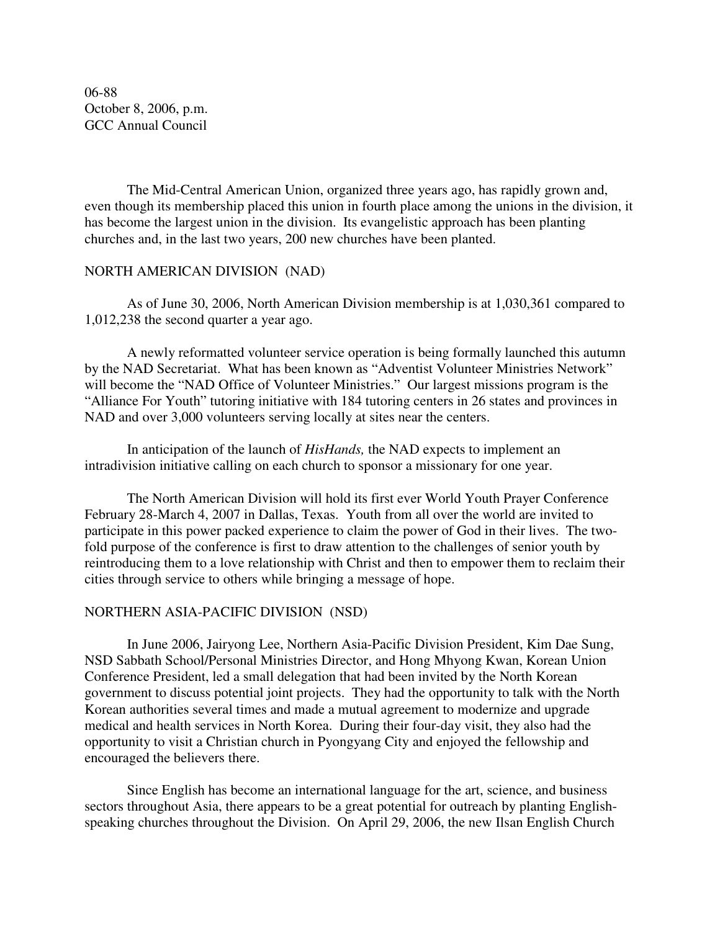06-88 October 8, 2006, p.m. GCC Annual Council

The Mid-Central American Union, organized three years ago, has rapidly grown and, even though its membership placed this union in fourth place among the unions in the division, it has become the largest union in the division. Its evangelistic approach has been planting churches and, in the last two years, 200 new churches have been planted.

### NORTH AMERICAN DIVISION (NAD)

As of June 30, 2006, North American Division membership is at 1,030,361 compared to 1,012,238 the second quarter a year ago.

A newly reformatted volunteer service operation is being formally launched this autumn by the NAD Secretariat. What has been known as "Adventist Volunteer Ministries Network" will become the "NAD Office of Volunteer Ministries." Our largest missions program is the "Alliance For Youth" tutoring initiative with 184 tutoring centers in 26 states and provinces in NAD and over 3,000 volunteers serving locally at sites near the centers.

In anticipation of the launch of *HisHands,* the NAD expects to implement an intradivision initiative calling on each church to sponsor a missionary for one year.

The North American Division will hold its first ever World Youth Prayer Conference February 28-March 4, 2007 in Dallas, Texas. Youth from all over the world are invited to participate in this power packed experience to claim the power of God in their lives. The twofold purpose of the conference is first to draw attention to the challenges of senior youth by reintroducing them to a love relationship with Christ and then to empower them to reclaim their cities through service to others while bringing a message of hope.

# NORTHERN ASIA-PACIFIC DIVISION (NSD)

In June 2006, Jairyong Lee, Northern Asia-Pacific Division President, Kim Dae Sung, NSD Sabbath School/Personal Ministries Director, and Hong Mhyong Kwan, Korean Union Conference President, led a small delegation that had been invited by the North Korean government to discuss potential joint projects. They had the opportunity to talk with the North Korean authorities several times and made a mutual agreement to modernize and upgrade medical and health services in North Korea. During their four-day visit, they also had the opportunity to visit a Christian church in Pyongyang City and enjoyed the fellowship and encouraged the believers there.

Since English has become an international language for the art, science, and business sectors throughout Asia, there appears to be a great potential for outreach by planting Englishspeaking churches throughout the Division. On April 29, 2006, the new Ilsan English Church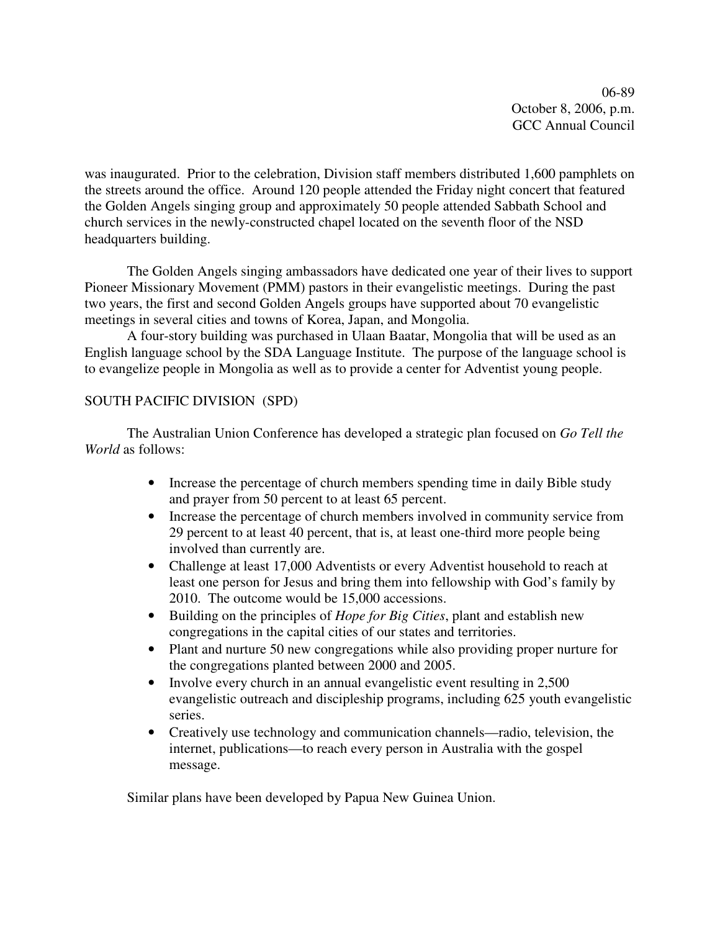06-89 October 8, 2006, p.m. GCC Annual Council

was inaugurated. Prior to the celebration, Division staff members distributed 1,600 pamphlets on the streets around the office. Around 120 people attended the Friday night concert that featured the Golden Angels singing group and approximately 50 people attended Sabbath School and church services in the newly-constructed chapel located on the seventh floor of the NSD headquarters building.

The Golden Angels singing ambassadors have dedicated one year of their lives to support Pioneer Missionary Movement (PMM) pastors in their evangelistic meetings. During the past two years, the first and second Golden Angels groups have supported about 70 evangelistic meetings in several cities and towns of Korea, Japan, and Mongolia.

A four-story building was purchased in Ulaan Baatar, Mongolia that will be used as an English language school by the SDA Language Institute. The purpose of the language school is to evangelize people in Mongolia as well as to provide a center for Adventist young people.

# SOUTH PACIFIC DIVISION (SPD)

 The Australian Union Conference has developed a strategic plan focused on *Go Tell the World* as follows:

- Increase the percentage of church members spending time in daily Bible study and prayer from 50 percent to at least 65 percent.
- Increase the percentage of church members involved in community service from 29 percent to at least 40 percent, that is, at least one-third more people being involved than currently are.
- Challenge at least 17,000 Adventists or every Adventist household to reach at least one person for Jesus and bring them into fellowship with God's family by 2010. The outcome would be 15,000 accessions.
- Building on the principles of *Hope for Big Cities*, plant and establish new congregations in the capital cities of our states and territories.
- Plant and nurture 50 new congregations while also providing proper nurture for the congregations planted between 2000 and 2005.
- Involve every church in an annual evangelistic event resulting in 2,500 evangelistic outreach and discipleship programs, including 625 youth evangelistic series.
- Creatively use technology and communication channels—radio, television, the internet, publications—to reach every person in Australia with the gospel message.

Similar plans have been developed by Papua New Guinea Union.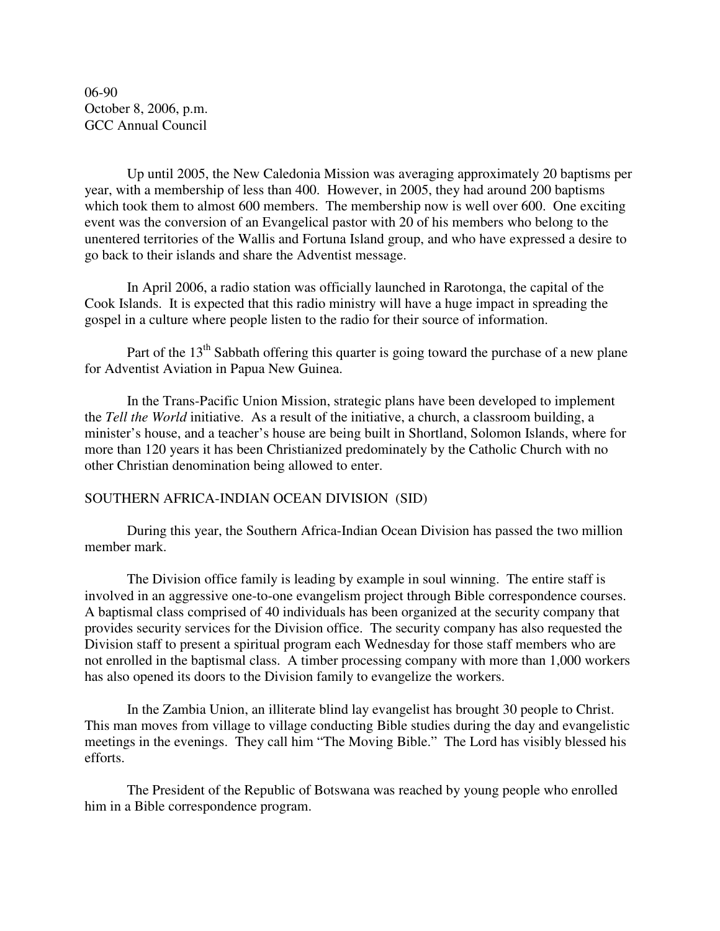06-90 October 8, 2006, p.m. GCC Annual Council

Up until 2005, the New Caledonia Mission was averaging approximately 20 baptisms per year, with a membership of less than 400. However, in 2005, they had around 200 baptisms which took them to almost 600 members. The membership now is well over 600. One exciting event was the conversion of an Evangelical pastor with 20 of his members who belong to the unentered territories of the Wallis and Fortuna Island group, and who have expressed a desire to go back to their islands and share the Adventist message.

 In April 2006, a radio station was officially launched in Rarotonga, the capital of the Cook Islands. It is expected that this radio ministry will have a huge impact in spreading the gospel in a culture where people listen to the radio for their source of information.

Part of the  $13<sup>th</sup>$  Sabbath offering this quarter is going toward the purchase of a new plane for Adventist Aviation in Papua New Guinea.

 In the Trans-Pacific Union Mission, strategic plans have been developed to implement the *Tell the World* initiative. As a result of the initiative, a church, a classroom building, a minister's house, and a teacher's house are being built in Shortland, Solomon Islands, where for more than 120 years it has been Christianized predominately by the Catholic Church with no other Christian denomination being allowed to enter.

# SOUTHERN AFRICA-INDIAN OCEAN DIVISION (SID)

 During this year, the Southern Africa-Indian Ocean Division has passed the two million member mark.

 The Division office family is leading by example in soul winning. The entire staff is involved in an aggressive one-to-one evangelism project through Bible correspondence courses. A baptismal class comprised of 40 individuals has been organized at the security company that provides security services for the Division office. The security company has also requested the Division staff to present a spiritual program each Wednesday for those staff members who are not enrolled in the baptismal class. A timber processing company with more than 1,000 workers has also opened its doors to the Division family to evangelize the workers.

 In the Zambia Union, an illiterate blind lay evangelist has brought 30 people to Christ. This man moves from village to village conducting Bible studies during the day and evangelistic meetings in the evenings. They call him "The Moving Bible." The Lord has visibly blessed his efforts.

 The President of the Republic of Botswana was reached by young people who enrolled him in a Bible correspondence program.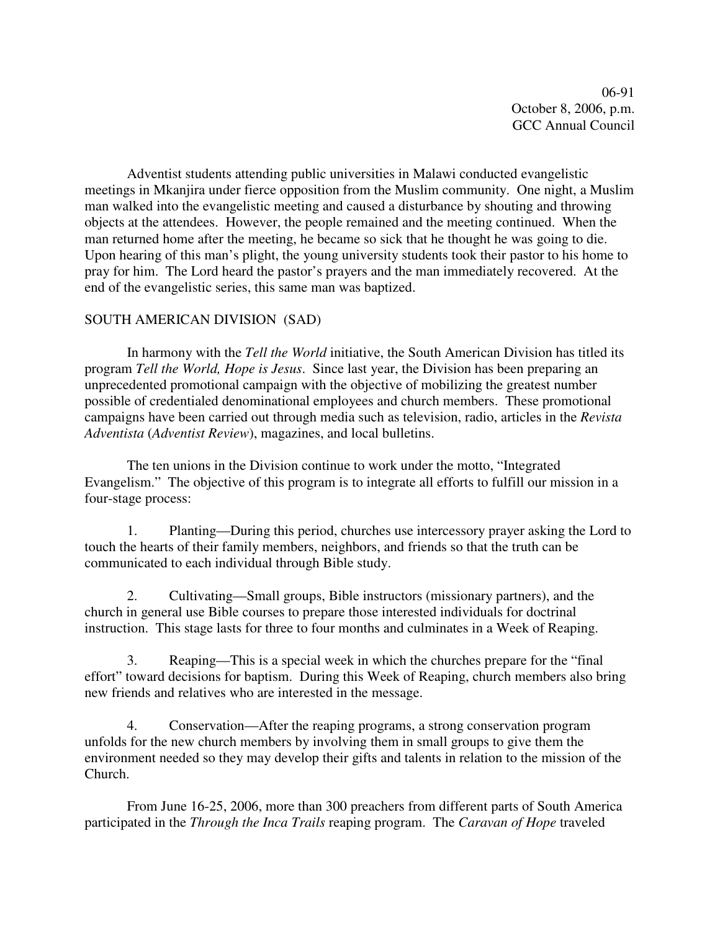06-91 October 8, 2006, p.m. GCC Annual Council

 Adventist students attending public universities in Malawi conducted evangelistic meetings in Mkanjira under fierce opposition from the Muslim community. One night, a Muslim man walked into the evangelistic meeting and caused a disturbance by shouting and throwing objects at the attendees. However, the people remained and the meeting continued. When the man returned home after the meeting, he became so sick that he thought he was going to die. Upon hearing of this man's plight, the young university students took their pastor to his home to pray for him. The Lord heard the pastor's prayers and the man immediately recovered. At the end of the evangelistic series, this same man was baptized.

# SOUTH AMERICAN DIVISION (SAD)

 In harmony with the *Tell the World* initiative, the South American Division has titled its program *Tell the World, Hope is Jesus*. Since last year, the Division has been preparing an unprecedented promotional campaign with the objective of mobilizing the greatest number possible of credentialed denominational employees and church members. These promotional campaigns have been carried out through media such as television, radio, articles in the *Revista Adventista* (*Adventist Review*), magazines, and local bulletins.

 The ten unions in the Division continue to work under the motto, "Integrated Evangelism." The objective of this program is to integrate all efforts to fulfill our mission in a four-stage process:

 1. Planting—During this period, churches use intercessory prayer asking the Lord to touch the hearts of their family members, neighbors, and friends so that the truth can be communicated to each individual through Bible study.

 2. Cultivating—Small groups, Bible instructors (missionary partners), and the church in general use Bible courses to prepare those interested individuals for doctrinal instruction. This stage lasts for three to four months and culminates in a Week of Reaping.

 3. Reaping—This is a special week in which the churches prepare for the "final effort" toward decisions for baptism. During this Week of Reaping, church members also bring new friends and relatives who are interested in the message.

 4. Conservation—After the reaping programs, a strong conservation program unfolds for the new church members by involving them in small groups to give them the environment needed so they may develop their gifts and talents in relation to the mission of the Church.

 From June 16-25, 2006, more than 300 preachers from different parts of South America participated in the *Through the Inca Trails* reaping program. The *Caravan of Hope* traveled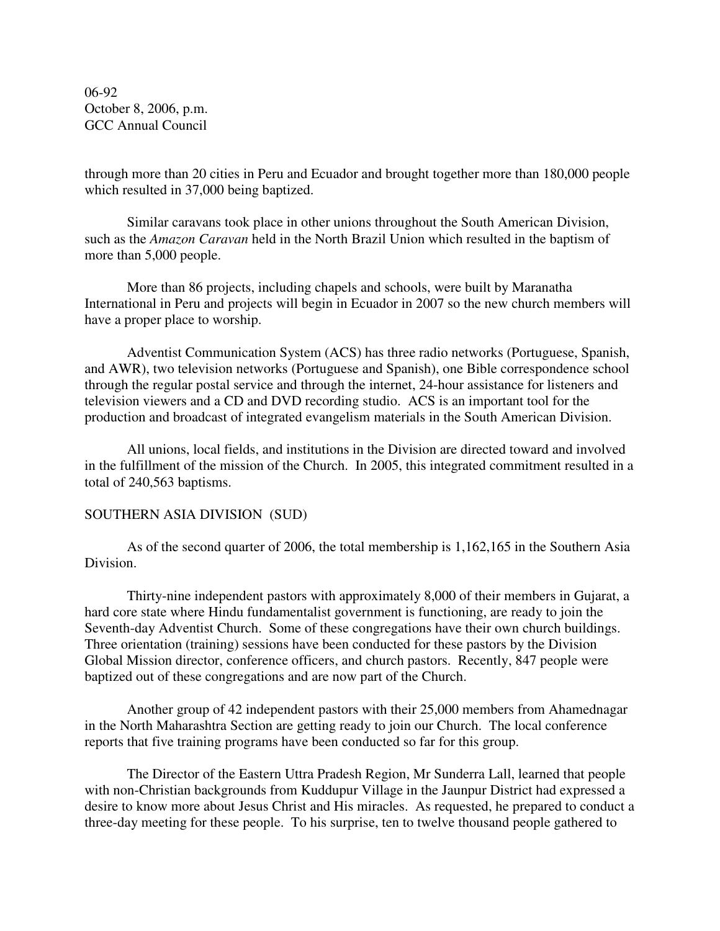06-92 October 8, 2006, p.m. GCC Annual Council

through more than 20 cities in Peru and Ecuador and brought together more than 180,000 people which resulted in 37,000 being baptized.

Similar caravans took place in other unions throughout the South American Division, such as the *Amazon Caravan* held in the North Brazil Union which resulted in the baptism of more than 5,000 people.

 More than 86 projects, including chapels and schools, were built by Maranatha International in Peru and projects will begin in Ecuador in 2007 so the new church members will have a proper place to worship.

 Adventist Communication System (ACS) has three radio networks (Portuguese, Spanish, and AWR), two television networks (Portuguese and Spanish), one Bible correspondence school through the regular postal service and through the internet, 24-hour assistance for listeners and television viewers and a CD and DVD recording studio. ACS is an important tool for the production and broadcast of integrated evangelism materials in the South American Division.

 All unions, local fields, and institutions in the Division are directed toward and involved in the fulfillment of the mission of the Church. In 2005, this integrated commitment resulted in a total of 240,563 baptisms.

# SOUTHERN ASIA DIVISION (SUD)

 As of the second quarter of 2006, the total membership is 1,162,165 in the Southern Asia Division.

 Thirty-nine independent pastors with approximately 8,000 of their members in Gujarat, a hard core state where Hindu fundamentalist government is functioning, are ready to join the Seventh-day Adventist Church. Some of these congregations have their own church buildings. Three orientation (training) sessions have been conducted for these pastors by the Division Global Mission director, conference officers, and church pastors. Recently, 847 people were baptized out of these congregations and are now part of the Church.

 Another group of 42 independent pastors with their 25,000 members from Ahamednagar in the North Maharashtra Section are getting ready to join our Church. The local conference reports that five training programs have been conducted so far for this group.

 The Director of the Eastern Uttra Pradesh Region, Mr Sunderra Lall, learned that people with non-Christian backgrounds from Kuddupur Village in the Jaunpur District had expressed a desire to know more about Jesus Christ and His miracles. As requested, he prepared to conduct a three-day meeting for these people. To his surprise, ten to twelve thousand people gathered to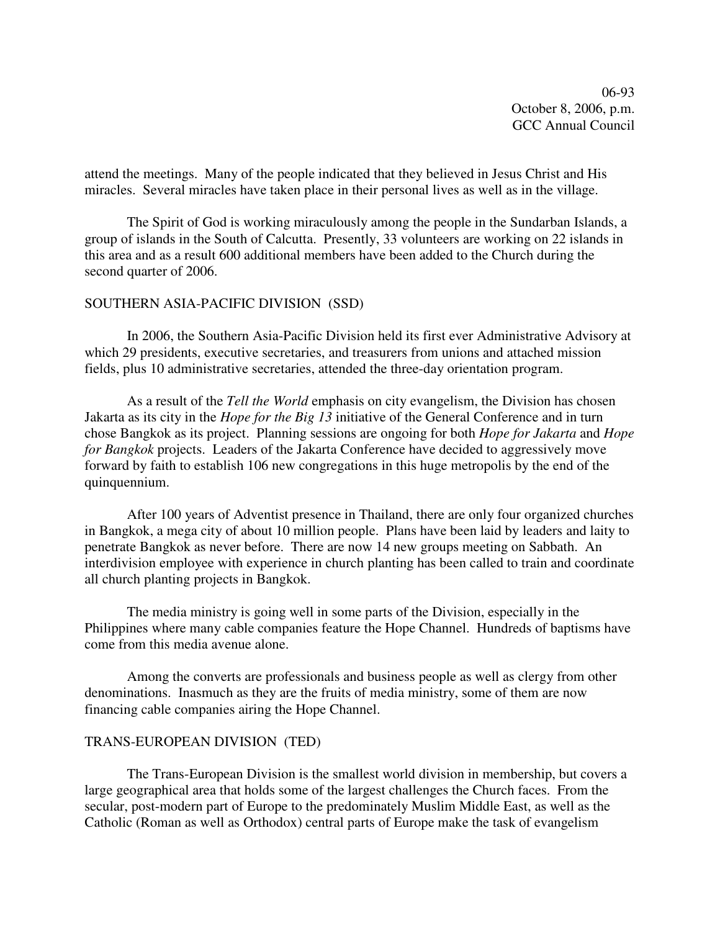06-93 October 8, 2006, p.m. GCC Annual Council

attend the meetings. Many of the people indicated that they believed in Jesus Christ and His miracles. Several miracles have taken place in their personal lives as well as in the village.

 The Spirit of God is working miraculously among the people in the Sundarban Islands, a group of islands in the South of Calcutta. Presently, 33 volunteers are working on 22 islands in this area and as a result 600 additional members have been added to the Church during the second quarter of 2006.

### SOUTHERN ASIA-PACIFIC DIVISION (SSD)

 In 2006, the Southern Asia-Pacific Division held its first ever Administrative Advisory at which 29 presidents, executive secretaries, and treasurers from unions and attached mission fields, plus 10 administrative secretaries, attended the three-day orientation program.

 As a result of the *Tell the World* emphasis on city evangelism, the Division has chosen Jakarta as its city in the *Hope for the Big 13* initiative of the General Conference and in turn chose Bangkok as its project. Planning sessions are ongoing for both *Hope for Jakarta* and *Hope for Bangkok* projects. Leaders of the Jakarta Conference have decided to aggressively move forward by faith to establish 106 new congregations in this huge metropolis by the end of the quinquennium.

 After 100 years of Adventist presence in Thailand, there are only four organized churches in Bangkok, a mega city of about 10 million people. Plans have been laid by leaders and laity to penetrate Bangkok as never before. There are now 14 new groups meeting on Sabbath. An interdivision employee with experience in church planting has been called to train and coordinate all church planting projects in Bangkok.

 The media ministry is going well in some parts of the Division, especially in the Philippines where many cable companies feature the Hope Channel. Hundreds of baptisms have come from this media avenue alone.

Among the converts are professionals and business people as well as clergy from other denominations. Inasmuch as they are the fruits of media ministry, some of them are now financing cable companies airing the Hope Channel.

### TRANS-EUROPEAN DIVISION (TED)

 The Trans-European Division is the smallest world division in membership, but covers a large geographical area that holds some of the largest challenges the Church faces. From the secular, post-modern part of Europe to the predominately Muslim Middle East, as well as the Catholic (Roman as well as Orthodox) central parts of Europe make the task of evangelism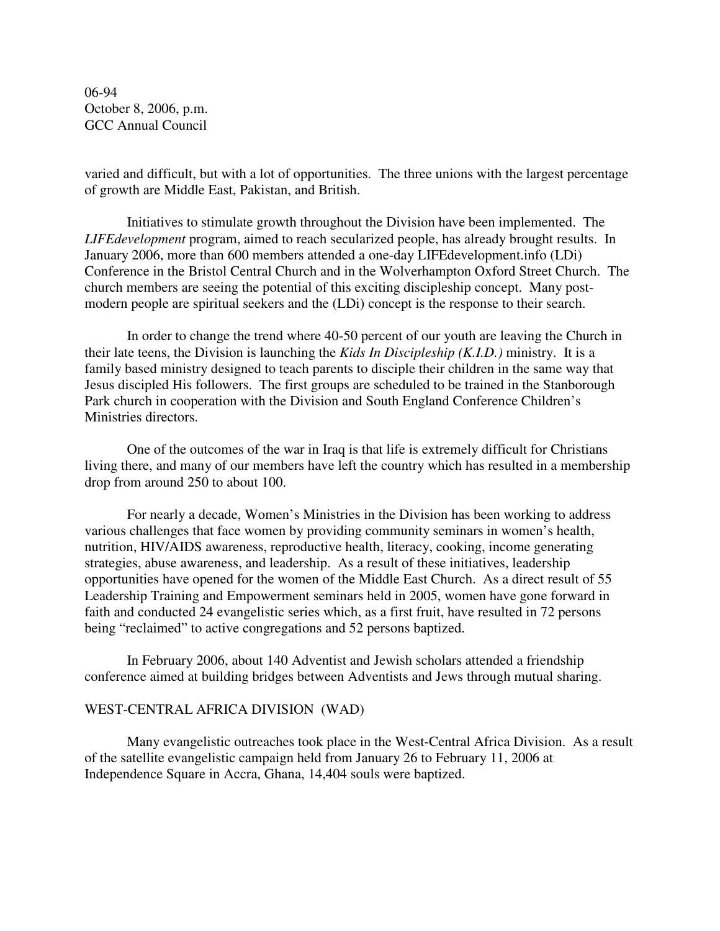06-94 October 8, 2006, p.m. GCC Annual Council

varied and difficult, but with a lot of opportunities. The three unions with the largest percentage of growth are Middle East, Pakistan, and British.

 Initiatives to stimulate growth throughout the Division have been implemented. The *LIFEdevelopment* program, aimed to reach secularized people, has already brought results. In January 2006, more than 600 members attended a one-day LIFEdevelopment.info (LDi) Conference in the Bristol Central Church and in the Wolverhampton Oxford Street Church. The church members are seeing the potential of this exciting discipleship concept. Many postmodern people are spiritual seekers and the (LDi) concept is the response to their search.

 In order to change the trend where 40-50 percent of our youth are leaving the Church in their late teens, the Division is launching the *Kids In Discipleship (K.I.D.)* ministry. It is a family based ministry designed to teach parents to disciple their children in the same way that Jesus discipled His followers. The first groups are scheduled to be trained in the Stanborough Park church in cooperation with the Division and South England Conference Children's Ministries directors.

 One of the outcomes of the war in Iraq is that life is extremely difficult for Christians living there, and many of our members have left the country which has resulted in a membership drop from around 250 to about 100.

 For nearly a decade, Women's Ministries in the Division has been working to address various challenges that face women by providing community seminars in women's health, nutrition, HIV/AIDS awareness, reproductive health, literacy, cooking, income generating strategies, abuse awareness, and leadership. As a result of these initiatives, leadership opportunities have opened for the women of the Middle East Church. As a direct result of 55 Leadership Training and Empowerment seminars held in 2005, women have gone forward in faith and conducted 24 evangelistic series which, as a first fruit, have resulted in 72 persons being "reclaimed" to active congregations and 52 persons baptized.

 In February 2006, about 140 Adventist and Jewish scholars attended a friendship conference aimed at building bridges between Adventists and Jews through mutual sharing.

### WEST-CENTRAL AFRICA DIVISION (WAD)

Many evangelistic outreaches took place in the West-Central Africa Division. As a result of the satellite evangelistic campaign held from January 26 to February 11, 2006 at Independence Square in Accra, Ghana, 14,404 souls were baptized.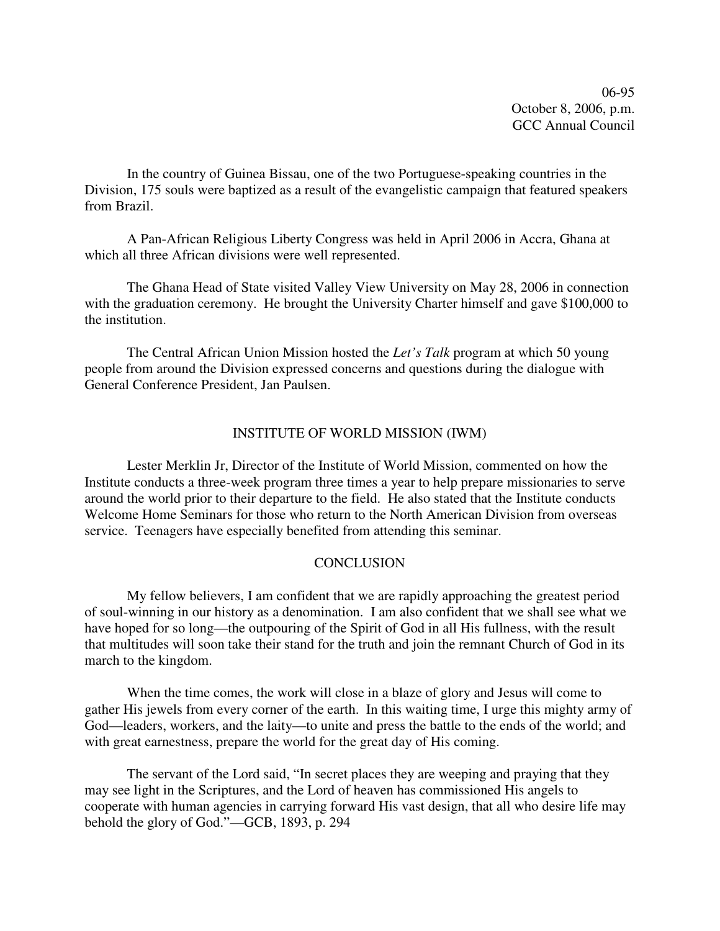06-95 October 8, 2006, p.m. GCC Annual Council

In the country of Guinea Bissau, one of the two Portuguese-speaking countries in the Division, 175 souls were baptized as a result of the evangelistic campaign that featured speakers from Brazil.

A Pan-African Religious Liberty Congress was held in April 2006 in Accra, Ghana at which all three African divisions were well represented.

 The Ghana Head of State visited Valley View University on May 28, 2006 in connection with the graduation ceremony. He brought the University Charter himself and gave \$100,000 to the institution.

 The Central African Union Mission hosted the *Let's Talk* program at which 50 young people from around the Division expressed concerns and questions during the dialogue with General Conference President, Jan Paulsen.

### INSTITUTE OF WORLD MISSION (IWM)

 Lester Merklin Jr, Director of the Institute of World Mission, commented on how the Institute conducts a three-week program three times a year to help prepare missionaries to serve around the world prior to their departure to the field. He also stated that the Institute conducts Welcome Home Seminars for those who return to the North American Division from overseas service. Teenagers have especially benefited from attending this seminar.

### **CONCLUSION**

 My fellow believers, I am confident that we are rapidly approaching the greatest period of soul-winning in our history as a denomination. I am also confident that we shall see what we have hoped for so long—the outpouring of the Spirit of God in all His fullness, with the result that multitudes will soon take their stand for the truth and join the remnant Church of God in its march to the kingdom.

 When the time comes, the work will close in a blaze of glory and Jesus will come to gather His jewels from every corner of the earth. In this waiting time, I urge this mighty army of God—leaders, workers, and the laity—to unite and press the battle to the ends of the world; and with great earnestness, prepare the world for the great day of His coming.

The servant of the Lord said, "In secret places they are weeping and praying that they may see light in the Scriptures, and the Lord of heaven has commissioned His angels to cooperate with human agencies in carrying forward His vast design, that all who desire life may behold the glory of God."—GCB, 1893, p. 294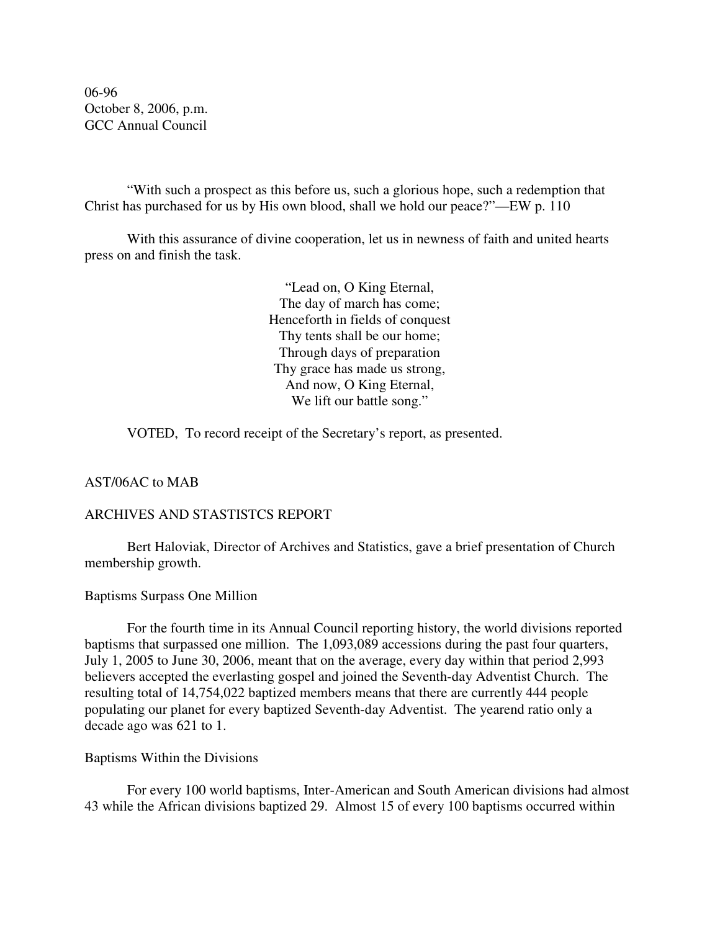06-96 October 8, 2006, p.m. GCC Annual Council

 "With such a prospect as this before us, such a glorious hope, such a redemption that Christ has purchased for us by His own blood, shall we hold our peace?"—EW p. 110

 With this assurance of divine cooperation, let us in newness of faith and united hearts press on and finish the task.

> "Lead on, O King Eternal, The day of march has come; Henceforth in fields of conquest Thy tents shall be our home; Through days of preparation Thy grace has made us strong, And now, O King Eternal, We lift our battle song."

VOTED, To record receipt of the Secretary's report, as presented.

# AST/06AC to MAB

# ARCHIVES AND STASTISTCS REPORT

Bert Haloviak, Director of Archives and Statistics, gave a brief presentation of Church membership growth.

# Baptisms Surpass One Million

 For the fourth time in its Annual Council reporting history, the world divisions reported baptisms that surpassed one million. The 1,093,089 accessions during the past four quarters, July 1, 2005 to June 30, 2006, meant that on the average, every day within that period 2,993 believers accepted the everlasting gospel and joined the Seventh-day Adventist Church. The resulting total of 14,754,022 baptized members means that there are currently 444 people populating our planet for every baptized Seventh-day Adventist. The yearend ratio only a decade ago was 621 to 1.

# Baptisms Within the Divisions

 For every 100 world baptisms, Inter-American and South American divisions had almost 43 while the African divisions baptized 29. Almost 15 of every 100 baptisms occurred within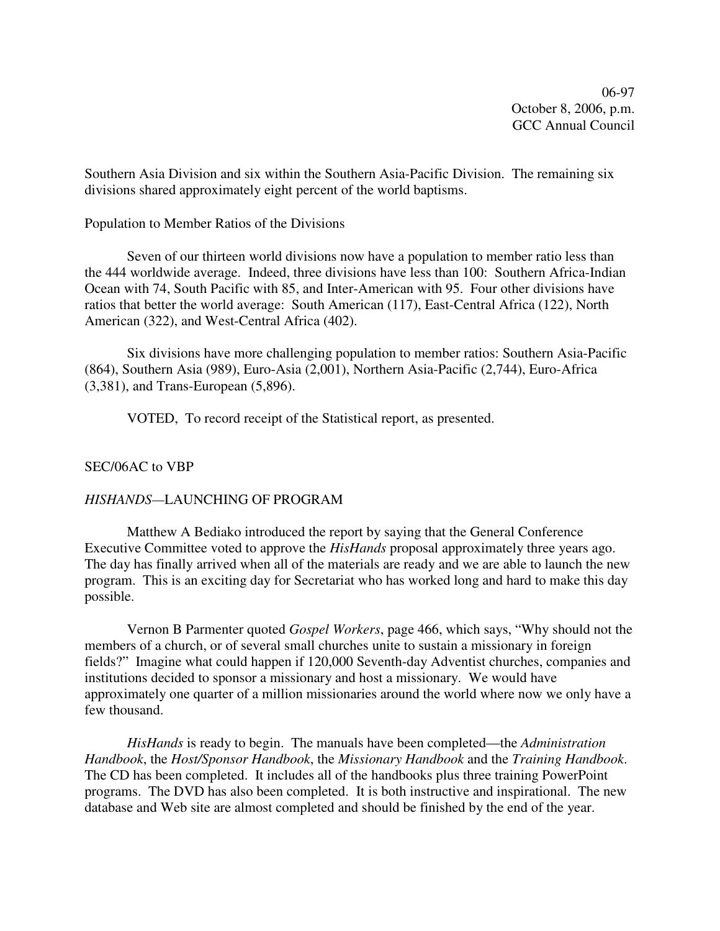06-97 October 8, 2006, p.m. GCC Annual Council

Southern Asia Division and six within the Southern Asia-Pacific Division. The remaining six divisions shared approximately eight percent of the world baptisms.

Population to Member Ratios of the Divisions

 Seven of our thirteen world divisions now have a population to member ratio less than the 444 worldwide average. Indeed, three divisions have less than 100: Southern Africa-Indian Ocean with 74, South Pacific with 85, and Inter-American with 95. Four other divisions have ratios that better the world average: South American (117), East-Central Africa (122), North American (322), and West-Central Africa (402).

 Six divisions have more challenging population to member ratios: Southern Asia-Pacific (864), Southern Asia (989), Euro-Asia (2,001), Northern Asia-Pacific (2,744), Euro-Africa (3,381), and Trans-European (5,896).

VOTED, To record receipt of the Statistical report, as presented.

### SEC/06AC to VBP

# *HISHANDS—*LAUNCHING OF PROGRAM

Matthew A Bediako introduced the report by saying that the General Conference Executive Committee voted to approve the *HisHands* proposal approximately three years ago. The day has finally arrived when all of the materials are ready and we are able to launch the new program. This is an exciting day for Secretariat who has worked long and hard to make this day possible.

Vernon B Parmenter quoted *Gospel Workers*, page 466, which says, "Why should not the members of a church, or of several small churches unite to sustain a missionary in foreign fields?" Imagine what could happen if 120,000 Seventh-day Adventist churches, companies and institutions decided to sponsor a missionary and host a missionary. We would have approximately one quarter of a million missionaries around the world where now we only have a few thousand.

 *HisHands* is ready to begin. The manuals have been completed—the *Administration Handbook*, the *Host/Sponsor Handbook*, the *Missionary Handbook* and the *Training Handbook*. The CD has been completed. It includes all of the handbooks plus three training PowerPoint programs. The DVD has also been completed. It is both instructive and inspirational. The new database and Web site are almost completed and should be finished by the end of the year.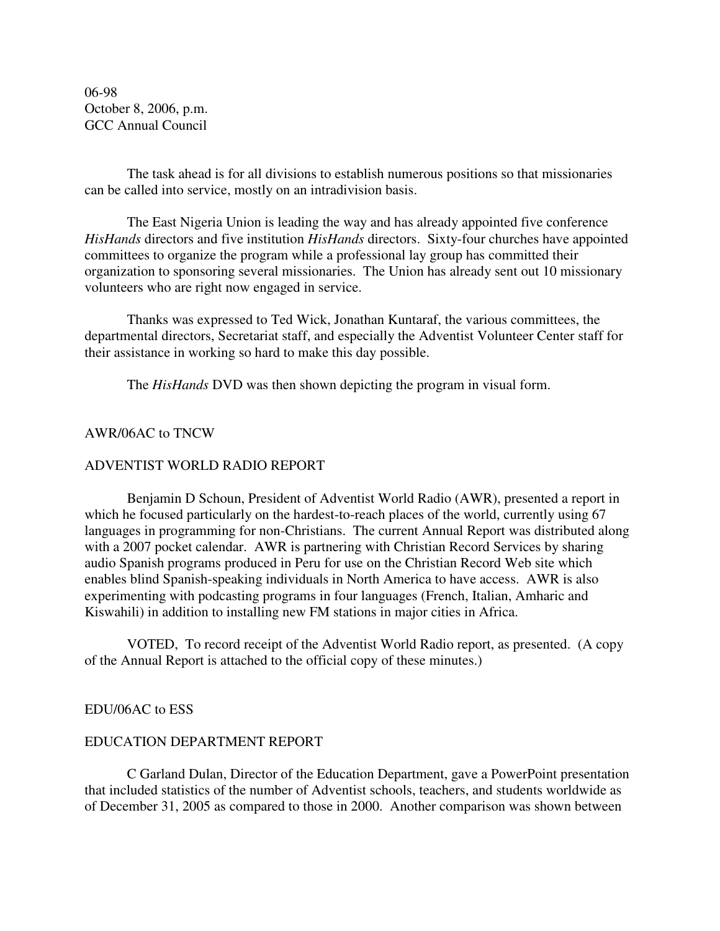06-98 October 8, 2006, p.m. GCC Annual Council

The task ahead is for all divisions to establish numerous positions so that missionaries can be called into service, mostly on an intradivision basis.

The East Nigeria Union is leading the way and has already appointed five conference *HisHands* directors and five institution *HisHands* directors. Sixty-four churches have appointed committees to organize the program while a professional lay group has committed their organization to sponsoring several missionaries. The Union has already sent out 10 missionary volunteers who are right now engaged in service.

Thanks was expressed to Ted Wick, Jonathan Kuntaraf, the various committees, the departmental directors, Secretariat staff, and especially the Adventist Volunteer Center staff for their assistance in working so hard to make this day possible.

The *HisHands* DVD was then shown depicting the program in visual form.

### AWR/06AC to TNCW

### ADVENTIST WORLD RADIO REPORT

 Benjamin D Schoun, President of Adventist World Radio (AWR), presented a report in which he focused particularly on the hardest-to-reach places of the world, currently using 67 languages in programming for non-Christians. The current Annual Report was distributed along with a 2007 pocket calendar. AWR is partnering with Christian Record Services by sharing audio Spanish programs produced in Peru for use on the Christian Record Web site which enables blind Spanish-speaking individuals in North America to have access. AWR is also experimenting with podcasting programs in four languages (French, Italian, Amharic and Kiswahili) in addition to installing new FM stations in major cities in Africa.

 VOTED, To record receipt of the Adventist World Radio report, as presented. (A copy of the Annual Report is attached to the official copy of these minutes.)

### EDU/06AC to ESS

### EDUCATION DEPARTMENT REPORT

 C Garland Dulan, Director of the Education Department, gave a PowerPoint presentation that included statistics of the number of Adventist schools, teachers, and students worldwide as of December 31, 2005 as compared to those in 2000. Another comparison was shown between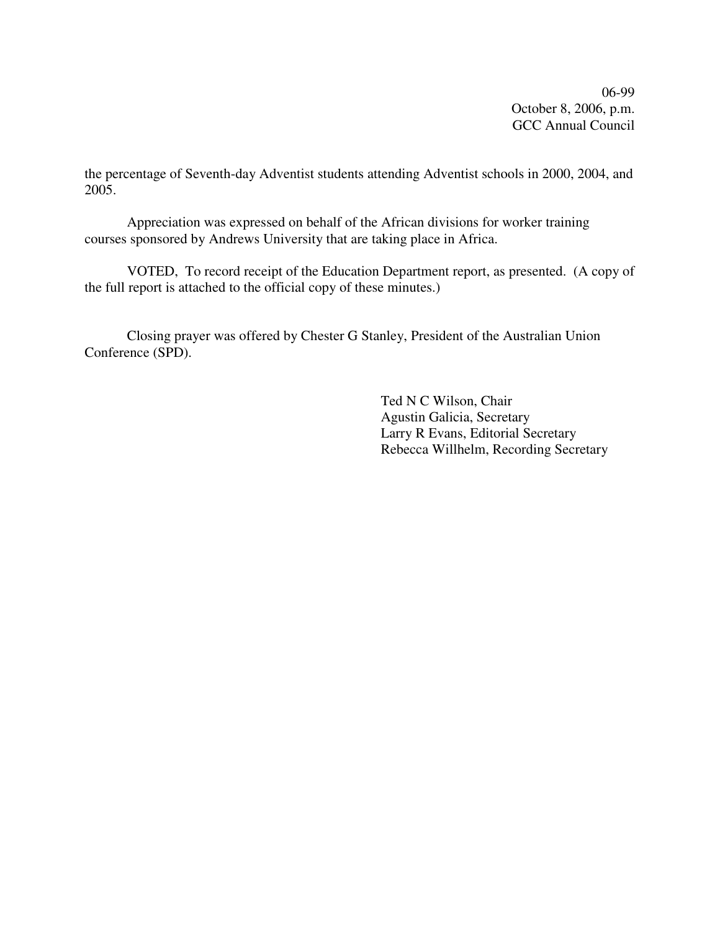06-99 October 8, 2006, p.m. GCC Annual Council

the percentage of Seventh-day Adventist students attending Adventist schools in 2000, 2004, and 2005.

 Appreciation was expressed on behalf of the African divisions for worker training courses sponsored by Andrews University that are taking place in Africa.

VOTED, To record receipt of the Education Department report, as presented. (A copy of the full report is attached to the official copy of these minutes.)

 Closing prayer was offered by Chester G Stanley, President of the Australian Union Conference (SPD).

> Ted N C Wilson, Chair Agustin Galicia, Secretary Larry R Evans, Editorial Secretary Rebecca Willhelm, Recording Secretary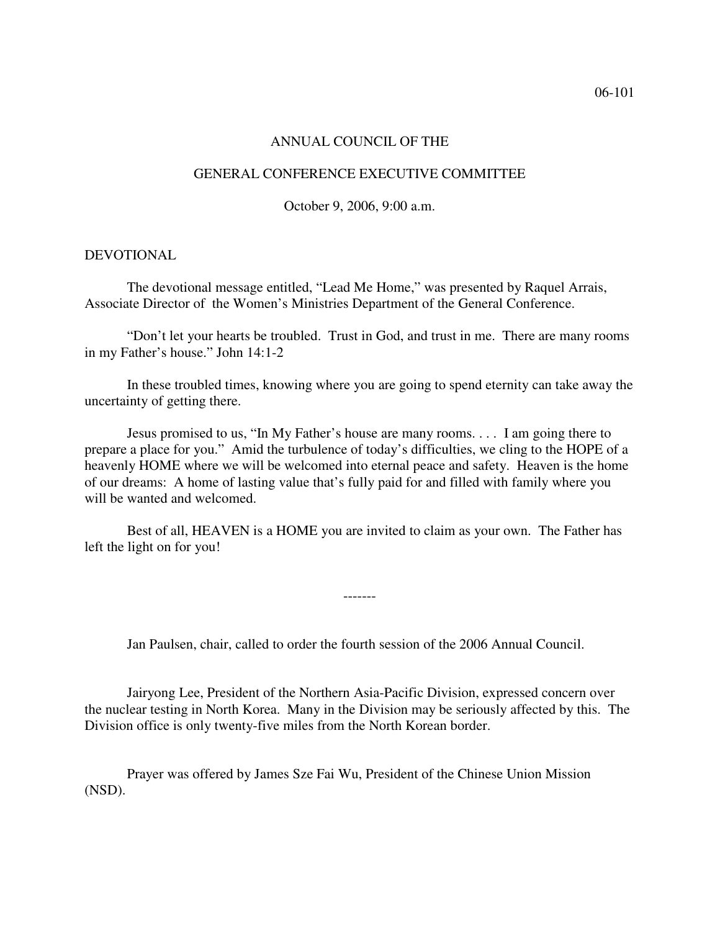#### ANNUAL COUNCIL OF THE

#### GENERAL CONFERENCE EXECUTIVE COMMITTEE

October 9, 2006, 9:00 a.m.

#### DEVOTIONAL

 The devotional message entitled, "Lead Me Home," was presented by Raquel Arrais, Associate Director of the Women's Ministries Department of the General Conference.

"Don't let your hearts be troubled. Trust in God, and trust in me. There are many rooms in my Father's house." John 14:1-2

In these troubled times, knowing where you are going to spend eternity can take away the uncertainty of getting there.

Jesus promised to us, "In My Father's house are many rooms. . . . I am going there to prepare a place for you." Amid the turbulence of today's difficulties, we cling to the HOPE of a heavenly HOME where we will be welcomed into eternal peace and safety. Heaven is the home of our dreams: A home of lasting value that's fully paid for and filled with family where you will be wanted and welcomed.

Best of all, HEAVEN is a HOME you are invited to claim as your own. The Father has left the light on for you!

Jan Paulsen, chair, called to order the fourth session of the 2006 Annual Council.

-------

 Jairyong Lee, President of the Northern Asia-Pacific Division, expressed concern over the nuclear testing in North Korea. Many in the Division may be seriously affected by this. The Division office is only twenty-five miles from the North Korean border.

 Prayer was offered by James Sze Fai Wu, President of the Chinese Union Mission (NSD).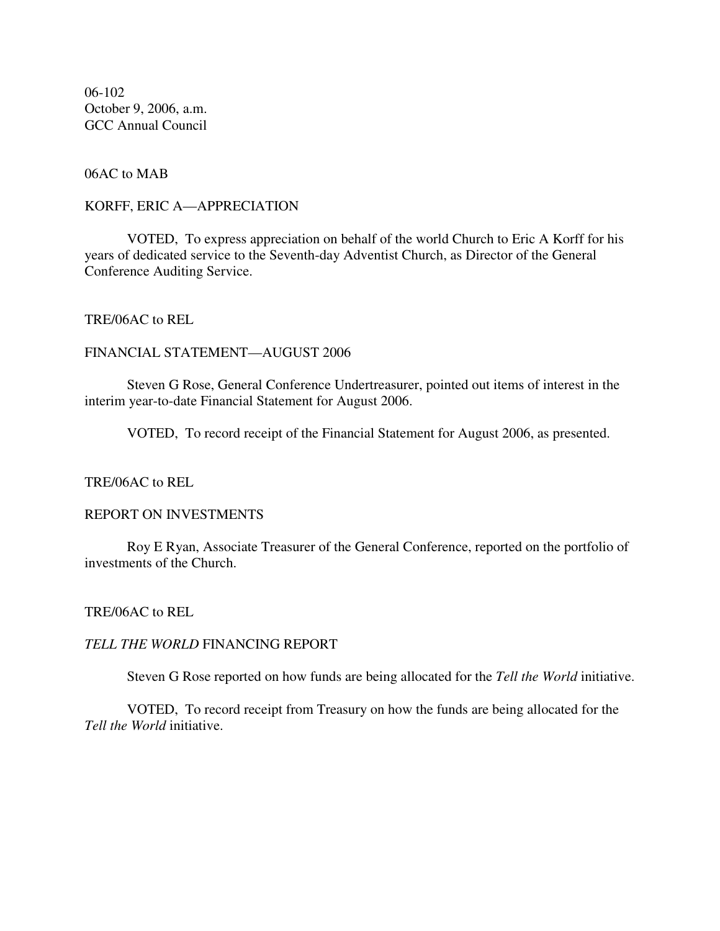06-102 October 9, 2006, a.m. GCC Annual Council

#### 06AC to MAB

#### KORFF, ERIC A—APPRECIATION

 VOTED, To express appreciation on behalf of the world Church to Eric A Korff for his years of dedicated service to the Seventh-day Adventist Church, as Director of the General Conference Auditing Service.

#### TRE/06AC to REL

#### FINANCIAL STATEMENT—AUGUST 2006

 Steven G Rose, General Conference Undertreasurer, pointed out items of interest in the interim year-to-date Financial Statement for August 2006.

VOTED, To record receipt of the Financial Statement for August 2006, as presented.

#### TRE/06AC to REL

#### REPORT ON INVESTMENTS

 Roy E Ryan, Associate Treasurer of the General Conference, reported on the portfolio of investments of the Church.

#### TRE/06AC to REL

#### *TELL THE WORLD* FINANCING REPORT

Steven G Rose reported on how funds are being allocated for the *Tell the World* initiative.

 VOTED, To record receipt from Treasury on how the funds are being allocated for the *Tell the World* initiative.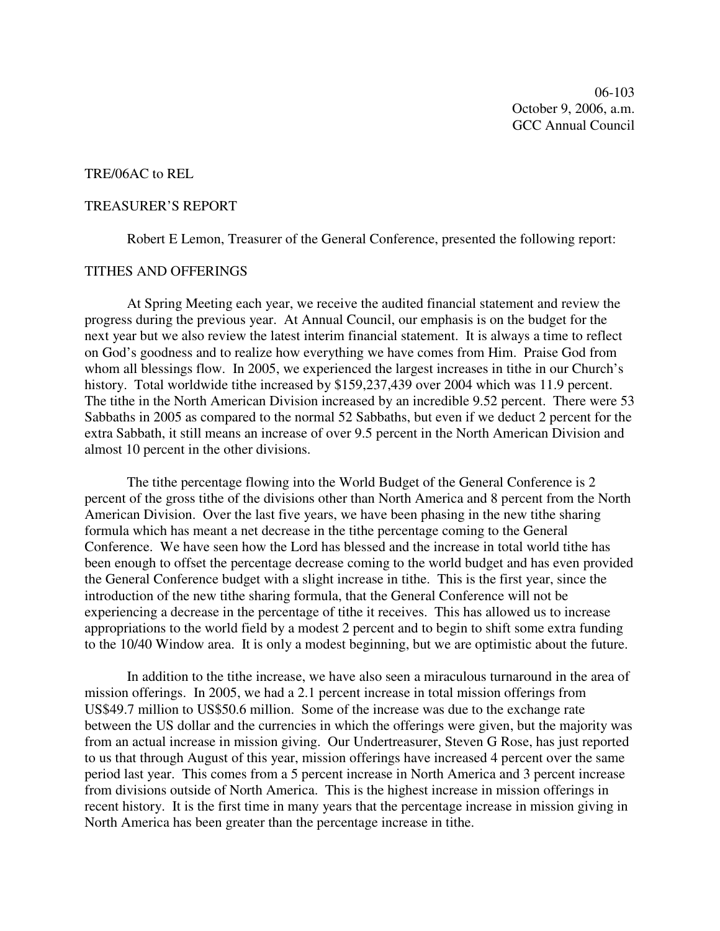06-103 October 9, 2006, a.m. GCC Annual Council

#### TRE/06AC to REL

#### TREASURER'S REPORT

Robert E Lemon, Treasurer of the General Conference, presented the following report:

#### TITHES AND OFFERINGS

At Spring Meeting each year, we receive the audited financial statement and review the progress during the previous year. At Annual Council, our emphasis is on the budget for the next year but we also review the latest interim financial statement. It is always a time to reflect on God's goodness and to realize how everything we have comes from Him. Praise God from whom all blessings flow. In 2005, we experienced the largest increases in tithe in our Church's history. Total worldwide tithe increased by \$159,237,439 over 2004 which was 11.9 percent. The tithe in the North American Division increased by an incredible 9.52 percent. There were 53 Sabbaths in 2005 as compared to the normal 52 Sabbaths, but even if we deduct 2 percent for the extra Sabbath, it still means an increase of over 9.5 percent in the North American Division and almost 10 percent in the other divisions.

The tithe percentage flowing into the World Budget of the General Conference is 2 percent of the gross tithe of the divisions other than North America and 8 percent from the North American Division. Over the last five years, we have been phasing in the new tithe sharing formula which has meant a net decrease in the tithe percentage coming to the General Conference. We have seen how the Lord has blessed and the increase in total world tithe has been enough to offset the percentage decrease coming to the world budget and has even provided the General Conference budget with a slight increase in tithe. This is the first year, since the introduction of the new tithe sharing formula, that the General Conference will not be experiencing a decrease in the percentage of tithe it receives. This has allowed us to increase appropriations to the world field by a modest 2 percent and to begin to shift some extra funding to the 10/40 Window area. It is only a modest beginning, but we are optimistic about the future.

In addition to the tithe increase, we have also seen a miraculous turnaround in the area of mission offerings. In 2005, we had a 2.1 percent increase in total mission offerings from US\$49.7 million to US\$50.6 million. Some of the increase was due to the exchange rate between the US dollar and the currencies in which the offerings were given, but the majority was from an actual increase in mission giving. Our Undertreasurer, Steven G Rose, has just reported to us that through August of this year, mission offerings have increased 4 percent over the same period last year. This comes from a 5 percent increase in North America and 3 percent increase from divisions outside of North America. This is the highest increase in mission offerings in recent history. It is the first time in many years that the percentage increase in mission giving in North America has been greater than the percentage increase in tithe.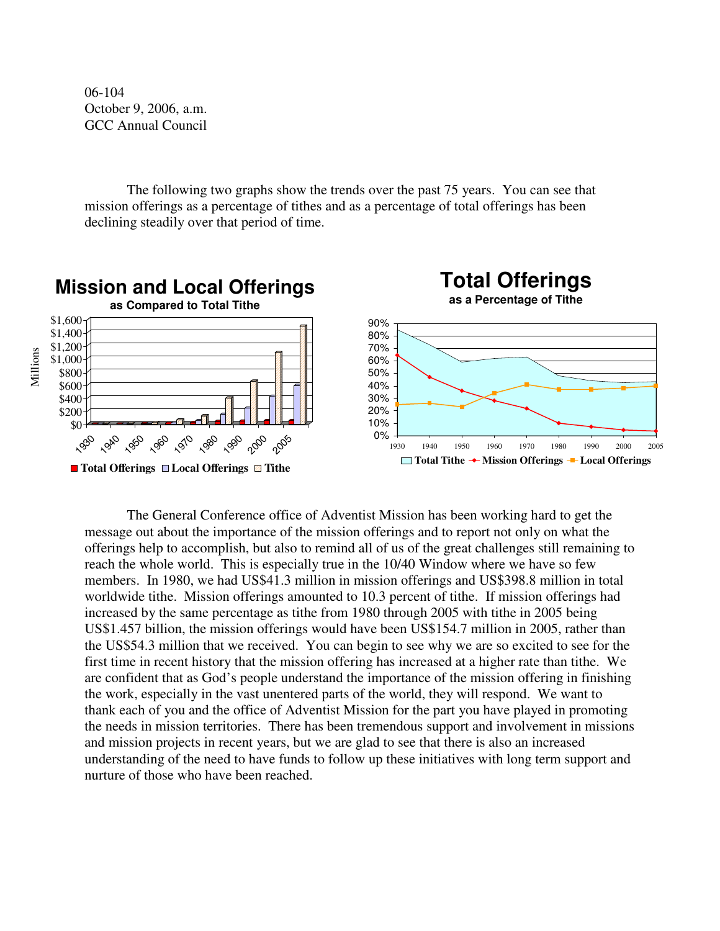06-104 October 9, 2006, a.m. GCC Annual Council

The following two graphs show the trends over the past 75 years. You can see that mission offerings as a percentage of tithes and as a percentage of total offerings has been declining steadily over that period of time.



The General Conference office of Adventist Mission has been working hard to get the message out about the importance of the mission offerings and to report not only on what the offerings help to accomplish, but also to remind all of us of the great challenges still remaining to reach the whole world. This is especially true in the 10/40 Window where we have so few members. In 1980, we had US\$41.3 million in mission offerings and US\$398.8 million in total worldwide tithe. Mission offerings amounted to 10.3 percent of tithe. If mission offerings had increased by the same percentage as tithe from 1980 through 2005 with tithe in 2005 being US\$1.457 billion, the mission offerings would have been US\$154.7 million in 2005, rather than the US\$54.3 million that we received. You can begin to see why we are so excited to see for the first time in recent history that the mission offering has increased at a higher rate than tithe. We are confident that as God's people understand the importance of the mission offering in finishing the work, especially in the vast unentered parts of the world, they will respond. We want to thank each of you and the office of Adventist Mission for the part you have played in promoting the needs in mission territories. There has been tremendous support and involvement in missions and mission projects in recent years, but we are glad to see that there is also an increased understanding of the need to have funds to follow up these initiatives with long term support and nurture of those who have been reached.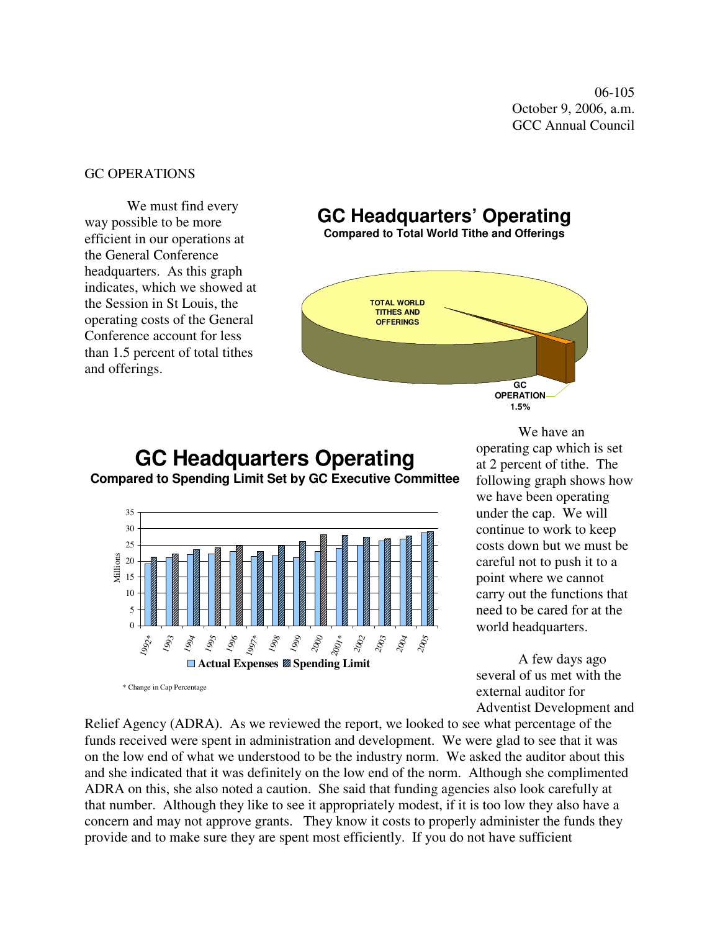06-105 October 9, 2006, a.m. GCC Annual Council

#### GC OPERATIONS

We must find every way possible to be more efficient in our operations at the General Conference headquarters. As this graph indicates, which we showed at the Session in St Louis, the operating costs of the General Conference account for less than 1.5 percent of total tithes and offerings.

#### **GC Headquarters' Operating**

**Compared to Total World Tithe and Offerings**



#### **GC Headquarters Operating Compared to Spending Limit Set by GC Executive Committee**



We have an operating cap which is set at 2 percent of tithe. The following graph shows how we have been operating under the cap. We will continue to work to keep costs down but we must be careful not to push it to a point where we cannot carry out the functions that need to be cared for at the world headquarters.

A few days ago several of us met with the external auditor for Adventist Development and

Relief Agency (ADRA). As we reviewed the report, we looked to see what percentage of the funds received were spent in administration and development. We were glad to see that it was on the low end of what we understood to be the industry norm. We asked the auditor about this and she indicated that it was definitely on the low end of the norm. Although she complimented ADRA on this, she also noted a caution. She said that funding agencies also look carefully at that number. Although they like to see it appropriately modest, if it is too low they also have a concern and may not approve grants. They know it costs to properly administer the funds they provide and to make sure they are spent most efficiently. If you do not have sufficient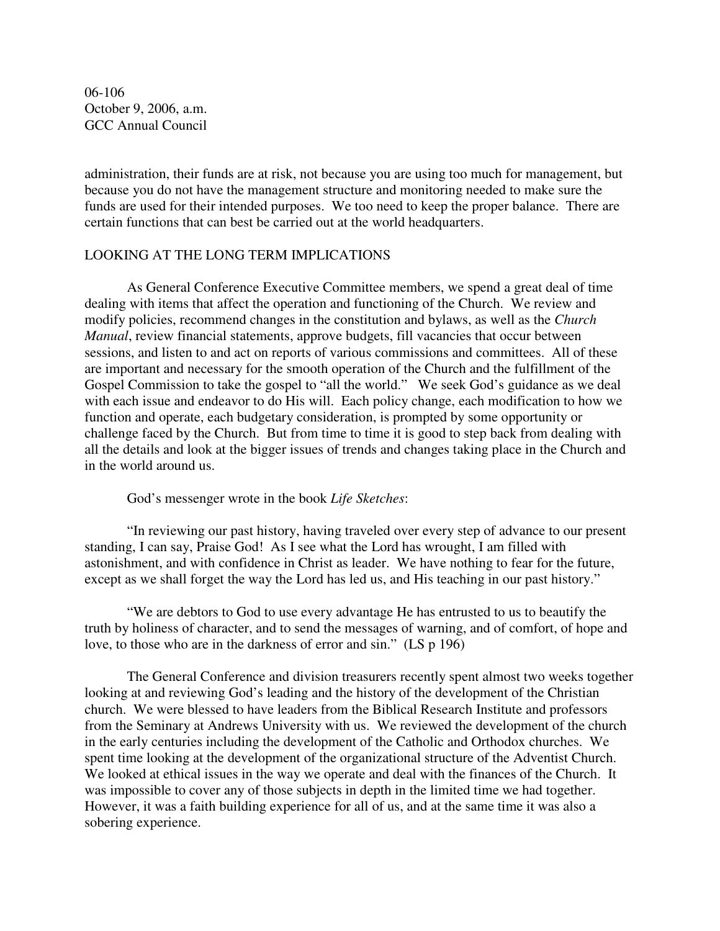06-106 October 9, 2006, a.m. GCC Annual Council

administration, their funds are at risk, not because you are using too much for management, but because you do not have the management structure and monitoring needed to make sure the funds are used for their intended purposes. We too need to keep the proper balance. There are certain functions that can best be carried out at the world headquarters.

#### LOOKING AT THE LONG TERM IMPLICATIONS

As General Conference Executive Committee members, we spend a great deal of time dealing with items that affect the operation and functioning of the Church. We review and modify policies, recommend changes in the constitution and bylaws, as well as the *Church Manual*, review financial statements, approve budgets, fill vacancies that occur between sessions, and listen to and act on reports of various commissions and committees. All of these are important and necessary for the smooth operation of the Church and the fulfillment of the Gospel Commission to take the gospel to "all the world." We seek God's guidance as we deal with each issue and endeavor to do His will. Each policy change, each modification to how we function and operate, each budgetary consideration, is prompted by some opportunity or challenge faced by the Church. But from time to time it is good to step back from dealing with all the details and look at the bigger issues of trends and changes taking place in the Church and in the world around us.

God's messenger wrote in the book *Life Sketches*:

"In reviewing our past history, having traveled over every step of advance to our present standing, I can say, Praise God! As I see what the Lord has wrought, I am filled with astonishment, and with confidence in Christ as leader. We have nothing to fear for the future, except as we shall forget the way the Lord has led us, and His teaching in our past history."

"We are debtors to God to use every advantage He has entrusted to us to beautify the truth by holiness of character, and to send the messages of warning, and of comfort, of hope and love, to those who are in the darkness of error and sin." (LS p 196)

The General Conference and division treasurers recently spent almost two weeks together looking at and reviewing God's leading and the history of the development of the Christian church. We were blessed to have leaders from the Biblical Research Institute and professors from the Seminary at Andrews University with us. We reviewed the development of the church in the early centuries including the development of the Catholic and Orthodox churches. We spent time looking at the development of the organizational structure of the Adventist Church. We looked at ethical issues in the way we operate and deal with the finances of the Church. It was impossible to cover any of those subjects in depth in the limited time we had together. However, it was a faith building experience for all of us, and at the same time it was also a sobering experience.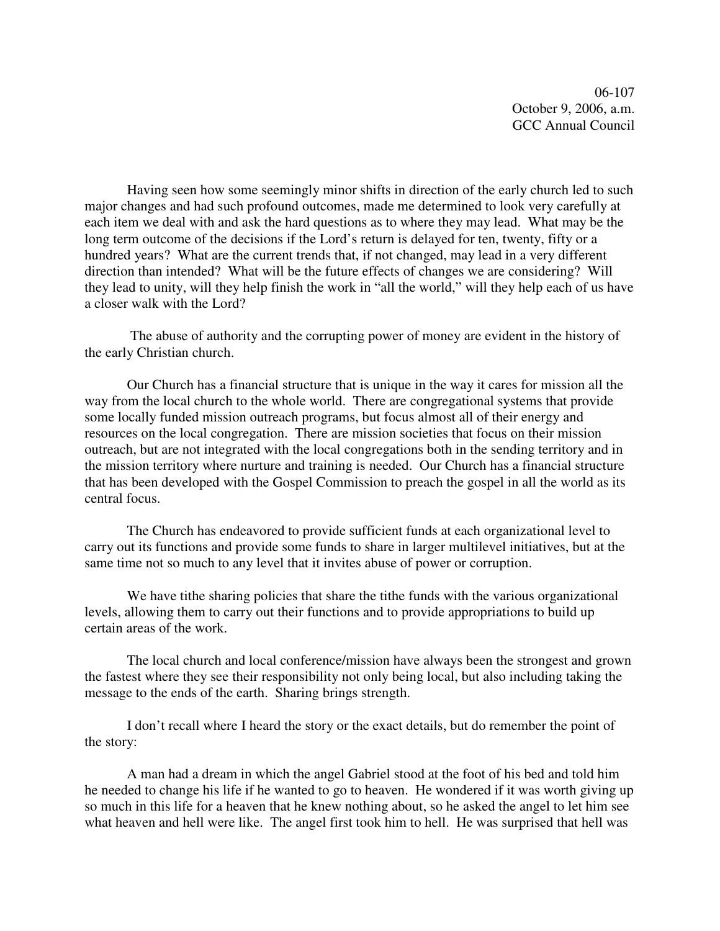06-107 October 9, 2006, a.m. GCC Annual Council

Having seen how some seemingly minor shifts in direction of the early church led to such major changes and had such profound outcomes, made me determined to look very carefully at each item we deal with and ask the hard questions as to where they may lead. What may be the long term outcome of the decisions if the Lord's return is delayed for ten, twenty, fifty or a hundred years? What are the current trends that, if not changed, may lead in a very different direction than intended? What will be the future effects of changes we are considering? Will they lead to unity, will they help finish the work in "all the world," will they help each of us have a closer walk with the Lord?

 The abuse of authority and the corrupting power of money are evident in the history of the early Christian church.

Our Church has a financial structure that is unique in the way it cares for mission all the way from the local church to the whole world. There are congregational systems that provide some locally funded mission outreach programs, but focus almost all of their energy and resources on the local congregation. There are mission societies that focus on their mission outreach, but are not integrated with the local congregations both in the sending territory and in the mission territory where nurture and training is needed. Our Church has a financial structure that has been developed with the Gospel Commission to preach the gospel in all the world as its central focus.

The Church has endeavored to provide sufficient funds at each organizational level to carry out its functions and provide some funds to share in larger multilevel initiatives, but at the same time not so much to any level that it invites abuse of power or corruption.

We have tithe sharing policies that share the tithe funds with the various organizational levels, allowing them to carry out their functions and to provide appropriations to build up certain areas of the work.

The local church and local conference/mission have always been the strongest and grown the fastest where they see their responsibility not only being local, but also including taking the message to the ends of the earth. Sharing brings strength.

I don't recall where I heard the story or the exact details, but do remember the point of the story:

A man had a dream in which the angel Gabriel stood at the foot of his bed and told him he needed to change his life if he wanted to go to heaven. He wondered if it was worth giving up so much in this life for a heaven that he knew nothing about, so he asked the angel to let him see what heaven and hell were like. The angel first took him to hell. He was surprised that hell was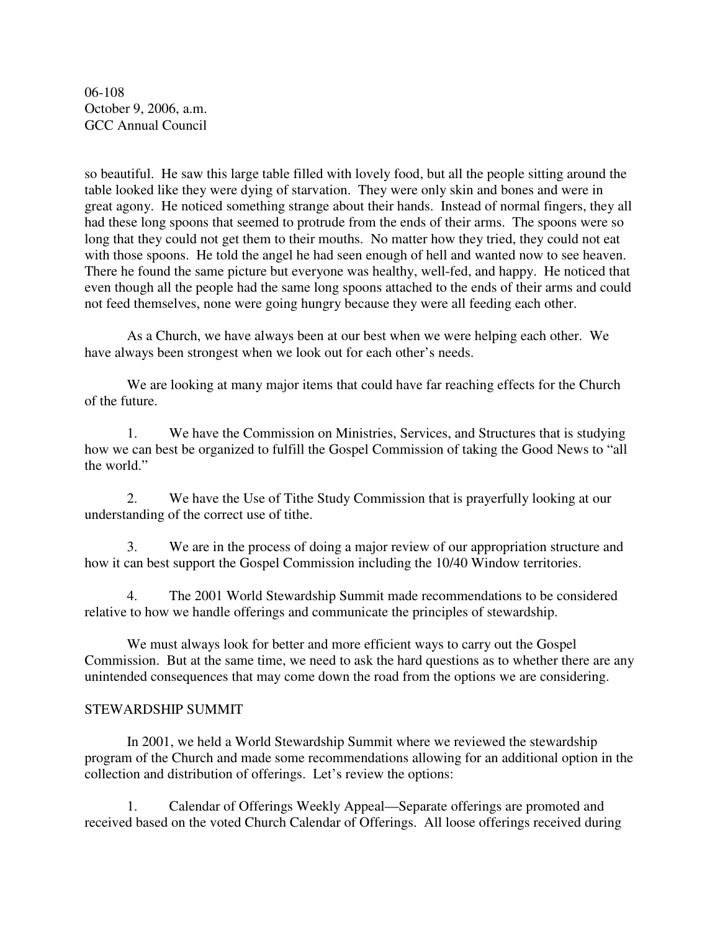06-108 October 9, 2006, a.m. GCC Annual Council

so beautiful. He saw this large table filled with lovely food, but all the people sitting around the table looked like they were dying of starvation. They were only skin and bones and were in great agony. He noticed something strange about their hands. Instead of normal fingers, they all had these long spoons that seemed to protrude from the ends of their arms. The spoons were so long that they could not get them to their mouths. No matter how they tried, they could not eat with those spoons. He told the angel he had seen enough of hell and wanted now to see heaven. There he found the same picture but everyone was healthy, well-fed, and happy. He noticed that even though all the people had the same long spoons attached to the ends of their arms and could not feed themselves, none were going hungry because they were all feeding each other.

As a Church, we have always been at our best when we were helping each other. We have always been strongest when we look out for each other's needs.

We are looking at many major items that could have far reaching effects for the Church of the future.

1. We have the Commission on Ministries, Services, and Structures that is studying how we can best be organized to fulfill the Gospel Commission of taking the Good News to "all the world."

2. We have the Use of Tithe Study Commission that is prayerfully looking at our understanding of the correct use of tithe.

3. We are in the process of doing a major review of our appropriation structure and how it can best support the Gospel Commission including the 10/40 Window territories.

4. The 2001 World Stewardship Summit made recommendations to be considered relative to how we handle offerings and communicate the principles of stewardship.

We must always look for better and more efficient ways to carry out the Gospel Commission. But at the same time, we need to ask the hard questions as to whether there are any unintended consequences that may come down the road from the options we are considering.

#### STEWARDSHIP SUMMIT

In 2001, we held a World Stewardship Summit where we reviewed the stewardship program of the Church and made some recommendations allowing for an additional option in the collection and distribution of offerings. Let's review the options:

1. Calendar of Offerings Weekly Appeal—Separate offerings are promoted and received based on the voted Church Calendar of Offerings. All loose offerings received during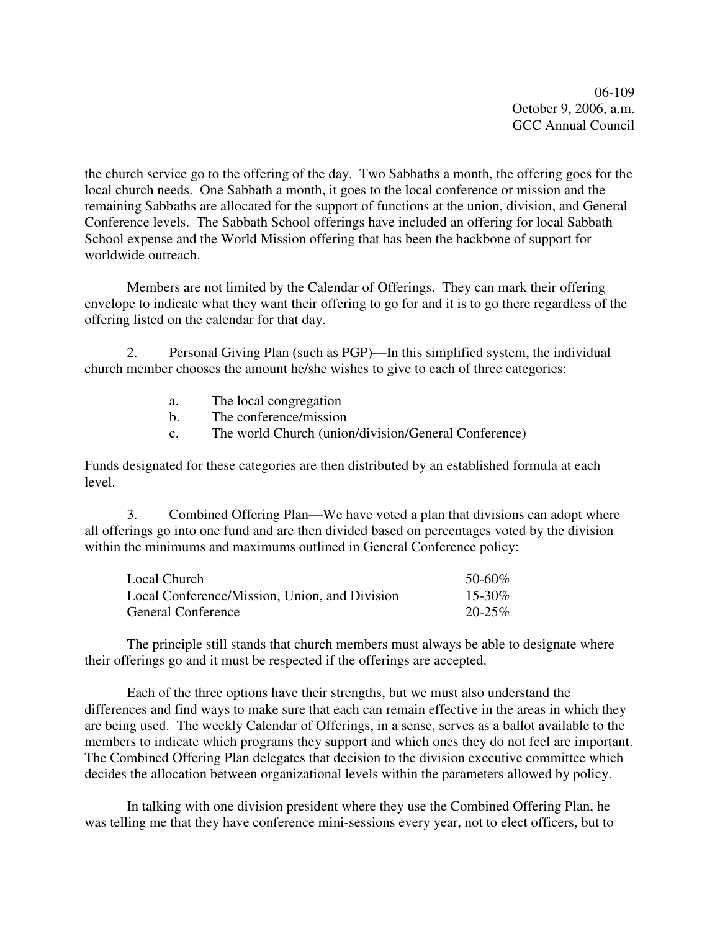06-109 October 9, 2006, a.m. GCC Annual Council

the church service go to the offering of the day. Two Sabbaths a month, the offering goes for the local church needs. One Sabbath a month, it goes to the local conference or mission and the remaining Sabbaths are allocated for the support of functions at the union, division, and General Conference levels. The Sabbath School offerings have included an offering for local Sabbath School expense and the World Mission offering that has been the backbone of support for worldwide outreach.

Members are not limited by the Calendar of Offerings. They can mark their offering envelope to indicate what they want their offering to go for and it is to go there regardless of the offering listed on the calendar for that day.

2. Personal Giving Plan (such as PGP)—In this simplified system, the individual church member chooses the amount he/she wishes to give to each of three categories:

- a. The local congregation
- b. The conference/mission
- c. The world Church (union/division/General Conference)

Funds designated for these categories are then distributed by an established formula at each level.

3. Combined Offering Plan—We have voted a plan that divisions can adopt where all offerings go into one fund and are then divided based on percentages voted by the division within the minimums and maximums outlined in General Conference policy:

| Local Church                                  | $50 - 60\%$ |
|-----------------------------------------------|-------------|
| Local Conference/Mission, Union, and Division | $15 - 30\%$ |
| <b>General Conference</b>                     | $20 - 25\%$ |

The principle still stands that church members must always be able to designate where their offerings go and it must be respected if the offerings are accepted.

 Each of the three options have their strengths, but we must also understand the differences and find ways to make sure that each can remain effective in the areas in which they are being used. The weekly Calendar of Offerings, in a sense, serves as a ballot available to the members to indicate which programs they support and which ones they do not feel are important. The Combined Offering Plan delegates that decision to the division executive committee which decides the allocation between organizational levels within the parameters allowed by policy.

In talking with one division president where they use the Combined Offering Plan, he was telling me that they have conference mini-sessions every year, not to elect officers, but to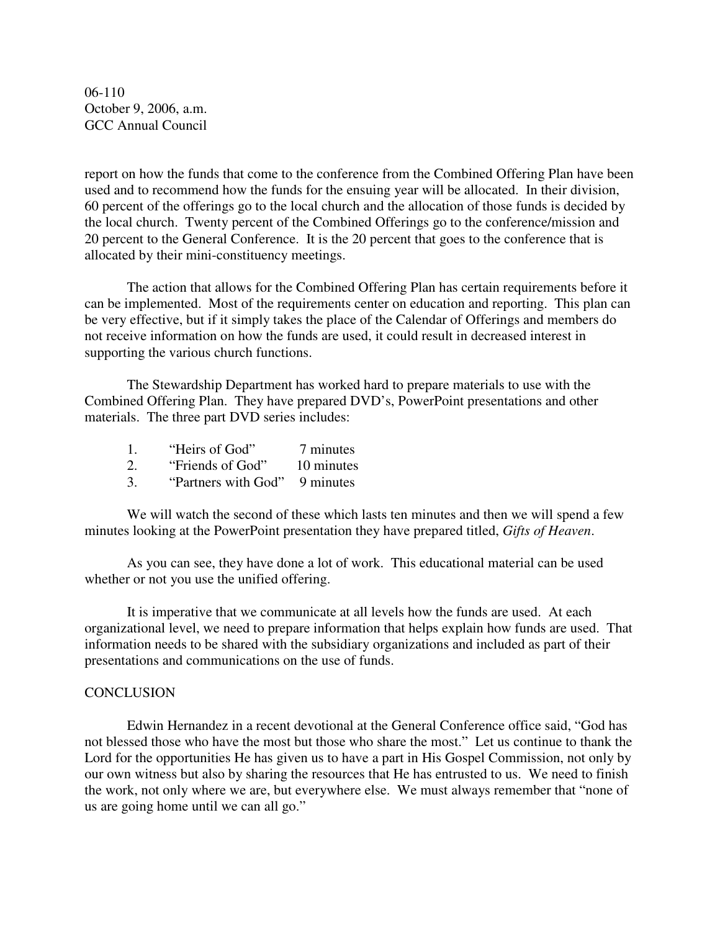06-110 October 9, 2006, a.m. GCC Annual Council

report on how the funds that come to the conference from the Combined Offering Plan have been used and to recommend how the funds for the ensuing year will be allocated. In their division, 60 percent of the offerings go to the local church and the allocation of those funds is decided by the local church. Twenty percent of the Combined Offerings go to the conference/mission and 20 percent to the General Conference. It is the 20 percent that goes to the conference that is allocated by their mini-constituency meetings.

The action that allows for the Combined Offering Plan has certain requirements before it can be implemented. Most of the requirements center on education and reporting. This plan can be very effective, but if it simply takes the place of the Calendar of Offerings and members do not receive information on how the funds are used, it could result in decreased interest in supporting the various church functions.

The Stewardship Department has worked hard to prepare materials to use with the Combined Offering Plan. They have prepared DVD's, PowerPoint presentations and other materials. The three part DVD series includes:

|    | "Heirs of God"      | 7 minutes  |
|----|---------------------|------------|
| 2. | "Friends of God"    | 10 minutes |
| 3. | "Partners with God" | 9 minutes  |

We will watch the second of these which lasts ten minutes and then we will spend a few minutes looking at the PowerPoint presentation they have prepared titled, *Gifts of Heaven*.

 As you can see, they have done a lot of work. This educational material can be used whether or not you use the unified offering.

It is imperative that we communicate at all levels how the funds are used. At each organizational level, we need to prepare information that helps explain how funds are used. That information needs to be shared with the subsidiary organizations and included as part of their presentations and communications on the use of funds.

#### **CONCLUSION**

Edwin Hernandez in a recent devotional at the General Conference office said, "God has not blessed those who have the most but those who share the most." Let us continue to thank the Lord for the opportunities He has given us to have a part in His Gospel Commission, not only by our own witness but also by sharing the resources that He has entrusted to us. We need to finish the work, not only where we are, but everywhere else. We must always remember that "none of us are going home until we can all go."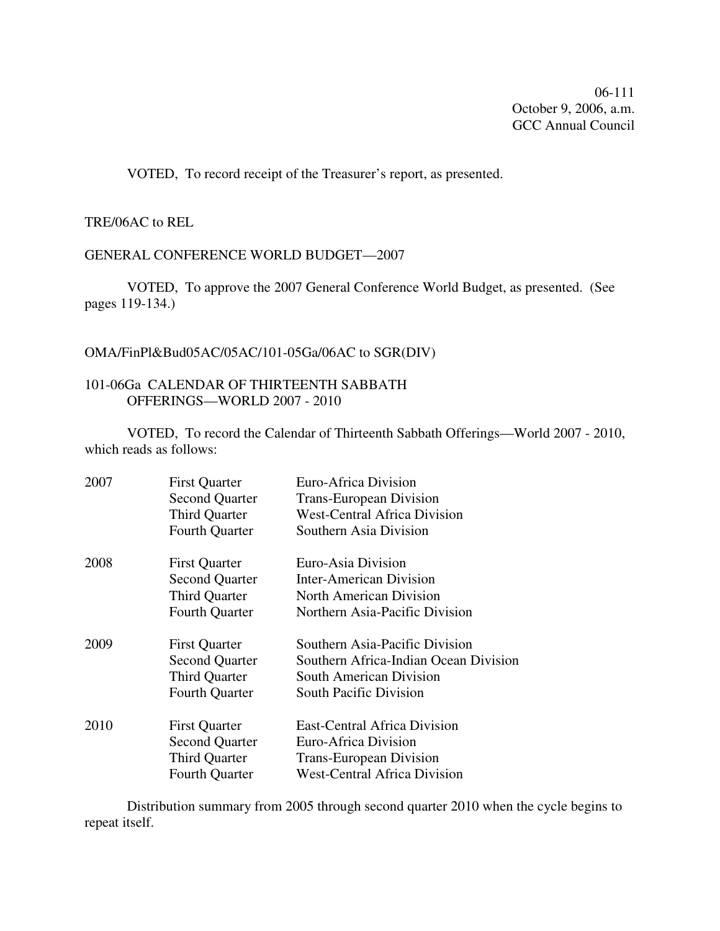VOTED, To record receipt of the Treasurer's report, as presented.

TRE/06AC to REL

#### GENERAL CONFERENCE WORLD BUDGET—2007

 VOTED, To approve the 2007 General Conference World Budget, as presented. (See pages 119-134.)

#### OMA/FinPl&Bud05AC/05AC/101-05Ga/06AC to SGR(DIV)

#### 101-06Ga CALENDAR OF THIRTEENTH SABBATH OFFERINGS—WORLD 2007 - 2010

VOTED, To record the Calendar of Thirteenth Sabbath Offerings—World 2007 - 2010, which reads as follows:

| 2007 | <b>First Quarter</b><br><b>Second Quarter</b><br>Third Quarter<br><b>Fourth Quarter</b>        | Euro-Africa Division<br><b>Trans-European Division</b><br><b>West-Central Africa Division</b><br>Southern Asia Division             |
|------|------------------------------------------------------------------------------------------------|-------------------------------------------------------------------------------------------------------------------------------------|
| 2008 | <b>First Quarter</b><br><b>Second Quarter</b><br><b>Third Quarter</b><br>Fourth Quarter        | Euro-Asia Division<br>Inter-American Division<br>North American Division<br>Northern Asia-Pacific Division                          |
| 2009 | <b>First Quarter</b><br><b>Second Quarter</b><br>Third Quarter<br><b>Fourth Quarter</b>        | Southern Asia-Pacific Division<br>Southern Africa-Indian Ocean Division<br>South American Division<br><b>South Pacific Division</b> |
| 2010 | <b>First Quarter</b><br><b>Second Quarter</b><br><b>Third Quarter</b><br><b>Fourth Quarter</b> | East-Central Africa Division<br>Euro-Africa Division<br><b>Trans-European Division</b><br><b>West-Central Africa Division</b>       |

Distribution summary from 2005 through second quarter 2010 when the cycle begins to repeat itself.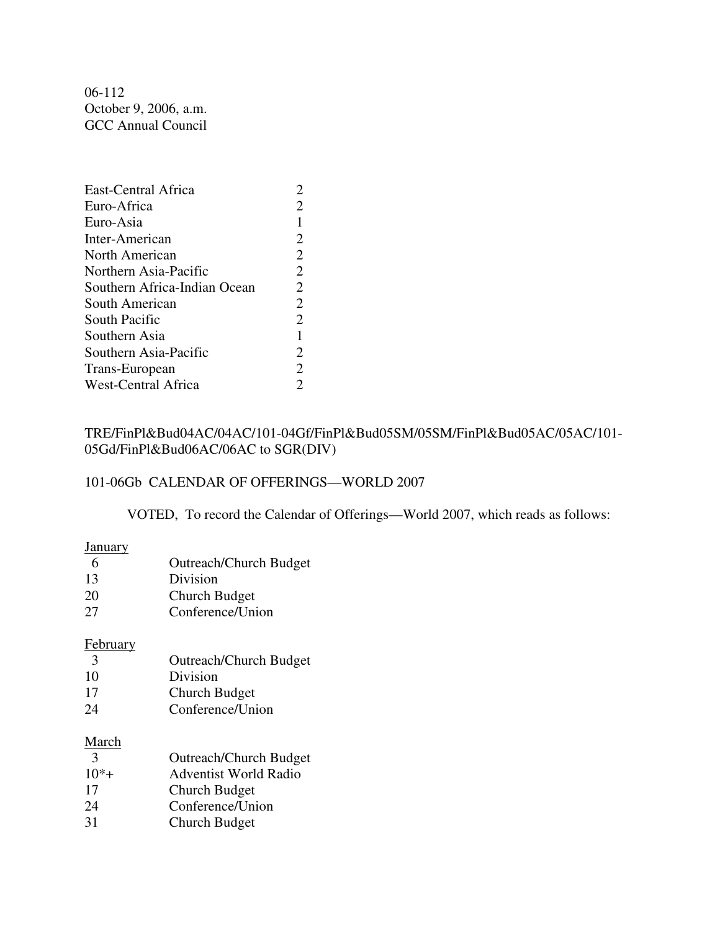06-112 October 9, 2006, a.m. GCC Annual Council

| East-Central Africa          |                |
|------------------------------|----------------|
| Euro-Africa                  | $\overline{2}$ |
| Euro-Asia                    | 1              |
| Inter-American               | $\overline{2}$ |
| North American               | $\overline{2}$ |
| Northern Asia-Pacific        | $\overline{2}$ |
| Southern Africa-Indian Ocean | $\overline{2}$ |
| South American               | $\overline{2}$ |
| South Pacific                | $\overline{2}$ |
| Southern Asia                | 1              |
| Southern Asia-Pacific        | $\overline{2}$ |
| Trans-European               | $\overline{2}$ |
| <b>West-Central Africa</b>   | 2              |
|                              |                |

#### TRE/FinPl&Bud04AC/04AC/101-04Gf/FinPl&Bud05SM/05SM/FinPl&Bud05AC/05AC/101- 05Gd/FinPl&Bud06AC/06AC to SGR(DIV)

#### 101-06Gb CALENDAR OF OFFERINGS—WORLD 2007

#### VOTED, To record the Calendar of Offerings—World 2007, which reads as follows:

| January<br>6<br>13<br>20<br>27              | <b>Outreach/Church Budget</b><br>Division<br><b>Church Budget</b><br>Conference/Union                               |
|---------------------------------------------|---------------------------------------------------------------------------------------------------------------------|
| <b>February</b><br>-3<br>10<br>17<br>24     | <b>Outreach/Church Budget</b><br>Division<br>Church Budget<br>Conference/Union                                      |
| March<br>- 3<br>$10^{*}+$<br>17<br>24<br>31 | <b>Outreach/Church Budget</b><br>Adventist World Radio<br><b>Church Budget</b><br>Conference/Union<br>Church Budget |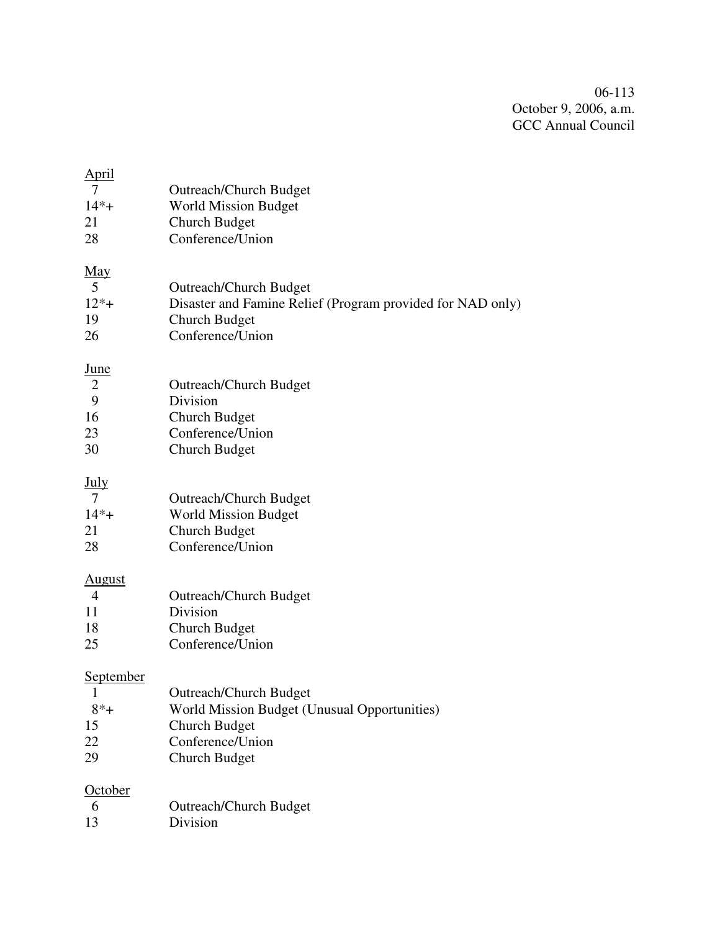06-113 October 9, 2006, a.m. GCC Annual Council

| <b>April</b><br>$14* +$<br>21<br>28                  | <b>Outreach/Church Budget</b><br><b>World Mission Budget</b><br><b>Church Budget</b><br>Conference/Union                                                 |
|------------------------------------------------------|----------------------------------------------------------------------------------------------------------------------------------------------------------|
| <b>May</b><br>5<br>$12*+$<br>19<br>26                | <b>Outreach/Church Budget</b><br>Disaster and Famine Relief (Program provided for NAD only)<br><b>Church Budget</b><br>Conference/Union                  |
| <u>June</u><br>$\overline{c}$<br>9<br>16<br>23<br>30 | <b>Outreach/Church Budget</b><br>Division<br><b>Church Budget</b><br>Conference/Union<br><b>Church Budget</b>                                            |
| <u>July</u><br>$\tau$<br>$14* +$<br>21<br>28         | <b>Outreach/Church Budget</b><br><b>World Mission Budget</b><br><b>Church Budget</b><br>Conference/Union                                                 |
| <u>August</u><br>$\overline{4}$<br>11<br>18<br>25    | <b>Outreach/Church Budget</b><br>Division<br><b>Church Budget</b><br>Conference/Union                                                                    |
| <u>September</u><br>1<br>$8*+$<br>15<br>22<br>29     | <b>Outreach/Church Budget</b><br><b>World Mission Budget (Unusual Opportunities)</b><br><b>Church Budget</b><br>Conference/Union<br><b>Church Budget</b> |
| October<br>6<br>13                                   | <b>Outreach/Church Budget</b><br>Division                                                                                                                |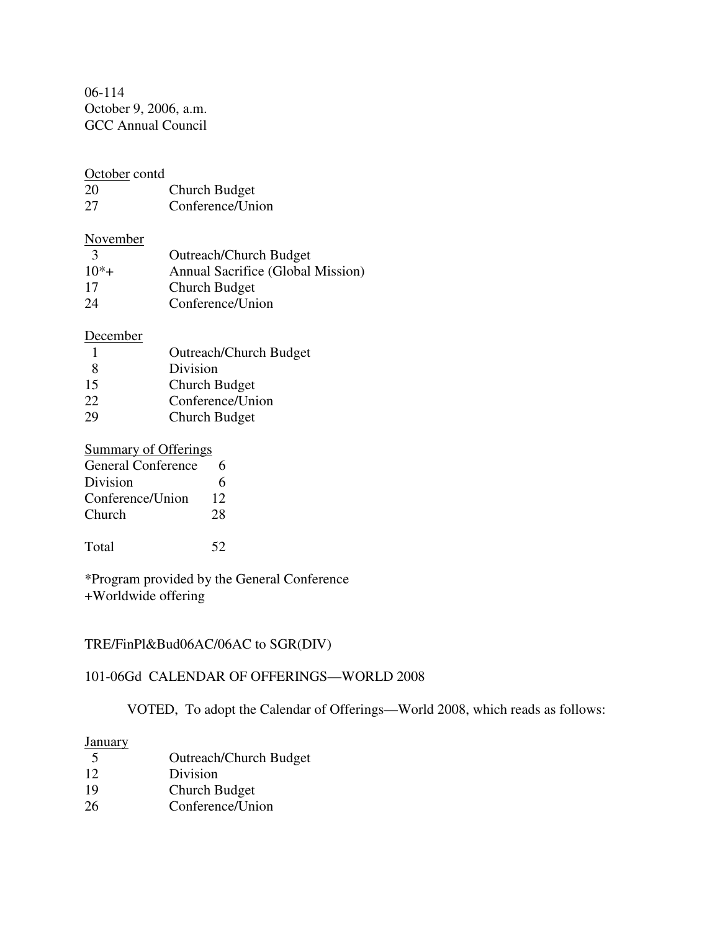06-114 October 9, 2006, a.m. GCC Annual Council

#### October contd

| 20 | <b>Church Budget</b> |
|----|----------------------|
| 27 | Conference/Union     |

#### November

| $\mathcal{E}$ | <b>Outreach/Church Budget</b>     |
|---------------|-----------------------------------|
| $10^{*}+$     | Annual Sacrifice (Global Mission) |
| 17            | Church Budget                     |
| 24            | Conference/Union                  |

#### December

|    | <b>Outreach/Church Budget</b> |
|----|-------------------------------|
| 8  | Division                      |
| 15 | Church Budget                 |
| 22 | Conference/Union              |
| 29 | Church Budget                 |

#### Summary of Offerings

| <b>General Conference</b> | 6  |
|---------------------------|----|
| Division                  | 6  |
| Conference/Union          | 12 |
| Church                    | 28 |
|                           |    |

Total 52

\*Program provided by the General Conference +Worldwide offering

#### TRE/FinPl&Bud06AC/06AC to SGR(DIV)

#### 101-06Gd CALENDAR OF OFFERINGS—WORLD 2008

VOTED, To adopt the Calendar of Offerings—World 2008, which reads as follows:

#### **January**

- 5 Outreach/Church Budget
- 12 Division<br>19 Church B
- Church Budget
- 26 Conference/Union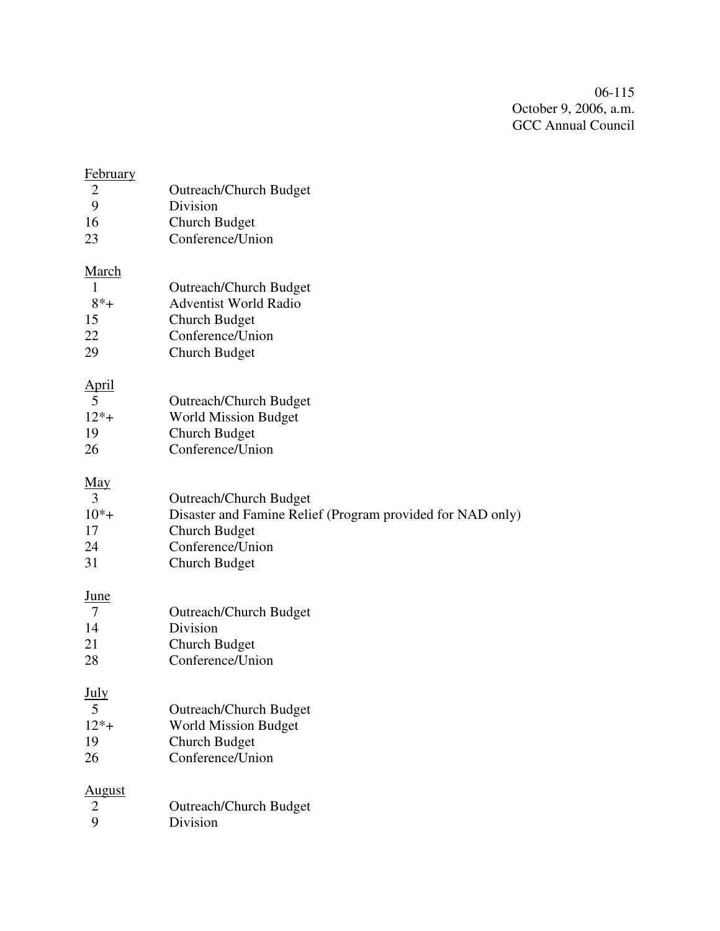06-115 October 9, 2006, a.m. GCC Annual Council

| February               |                                                            |
|------------------------|------------------------------------------------------------|
| 2                      | <b>Outreach/Church Budget</b>                              |
| 9                      | Division                                                   |
| 16                     | <b>Church Budget</b>                                       |
| 23                     | Conference/Union                                           |
| <u>March</u>           |                                                            |
| Ι.                     | <b>Outreach/Church Budget</b>                              |
| $8*+$                  | <b>Adventist World Radio</b>                               |
| 15                     | <b>Church Budget</b>                                       |
| 22                     | Conference/Union                                           |
| 29                     | <b>Church Budget</b>                                       |
| <u>April</u>           |                                                            |
| 5                      | <b>Outreach/Church Budget</b>                              |
| $12*+$                 | <b>World Mission Budget</b>                                |
| 19                     | <b>Church Budget</b>                                       |
| 26                     | Conference/Union                                           |
|                        |                                                            |
| $\frac{\text{May}}{3}$ | <b>Outreach/Church Budget</b>                              |
| $10*$ +                | Disaster and Famine Relief (Program provided for NAD only) |
| 17                     | <b>Church Budget</b>                                       |
| 24                     | Conference/Union                                           |
| 31                     | <b>Church Budget</b>                                       |
| <u>June</u>            |                                                            |
| 7                      | <b>Outreach/Church Budget</b>                              |
| 14                     | Division                                                   |
| 21                     | <b>Church Budget</b>                                       |
| 28                     | Conference/Union                                           |
| <u>July</u>            |                                                            |
| 5                      | <b>Outreach/Church Budget</b>                              |
| $12*+$                 | <b>World Mission Budget</b>                                |
| 19                     | <b>Church Budget</b>                                       |
| 26                     | Conference/Union                                           |
| <u>August</u>          |                                                            |
| $\overline{2}$         | <b>Outreach/Church Budget</b>                              |
| 9                      | Division                                                   |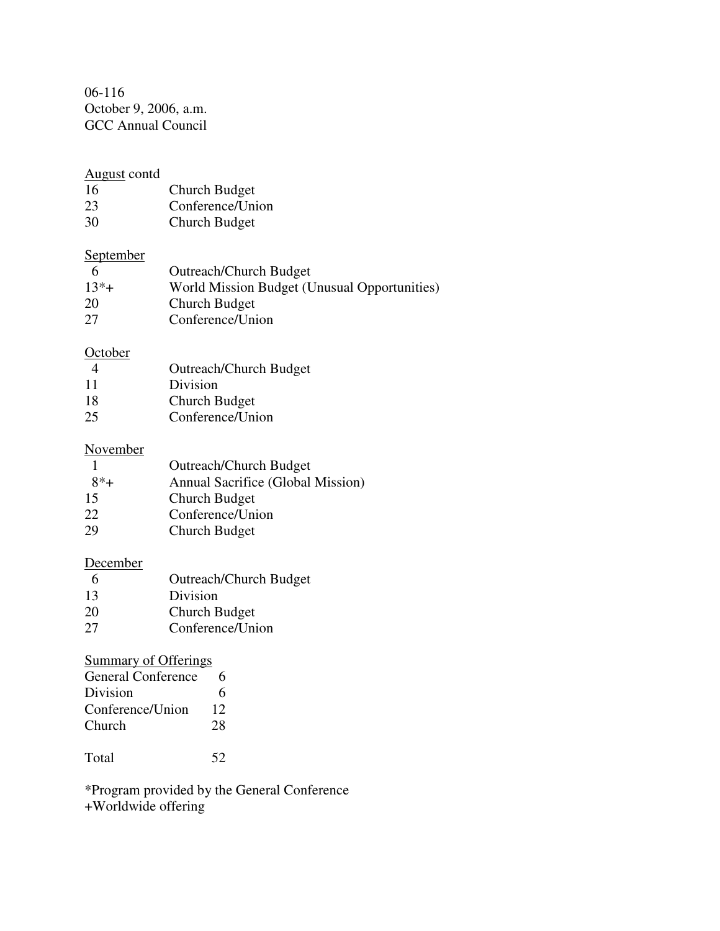06-116 October 9, 2006, a.m. GCC Annual Council

#### August contd

| 16 | <b>Church Budget</b> |
|----|----------------------|
| 23 | Conference/Union     |
| 30 | <b>Church Budget</b> |

#### September

| -6     | <b>Outreach/Church Budget</b>                |
|--------|----------------------------------------------|
| $13*+$ | World Mission Budget (Unusual Opportunities) |
| 20     | <b>Church Budget</b>                         |
| 27     | Conference/Union                             |

#### **October**

|    | <b>Outreach/Church Budget</b> |
|----|-------------------------------|
| 11 | Division                      |
| 18 | Church Budget                 |
| 25 | Conference/Union              |

#### November

|        | <b>Outreach/Church Budget</b>     |
|--------|-----------------------------------|
| $8*$ + | Annual Sacrifice (Global Mission) |
| 15     | Church Budget                     |
| 22     | Conference/Union                  |
| 29     | Church Budget                     |

#### **December**

| - 6 | <b>Outreach/Church Budget</b> |
|-----|-------------------------------|
| 13  | Division                      |
| 20  | Church Budget                 |
|     |                               |

27 Conference/Union

Summary of Offerings

| <b>General Conference</b> | 6  |
|---------------------------|----|
| Division                  | 6  |
| Conference/Union          | 12 |
| Church                    | 28 |
|                           |    |
| Total                     | 52 |

\*Program provided by the General Conference +Worldwide offering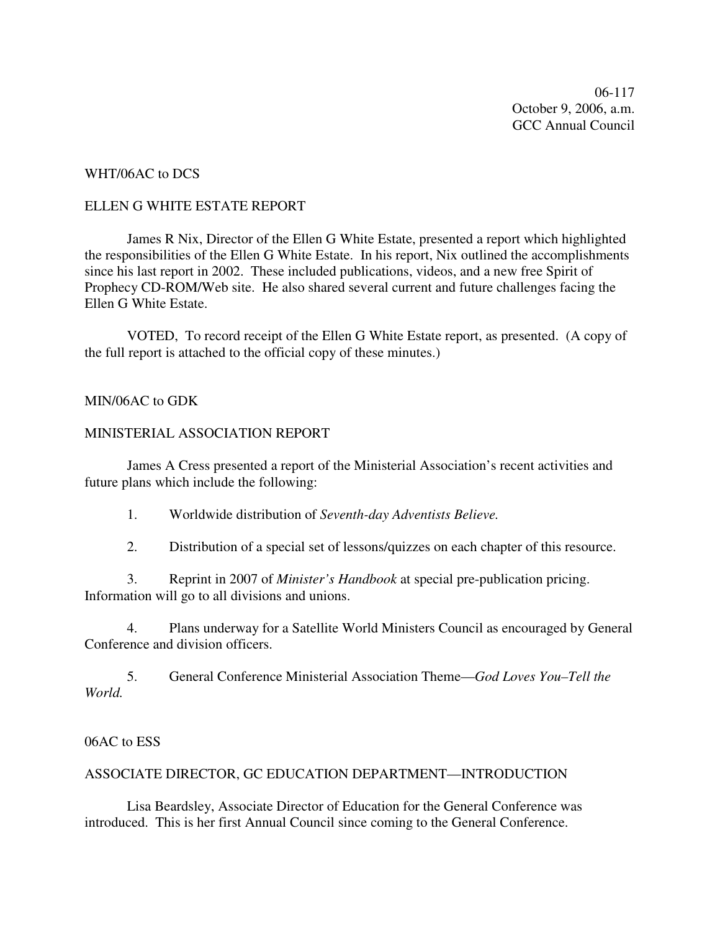06-117 October 9, 2006, a.m. GCC Annual Council

#### WHT/06AC to DCS

#### ELLEN G WHITE ESTATE REPORT

 James R Nix, Director of the Ellen G White Estate, presented a report which highlighted the responsibilities of the Ellen G White Estate. In his report, Nix outlined the accomplishments since his last report in 2002. These included publications, videos, and a new free Spirit of Prophecy CD-ROM/Web site. He also shared several current and future challenges facing the Ellen G White Estate.

 VOTED, To record receipt of the Ellen G White Estate report, as presented. (A copy of the full report is attached to the official copy of these minutes.)

#### MIN/06AC to GDK

#### MINISTERIAL ASSOCIATION REPORT

 James A Cress presented a report of the Ministerial Association's recent activities and future plans which include the following:

1. Worldwide distribution of *Seventh-day Adventists Believe.* 

2. Distribution of a special set of lessons/quizzes on each chapter of this resource.

 3. Reprint in 2007 of *Minister's Handbook* at special pre-publication pricing. Information will go to all divisions and unions.

 4. Plans underway for a Satellite World Ministers Council as encouraged by General Conference and division officers.

 5. General Conference Ministerial Association Theme—*God Loves You–Tell the World.* 

#### 06AC to ESS

#### ASSOCIATE DIRECTOR, GC EDUCATION DEPARTMENT—INTRODUCTION

 Lisa Beardsley, Associate Director of Education for the General Conference was introduced. This is her first Annual Council since coming to the General Conference.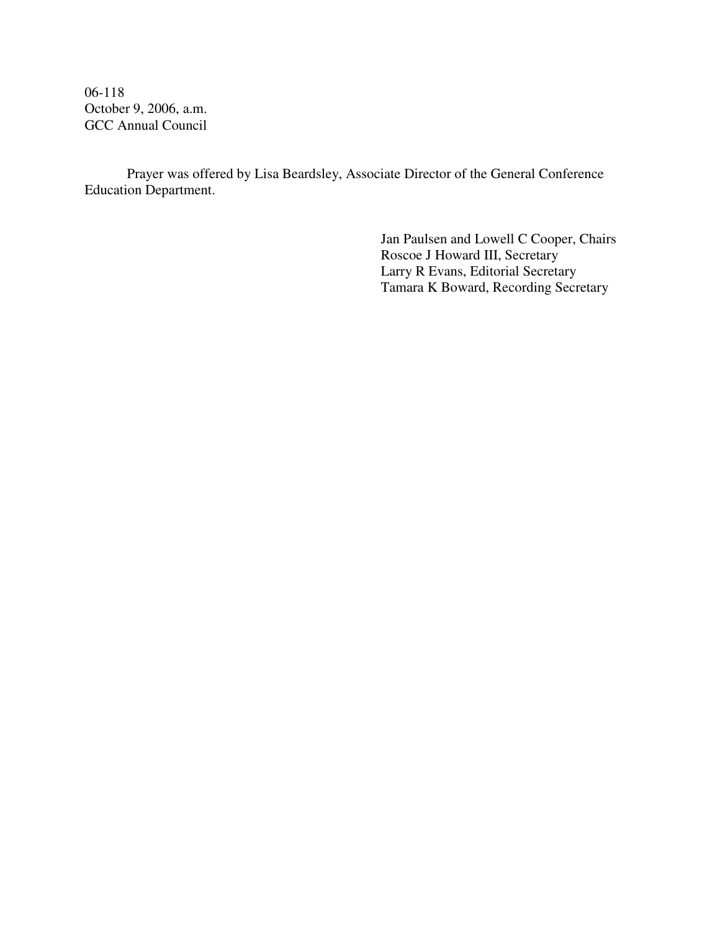06-118 October 9, 2006, a.m. GCC Annual Council

 Prayer was offered by Lisa Beardsley, Associate Director of the General Conference Education Department.

> Jan Paulsen and Lowell C Cooper, Chairs Roscoe J Howard III, Secretary Larry R Evans, Editorial Secretary Tamara K Boward, Recording Secretary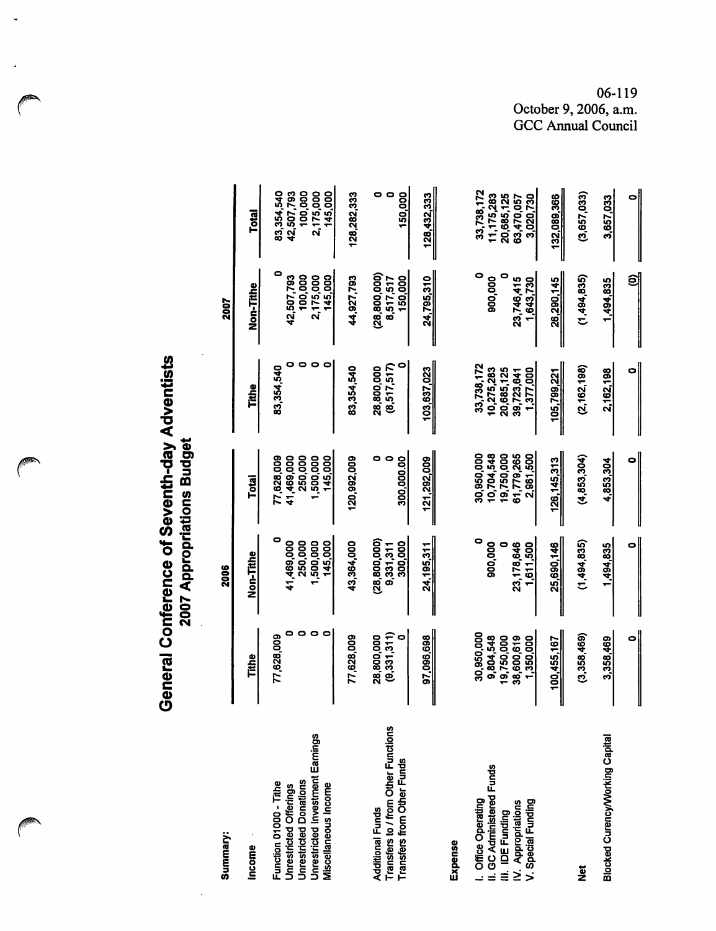# **General Conference of Seventh-day Adventists**<br>2007 Appropriations Budget

| Summary:                                                                                                                                             |                                                                  | 2006                                               |                                                                   |                                                                   | <b>2007</b>                                        |                                                                   |
|------------------------------------------------------------------------------------------------------------------------------------------------------|------------------------------------------------------------------|----------------------------------------------------|-------------------------------------------------------------------|-------------------------------------------------------------------|----------------------------------------------------|-------------------------------------------------------------------|
| Income                                                                                                                                               | Tithe                                                            | Non-Tithe                                          | <b>Total</b>                                                      | Tithe                                                             | Non-Tithe                                          | <b>Total</b>                                                      |
| Unrestricted Investment Earnings<br><b>Unrestricted Donations</b><br>Function 01000 - Tithe<br>Miscellaneous Income<br><b>Unrestricted Offerings</b> | $\circ$<br>0<br>$\circ$<br>77,628,009                            | 0<br>41,469,000<br>250,000<br>1,500,000<br>145,000 | 77,628,009<br>250,000<br>1,500,000<br>145,000<br>41,469,000       | 0<br>0<br>83,354,540                                              | 0<br>2,175,000<br>145,000<br>42,507,793<br>100,000 | 83,354,540<br>100,000<br>145,000<br>42,507,793<br>2,175,000       |
|                                                                                                                                                      | 77,628,009                                                       | 43,364,000                                         | 120,992,009                                                       | 83,354,540                                                        | 44,927,793                                         | 128,282,333                                                       |
| Transfers to / from Other Functions<br>Transfers from Other Funds<br><b>Additional Funds</b>                                                         | (9,331,311)<br>28,800,000                                        | (28, 800, 000)<br>300,000<br>9,331,311             | ۰<br>300,000.00<br>0                                              | (8,517,517)<br>28,800,000                                         | (28, 800, 000)<br>150,000<br>8,517,517             | 150,000                                                           |
|                                                                                                                                                      | 97,096,698                                                       | 24,195,311                                         | 121,292,009                                                       | 103,637,023                                                       | 24,795,310                                         | 128,432,333                                                       |
| Expense                                                                                                                                              |                                                                  |                                                    |                                                                   |                                                                   |                                                    |                                                                   |
| <b>II. GC Administered Funds</b><br>V. Special Funding<br>1. Office Operating<br>IV. Appropriations<br>III. IDE Funding                              | 30,950,000<br>9,804,548<br>19.750.000<br>38,600,619<br>1,350,000 | 900,000<br>23,178,646<br>1,611,500                 | 30,950,000<br>10,704,548<br>19,750,000<br>61,779,265<br>2,961,500 | 33,738,172<br>10,275,283<br>20,685,125<br>1,377,000<br>39,723,641 | 900,000<br>23,746,415<br>1,643,730                 | 33,738,172<br>11,175,283<br>20,685,125<br>3,020,730<br>63,470,057 |
|                                                                                                                                                      | 100,455,167                                                      | 25,690,146                                         | 126, 145, 313                                                     | 105,799,221                                                       | 26,290,145                                         | 132,089,366                                                       |
| ğ                                                                                                                                                    | (3,358,469)                                                      | (1,494,835)                                        | (4, 853, 304)                                                     | (2, 162, 198)                                                     | (1,494,835)                                        | (3,657,033)                                                       |
| Blocked Curency/Working Capital                                                                                                                      | 3,358,469                                                        | 1,494,835                                          | 4,853,304                                                         | 2,162,198                                                         | 1,494,835                                          | 3,657,033                                                         |
|                                                                                                                                                      | 0                                                                |                                                    |                                                                   |                                                                   | වූ                                                 | 0                                                                 |

06-119<br>October 9, 2006, a.m.<br>GCC Annual Council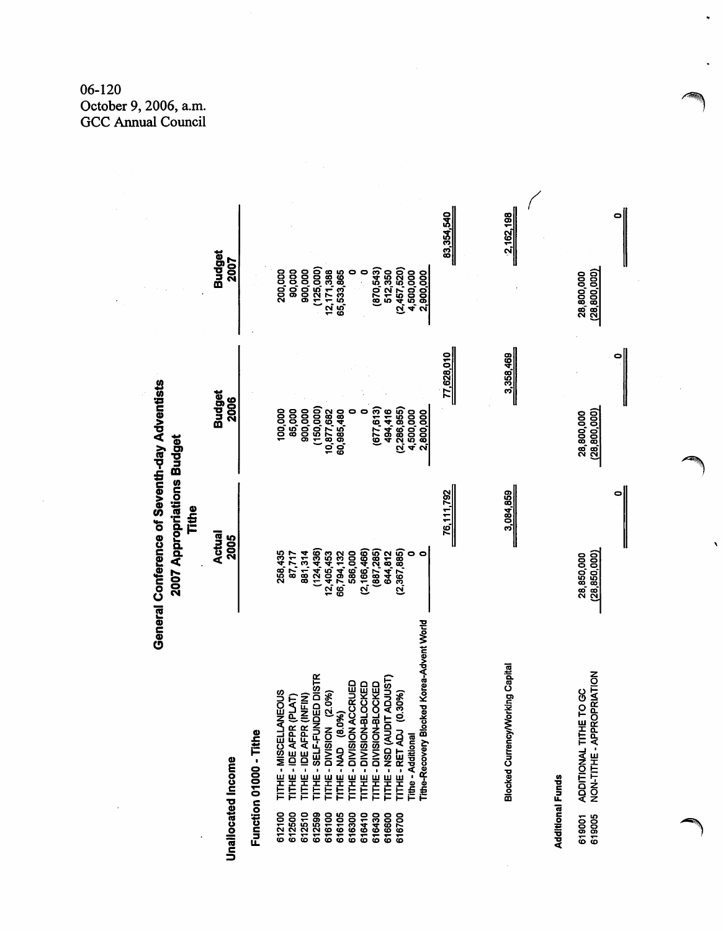## 06-120<br>October 9, 2006, a.m.<br>GCC Annual Council

|                                                                                            | <b>Budget</b><br><b>Z007</b> |                        | 90,000<br>900,000<br>200,000                                                                                             | (125,000)<br>12,171,388<br>65,533,865<br>0                                                                                                                 | (870,543)<br>(2,457,520)<br>512,350<br>4,500,000<br>0<br>2,900,000                                                                                                                                                       | 83,354,540<br>77,628,010 | 2,162,198<br>3,358,469                                      | 0<br>(28,800,000)<br>28,800,000                                         | 0 |
|--------------------------------------------------------------------------------------------|------------------------------|------------------------|--------------------------------------------------------------------------------------------------------------------------|------------------------------------------------------------------------------------------------------------------------------------------------------------|--------------------------------------------------------------------------------------------------------------------------------------------------------------------------------------------------------------------------|--------------------------|-------------------------------------------------------------|-------------------------------------------------------------------------|---|
|                                                                                            | <b>Budget</b><br>2006        |                        | 100,000<br>85,000<br>900,000                                                                                             | (150,000)<br>10,877,682<br>60,985,480                                                                                                                      | (677, 613)<br>(2,286,955)<br>494,416<br>4,500,000<br>2,800,000                                                                                                                                                           |                          |                                                             | (28,800,000)<br>28,800,000                                              |   |
| General Conference of Seventh-day Adventists<br>2007 Appropriations Budget<br><b>Tithe</b> | Actual<br>2005               |                        | 258,435<br>881,314<br>87,717                                                                                             | (124, 436)<br>586,000<br>12,405,453<br>66,794,132                                                                                                          | (2, 166, 466)<br>(887, 285)<br>(2,367,885)<br>644,812<br>0                                                                                                                                                               | 76,111,792               | 3,084,859                                                   | (28, 850, 000)<br>28,850,000                                            | 0 |
|                                                                                            | Unallocated Income           | Function 01000 - Tithe | <b>ANEOUS</b><br>(INFIN)<br>TITHE - IDE AFPR (PLAT)<br>TITHE - IDE AFPR<br>TITHE - MISCELL<br>612500<br>612100<br>612510 | <b>DED DISTR</b><br>TITHE - DIVISION ACCRUED<br>(2.0%)<br>TITHE-NAD (8.0%)<br>TITHE - SELF-FUN<br>TITHE - DIVISION<br>612599<br>616100<br>616105<br>616300 | Tithe-Recovery Blocked Korea-Advent World<br>TITHE - NSD (AUDIT ADJUST)<br>TITHE - RET ADJ (0.30%)<br>TITHE - DIVISION-BLOCKED<br>TITHE - DIVISION-BLOCKED<br>Tithe - Additional<br>616410<br>616430<br>616600<br>616700 |                          | Blocked Currency/Working Capital<br><b>Additional Funds</b> | NON-TITHE - APPROPRIATION<br>ADDITIONAL TITHE TO GC<br>619005<br>619001 |   |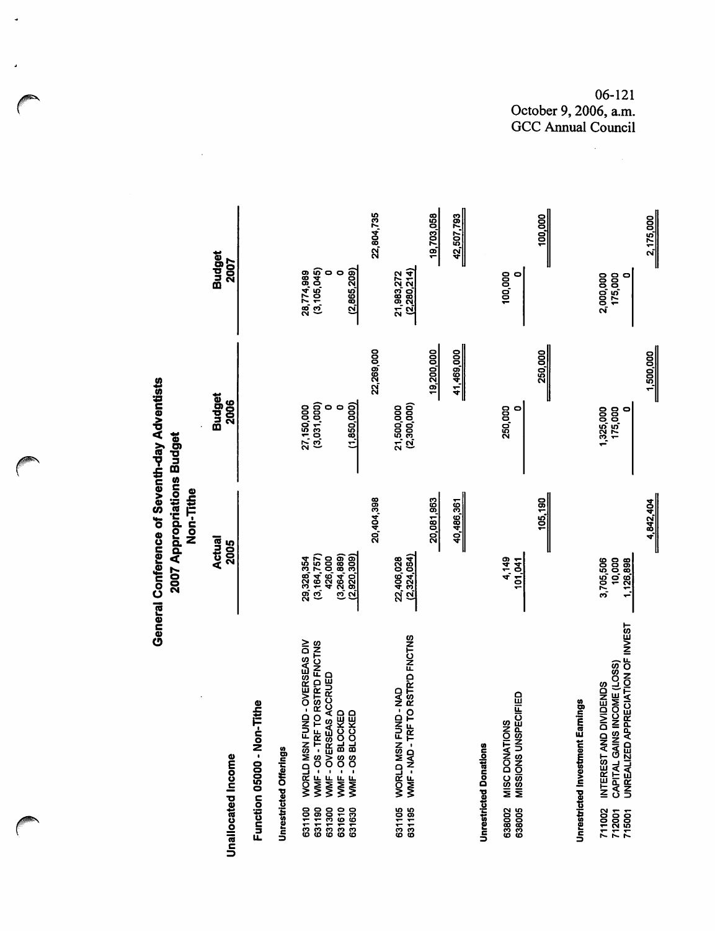06-121<br>October 9, 2006, a.m.<br>GCC Annual Council

 $\mathcal{L}$ 

|                                                |                                                                                                                         | General Conference of Seventh-day Adventists<br>2007 Appropriations Budget<br>Non-Tithe |                                                            |                                                            |
|------------------------------------------------|-------------------------------------------------------------------------------------------------------------------------|-----------------------------------------------------------------------------------------|------------------------------------------------------------|------------------------------------------------------------|
| Unallocated Income                             |                                                                                                                         | Actual<br>2005                                                                          | <b>Budget</b><br>2006                                      | <b>Budget</b><br>2007                                      |
|                                                | Function 05000 - Non-Tithe                                                                                              |                                                                                         |                                                            |                                                            |
|                                                | Unrestricted Offerings                                                                                                  |                                                                                         |                                                            |                                                            |
| 631100<br>631300<br>631190<br>631610<br>631630 | WORLD MSN FUND - OVERSEAS DIV<br>WMF-OS-TRFTO RSTR'D FNCTNS<br>WMF-OVERSEAS ACCRUED<br>WMF-OS BLOCKED<br>WMF-OS BLOCKED | (3,264,889)<br>(2,920,309)<br>(3, 164, 757)<br>426,000<br>29,328,354                    | (1,850,000)<br>(3,031,000)<br>$\bullet$<br>27,150,000<br>۰ | (2,865,209)<br>(3, 105, 045)<br>$\circ$<br>28,774,989<br>0 |
|                                                |                                                                                                                         | 20,404,398                                                                              | 22,269,000                                                 | 22,804,735                                                 |
| 631105<br>631195                               | WMF - NAD - TRF TO RSTR'D FNCTNS<br>DAN-ON<br>WORLD MSN FL                                                              | (2,324,064)<br>22,406,028                                                               | (2,300,000)<br>21,500,000                                  | (2,280,214)<br>21,983,272                                  |
|                                                |                                                                                                                         | 20,081,963                                                                              | 19,200,000                                                 | 19,703,058                                                 |
|                                                |                                                                                                                         | 40,486,361                                                                              | 41,469,000                                                 | 42,507,793                                                 |
|                                                | <b>Unrestricted Donations</b>                                                                                           |                                                                                         |                                                            |                                                            |
| 638002<br>638005                               | MISSIONS UNSPECIFIED<br>MISC DONATIONS                                                                                  | 4,149<br>101,041                                                                        | 250,000<br>$\bullet$                                       | 100,000<br>$\bullet$                                       |
|                                                |                                                                                                                         | 105,190                                                                                 | 250,000                                                    | 100,000                                                    |
|                                                | <b>Unrestricted Investment Earnings</b>                                                                                 |                                                                                         |                                                            |                                                            |
| 711002<br>712001<br>715001                     | UNREALIZED APPRECIATION OF INVEST<br>CAPITAL GAINS INCOME (LOSS)<br><b>DIVIDENDS</b><br>INTEREST AND                    | 10,000<br>3,705,506<br>1,126,898                                                        | 1,325,000<br>175,000<br>$\bullet$                          | 2,000,000<br>175,000<br>0                                  |
|                                                |                                                                                                                         | 4,842,404                                                                               | 1,500,000                                                  | $\frac{2,175,000}{1}$                                      |

 $\ddot{\phantom{0}}$ 

 $\sim 10^{-1}$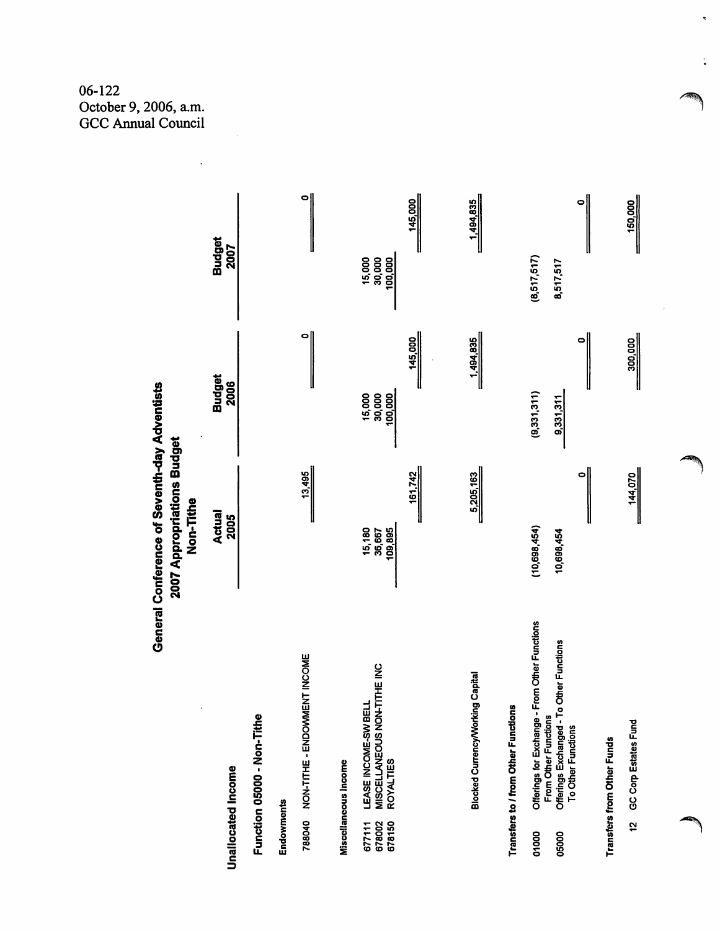$06 - 122$ Oo-122<br>October 9, 2006, a.m.<br>GCC Annual Council



 $\frac{1}{2}$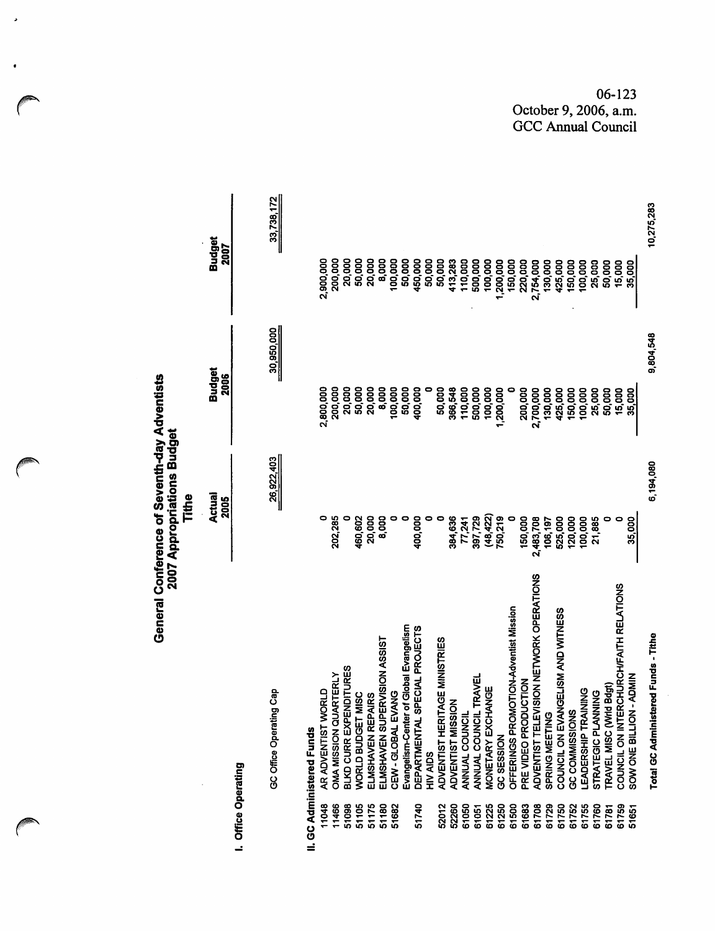|                                                                                            | <b>Budget</b><br>2007 | 33,738,172              |                           | 2,900,000                   | 200,000                        | 20,000                          | 50,000                        | 20,000                     | 8,000                                 | 100,000                   | 50,000                                    | 450,000<br>50,000                                  | 50,000                                                   | 413,283                    | 110,000                 | 500,000                        | 100,000                    | 1,200,000           | 150,000                                        | 220,000                       | 2,754,000                                        | 130,000                 | 425,000                                    | 150,000                 | 100,000                             | 25,000                      | 50,000                                       | 15,000                                          | 35,000                           | 10,275,283                          |
|--------------------------------------------------------------------------------------------|-----------------------|-------------------------|---------------------------|-----------------------------|--------------------------------|---------------------------------|-------------------------------|----------------------------|---------------------------------------|---------------------------|-------------------------------------------|----------------------------------------------------|----------------------------------------------------------|----------------------------|-------------------------|--------------------------------|----------------------------|---------------------|------------------------------------------------|-------------------------------|--------------------------------------------------|-------------------------|--------------------------------------------|-------------------------|-------------------------------------|-----------------------------|----------------------------------------------|-------------------------------------------------|----------------------------------|-------------------------------------|
|                                                                                            | <b>Budget</b><br>2006 | 30,950,000              |                           | 2,800,000                   | 200,000                        | 20,000                          | 50,000                        | 20,000                     | 8,000                                 | 100,000                   | 50,000                                    | 400,000                                            | 50,000                                                   | 366,548                    | 110,000                 | 500,000                        | 100,000                    | 1,200,000           |                                                | 200,000                       | 2,700,000                                        | 130,000                 | 425,000                                    | 150,000                 | 100,000                             | 25,000                      | 50,000                                       | 15,000                                          | 35,000                           | 9,804,548                           |
| General Conference of Seventh-day Adventists<br>2007 Appropriations Budget<br><b>Tithe</b> | Actual<br>2005        | 26,922,403              |                           | 0                           | 202,285                        | 0                               | 460,602                       | 20,000                     | 8,000                                 |                           | o                                         | 400,000                                            |                                                          | 384,636                    | 77,241                  | 397,729                        | (48, 422)                  | 750,219             | 0                                              | 150,000                       | 2,483,708                                        | 106,197                 | 525,000                                    | 120,000                 | 100,000                             | 21,885                      | 0                                            | $\circ$                                         | 35,000                           | 6,194,080                           |
|                                                                                            | I. Office Operating   | GC Office Operating Cap | II. GC Administered Funds | AR ADVENTIST WORLD<br>11048 | OMA MISSION QUARTERLY<br>11466 | BLKD CURR EXPENDITURES<br>51098 | MISC<br>WORLD BUDGET<br>51105 | ELMSHAVEN REPAIRS<br>51175 | ELMSHAVEN SUPERVISION ASSIST<br>51180 | CEW-GLOBAL EVANG<br>51682 | of Global Evangelism<br>Evangelism-Center | DEPARTMENTAL SPECIAL PROJECTS<br>HIV AIDS<br>51740 | <b>TAGE MINISTRIES</b><br><b>ADVENTIST HERI</b><br>52012 | ADVENTIST MISSION<br>52260 | ANNUAL COUNCIL<br>61050 | ANNUAL COUNCIL TRAVEL<br>61051 | MONETARY EXCHANGE<br>61225 | GC SESSION<br>61250 | OFFERINGS PROMOTION-Adventist Mission<br>61500 | PRE VIDEO PRODUCTION<br>61683 | ADVENTIST TELEVISION NETWORK OPERATIONS<br>61708 | SPRING MEETING<br>61729 | COUNCIL ON EVANGELISM AND WITNESS<br>61750 | GC COMMISSIONS<br>61752 | <b>LEADERSHIP TRAINING</b><br>61755 | STRATEGIC PLANNING<br>61760 | Id Bdgt)<br><b>TRAVEL MISC (Wrl</b><br>61781 | COUNCIL ON INTERCHURCH/FAITH RELATIONS<br>61759 | SOW ONE BILLION - ADMIN<br>51651 | Total GC Administered Funds - Tithe |

06-123<br>October 9, 2006, a.m.<br>GCC Annual Council

# $\equiv$

 $\bar{\phantom{a}}$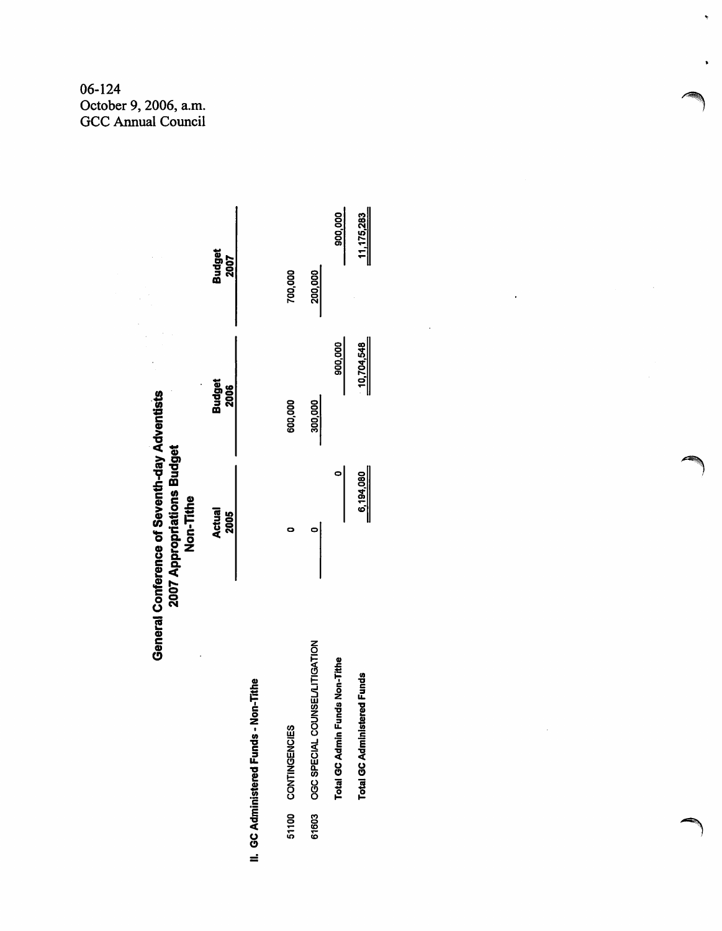## 06-124<br>October 9, 2006, a.m.<br>GCC Annual Council



ł,

 $\cdot$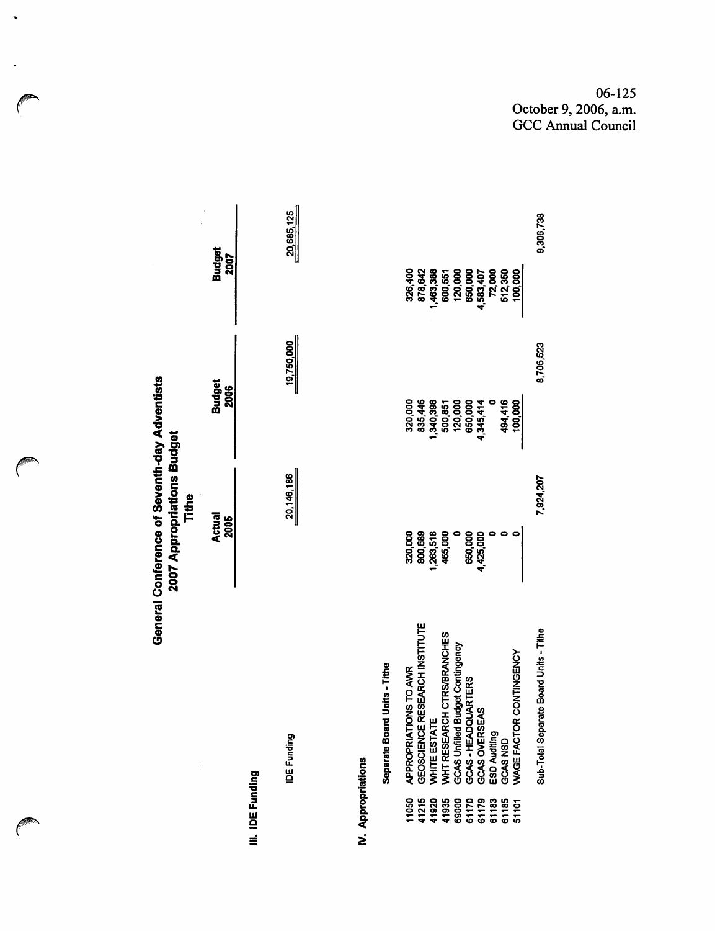$\frac{1}{2}$  $\frac{20,685,125}{20}$ Budget<br>2007 19,750,000 General Conference of Seventh-day Adventists<br>2007 Appropriations Budget<br>Tithe Budget<br>2006 20,146,186 Actual<br>2005 IDE Funding

III. IDE Funding

 $\ddot{\phantom{0}}$ 

## IV. Appropriations

|       | Separate Board Units - Tithe           |                      |                                            |                                                                                                                                                            |
|-------|----------------------------------------|----------------------|--------------------------------------------|------------------------------------------------------------------------------------------------------------------------------------------------------------|
| 11050 | APPROPRIATIONS TO AWR                  |                      | 320,000                                    | 326,400                                                                                                                                                    |
| 41215 | GEOSCIENCE RESEARCH INSTITUTE          | 320,000<br>800,689   |                                            | 878,642                                                                                                                                                    |
| 41920 | <b>WHITE ESTATE</b>                    |                      | 835,446<br>1,340,396                       |                                                                                                                                                            |
| 41935 | MHT RESEARCH CTRS/BRANCHES             | 1,263,518<br>465,000 |                                            |                                                                                                                                                            |
| 69000 | GCAS Unfilled Budget Contingency       |                      |                                            |                                                                                                                                                            |
| 61170 | GCAS-HEADQUARTERS                      | 650,000              |                                            |                                                                                                                                                            |
| 61179 | GCAS OVERSEAS                          | 1,425,000            | 500,851<br>120,000<br>650,000<br>4,345,414 |                                                                                                                                                            |
| 61183 | ESD Auditing                           |                      |                                            |                                                                                                                                                            |
| 61185 | GCAS NSD                               |                      |                                            |                                                                                                                                                            |
| 51101 | <b>VAGE FACTOR CONTINGENCY</b>         |                      | 494,416<br>100,000                         | $\begin{array}{r} 1,463,388 \\ 600,551 \\ 600,551 \\ 600,600 \\ 120,000 \\ 4,563,400 \\ 4,563,360 \\ 5,72,360 \\ 600,000 \\ 600,000 \\ \hline \end{array}$ |
|       | Sub-Total Separate Board Units - Tithe | 7,924,207            | ,706,523                                   | 9,306,738                                                                                                                                                  |

06-125<br>October 9, 2006, a.m.<br>GCC Annual Council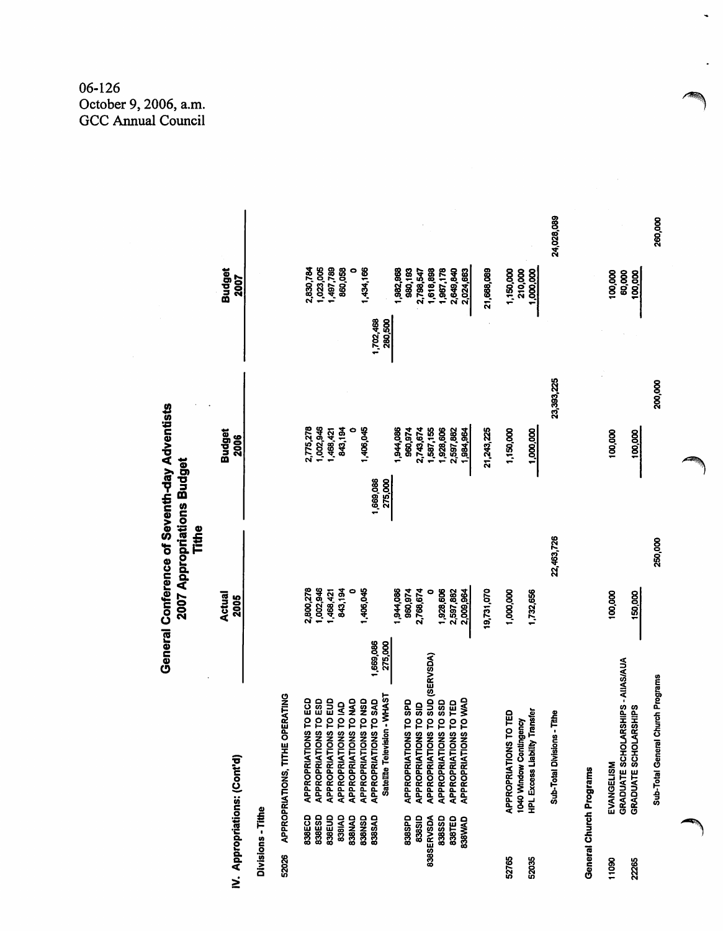## 06-126<br>October 9, 2006, a.m.<br>GCC Annual Council

|                              |                                                |                        | General Conference of Seventh-day Adventists<br>2007 Appropriations Budget<br>Tithe |                              |
|------------------------------|------------------------------------------------|------------------------|-------------------------------------------------------------------------------------|------------------------------|
| IV. Appropriations: (Cont'd) |                                                | Actual<br>2005         | <b>Budget</b><br>2006                                                               | <b>Budget</b><br><b>ZOO7</b> |
| Divisions - Tithe            |                                                |                        |                                                                                     |                              |
| 52026                        | OPERATING<br>APPROPRIATIONS, TITHE             |                        |                                                                                     |                              |
| 838ECD                       | <b>APPROPRIATIONS TO ECD</b>                   | 2,800,278              | 2,775,278                                                                           | 2,830,784                    |
| 838ESD                       | ISTO ESD<br>APPROPRIATION                      | 1,002,946              | 1,002,946                                                                           | 1,023,005                    |
| 838EUD                       | IS TO EUD<br>APPROPRIATION                     | 1,468,421              | ,468,421                                                                            | 1,497,789                    |
| 838IAD                       | APPROPRIATIONS TO IAD                          | 843,194                | 843,194                                                                             | 860,058                      |
| <b>GAM8E8</b>                | IS TO MAD<br>APPROPRIATION                     |                        |                                                                                     |                              |
| <b>GSN8C8</b>                | IS TO NSD<br>APPROPRIATION                     | 1,406,045              | 1,406,045                                                                           | 1,434,166                    |
| 838SAD                       | 1,669,086<br>APPROPRIATIONS TO SAD             |                        | 1,669,086                                                                           | 1,702,468                    |
|                              | 275,000<br>Satellite Television - WHAST        |                        | 275,000                                                                             | 280,500                      |
| 838SPD                       | IS TO SPD<br>APPROPRIATION                     | 1,944,086<br>960,974   | 1,944,086<br>960,974                                                                | 1,982,968<br>980,193         |
| 838SID                       | IS TO SID<br>APPROPRIATION                     |                        |                                                                                     |                              |
| 838SERVSDA                   | IS TO SUD (SERVSDA)<br>APPROPRIATION           | 2,768,674<br>$\bullet$ | 2,743,674<br>1,587,155                                                              | 2,798,547<br>1,618,898       |
| 838SSD                       | APPROPRIATIONS TO SSD                          | 1,928,506              | 1,928,606                                                                           | 1,967,178                    |
| 838TED                       | APPROPRIATIONS TO TED                          | 2,597,882              | 2,597,882                                                                           | 2,649,840                    |
| <b>B38WAD</b>                | STOWAD<br>APPROPRIATION                        | 2,009,964              | 1,984,964                                                                           | 2,024,663                    |
|                              |                                                |                        |                                                                                     |                              |
|                              |                                                | 19,731,070             | 21,243,225                                                                          | 21,668,089                   |
| 52765                        | TO TED<br>APPROPRIATIONS                       | 1,000,000              | 1,150,000                                                                           | 1,150,000                    |
|                              | 1040 Window Contingency                        |                        |                                                                                     | 210,000                      |
| 52035                        | <b>Transfer</b><br><b>HPL Excess Liability</b> | 1,732,656              | 1,000,000                                                                           | 1,000,000                    |
|                              | Sub-Total Divisions - Tithe                    | 22,463,726             | 23,393,225                                                                          | 24,028,089                   |
| General Church Programs      |                                                |                        |                                                                                     |                              |
| 11090                        | EVANGELISM                                     | 100,000                | 100,000                                                                             | 100,000                      |
|                              | GRADUATE SCHOLARSHIPS - AIIAS/AUA              |                        |                                                                                     | 60,000                       |
| 22265                        | <b>ARSHIPS</b><br>GRADUATE SCHOL               | 150,000                | 100,000                                                                             | 100,000                      |
|                              | Church Programs<br>Sub-Total General           | 250,000                | 200,000                                                                             | 260,000                      |
|                              |                                                |                        |                                                                                     |                              |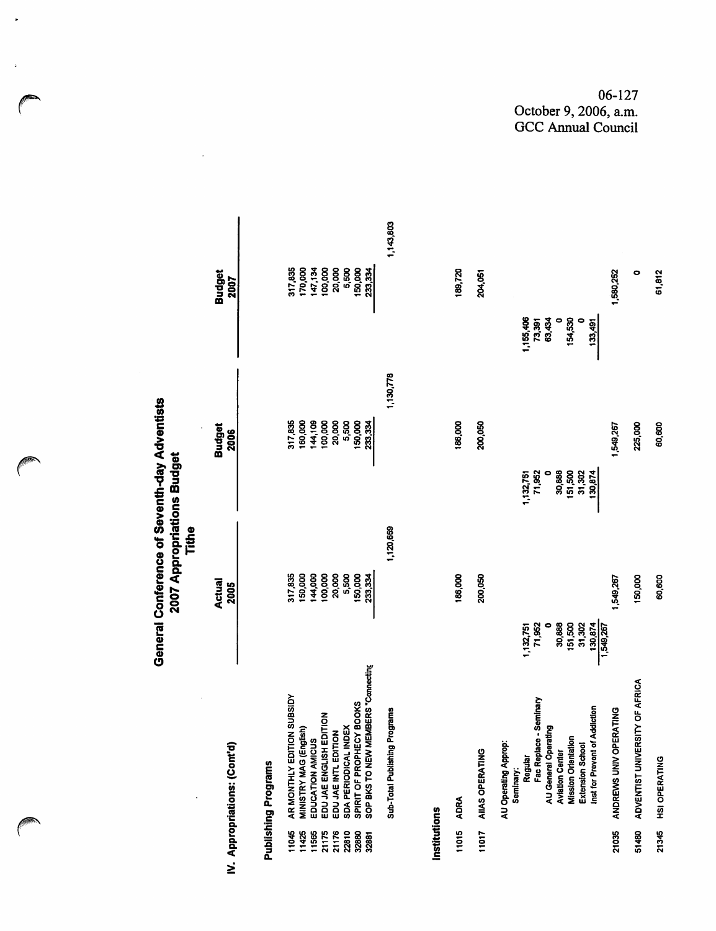|                                                                      |                                                                                                                                                                                                                       | General Conference of Seventh-day Adventists<br>2007 Appropriations Budget<br>Tithe |                                                                                   |                                                                                   |
|----------------------------------------------------------------------|-----------------------------------------------------------------------------------------------------------------------------------------------------------------------------------------------------------------------|-------------------------------------------------------------------------------------|-----------------------------------------------------------------------------------|-----------------------------------------------------------------------------------|
|                                                                      | IV. Appropriations: (Cont'd)                                                                                                                                                                                          | Actual<br>2005                                                                      | <b>Budget</b><br>2006                                                             | <b>Budget</b><br><b>Z007</b>                                                      |
|                                                                      | <b>Publishing Programs</b>                                                                                                                                                                                            |                                                                                     |                                                                                   |                                                                                   |
| 11565<br>21175<br>21176<br>11045<br>11425<br>22810<br>32880<br>32881 | SOP BKS TO NEW MEMBERS "Connecting<br>AR MONTHLY EDITION SUBSIDY<br>SPIRIT OF PROPHECY BOOKS<br>EDU JAE ENGLISH EDITION<br>SDA PERIODICAL INDEX<br>MINISTRY MAG (English)<br>EDU JAE INTL EDITION<br>EDUCATION AMICUS | 150,000<br>20,000<br>317,835<br>144,000<br>100,000<br>5,500<br>150,000<br>233,334   | 144,109<br>317,835<br>160,000<br>100,000<br>20,000<br>150,000<br>5,500<br>233,334 | 317,835<br>170,000<br>147,134<br>100,000<br>20,000<br>5,500<br>150,000<br>233,334 |
| Institutions                                                         | Sub-Total Publishing Programs                                                                                                                                                                                         | 1,120,669                                                                           | 1,130,778                                                                         | 1,143,803                                                                         |
| 11015                                                                | ADRA                                                                                                                                                                                                                  | 186,000                                                                             | 186,000                                                                           | 189,720                                                                           |
| 11017                                                                | AIIAS OPERATING                                                                                                                                                                                                       | 200,050                                                                             | 200,050                                                                           | 204,051                                                                           |
|                                                                      | Fac Replace - Seminary<br>Inst for Prevent of Addiction<br>AU General Operating<br><b>Mission Orientation</b><br>AU Operating Approp:<br>Extension School<br><b>Aviation Center</b><br>Regular<br>Seminary:           | 71,952<br>30,888<br>151,500<br>31,302<br>$\bullet$<br>130,874<br>1,132,751          | 71,952<br>30,888<br>151,500<br>31,302<br>130,874<br>1,132,751<br>0                | 1,155,406<br>154,530<br>63,434<br>0<br>$\bullet$<br>73,391<br>133,491             |
| 21035                                                                | ANDREWS UNIV OPERATING                                                                                                                                                                                                | 1,549,267                                                                           | 1,549,267                                                                         | 1,580,252                                                                         |
| 51480                                                                | ADVENTIST UNIVERSITY OF AFRICA                                                                                                                                                                                        | 150,000                                                                             | 225,000                                                                           | $\bullet$                                                                         |
| 21345                                                                | <b>HSI OPERATING</b>                                                                                                                                                                                                  | 60,600                                                                              | 60,600                                                                            | 61,812                                                                            |

 $\ddot{\phantom{1}}$ 

## 06-127<br>October 9, 2006, a.m.<br>GCC Annual Council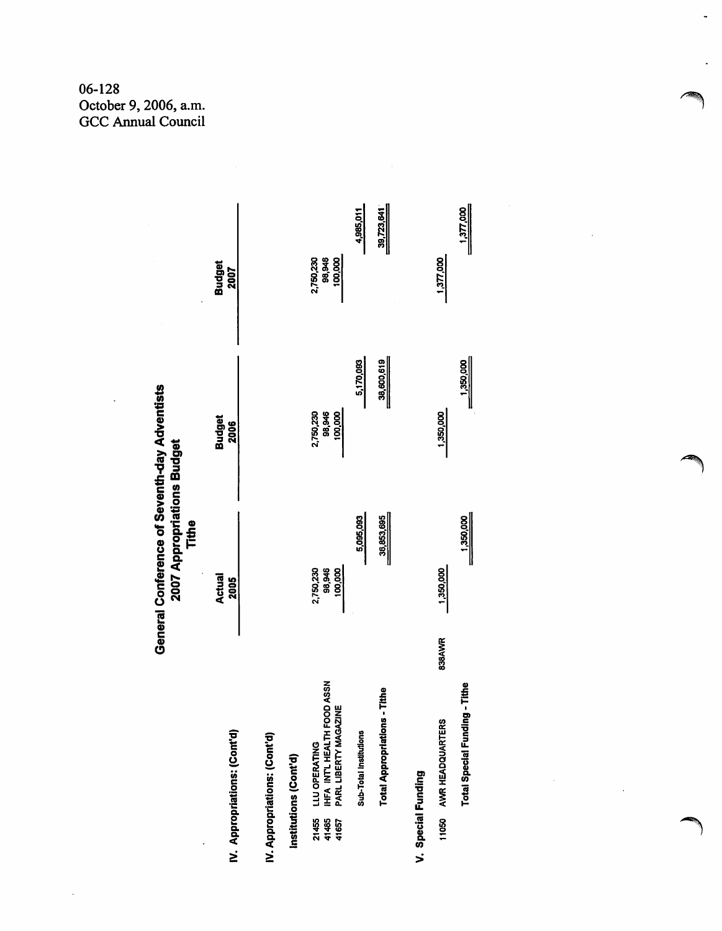## 06-128<br>October 9, 2006, a.m.<br>GCC Annual Council



 $\hat{\boldsymbol{\beta}}$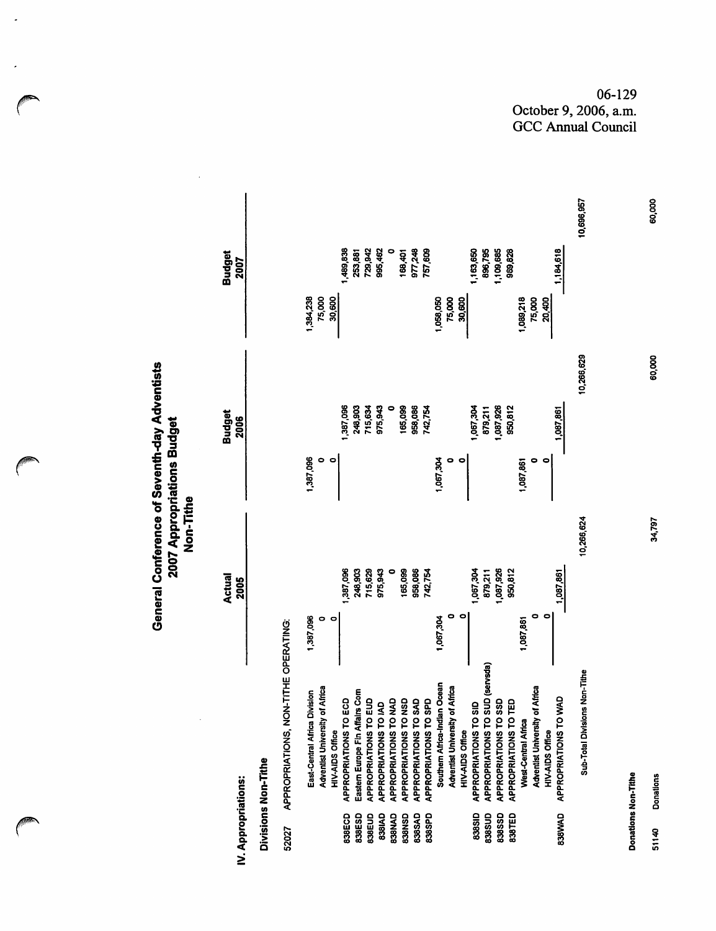|                     |                                                     | <b>Non-line</b> |                       |                              |
|---------------------|-----------------------------------------------------|-----------------|-----------------------|------------------------------|
| . Appropriations:   |                                                     | Actual<br>2005  | <b>Budget</b><br>2006 | <b>Budget</b><br><b>Z007</b> |
|                     | Divisions Non-Tithe                                 |                 |                       |                              |
| 52027               | APPROPRIATIONS, NON-TITHE OPERATING:                |                 |                       |                              |
|                     | 1,387,096<br><b>Division</b><br>East-Central Africa |                 | 1,387,096             | 1,384,238                    |
|                     | of Africa<br>Adventist University                   | 0               | 0                     | 75,000                       |
|                     | <b>HIV-AIDS Office</b>                              | $\circ$         | $\circ$               | 30,600                       |
| 838ECD              | 60<br>APPROPRIATIONS TO                             | 1,387,096       | 1,387,096             | 1,489,838                    |
| 838ESD              | Eastern Europe Fin Affairs Com                      | 248,903         | 248,903               | 253,881                      |
| <b>GJBEUD</b>       | EUD<br><b>APPROPRIATIONS TO</b>                     | 715,629         | 715,634               | 729,942                      |
| 838IAD              | å<br><b>APPROPRIATIONS TO</b>                       | 975,943         | 975,943               | 995,462                      |
| DANAD               | QAD<br><b>APPROPRIATIONS TO</b>                     | $\bullet$       |                       |                              |
| <b>Q38NSD</b>       | <b>OSN</b><br><b>APPROPRIATIONS TO</b>              | 165,099         | 165,099               | 168,401                      |
| <b>B38SAD</b>       | APPROPRIATIONS TO SAD                               | 958,086         | 958,086               | 977,248                      |
| 838SPD              | APPROPRIATIONS TO SPD                               | 742,754         | 742,754               | 757,609                      |
|                     | 1,067,304<br>Southern Africa-Indian Ocean           |                 | 1,067,304             | 1,058,050                    |
|                     | of Africa<br>Adventist University                   |                 |                       | 75,000                       |
|                     | HIV-AIDS Office                                     | 0               | 0                     | 30,600                       |
| 838SID              | $\frac{1}{5}$<br>APPROPRIATIONS TO                  | 1,067,304       | 067,304               | 1,163,650                    |
| <b>003850</b>       | APPROPRIATIONS TO SUD (servsda)                     | 879,211         | 879,211               | 896,795                      |
| 838SSD              | APPROPRIATIONS TO SSD                               | 1,087,926       | 1,087,926             | 1,109,685                    |
| 838TED              | APPROPRIATIONS TO TED                               | 950,812         | 950,812               | 969,828                      |
|                     | 1,087,861<br>West-Central Africa                    |                 | 1,087,861             | 1,089,218                    |
|                     | of Africa<br>Adventist University                   | 0               | 0                     | 75,000                       |
|                     | HIV-AIDS Office                                     | ۰               | 0                     | 20,400                       |
| <b>B38WAD</b>       | <b>OWN</b><br>APPROPRIATIONS TO                     | 1,087,861       | 1,087,861             | 1,184,618                    |
|                     | Sub-Total Divisions Non-Tithe                       | 10,266,624      | 10,266,629            | 10,696,957                   |
|                     |                                                     |                 |                       |                              |
| Donations Non-Tithe |                                                     |                 |                       |                              |

General Conference of Seventh-day Adventists<br>2007 Appropriations Budget<br>Non-Tithe

 $\ddot{\phantom{a}}$ 

 $N.A$ 

06-129<br>October 9, 2006, a.m.<br>GCC Annual Council

51140

**Donations** 

60,000

60,000

34,797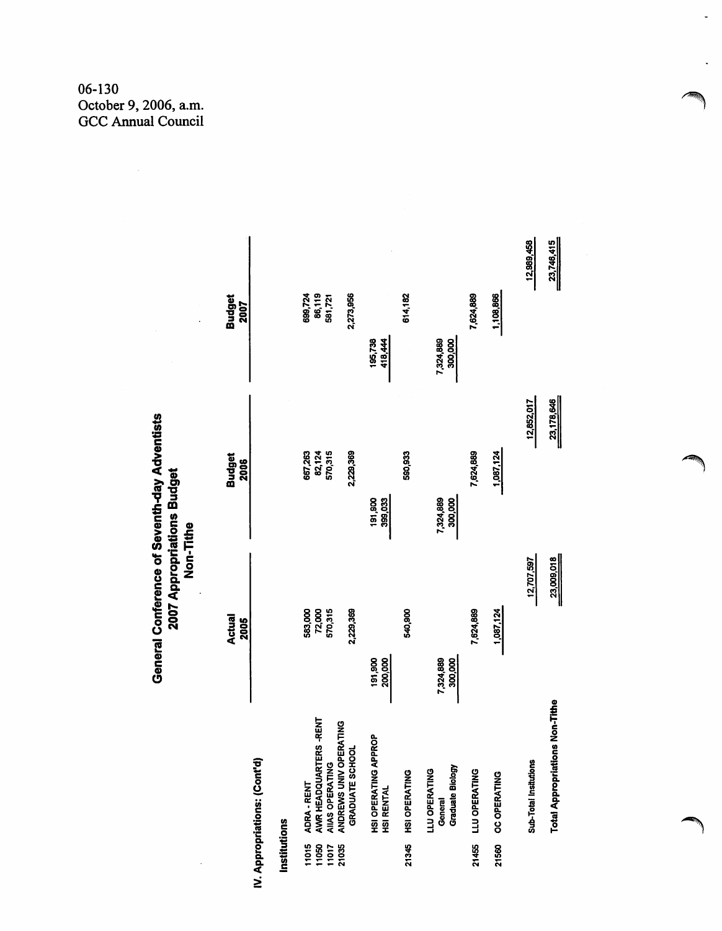## 06-130<br>October 9, 2006, a.m.<br>GCC Annual Council

|                         |                                                         |                              | General Conference of Seventh-day Adventists<br>2007 Appropriations Budget<br>Non-Tithe |                              |
|-------------------------|---------------------------------------------------------|------------------------------|-----------------------------------------------------------------------------------------|------------------------------|
|                         |                                                         | Actual<br>2005               | <b>Budget</b><br>2006                                                                   | <b>Budget</b><br><b>Z007</b> |
|                         | IV. Appropriations: (Cont'd                             |                              |                                                                                         |                              |
| Institutions            |                                                         |                              |                                                                                         |                              |
| 11015<br>11050<br>11017 | AVVR HEADQUARTERS -RENT<br>AIIAS OPERATING<br>ADRA-RENT | 583,000<br>72,000<br>570,315 | 82,124<br>570,315<br>667,263                                                            | 699,724<br>86,119<br>581,721 |
| 21035                   | ANDREWS UNIV OPERATING<br>GRADUATE SCHOOL               | 2,229,369                    | 2,229,369                                                                               | 2,273,956                    |
|                         | HSI OPERATING APPROP<br><b>HSI RENTAL</b>               | 191,900<br>200,000           | 191,900<br>399,033                                                                      | 195,738<br>418,444           |
| 21345                   | <b>HSI OPERATING</b>                                    | 540,900                      | 590,933                                                                                 | 614,182                      |
|                         | Graduate Biology<br>LLU OPERATING<br>General            | 7,324,889<br>300,000         | 7,324,889<br>300,000                                                                    | 7,324,889<br>300,000         |
| 21455                   | LLU OPERATING                                           | 7,624,889                    | 7,624,889                                                                               | 7,624,889                    |
| 21560                   | <b>OC OPERATING</b>                                     | 1,087,124                    | 1,087,124                                                                               | 1,108,866                    |
|                         | Sub-Total Institutions                                  | 12,707,597                   | 12,852,017                                                                              | 12,989,458                   |
|                         | <b>Total Appropriations Non-Tithe</b>                   | 23,009,018                   | 23,178,646                                                                              | 23,746,415                   |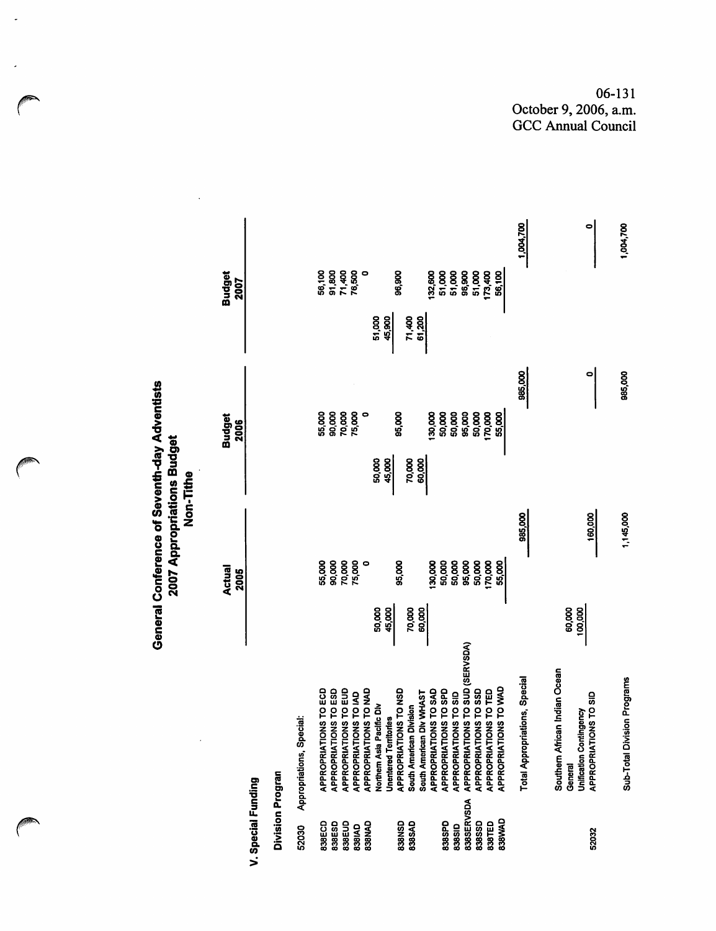|                    |                                                                 | 2007 Appropriations bucga<br>Non-Tithe |                       |                              |
|--------------------|-----------------------------------------------------------------|----------------------------------------|-----------------------|------------------------------|
|                    |                                                                 | Actual<br>2005                         | <b>Budget</b><br>2006 | <b>Budget</b><br><b>Z007</b> |
| V. Special Funding |                                                                 |                                        |                       |                              |
| Division Progran   |                                                                 |                                        |                       |                              |
| 52030              | Appropriations, Special:                                        |                                        |                       |                              |
| <b>838ECD</b>      | ONS TO ECD<br>APPROPRIATI                                       | 55,000                                 | 55,000                | 56,100                       |
| 838ESD             | APPROPRIATIONS TO ESD                                           | 90,000                                 | 90,000                | 91,800<br>71,400             |
| 838EUD             | ONS TO EUD<br>APPROPRIATI                                       | 70,000                                 | 70,000                |                              |
| 838IAD             | <b>APPROPRIATIONS TO IAD</b>                                    | 75,000                                 | 75,000                | 76,500                       |
| <b>DANAGEG</b>     | ONS TO NAD<br>APPROPRIATI                                       | 0                                      | ¢                     | ۰                            |
|                    | 50,000<br>Northern Asia Pacific Div                             |                                        | 50,000                | 51,000                       |
|                    | 45,000<br><b>Unentered Territories</b>                          |                                        | 45,000                | 45,900                       |
| <b>B38NSD</b>      | APPROPRIATIONS TO NSD                                           | 95,000                                 | 95,000                | 96,900                       |
| 838SAD             | 70,000<br>South American Division                               |                                        | 70,000                | 71,400                       |
|                    | 60,000<br>South American Div WHAST                              |                                        | 60,000                | 132,600<br>61,200            |
|                    | APPROPRIATIONS TO SAD                                           | 130,000                                | 50,000<br>130,000     | 51,000                       |
| 838SPD             | ONS TO SPD<br>APPROPRIATI                                       | 50,000                                 |                       |                              |
| 838SID             | APPROPRIATIONS TO SID                                           | 50,000                                 | 50,000                | 51,000                       |
| 838SERVSDA         | APPROPRIATIONS TO SUD (SERVSDA)                                 | 95,000                                 | 95,000                | 96,900                       |
| <b>838SSD</b>      | APPROPRIATIONS TO SSD                                           | 50,000                                 | 50,000                | 51,000                       |
| <b>B38TED</b>      | <b>APPROPRIATIONS TO TED</b>                                    | 170,000                                | 170,000               | 173,400                      |
| <b>QAVV8E8</b>     | APPROPRIATIONS TO WAD                                           | 55,000                                 | 55,000                | 56,100                       |
|                    | iations, Special<br>Total Appropr                               | 985,000                                | 985,000               | 1,004,700                    |
|                    | Southern African Indian Ocean                                   |                                        |                       |                              |
|                    | 60,000<br>General                                               |                                        |                       |                              |
| 52032              | 100,000<br>ONS TO SID<br>Unification Contingency<br>APPROPRIATI | 160,000                                | $\bullet$             | 0                            |
|                    |                                                                 |                                        |                       |                              |
|                    | Sub-Total Division Programs                                     | 1,145,000                              | 985,000               | 1,004,700                    |
|                    |                                                                 |                                        |                       |                              |

**General Conference of Seventh-day Adventists**<br>2007 Appropriations Budget

 $\ddot{\phantom{a}}$ 

06-131<br>October 9, 2006, a.m.<br>GCC Annual Council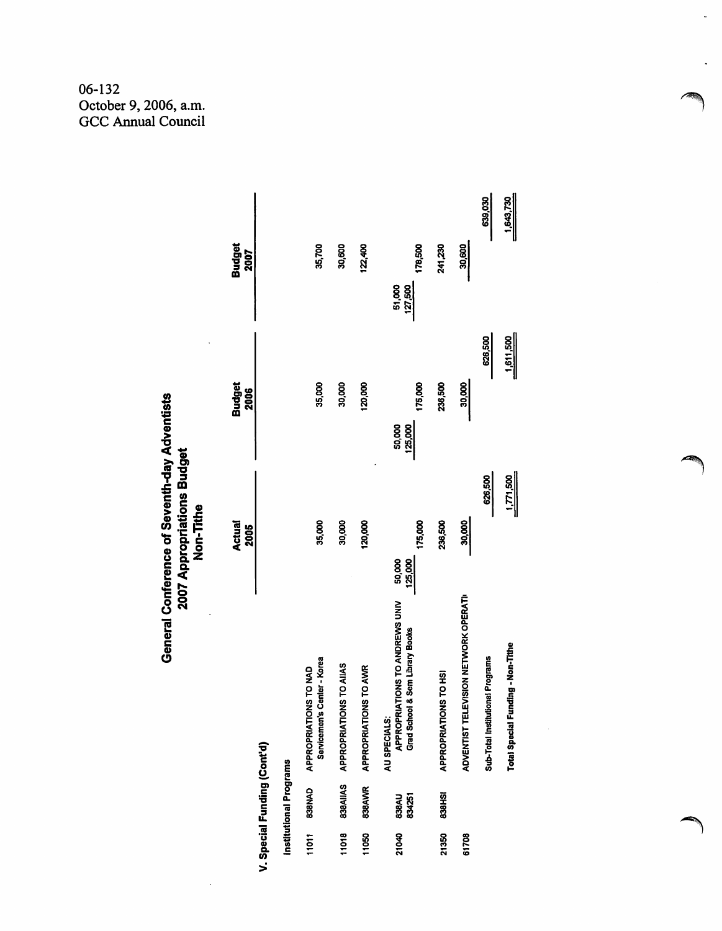## 06-132<br>October 9, 2006, a.m.<br>GCC Annual Council

|       |                             |                                                                                                       | General Conference of Seventh-day Adventists<br>2007 Appropriations Budget<br>Non-Tithe |                              |                              |
|-------|-----------------------------|-------------------------------------------------------------------------------------------------------|-----------------------------------------------------------------------------------------|------------------------------|------------------------------|
|       |                             |                                                                                                       | <b>Actual</b><br>2005                                                                   | <b>Budget</b><br>2006        | <b>Budget</b><br><b>2007</b> |
|       | V. Special Funding (Cont'd) |                                                                                                       |                                                                                         |                              |                              |
|       | Institutional Programs      |                                                                                                       |                                                                                         |                              |                              |
| 11011 | <b>B38NAD</b>               | Servicemen's Center - Korea<br>APPROPRIATIONS TO NAD                                                  | 35,000                                                                                  | 35,000                       | 35,700                       |
| 11018 | BAIIAS                      | APPROPRIATIONS TO AIIAS                                                                               | 30,000                                                                                  | 30,000                       | 30,600                       |
| 11050 | 838AVVR                     | <b>IONS TO AVVR</b><br>APPROPRIAT                                                                     | 120,000                                                                                 | 120,000                      | 122,400                      |
| 21040 | 834251<br><b>B38AU</b>      | 50,000<br>125,000<br>APPROPRIATIONS TO ANDREWS UNIV<br>Grad School & Sem Library Books<br>AU SPECIALS | 175,000                                                                                 | 175,000<br>50,000<br>125,000 | 178,500<br>51,000<br>127,500 |
| 21350 | 838HSI                      | APPROPRIATIONS TO HSI                                                                                 | 236,500                                                                                 | 236,500                      | 241,230                      |
| 61708 |                             | ELEVISION NETWORK OPERATI<br><b>ADVENTIST T</b>                                                       | 30,000                                                                                  | 30,000                       | 30,600                       |
|       |                             | Sub-Total Institutional Programs                                                                      | 626,500                                                                                 | 626,500                      | 639,030                      |
|       |                             | Funding - Non-Tithe<br><b>Total Special</b>                                                           | 1,771,500                                                                               | 1,611,500                    | 1,643,730                    |
|       |                             |                                                                                                       |                                                                                         |                              |                              |

 $\ddot{\phantom{a}}$ 

 $\hat{\mathcal{A}}$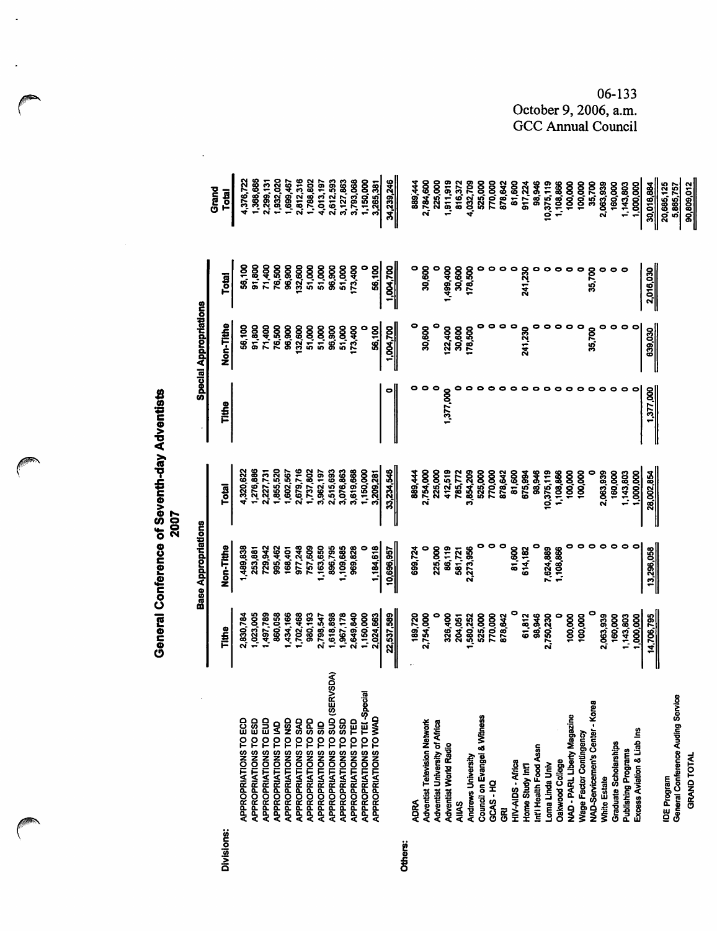|                |                                       |            | <b>Base Appropriations</b> |            |           | <b>Special Appropriations</b> |           |                       |
|----------------|---------------------------------------|------------|----------------------------|------------|-----------|-------------------------------|-----------|-----------------------|
| Divisions:     |                                       | Tithe      | Non-Tithe                  | Total      | Tithe     | Non-Tithe                     | Total     | Grand<br><b>Total</b> |
|                | APPROPRIATIONS TO ECD                 | 2,830,784  | 1,489,838                  | 4,320,622  |           | 56,100                        | 56,100    | 4,376,722             |
|                | APPROPRIATIONS TO ESD                 | 1,023,005  | 253,881                    | 1,276,886  |           | 91,800                        | 91,800    | 1,368,686             |
|                | APPROPRIATIONS TO EUD                 | 1,497,789  | 729,942                    | 2,227,731  |           | 71,400                        | 71,400    | 2,299,131             |
|                | APPROPRIATIONS TO IAD                 | 860,058    | 995,462                    | 1,855,520  |           | 76,500                        | 76,500    | 1,932,020             |
|                | <b>APPROPRIATIONS TO NSD</b>          | 1,434,166  | 168,401                    | 1,602,567  |           | 96,900                        | 96,900    | 1,699,467             |
|                | APPROPRIATIONS TO SAD                 | 1,702,468  | 977,248                    | 2,679,716  |           | 132,600                       | 132,600   | 2,812,316             |
|                | APPROPRIATIONS TO SPD                 | 980,193    | 757,609                    | 1,737,802  |           | 51,000                        | 51,000    | 1,788,802             |
|                | APPROPRIATIONS TO SID                 | 2,798,547  | 1,163,650                  | 3,962,197  |           | 51,000                        | 51,000    | 4,013,197             |
|                | APPROPRIATIONS TO SUD (SERVSDA)       | 1,618,898  | 896,795                    | 2,515,693  |           | 96,900                        | 96,900    | 2,612,593             |
|                | APPROPRIATIONS TO SSD                 | 1,967,178  | 1,109,685                  | 3,076,863  |           | 51,000                        | 51,000    | 3,127,863             |
|                | APPROPRIATIONS TO TED                 | 2,649,840  | 969,828                    | 3,619,668  |           | 173,400                       | 173,400   | 3,793,068             |
|                | APPROPRIATIONS TO TEL-Special         | 1,150,000  |                            | 1,150,000  |           |                               |           | 1,150,000             |
|                | APPROPRIATIONS TO WAD                 | 2,024,563  | 1,184,618                  | 3,209,281  |           | 56,100                        | 56,100    | 3,265,381             |
|                |                                       | 22,537,589 | 10,696,957                 | 33,234,546 | c         | 1,004,700                     | 1,004,700 | 34,239,246            |
| <b>Others:</b> |                                       |            |                            |            |           |                               |           |                       |
|                | ADRA                                  | 189,720    | 699,724                    | 889,444    |           | o                             |           | 889,444               |
|                | <b>Adventist Television Network</b>   | 2,754,000  |                            | 2,754,000  |           | 30,600                        | 30,600    | 2,784,600             |
|                | <b>Adventist University of Africa</b> |            | 225,000                    | 225,000    |           |                               |           | 225,000               |
|                | <b>Adventist World Radio</b>          | 326,400    | 86,119                     | 412,519    | 1,377,000 | 122,400                       | 1,499,400 | 1,911,919             |
|                | AIIAS                                 | 204,051    | 581,721                    | 785,772    |           | 30,600                        | 30,600    | 816,372               |
|                | Andrews University                    | 1,580,252  | 2,273,956                  | 3,854,209  |           | 178,500                       | 178,500   | 4,032,709             |
|                | Council on Evangel & Witness          | 525,000    |                            | 525,000    |           |                               |           | 525,000               |
|                | GCAS-HQ                               | 770,000    |                            | 770,000    |           |                               |           | 770,000               |
|                | දි                                    | 878,642    |                            | 878,642    |           |                               |           | 878,642               |
|                | HIV-AIDS - Africa                     | 0          | 81,600                     | 81,600     |           |                               |           | 81,600                |
|                | Home Study Int'l                      | 61,812     | 614,182                    | 675,994    |           | 241,230                       | 241,230   | 917,224               |
|                | Int'l Health Food Assn                | 98,946     |                            | 98,946     |           |                               |           | 98,946                |
|                | Loma Linda Univ                       | 2,750,230  | 7,624,889                  | 10,375,119 |           |                               |           | 10,375,119            |
|                | <b>Oakwood College</b>                |            | 1,108,866                  | 1,108,866  |           |                               |           | 1,108,866             |
|                | <b>NAD - PARL Liberty Magazine</b>    | 100,000    |                            | 100,000    |           |                               |           | 100,000               |
|                | Wage Factor Contingency               | 100,000    |                            | 100,000    |           | c                             |           | 100,000               |
|                | NAD-Servicemen's Center - Korea       |            |                            |            |           | 35,700                        | 35,700    | 35,700                |
|                | White Estate                          | 2,063,939  |                            | 2,063,939  |           |                               |           | 2,063,939             |
|                | Graduate Scholarships                 | 160,000    |                            | 160,000    |           |                               |           | 160,000               |
|                | Publishing Programs                   | 1,143,803  |                            | 1,143,803  |           |                               |           | 1,143,803             |
|                | Excess Aviation & Liab Ins            | 1,000,000  |                            | 1,000,000  |           |                               |           | 1,000,000             |
|                |                                       | 14,706,795 | 13,296,058                 | 28,002,854 | 1,377,000 | 639,030                       | 2,016,030 | 30,018,884            |
|                | <b>IDE Program</b>                    |            |                            |            |           |                               |           | 20,685,125            |
|                | General Conference Auding Service     |            |                            |            |           |                               |           | 5,865,757             |
|                | <b>GRAND TOTAL</b>                    |            |                            |            |           |                               |           | 90,809,012            |

General Conference of Seventh-day Adventists<br>2007

06-133<br>October 9, 2006, a.m.<br>GCC Annual Council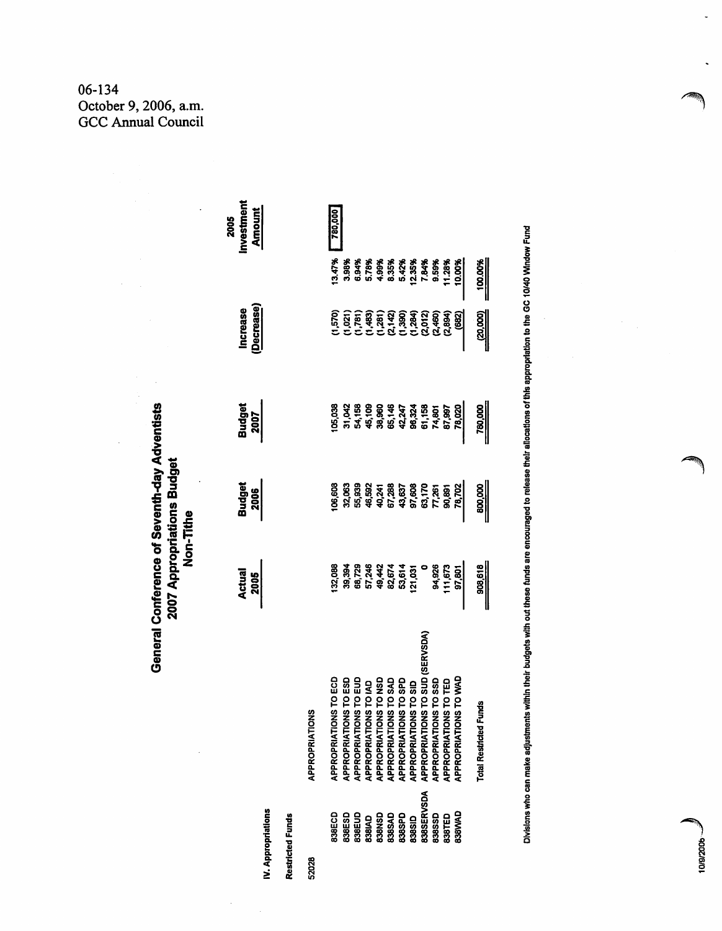## 06-134<br>October 9, 2006, a.m.<br>GCC Annual Council

General Conference of Seventh-day Adventists

 $\bar{\gamma}$ 

 $\hat{\mathcal{L}}$ 

|                         |                                                          | 2007 Appropriations Budget<br>Non-Tithe |                |                                                            |                                                                  |                                |                              |
|-------------------------|----------------------------------------------------------|-----------------------------------------|----------------|------------------------------------------------------------|------------------------------------------------------------------|--------------------------------|------------------------------|
|                         |                                                          | Actual<br>2005                          | Budget<br>2006 | Budget<br>2007                                             | (Decrease)<br><b>Increase</b>                                    |                                | Investment<br>Amount<br>2005 |
| IV. Appropriations      |                                                          |                                         |                |                                                            |                                                                  |                                |                              |
| <b>Restricted Funds</b> |                                                          |                                         |                |                                                            |                                                                  |                                |                              |
| 52028                   | APPROPRIATIONS                                           |                                         |                |                                                            |                                                                  |                                |                              |
| 838ECD                  | APPROPRIATIONS TO ECD                                    | 132,088                                 | 106,608        | 105,038                                                    |                                                                  | 13.47%                         | 780,000                      |
| 838ESD                  | APPROPRIATIONS TO ESD                                    | 39,394                                  | 32,063         |                                                            | (1570)<br>1503<br>1710)                                          | 3.98%                          |                              |
| 838EUD                  | APPROPRIATIONS TO EUD                                    | 68,729                                  | 55,939         | 31,042<br>54,158                                           |                                                                  |                                |                              |
| 838IAD                  | <b>APPROPRIATIONS TO IAD</b>                             | 57,246                                  | 46,592         | 45,109<br>38,960<br>65,146                                 |                                                                  | 84%<br>5.78%<br>5.78%<br>6.35% |                              |
| <b>G38NSD</b>           | APPROPRIATIONS TO NSD                                    | 49,442<br>82,674                        | 40,241         |                                                            |                                                                  |                                |                              |
| 838SAD                  | <b>APPROPRIATIONS TO SAD<br/>APPROPRIATIONS TO SPD</b>   |                                         | 67,288         |                                                            |                                                                  |                                |                              |
| <b>B38SPD</b>           |                                                          | 53,614                                  | 43,637         | 42,247                                                     |                                                                  | 5.42%                          |                              |
| 838SID                  | APPROPRIATIONS TO SID<br>APPROPRIATIONS TO SUD (SERVSDA) | 121,031                                 | 97,608         | 96,324<br>61,158                                           | <b>826284848454848484848484848484848484</b><br>12262548484845454 | 12.35%                         |                              |
| 838SERVSDA              |                                                          |                                         | 63,170         |                                                            |                                                                  | 7.84%                          |                              |
| <b>B38SSD</b>           | <b>APPROPRIATIONS TO SSD</b>                             | 94,926                                  | 77,261         | 74,801                                                     |                                                                  | 9.59%                          |                              |
| <b>B38TED</b>           | <b>TONS TO TED</b><br><b>APPROPRIAT</b>                  | 111,673                                 | 90,891         | 87,997                                                     |                                                                  | 11.28%                         |                              |
| <b>OAVABE8</b>          | <b>TONS TO WAD</b><br>APPROPRIAT                         | 97,801                                  | 78,702         | 78,020                                                     | (682)                                                            | 10.00%                         |                              |
|                         | <b>Total Restricted Funds</b>                            | <b>908,618</b>                          | <b>800,000</b> | $\begin{array}{c}\n 0.000 \\ \hline\n 0.000\n \end{array}$ | (20,000)                                                         | $\frac{88}{2}$                 |                              |
|                         |                                                          |                                         |                |                                                            |                                                                  |                                |                              |

Divisions who can make adjustments with their budgets with out these funds are encouraged to release their allocations of this appropriation to the GC 10/40 Window Fund

10/9/2006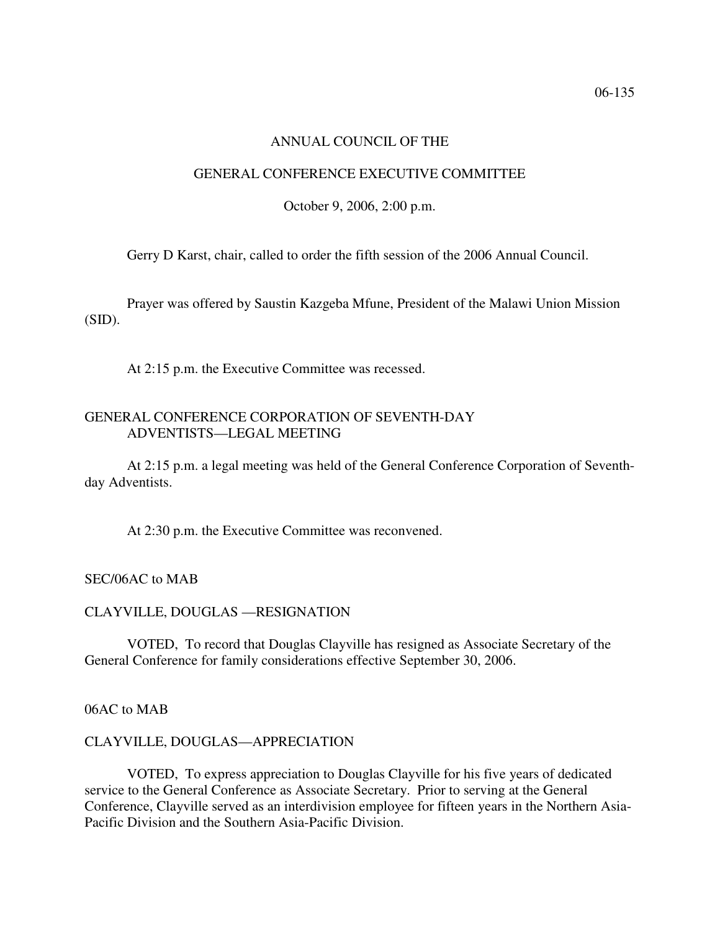#### ANNUAL COUNCIL OF THE

#### GENERAL CONFERENCE EXECUTIVE COMMITTEE

October 9, 2006, 2:00 p.m.

Gerry D Karst, chair, called to order the fifth session of the 2006 Annual Council.

 Prayer was offered by Saustin Kazgeba Mfune, President of the Malawi Union Mission  $(SID)$ .

At 2:15 p.m. the Executive Committee was recessed.

#### GENERAL CONFERENCE CORPORATION OF SEVENTH-DAY ADVENTISTS—LEGAL MEETING

 At 2:15 p.m. a legal meeting was held of the General Conference Corporation of Seventhday Adventists.

At 2:30 p.m. the Executive Committee was reconvened.

#### SEC/06AC to MAB

#### CLAYVILLE, DOUGLAS —RESIGNATION

 VOTED, To record that Douglas Clayville has resigned as Associate Secretary of the General Conference for family considerations effective September 30, 2006.

06AC to MAB

#### CLAYVILLE, DOUGLAS—APPRECIATION

 VOTED, To express appreciation to Douglas Clayville for his five years of dedicated service to the General Conference as Associate Secretary. Prior to serving at the General Conference, Clayville served as an interdivision employee for fifteen years in the Northern Asia-Pacific Division and the Southern Asia-Pacific Division.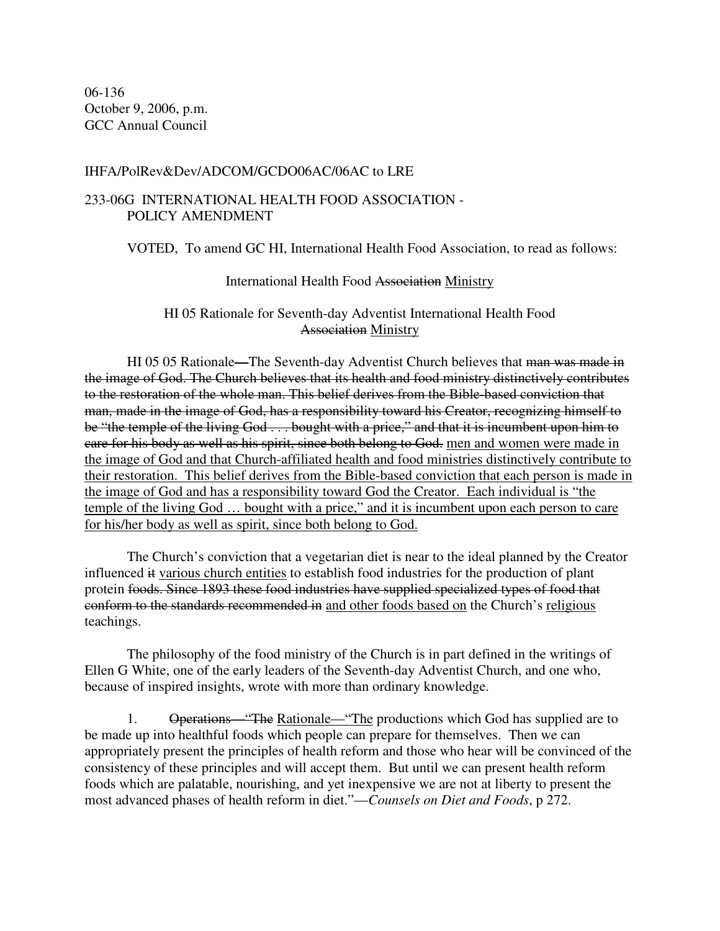06-136 October 9, 2006, p.m. GCC Annual Council

## IHFA/PolRev&Dev/ADCOM/GCDO06AC/06AC to LRE

### 233-06G INTERNATIONAL HEALTH FOOD ASSOCIATION - POLICY AMENDMENT

VOTED, To amend GC HI, International Health Food Association, to read as follows:

### International Health Food Association Ministry

## HI 05 Rationale for Seventh-day Adventist International Health Food Association Ministry

HI 05 05 Rationale**—**The Seventh-day Adventist Church believes that man was made in the image of God. The Church believes that its health and food ministry distinctively contributes to the restoration of the whole man. This belief derives from the Bible-based conviction that man, made in the image of God, has a responsibility toward his Creator, recognizing himself to be "the temple of the living God . . . bought with a price," and that it is incumbent upon him to care for his body as well as his spirit, since both belong to God. men and women were made in the image of God and that Church-affiliated health and food ministries distinctively contribute to their restoration. This belief derives from the Bible-based conviction that each person is made in the image of God and has a responsibility toward God the Creator. Each individual is "the temple of the living God … bought with a price," and it is incumbent upon each person to care for his/her body as well as spirit, since both belong to God.

The Church's conviction that a vegetarian diet is near to the ideal planned by the Creator influenced it various church entities to establish food industries for the production of plant protein foods. Since 1893 these food industries have supplied specialized types of food that conform to the standards recommended in and other foods based on the Church's religious teachings.

The philosophy of the food ministry of the Church is in part defined in the writings of Ellen G White, one of the early leaders of the Seventh-day Adventist Church, and one who, because of inspired insights, wrote with more than ordinary knowledge.

1. Operations "The Rationale—"The productions which God has supplied are to be made up into healthful foods which people can prepare for themselves. Then we can appropriately present the principles of health reform and those who hear will be convinced of the consistency of these principles and will accept them. But until we can present health reform foods which are palatable, nourishing, and yet inexpensive we are not at liberty to present the most advanced phases of health reform in diet."—*Counsels on Diet and Foods*, p 272.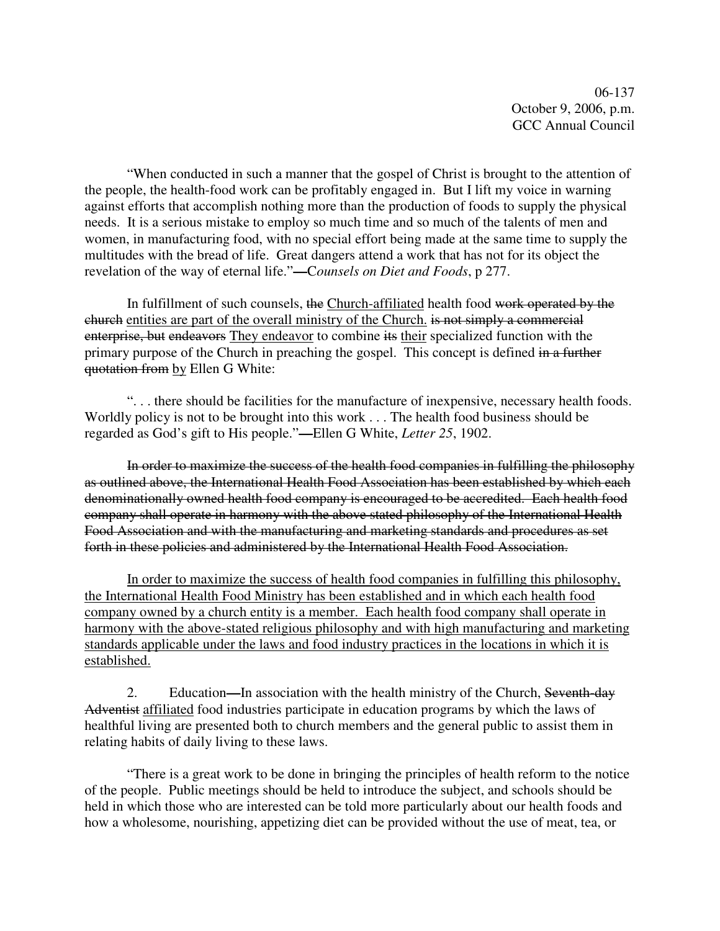06-137 October 9, 2006, p.m. GCC Annual Council

"When conducted in such a manner that the gospel of Christ is brought to the attention of the people, the health-food work can be profitably engaged in. But I lift my voice in warning against efforts that accomplish nothing more than the production of foods to supply the physical needs. It is a serious mistake to employ so much time and so much of the talents of men and women, in manufacturing food, with no special effort being made at the same time to supply the multitudes with the bread of life. Great dangers attend a work that has not for its object the revelation of the way of eternal life."**—**C*ounsels on Diet and Foods*, p 277.

In fulfillment of such counsels, the Church-affiliated health food work operated by the church entities are part of the overall ministry of the Church. is not simply a commercial enterprise, but endeavors They endeavor to combine its their specialized function with the primary purpose of the Church in preaching the gospel. This concept is defined in a further quotation from by Ellen G White:

". . . there should be facilities for the manufacture of inexpensive, necessary health foods. Worldly policy is not to be brought into this work . . . The health food business should be regarded as God's gift to His people."**—**Ellen G White, *Letter 25*, 1902.

In order to maximize the success of the health food companies in fulfilling the philosophy as outlined above, the International Health Food Association has been established by which each denominationally owned health food company is encouraged to be accredited. Each health food company shall operate in harmony with the above stated philosophy of the International Health Food Association and with the manufacturing and marketing standards and procedures as set forth in these policies and administered by the International Health Food Association.

In order to maximize the success of health food companies in fulfilling this philosophy, the International Health Food Ministry has been established and in which each health food company owned by a church entity is a member. Each health food company shall operate in harmony with the above-stated religious philosophy and with high manufacturing and marketing standards applicable under the laws and food industry practices in the locations in which it is established.

 2. Education**—**In association with the health ministry of the Church, Seventh-day Adventist affiliated food industries participate in education programs by which the laws of healthful living are presented both to church members and the general public to assist them in relating habits of daily living to these laws.

"There is a great work to be done in bringing the principles of health reform to the notice of the people. Public meetings should be held to introduce the subject, and schools should be held in which those who are interested can be told more particularly about our health foods and how a wholesome, nourishing, appetizing diet can be provided without the use of meat, tea, or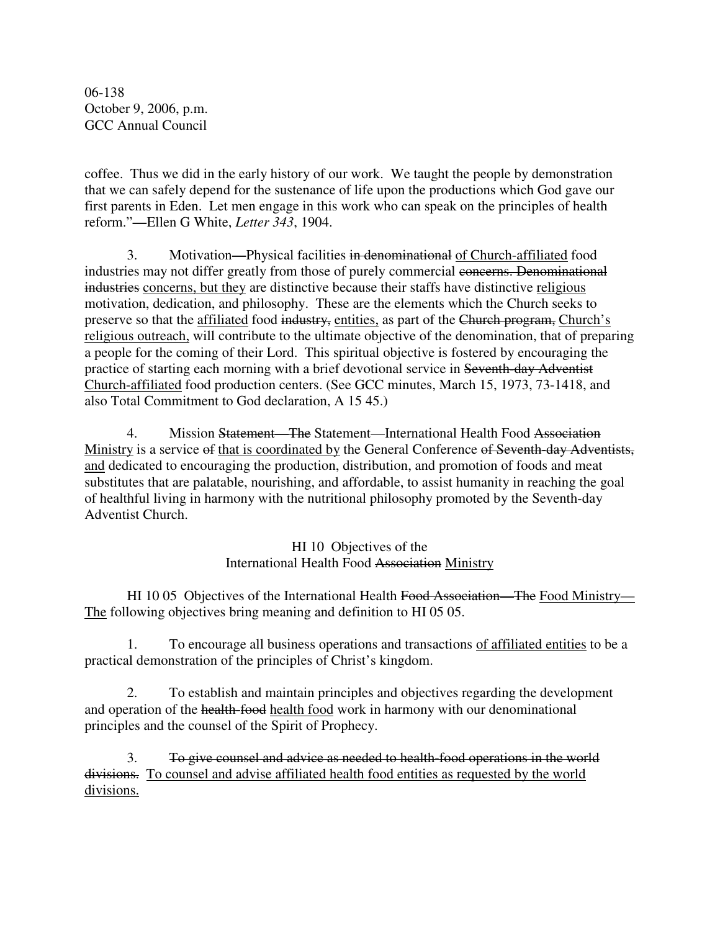06-138 October 9, 2006, p.m. GCC Annual Council

coffee. Thus we did in the early history of our work. We taught the people by demonstration that we can safely depend for the sustenance of life upon the productions which God gave our first parents in Eden. Let men engage in this work who can speak on the principles of health reform."**—**Ellen G White, *Letter 343*, 1904.

 3. Motivation**—**Physical facilities in denominational of Church-affiliated food industries may not differ greatly from those of purely commercial concerns. Denominational industries concerns, but they are distinctive because their staffs have distinctive religious motivation, dedication, and philosophy. These are the elements which the Church seeks to preserve so that the affiliated food industry, entities, as part of the Church program, Church's religious outreach, will contribute to the ultimate objective of the denomination, that of preparing a people for the coming of their Lord. This spiritual objective is fostered by encouraging the practice of starting each morning with a brief devotional service in Seventh-day Adventist Church-affiliated food production centers. (See GCC minutes, March 15, 1973, 73-1418, and also Total Commitment to God declaration, A 15 45.)

 4. Mission Statement—The Statement—International Health Food Association Ministry is a service of that is coordinated by the General Conference of Seventh-day Adventists, and dedicated to encouraging the production, distribution, and promotion of foods and meat substitutes that are palatable, nourishing, and affordable, to assist humanity in reaching the goal of healthful living in harmony with the nutritional philosophy promoted by the Seventh-day Adventist Church.

# HI 10 Objectives of the International Health Food Association Ministry

HI 10 05 Objectives of the International Health Food Association**—**The Food Ministry— The following objectives bring meaning and definition to HI 05 05.

 1. To encourage all business operations and transactions of affiliated entities to be a practical demonstration of the principles of Christ's kingdom.

 2. To establish and maintain principles and objectives regarding the development and operation of the health-food health food work in harmony with our denominational principles and the counsel of the Spirit of Prophecy.

 3. To give counsel and advice as needed to health-food operations in the world divisions. To counsel and advise affiliated health food entities as requested by the world divisions.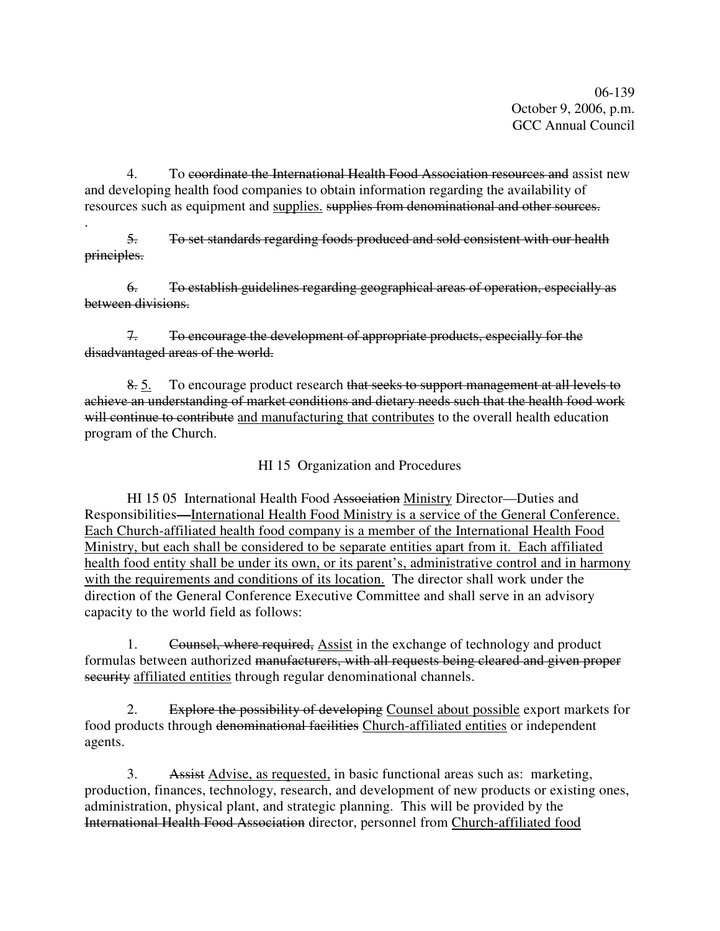06-139 October 9, 2006, p.m. GCC Annual Council

 4. To coordinate the International Health Food Association resources and assist new and developing health food companies to obtain information regarding the availability of resources such as equipment and supplies. supplies from denominational and other sources.

. 5. To set standards regarding foods produced and sold consistent with our health principles.

 6. To establish guidelines regarding geographical areas of operation, especially as between divisions.

 7. To encourage the development of appropriate products, especially for the disadvantaged areas of the world.

8. 5. To encourage product research that seeks to support management at all levels to achieve an understanding of market conditions and dietary needs such that the health food work will continue to contribute and manufacturing that contributes to the overall health education program of the Church.

HI 15 Organization and Procedures

HI 15 05 International Health Food Association Ministry Director—Duties and Responsibilities**—**International Health Food Ministry is a service of the General Conference. Each Church-affiliated health food company is a member of the International Health Food Ministry, but each shall be considered to be separate entities apart from it. Each affiliated health food entity shall be under its own, or its parent's, administrative control and in harmony with the requirements and conditions of its location.The director shall work under the direction of the General Conference Executive Committee and shall serve in an advisory capacity to the world field as follows:

 1. Counsel, where required, Assist in the exchange of technology and product formulas between authorized <del>manufacturers, with all requests being cleared and given proper</del> security affiliated entities through regular denominational channels.

2. Explore the possibility of developing Counsel about possible export markets for food products through denominational facilities Church-affiliated entities or independent agents.

 3. Assist Advise, as requested, in basic functional areas such as: marketing, production, finances, technology, research, and development of new products or existing ones, administration, physical plant, and strategic planning. This will be provided by the International Health Food Association director, personnel from Church-affiliated food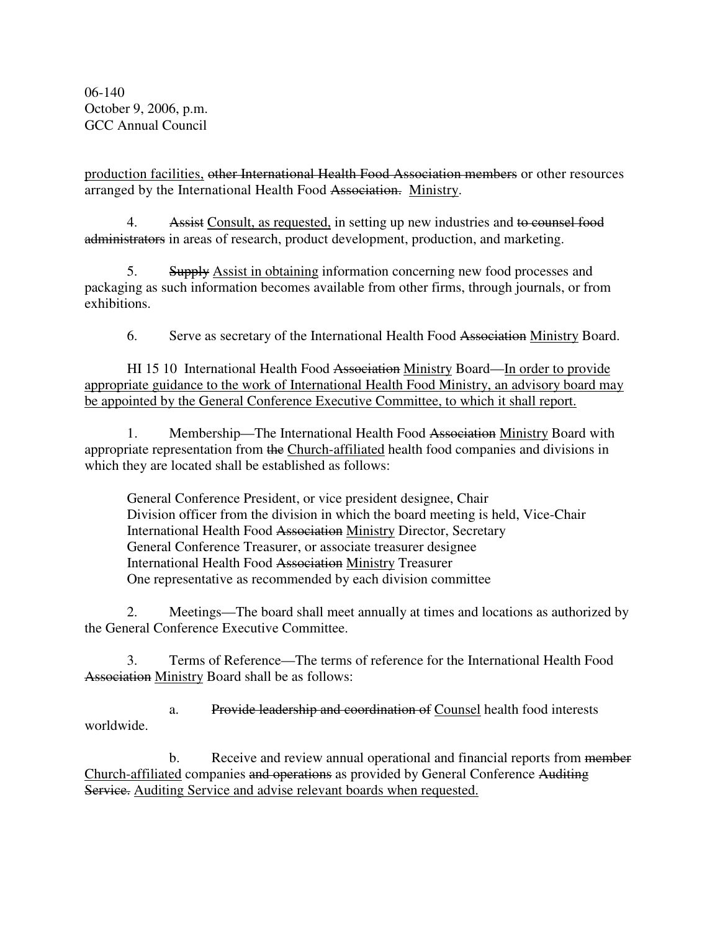06-140 October 9, 2006, p.m. GCC Annual Council

production facilities, other International Health Food Association members or other resources arranged by the International Health Food Association. Ministry.

4. Assist Consult, as requested, in setting up new industries and to counsel food administrators in areas of research, product development, production, and marketing.

 5. Supply Assist in obtaining information concerning new food processes and packaging as such information becomes available from other firms, through journals, or from exhibitions.

6. Serve as secretary of the International Health Food Association Ministry Board.

HI 15 10 International Health Food Association Ministry Board—In order to provide appropriate guidance to the work of International Health Food Ministry, an advisory board may be appointed by the General Conference Executive Committee, to which it shall report.

 1. Membership—The International Health Food Association Ministry Board with appropriate representation from the Church-affiliated health food companies and divisions in which they are located shall be established as follows:

 General Conference President, or vice president designee, Chair Division officer from the division in which the board meeting is held, Vice-Chair International Health Food Association Ministry Director, Secretary General Conference Treasurer, or associate treasurer designee International Health Food Association Ministry Treasurer One representative as recommended by each division committee

 2. Meetings—The board shall meet annually at times and locations as authorized by the General Conference Executive Committee.

 3. Terms of Reference—The terms of reference for the International Health Food Association Ministry Board shall be as follows:

 a. Provide leadership and coordination of Counsel health food interests worldwide.

 b. Receive and review annual operational and financial reports from member Church-affiliated companies and operations as provided by General Conference Auditing Service. Auditing Service and advise relevant boards when requested.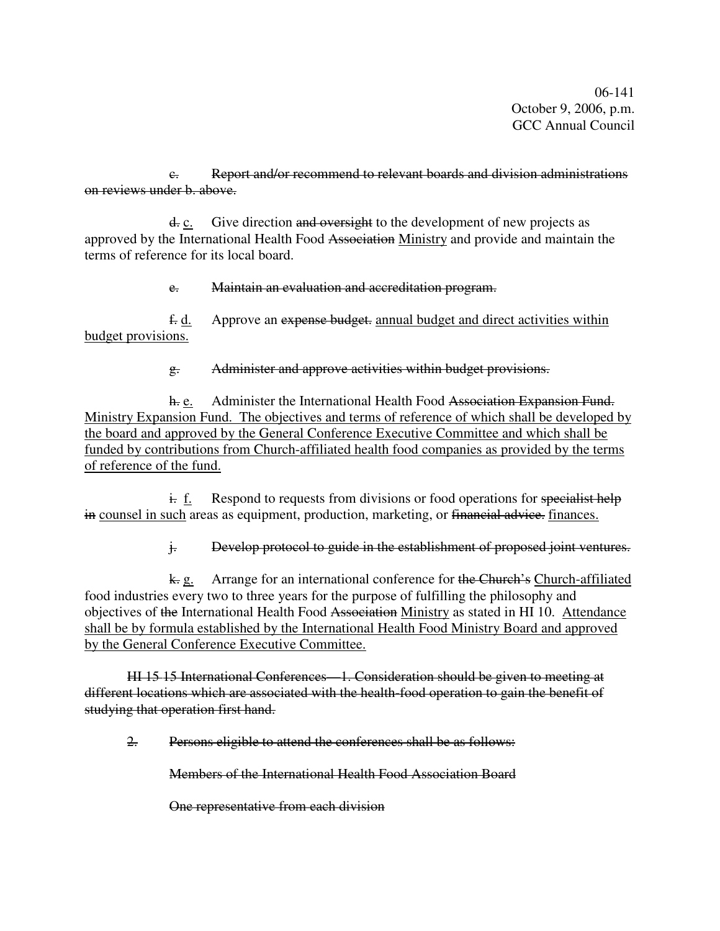06-141 October 9, 2006, p.m. GCC Annual Council

 c. Report and/or recommend to relevant boards and division administrations on reviews under b. above.

 d. c. Give direction and oversight to the development of new projects as approved by the International Health Food Association Ministry and provide and maintain the terms of reference for its local board.

e. Maintain an evaluation and accreditation program.

 $f{f}$ . Approve an expense budget, annual budget and direct activities within budget provisions.

g. Administer and approve activities within budget provisions.

h. e. Administer the International Health Food Association Expansion Fund. Ministry Expansion Fund. The objectives and terms of reference of which shall be developed by the board and approved by the General Conference Executive Committee and which shall be funded by contributions from Church-affiliated health food companies as provided by the terms of reference of the fund.

 $\frac{1}{2}$  f. Respond to requests from divisions or food operations for specialist help in counsel in such areas as equipment, production, marketing, or financial advice. finances.

j. Develop protocol to guide in the establishment of proposed joint ventures.

 $k$ , g. Arrange for an international conference for the Church's Church-affiliated food industries every two to three years for the purpose of fulfilling the philosophy and objectives of the International Health Food Association Ministry as stated in HI 10. Attendance shall be by formula established by the International Health Food Ministry Board and approved by the General Conference Executive Committee.

HI 15 15 International Conferences—1. Consideration should be given to meeting at different locations which are associated with the health-food operation to gain the benefit of studying that operation first hand.

2. Persons eligible to attend the conferences shall be as follows:

Members of the International Health Food Association Board

One representative from each division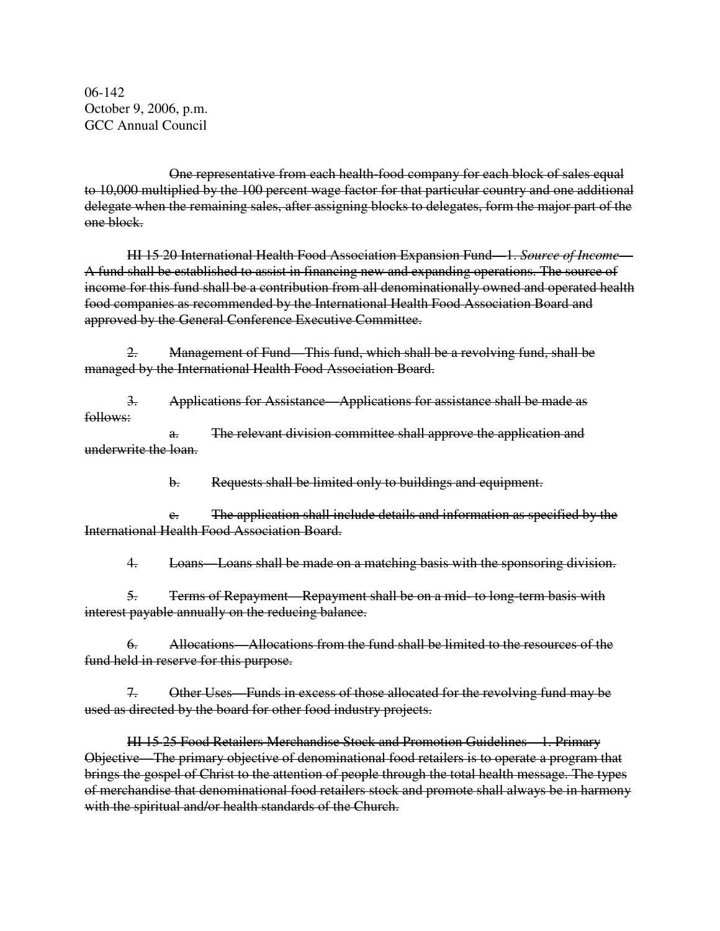06-142 October 9, 2006, p.m. GCC Annual Council

One representative from each health-food company for each block of sales equal to 10,000 multiplied by the 100 percent wage factor for that particular country and one additional delegate when the remaining sales, after assigning blocks to delegates, form the major part of the one block.

HI 15 20 International Health Food Association Expansion Fund**—**1. *Source of Income***—** A fund shall be established to assist in financing new and expanding operations. The source of income for this fund shall be a contribution from all denominationally owned and operated health food companies as recommended by the International Health Food Association Board and approved by the General Conference Executive Committee.

 2. Management of Fund—This fund, which shall be a revolving fund, shall be managed by the International Health Food Association Board.

 3. Applications for Assistance—Applications for assistance shall be made as follows:

 a. The relevant division committee shall approve the application and underwrite the loan.

b. Requests shall be limited only to buildings and equipment.

 c. The application shall include details and information as specified by the International Health Food Association Board.

4. Loans—Loans shall be made on a matching basis with the sponsoring division.

 5. Terms of Repayment—Repayment shall be on a mid- to long-term basis with interest payable annually on the reducing balance.

 6. Allocations—Allocations from the fund shall be limited to the resources of the fund held in reserve for this purpose.

 7. Other Uses—Funds in excess of those allocated for the revolving fund may be used as directed by the board for other food industry projects.

HI 15 25 Food Retailers Merchandise Stock and Promotion Guidelines**—**1. Primary Objective—The primary objective of denominational food retailers is to operate a program that brings the gospel of Christ to the attention of people through the total health message. The types of merchandise that denominational food retailers stock and promote shall always be in harmony with the spiritual and/or health standards of the Church.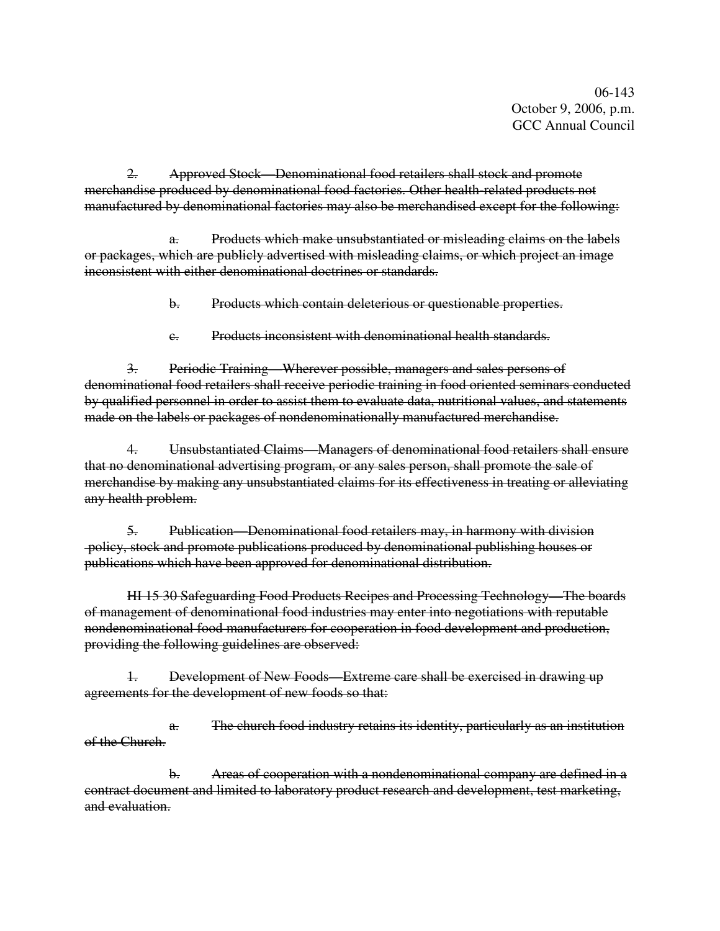06-143 October 9, 2006, p.m. GCC Annual Council

 2. Approved Stock—Denominational food retailers shall stock and promote merchandise produced by denominational food factories. Other health-related products not manufactured by denominational factories may also be merchandised except for the following:

 a. Products which make unsubstantiated or misleading claims on the labels or packages, which are publicly advertised with misleading claims, or which project an image inconsistent with either denominational doctrines or standards.

b. Products which contain deleterious or questionable properties.

c. Products inconsistent with denominational health standards.

 3. Periodic Training—Wherever possible, managers and sales persons of denominational food retailers shall receive periodic training in food oriented seminars conducted by qualified personnel in order to assist them to evaluate data, nutritional values, and statements made on the labels or packages of nondenominationally manufactured merchandise.

 4. Unsubstantiated Claims—Managers of denominational food retailers shall ensure that no denominational advertising program, or any sales person, shall promote the sale of merchandise by making any unsubstantiated claims for its effectiveness in treating or alleviating any health problem.

5. Publication—Denominational food retailers may, in harmony with division policy, stock and promote publications produced by denominational publishing houses or publications which have been approved for denominational distribution.

HI 15 30 Safeguarding Food Products Recipes and Processing Technology**—**The boards of management of denominational food industries may enter into negotiations with reputable nondenominational food manufacturers for cooperation in food development and production, providing the following guidelines are observed:

 1. Development of New Foods—Extreme care shall be exercised in drawing up agreements for the development of new foods so that:

 a. The church food industry retains its identity, particularly as an institution of the Church.

 b. Areas of cooperation with a nondenominational company are defined in a contract document and limited to laboratory product research and development, test marketing, and evaluation.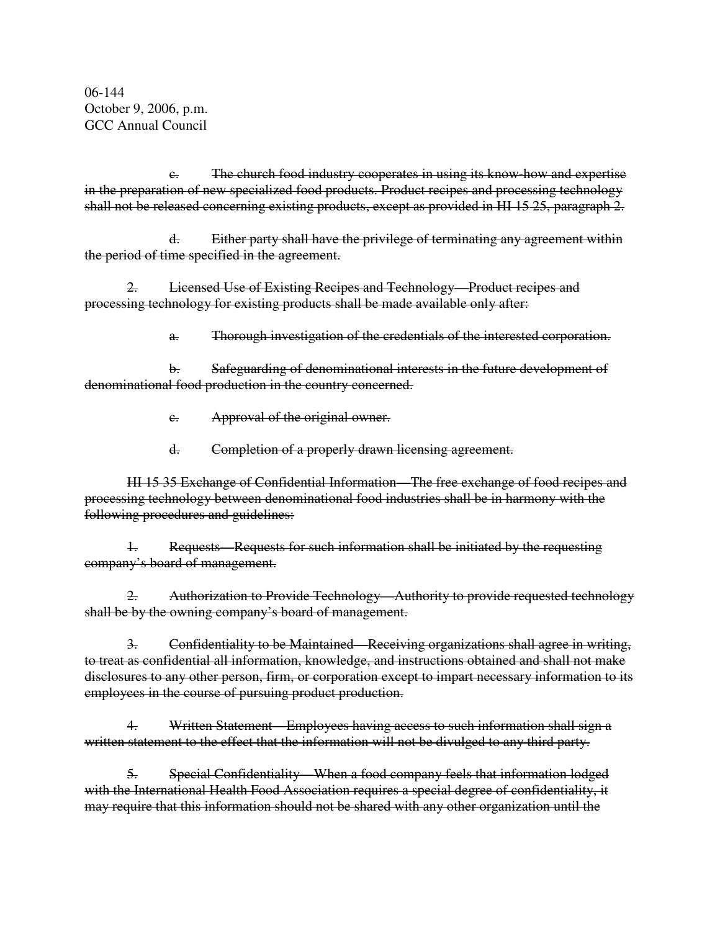06-144 October 9, 2006, p.m. GCC Annual Council

 c. The church food industry cooperates in using its know-how and expertise in the preparation of new specialized food products. Product recipes and processing technology shall not be released concerning existing products, except as provided in HI 15 25, paragraph 2.

 d. Either party shall have the privilege of terminating any agreement within the period of time specified in the agreement.

 2. Licensed Use of Existing Recipes and Technology—Product recipes and processing technology for existing products shall be made available only after:

a. Thorough investigation of the credentials of the interested corporation.

 b. Safeguarding of denominational interests in the future development of denominational food production in the country concerned.

c. Approval of the original owner.

d. Completion of a properly drawn licensing agreement.

HI 15 35 Exchange of Confidential Information**—**The free exchange of food recipes and processing technology between denominational food industries shall be in harmony with the following procedures and guidelines:

 1. Requests—Requests for such information shall be initiated by the requesting company's board of management.

 2. Authorization to Provide Technology—Authority to provide requested technology shall be by the owning company's board of management.

 3. Confidentiality to be Maintained—Receiving organizations shall agree in writing, to treat as confidential all information, knowledge, and instructions obtained and shall not make disclosures to any other person, firm, or corporation except to impart necessary information to its employees in the course of pursuing product production.

 4. Written Statement—Employees having access to such information shall sign a written statement to the effect that the information will not be divulged to any third party.

 5. Special Confidentiality—When a food company feels that information lodged with the International Health Food Association requires a special degree of confidentiality, it may require that this information should not be shared with any other organization until the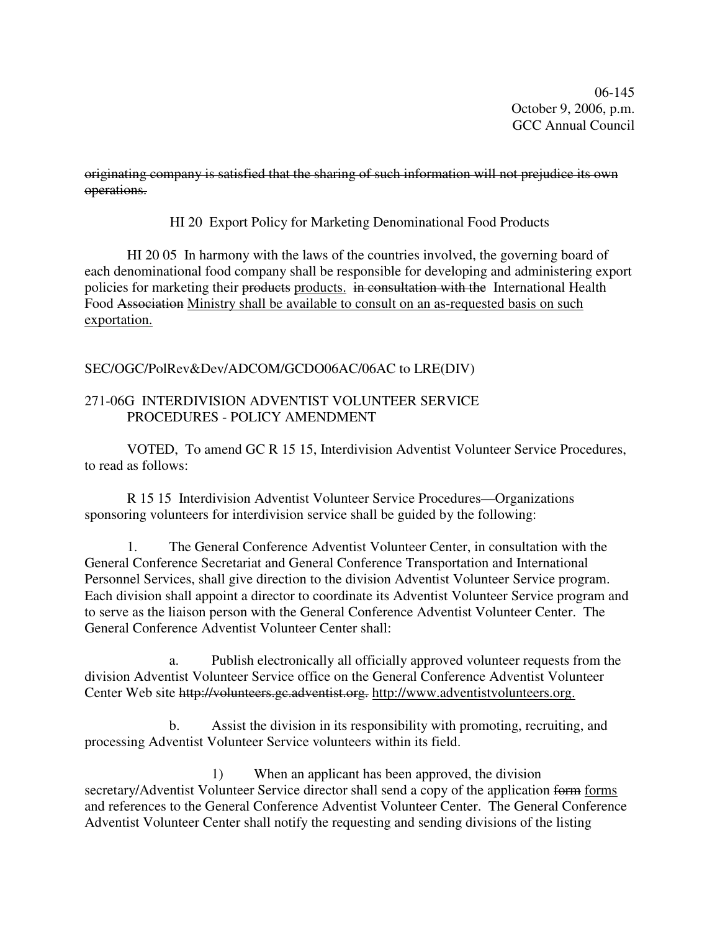06-145 October 9, 2006, p.m. GCC Annual Council

originating company is satisfied that the sharing of such information will not prejudice its own operations.

HI 20 Export Policy for Marketing Denominational Food Products

HI 20 05 In harmony with the laws of the countries involved, the governing board of each denominational food company shall be responsible for developing and administering export policies for marketing their products products. in consultation with the International Health Food Association Ministry shall be available to consult on an as-requested basis on such exportation.

SEC/OGC/PolRev&Dev/ADCOM/GCDO06AC/06AC to LRE(DIV)

# 271-06G INTERDIVISION ADVENTIST VOLUNTEER SERVICE PROCEDURES - POLICY AMENDMENT

 VOTED, To amend GC R 15 15, Interdivision Adventist Volunteer Service Procedures, to read as follows:

R 15 15 Interdivision Adventist Volunteer Service Procedures—Organizations sponsoring volunteers for interdivision service shall be guided by the following:

 1. The General Conference Adventist Volunteer Center, in consultation with the General Conference Secretariat and General Conference Transportation and International Personnel Services, shall give direction to the division Adventist Volunteer Service program. Each division shall appoint a director to coordinate its Adventist Volunteer Service program and to serve as the liaison person with the General Conference Adventist Volunteer Center. The General Conference Adventist Volunteer Center shall:

 a. Publish electronically all officially approved volunteer requests from the division Adventist Volunteer Service office on the General Conference Adventist Volunteer Center Web site http://volunteers.gc.adventist.org. http://www.adventistvolunteers.org.

b. Assist the division in its responsibility with promoting, recruiting, and processing Adventist Volunteer Service volunteers within its field.

 1) When an applicant has been approved, the division secretary/Adventist Volunteer Service director shall send a copy of the application form forms and references to the General Conference Adventist Volunteer Center. The General Conference Adventist Volunteer Center shall notify the requesting and sending divisions of the listing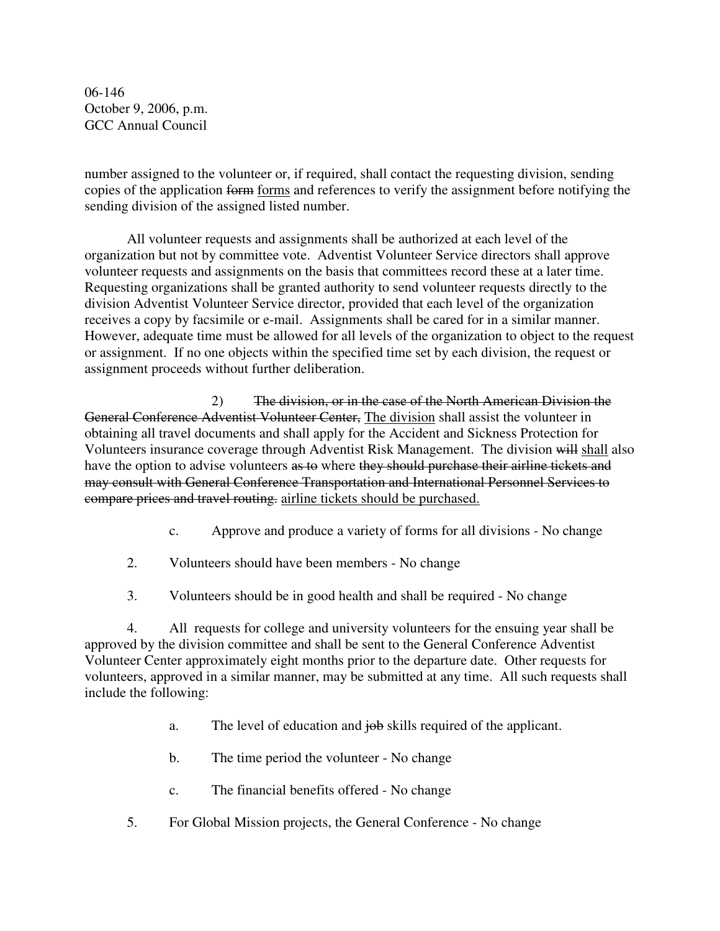06-146 October 9, 2006, p.m. GCC Annual Council

number assigned to the volunteer or, if required, shall contact the requesting division, sending copies of the application form forms and references to verify the assignment before notifying the sending division of the assigned listed number.

All volunteer requests and assignments shall be authorized at each level of the organization but not by committee vote. Adventist Volunteer Service directors shall approve volunteer requests and assignments on the basis that committees record these at a later time. Requesting organizations shall be granted authority to send volunteer requests directly to the division Adventist Volunteer Service director, provided that each level of the organization receives a copy by facsimile or e-mail. Assignments shall be cared for in a similar manner. However, adequate time must be allowed for all levels of the organization to object to the request or assignment. If no one objects within the specified time set by each division, the request or assignment proceeds without further deliberation.

 2) The division, or in the case of the North American Division the General Conference Adventist Volunteer Center, The division shall assist the volunteer in obtaining all travel documents and shall apply for the Accident and Sickness Protection for Volunteers insurance coverage through Adventist Risk Management. The division will shall also have the option to advise volunteers as to where they should purchase their airline tickets and may consult with General Conference Transportation and International Personnel Services to compare prices and travel routing. airline tickets should be purchased.

- c. Approve and produce a variety of forms for all divisions No change
- 2. Volunteers should have been members No change
- 3. Volunteers should be in good health and shall be required No change

 4. All requests for college and university volunteers for the ensuing year shall be approved by the division committee and shall be sent to the General Conference Adventist Volunteer Center approximately eight months prior to the departure date. Other requests for volunteers, approved in a similar manner, may be submitted at any time. All such requests shall include the following:

- a. The level of education and  $\frac{1}{100}$  skills required of the applicant.
- b. The time period the volunteer No change
- c. The financial benefits offered No change
- 5. For Global Mission projects, the General Conference No change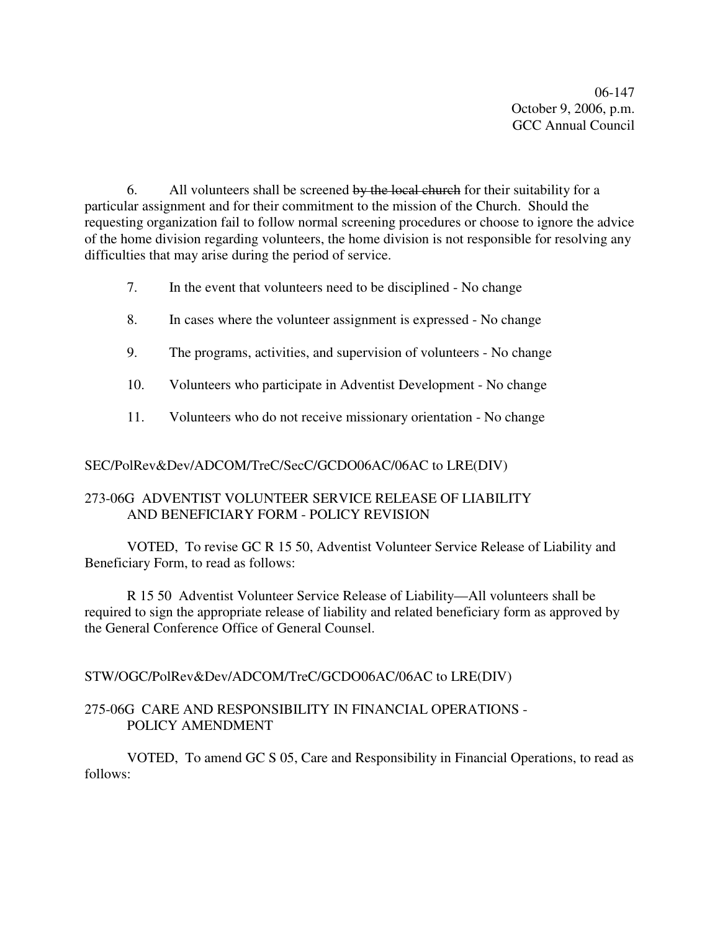06-147 October 9, 2006, p.m. GCC Annual Council

6. All volunteers shall be screened by the local church for their suitability for a particular assignment and for their commitment to the mission of the Church. Should the requesting organization fail to follow normal screening procedures or choose to ignore the advice of the home division regarding volunteers, the home division is not responsible for resolving any difficulties that may arise during the period of service.

- 7. In the event that volunteers need to be disciplined No change
- 8. In cases where the volunteer assignment is expressed No change
- 9. The programs, activities, and supervision of volunteers No change
- 10. Volunteers who participate in Adventist Development No change
- 11. Volunteers who do not receive missionary orientation No change

### SEC/PolRev&Dev/ADCOM/TreC/SecC/GCDO06AC/06AC to LRE(DIV)

# 273-06G ADVENTIST VOLUNTEER SERVICE RELEASE OF LIABILITY AND BENEFICIARY FORM - POLICY REVISION

 VOTED, To revise GC R 15 50, Adventist Volunteer Service Release of Liability and Beneficiary Form, to read as follows:

R 15 50 Adventist Volunteer Service Release of Liability—All volunteers shall be required to sign the appropriate release of liability and related beneficiary form as approved by the General Conference Office of General Counsel.

### STW/OGC/PolRev&Dev/ADCOM/TreC/GCDO06AC/06AC to LRE(DIV)

### 275-06G CARE AND RESPONSIBILITY IN FINANCIAL OPERATIONS - POLICY AMENDMENT

 VOTED, To amend GC S 05, Care and Responsibility in Financial Operations, to read as follows: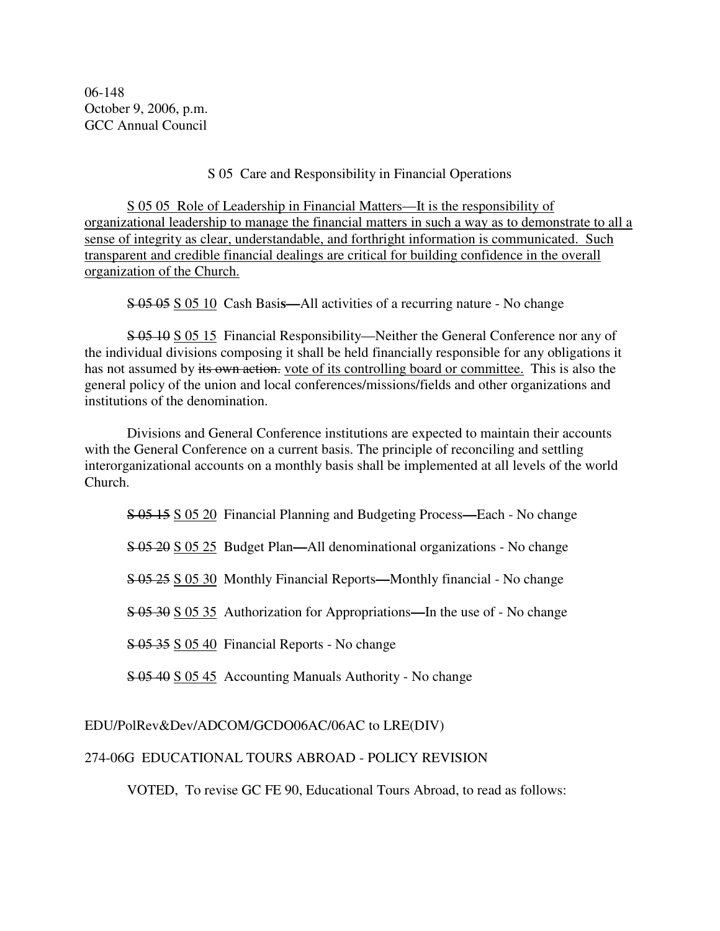06-148 October 9, 2006, p.m. GCC Annual Council

S 05 Care and Responsibility in Financial Operations

S 05 05 Role of Leadership in Financial Matters—It is the responsibility of organizational leadership to manage the financial matters in such a way as to demonstrate to all a sense of integrity as clear, understandable, and forthright information is communicated. Such transparent and credible financial dealings are critical for building confidence in the overall organization of the Church.

S 05 05 S 05 10 Cash Basi**s—**All activities of a recurring nature - No change

S 05 10 S 05 15 Financial Responsibility—Neither the General Conference nor any of the individual divisions composing it shall be held financially responsible for any obligations it has not assumed by its own action. vote of its controlling board or committee. This is also the general policy of the union and local conferences/missions/fields and other organizations and institutions of the denomination.

Divisions and General Conference institutions are expected to maintain their accounts with the General Conference on a current basis. The principle of reconciling and settling interorganizational accounts on a monthly basis shall be implemented at all levels of the world Church.

S 05 15 S 05 20 Financial Planning and Budgeting Process**—**Each - No change

S 05 20 S 05 25 Budget Plan**—**All denominational organizations - No change

S 05 25 S 05 30 Monthly Financial Reports**—**Monthly financial - No change

S 05 30 S 05 35 Authorization for Appropriations**—**In the use of - No change

S 05 35 S 05 40 Financial Reports - No change

S 05 40 S 05 45 Accounting Manuals Authority - No change

EDU/PolRev&Dev/ADCOM/GCDO06AC/06AC to LRE(DIV)

## 274-06G EDUCATIONAL TOURS ABROAD - POLICY REVISION

VOTED, To revise GC FE 90, Educational Tours Abroad, to read as follows: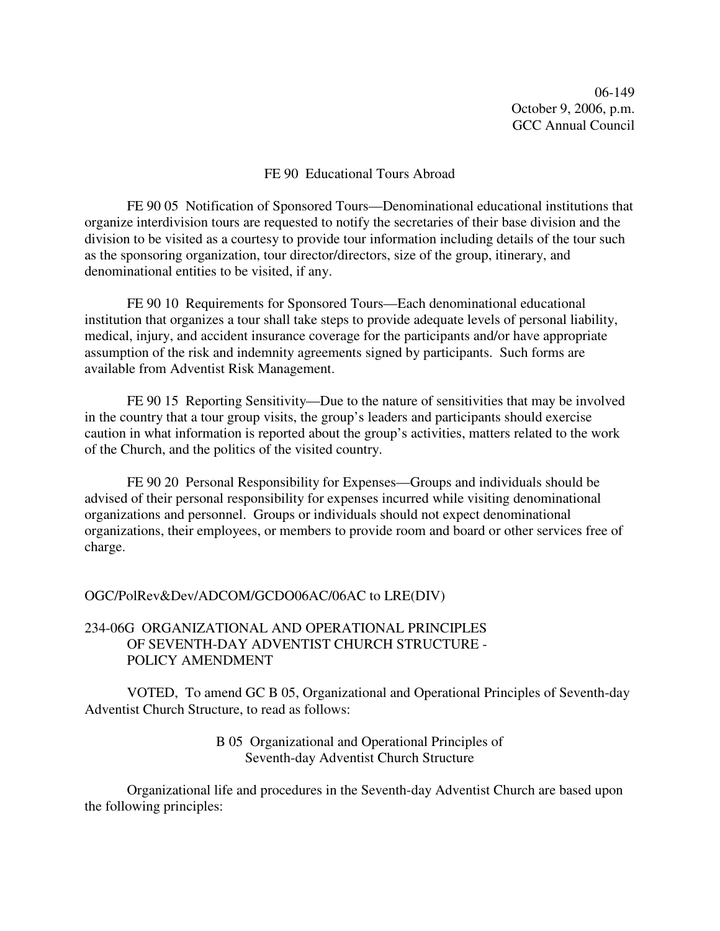06-149 October 9, 2006, p.m. GCC Annual Council

#### FE 90 Educational Tours Abroad

FE 90 05 Notification of Sponsored Tours—Denominational educational institutions that organize interdivision tours are requested to notify the secretaries of their base division and the division to be visited as a courtesy to provide tour information including details of the tour such as the sponsoring organization, tour director/directors, size of the group, itinerary, and denominational entities to be visited, if any.

FE 90 10 Requirements for Sponsored Tours—Each denominational educational institution that organizes a tour shall take steps to provide adequate levels of personal liability, medical, injury, and accident insurance coverage for the participants and/or have appropriate assumption of the risk and indemnity agreements signed by participants. Such forms are available from Adventist Risk Management.

FE 90 15 Reporting Sensitivity—Due to the nature of sensitivities that may be involved in the country that a tour group visits, the group's leaders and participants should exercise caution in what information is reported about the group's activities, matters related to the work of the Church, and the politics of the visited country.

FE 90 20 Personal Responsibility for Expenses—Groups and individuals should be advised of their personal responsibility for expenses incurred while visiting denominational organizations and personnel. Groups or individuals should not expect denominational organizations, their employees, or members to provide room and board or other services free of charge.

#### OGC/PolRev&Dev/ADCOM/GCDO06AC/06AC to LRE(DIV)

# 234-06G ORGANIZATIONAL AND OPERATIONAL PRINCIPLES OF SEVENTH-DAY ADVENTIST CHURCH STRUCTURE - POLICY AMENDMENT

 VOTED, To amend GC B 05, Organizational and Operational Principles of Seventh-day Adventist Church Structure, to read as follows:

#### B 05 Organizational and Operational Principles of Seventh-day Adventist Church Structure

Organizational life and procedures in the Seventh-day Adventist Church are based upon the following principles: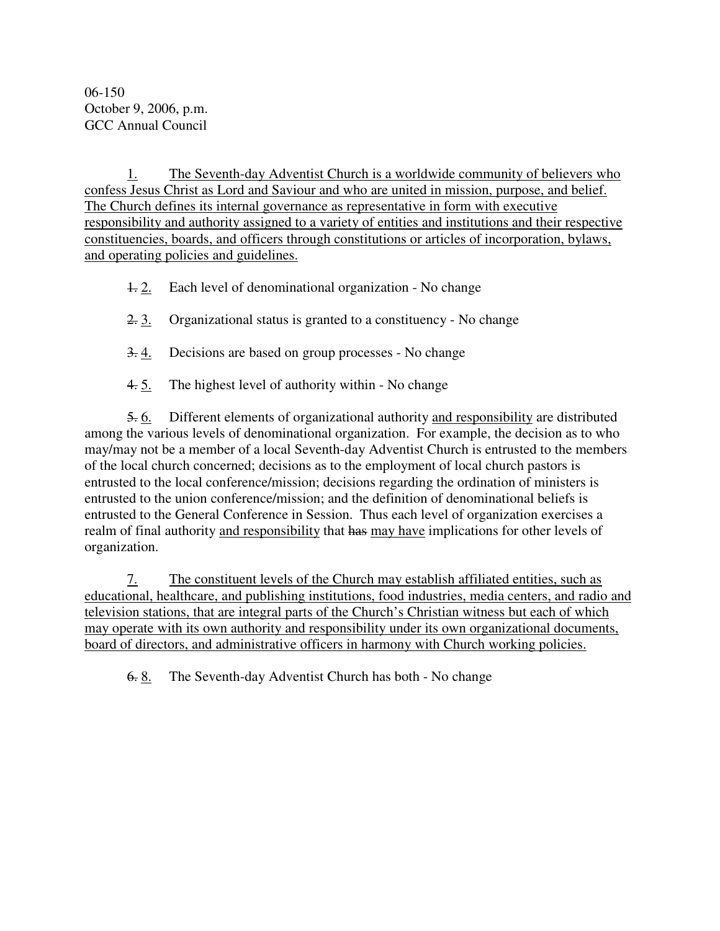06-150 October 9, 2006, p.m. GCC Annual Council

1. The Seventh-day Adventist Church is a worldwide community of believers who confess Jesus Christ as Lord and Saviour and who are united in mission, purpose, and belief. The Church defines its internal governance as representative in form with executive responsibility and authority assigned to a variety of entities and institutions and their respective constituencies, boards, and officers through constitutions or articles of incorporation, bylaws, and operating policies and guidelines.

1. 2. Each level of denominational organization - No change

2. 3. Organizational status is granted to a constituency - No change

3. 4. Decisions are based on group processes - No change

4. 5. The highest level of authority within - No change

 5. 6. Different elements of organizational authority and responsibility are distributed among the various levels of denominational organization. For example, the decision as to who may/may not be a member of a local Seventh-day Adventist Church is entrusted to the members of the local church concerned; decisions as to the employment of local church pastors is entrusted to the local conference/mission; decisions regarding the ordination of ministers is entrusted to the union conference/mission; and the definition of denominational beliefs is entrusted to the General Conference in Session. Thus each level of organization exercises a realm of final authority and responsibility that has may have implications for other levels of organization.

 7. The constituent levels of the Church may establish affiliated entities, such as educational, healthcare, and publishing institutions, food industries, media centers, and radio and television stations, that are integral parts of the Church's Christian witness but each of which may operate with its own authority and responsibility under its own organizational documents, board of directors, and administrative officers in harmony with Church working policies.

6. 8. The Seventh-day Adventist Church has both - No change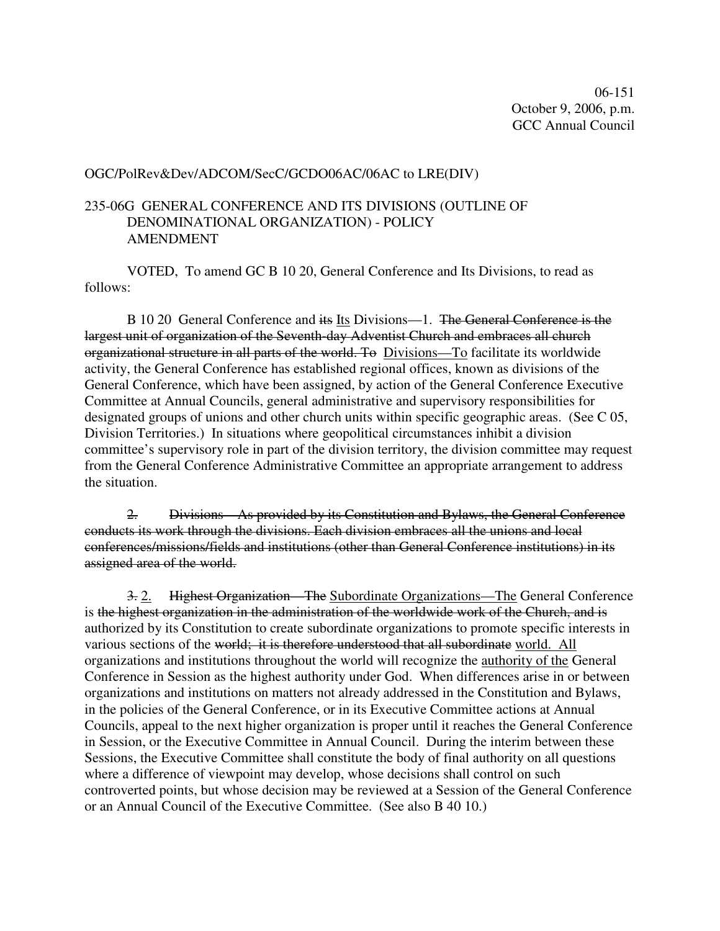06-151 October 9, 2006, p.m. GCC Annual Council

#### OGC/PolRev&Dev/ADCOM/SecC/GCDO06AC/06AC to LRE(DIV)

## 235-06G GENERAL CONFERENCE AND ITS DIVISIONS (OUTLINE OF DENOMINATIONAL ORGANIZATION) - POLICY AMENDMENT

 VOTED, To amend GC B 10 20, General Conference and Its Divisions, to read as follows:

B 10 20 General Conference and its Its Divisions—1. The General Conference is the largest unit of organization of the Seventh-day Adventist Church and embraces all church organizational structure in all parts of the world. To Divisions—To facilitate its worldwide activity, the General Conference has established regional offices, known as divisions of the General Conference, which have been assigned, by action of the General Conference Executive Committee at Annual Councils, general administrative and supervisory responsibilities for designated groups of unions and other church units within specific geographic areas. (See C 05, Division Territories.) In situations where geopolitical circumstances inhibit a division committee's supervisory role in part of the division territory, the division committee may request from the General Conference Administrative Committee an appropriate arrangement to address the situation.

 2. Divisions—As provided by its Constitution and Bylaws, the General Conference conducts its work through the divisions. Each division embraces all the unions and local conferences/missions/fields and institutions (other than General Conference institutions) in its assigned area of the world.

 3. 2. Highest Organization—The Subordinate Organizations—The General Conference is the highest organization in the administration of the worldwide work of the Church, and is authorized by its Constitution to create subordinate organizations to promote specific interests in various sections of the world; it is therefore understood that all subordinate world. All organizations and institutions throughout the world will recognize the authority of the General Conference in Session as the highest authority under God. When differences arise in or between organizations and institutions on matters not already addressed in the Constitution and Bylaws, in the policies of the General Conference, or in its Executive Committee actions at Annual Councils, appeal to the next higher organization is proper until it reaches the General Conference in Session, or the Executive Committee in Annual Council. During the interim between these Sessions, the Executive Committee shall constitute the body of final authority on all questions where a difference of viewpoint may develop, whose decisions shall control on such controverted points, but whose decision may be reviewed at a Session of the General Conference or an Annual Council of the Executive Committee. (See also B 40 10.)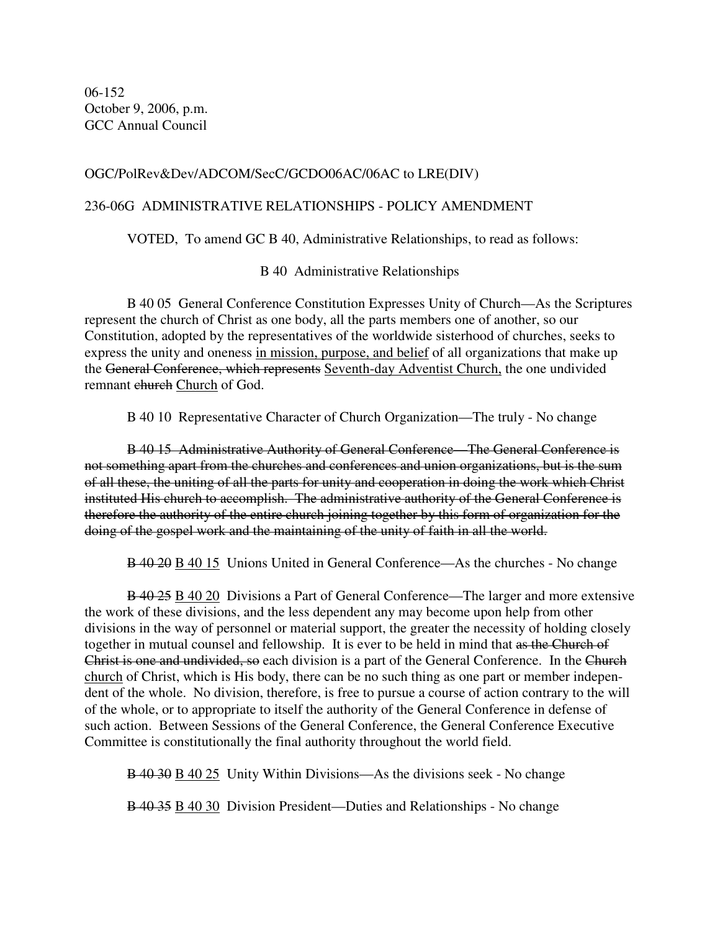06-152 October 9, 2006, p.m. GCC Annual Council

### OGC/PolRev&Dev/ADCOM/SecC/GCDO06AC/06AC to LRE(DIV)

### 236-06G ADMINISTRATIVE RELATIONSHIPS - POLICY AMENDMENT

VOTED, To amend GC B 40, Administrative Relationships, to read as follows:

B 40 Administrative Relationships

B 40 05 General Conference Constitution Expresses Unity of Church—As the Scriptures represent the church of Christ as one body, all the parts members one of another, so our Constitution, adopted by the representatives of the worldwide sisterhood of churches, seeks to express the unity and oneness in mission, purpose, and belief of all organizations that make up the General Conference, which represents Seventh-day Adventist Church, the one undivided remnant church Church of God.

B 40 10 Representative Character of Church Organization—The truly - No change

B 40 15 Administrative Authority of General Conference—The General Conference is not something apart from the churches and conferences and union organizations, but is the sum of all these, the uniting of all the parts for unity and cooperation in doing the work which Christ instituted His church to accomplish. The administrative authority of the General Conference is therefore the authority of the entire church joining together by this form of organization for the doing of the gospel work and the maintaining of the unity of faith in all the world.

B 40 20 B 40 15 Unions United in General Conference—As the churches - No change

B 40 25 B 40 20 Divisions a Part of General Conference—The larger and more extensive the work of these divisions, and the less dependent any may become upon help from other divisions in the way of personnel or material support, the greater the necessity of holding closely together in mutual counsel and fellowship. It is ever to be held in mind that as the Church of Christ is one and undivided, so each division is a part of the General Conference. In the Church church of Christ, which is His body, there can be no such thing as one part or member independent of the whole. No division, therefore, is free to pursue a course of action contrary to the will of the whole, or to appropriate to itself the authority of the General Conference in defense of such action. Between Sessions of the General Conference, the General Conference Executive Committee is constitutionally the final authority throughout the world field.

B 40 30 B 40 25 Unity Within Divisions—As the divisions seek - No change

B 40 35 B 40 30 Division President—Duties and Relationships - No change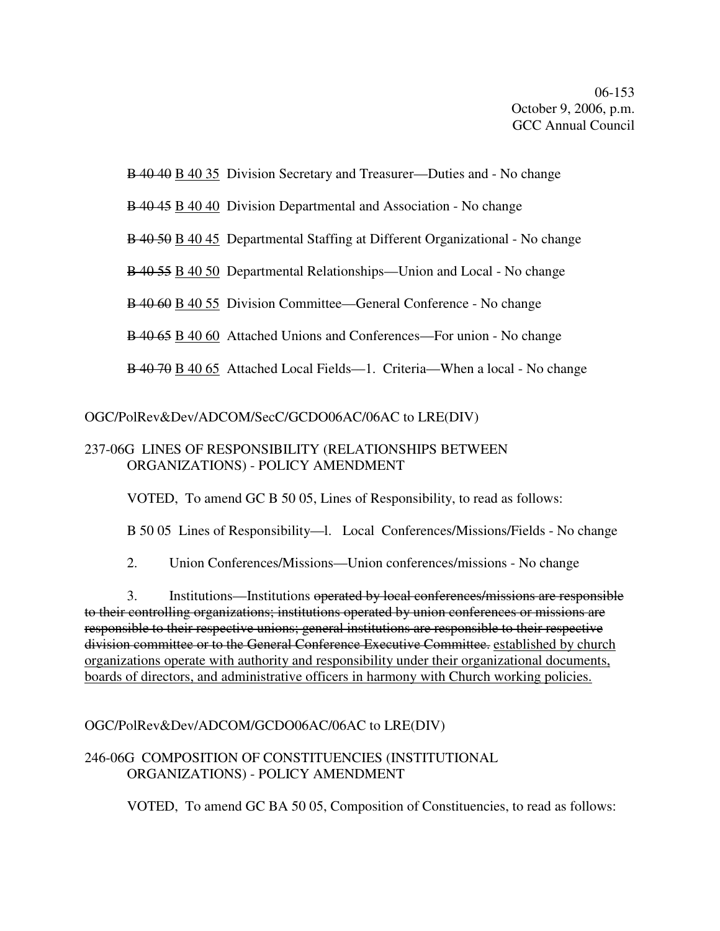B 40 40 B 40 35 Division Secretary and Treasurer—Duties and - No change

B 40 45 B 40 40 Division Departmental and Association - No change

B 40 50 B 40 45 Departmental Staffing at Different Organizational - No change

B 40 55 B 40 50 Departmental Relationships—Union and Local - No change

B 40 60 B 40 55 Division Committee—General Conference - No change

B 40 65 B 40 60 Attached Unions and Conferences—For union - No change

B 40 70 B 40 65 Attached Local Fields—1. Criteria—When a local - No change

OGC/PolRev&Dev/ADCOM/SecC/GCDO06AC/06AC to LRE(DIV)

# 237-06G LINES OF RESPONSIBILITY (RELATIONSHIPS BETWEEN ORGANIZATIONS) - POLICY AMENDMENT

VOTED, To amend GC B 50 05, Lines of Responsibility, to read as follows:

B 50 05 Lines of Responsibility—l. Local Conferences/Missions/Fields - No change

2. Union Conferences/Missions—Union conferences/missions - No change

 3. Institutions—Institutions operated by local conferences/missions are responsible to their controlling organizations; institutions operated by union conferences or missions are responsible to their respective unions; general institutions are responsible to their respective division committee or to the General Conference Executive Committee. established by church organizations operate with authority and responsibility under their organizational documents, boards of directors, and administrative officers in harmony with Church working policies.

# OGC/PolRev&Dev/ADCOM/GCDO06AC/06AC to LRE(DIV)

# 246-06G COMPOSITION OF CONSTITUENCIES (INSTITUTIONAL ORGANIZATIONS) - POLICY AMENDMENT

VOTED, To amend GC BA 50 05, Composition of Constituencies, to read as follows: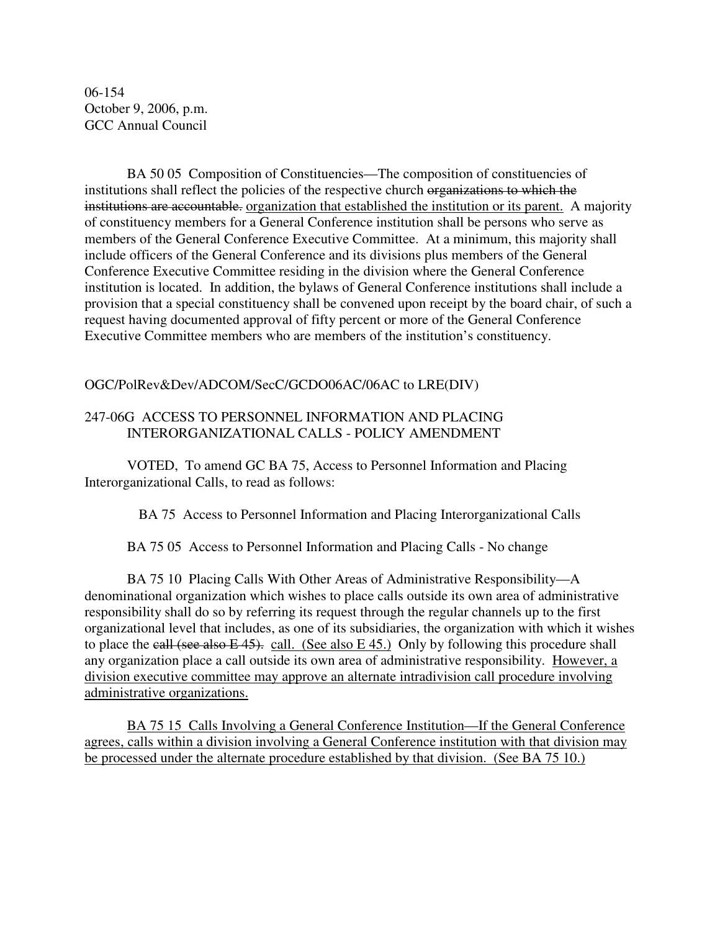06-154 October 9, 2006, p.m. GCC Annual Council

BA 50 05 Composition of Constituencies—The composition of constituencies of institutions shall reflect the policies of the respective church organizations to which the institutions are accountable. organization that established the institution or its parent. A majority of constituency members for a General Conference institution shall be persons who serve as members of the General Conference Executive Committee. At a minimum, this majority shall include officers of the General Conference and its divisions plus members of the General Conference Executive Committee residing in the division where the General Conference institution is located. In addition, the bylaws of General Conference institutions shall include a provision that a special constituency shall be convened upon receipt by the board chair, of such a request having documented approval of fifty percent or more of the General Conference Executive Committee members who are members of the institution's constituency.

#### OGC/PolRev&Dev/ADCOM/SecC/GCDO06AC/06AC to LRE(DIV)

### 247-06G ACCESS TO PERSONNEL INFORMATION AND PLACING INTERORGANIZATIONAL CALLS - POLICY AMENDMENT

 VOTED, To amend GC BA 75, Access to Personnel Information and Placing Interorganizational Calls, to read as follows:

BA 75 Access to Personnel Information and Placing Interorganizational Calls

BA 75 05 Access to Personnel Information and Placing Calls - No change

BA 75 10 Placing Calls With Other Areas of Administrative Responsibility—A denominational organization which wishes to place calls outside its own area of administrative responsibility shall do so by referring its request through the regular channels up to the first organizational level that includes, as one of its subsidiaries, the organization with which it wishes to place the call (see also  $E$  45). call. (See also  $E$  45.) Only by following this procedure shall any organization place a call outside its own area of administrative responsibility. However, a division executive committee may approve an alternate intradivision call procedure involving administrative organizations.

 BA 75 15 Calls Involving a General Conference Institution—If the General Conference agrees, calls within a division involving a General Conference institution with that division may be processed under the alternate procedure established by that division. (See BA 75 10.)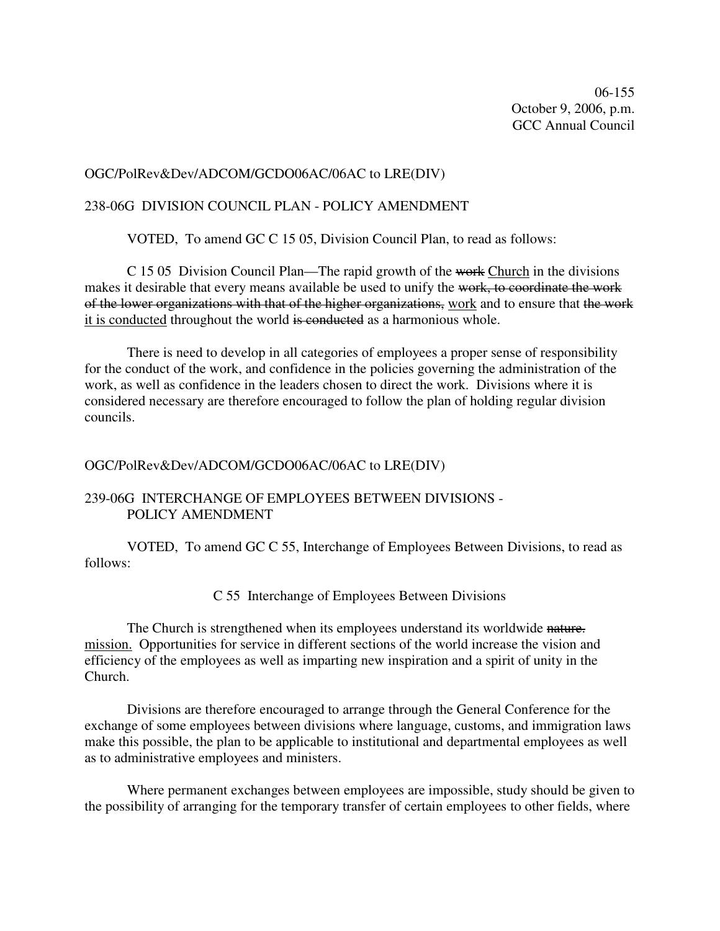06-155 October 9, 2006, p.m. GCC Annual Council

#### OGC/PolRev&Dev/ADCOM/GCDO06AC/06AC to LRE(DIV)

#### 238-06G DIVISION COUNCIL PLAN - POLICY AMENDMENT

VOTED, To amend GC C 15 05, Division Council Plan, to read as follows:

C 15 05 Division Council Plan—The rapid growth of the work Church in the divisions makes it desirable that every means available be used to unify the work, to coordinate the work of the lower organizations with that of the higher organizations, work and to ensure that the work it is conducted throughout the world is conducted as a harmonious whole.

There is need to develop in all categories of employees a proper sense of responsibility for the conduct of the work, and confidence in the policies governing the administration of the work, as well as confidence in the leaders chosen to direct the work. Divisions where it is considered necessary are therefore encouraged to follow the plan of holding regular division councils.

#### OGC/PolRev&Dev/ADCOM/GCDO06AC/06AC to LRE(DIV)

# 239-06G INTERCHANGE OF EMPLOYEES BETWEEN DIVISIONS - POLICY AMENDMENT

 VOTED, To amend GC C 55, Interchange of Employees Between Divisions, to read as follows:

C 55 Interchange of Employees Between Divisions

 The Church is strengthened when its employees understand its worldwide nature. mission. Opportunities for service in different sections of the world increase the vision and efficiency of the employees as well as imparting new inspiration and a spirit of unity in the Church.

 Divisions are therefore encouraged to arrange through the General Conference for the exchange of some employees between divisions where language, customs, and immigration laws make this possible, the plan to be applicable to institutional and departmental employees as well as to administrative employees and ministers.

 Where permanent exchanges between employees are impossible, study should be given to the possibility of arranging for the temporary transfer of certain employees to other fields, where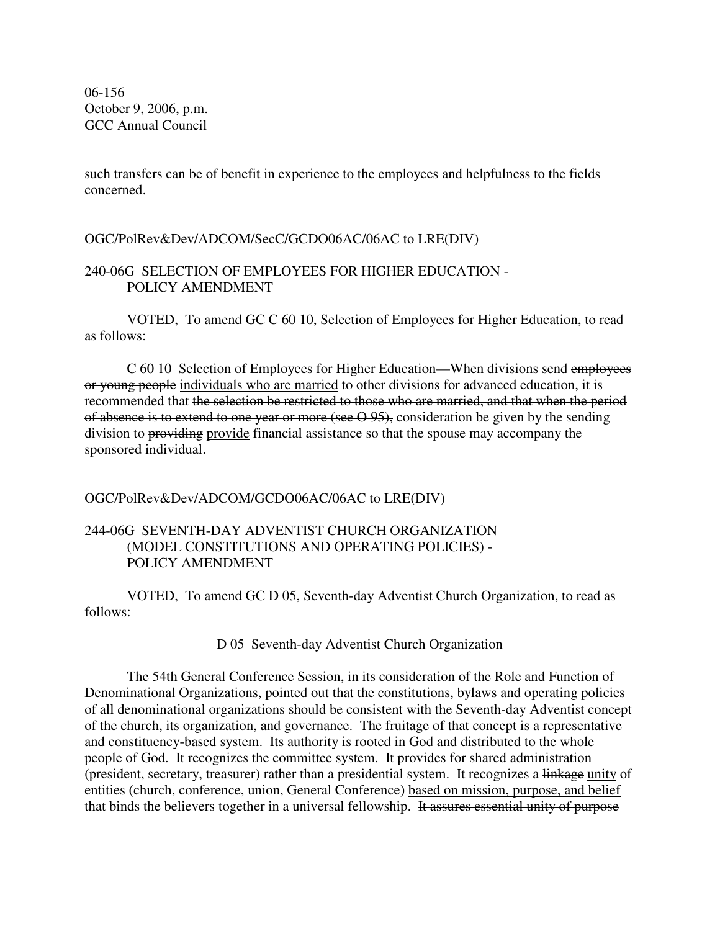06-156 October 9, 2006, p.m. GCC Annual Council

such transfers can be of benefit in experience to the employees and helpfulness to the fields concerned.

### OGC/PolRev&Dev/ADCOM/SecC/GCDO06AC/06AC to LRE(DIV)

# 240-06G SELECTION OF EMPLOYEES FOR HIGHER EDUCATION - POLICY AMENDMENT

 VOTED, To amend GC C 60 10, Selection of Employees for Higher Education, to read as follows:

C 60 10 Selection of Employees for Higher Education—When divisions send employees or young people individuals who are married to other divisions for advanced education, it is recommended that the selection be restricted to those who are married, and that when the period of absence is to extend to one year or more (see O 95), consideration be given by the sending division to providing provide financial assistance so that the spouse may accompany the sponsored individual.

OGC/PolRev&Dev/ADCOM/GCDO06AC/06AC to LRE(DIV)

# 244-06G SEVENTH-DAY ADVENTIST CHURCH ORGANIZATION (MODEL CONSTITUTIONS AND OPERATING POLICIES) - POLICY AMENDMENT

VOTED, To amend GC D 05, Seventh-day Adventist Church Organization, to read as follows:

D 05 Seventh-day Adventist Church Organization

The 54th General Conference Session, in its consideration of the Role and Function of Denominational Organizations, pointed out that the constitutions, bylaws and operating policies of all denominational organizations should be consistent with the Seventh-day Adventist concept of the church, its organization, and governance. The fruitage of that concept is a representative and constituency-based system. Its authority is rooted in God and distributed to the whole people of God. It recognizes the committee system. It provides for shared administration (president, secretary, treasurer) rather than a presidential system. It recognizes a linkage unity of entities (church, conference, union, General Conference) based on mission, purpose, and belief that binds the believers together in a universal fellowship. It assures essential unity of purpose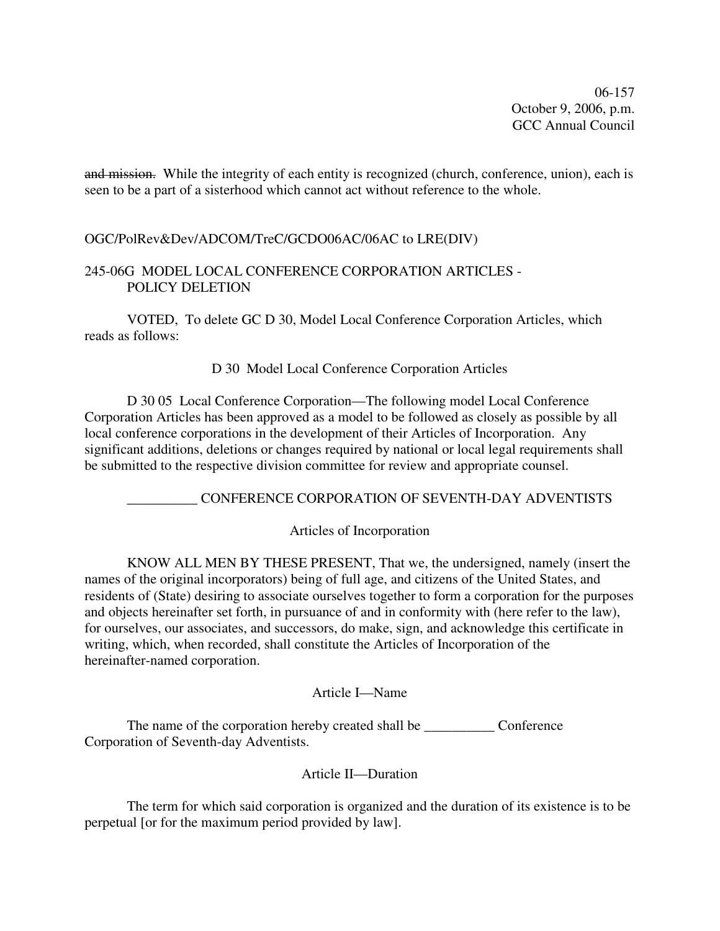06-157 October 9, 2006, p.m. GCC Annual Council

and mission. While the integrity of each entity is recognized (church, conference, union), each is seen to be a part of a sisterhood which cannot act without reference to the whole.

OGC/PolRev&Dev/ADCOM/TreC/GCDO06AC/06AC to LRE(DIV)

# 245-06G MODEL LOCAL CONFERENCE CORPORATION ARTICLES - POLICY DELETION

 VOTED, To delete GC D 30, Model Local Conference Corporation Articles, which reads as follows:

D 30 Model Local Conference Corporation Articles

D 30 05 Local Conference Corporation—The following model Local Conference Corporation Articles has been approved as a model to be followed as closely as possible by all local conference corporations in the development of their Articles of Incorporation. Any significant additions, deletions or changes required by national or local legal requirements shall be submitted to the respective division committee for review and appropriate counsel.

\_\_\_\_\_\_\_\_\_\_ CONFERENCE CORPORATION OF SEVENTH-DAY ADVENTISTS

Articles of Incorporation

KNOW ALL MEN BY THESE PRESENT, That we, the undersigned, namely (insert the names of the original incorporators) being of full age, and citizens of the United States, and residents of (State) desiring to associate ourselves together to form a corporation for the purposes and objects hereinafter set forth, in pursuance of and in conformity with (here refer to the law), for ourselves, our associates, and successors, do make, sign, and acknowledge this certificate in writing, which, when recorded, shall constitute the Articles of Incorporation of the hereinafter-named corporation.

Article I—Name

The name of the corporation hereby created shall be \_\_\_\_\_\_\_\_\_\_\_\_\_\_\_ Conference Corporation of Seventh-day Adventists.

Article II—Duration

The term for which said corporation is organized and the duration of its existence is to be perpetual [or for the maximum period provided by law].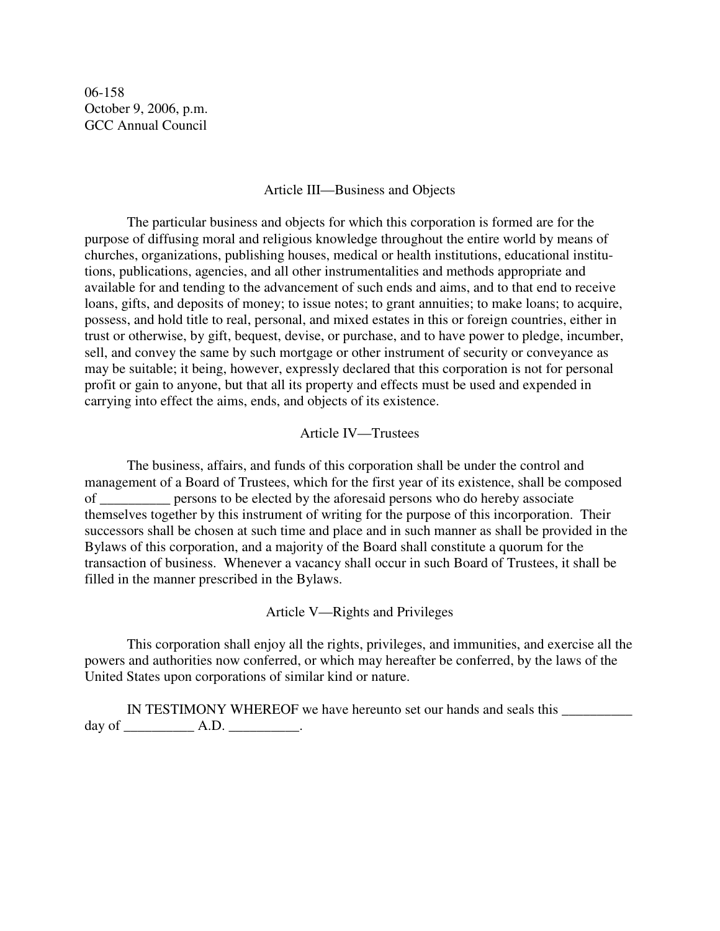06-158 October 9, 2006, p.m. GCC Annual Council

#### Article III—Business and Objects

The particular business and objects for which this corporation is formed are for the purpose of diffusing moral and religious knowledge throughout the entire world by means of churches, organizations, publishing houses, medical or health institutions, educational institutions, publications, agencies, and all other instrumentalities and methods appropriate and available for and tending to the advancement of such ends and aims, and to that end to receive loans, gifts, and deposits of money; to issue notes; to grant annuities; to make loans; to acquire, possess, and hold title to real, personal, and mixed estates in this or foreign countries, either in trust or otherwise, by gift, bequest, devise, or purchase, and to have power to pledge, incumber, sell, and convey the same by such mortgage or other instrument of security or conveyance as may be suitable; it being, however, expressly declared that this corporation is not for personal profit or gain to anyone, but that all its property and effects must be used and expended in carrying into effect the aims, ends, and objects of its existence.

# Article IV—Trustees

The business, affairs, and funds of this corporation shall be under the control and management of a Board of Trustees, which for the first year of its existence, shall be composed of \_\_\_\_\_\_\_\_\_\_ persons to be elected by the aforesaid persons who do hereby associate themselves together by this instrument of writing for the purpose of this incorporation. Their successors shall be chosen at such time and place and in such manner as shall be provided in the Bylaws of this corporation, and a majority of the Board shall constitute a quorum for the transaction of business. Whenever a vacancy shall occur in such Board of Trustees, it shall be filled in the manner prescribed in the Bylaws.

#### Article V—Rights and Privileges

This corporation shall enjoy all the rights, privileges, and immunities, and exercise all the powers and authorities now conferred, or which may hereafter be conferred, by the laws of the United States upon corporations of similar kind or nature.

IN TESTIMONY WHEREOF we have hereunto set our hands and seals this \_\_\_\_\_\_\_\_\_\_\_\_\_ day of \_\_\_\_\_\_\_\_\_\_ A.D. \_\_\_\_\_\_\_\_\_\_.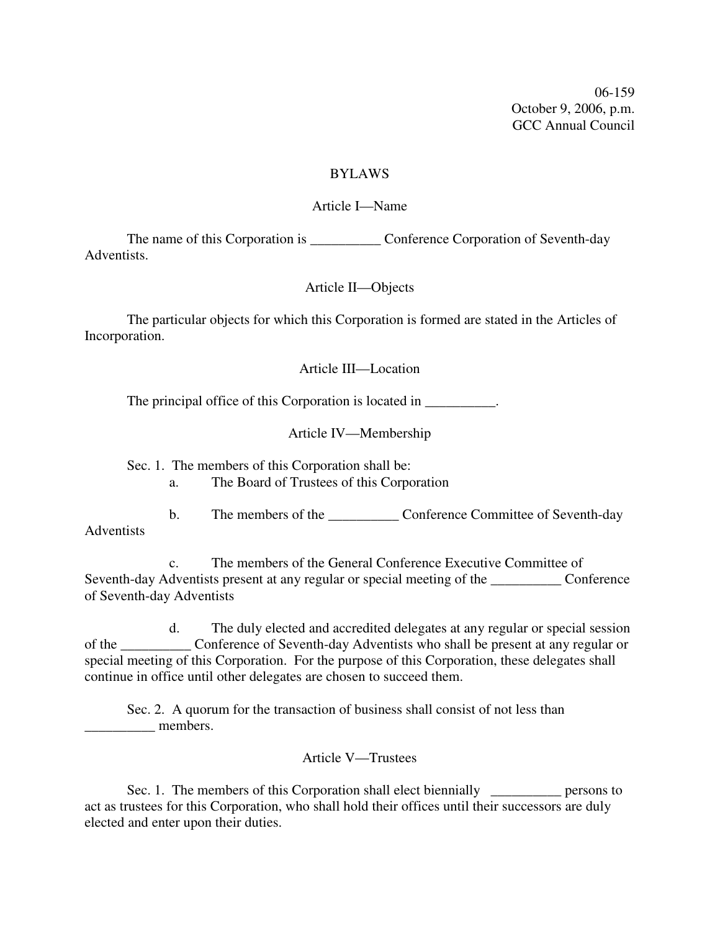06-159 October 9, 2006, p.m. GCC Annual Council

#### BYLAWS

#### Article I—Name

The name of this Corporation is \_\_\_\_\_\_\_\_\_\_\_\_\_ Conference Corporation of Seventh-day Adventists.

#### Article II—Objects

The particular objects for which this Corporation is formed are stated in the Articles of Incorporation.

Article III—Location

The principal office of this Corporation is located in \_\_\_\_\_\_\_\_\_.

Article IV—Membership

Sec. 1. The members of this Corporation shall be:

a. The Board of Trustees of this Corporation

b. The members of the \_\_\_\_\_\_\_\_\_\_ Conference Committee of Seventh-day

**Adventists** 

c. The members of the General Conference Executive Committee of Seventh-day Adventists present at any regular or special meeting of the \_\_\_\_\_\_\_\_\_\_ Conference of Seventh-day Adventists

d. The duly elected and accredited delegates at any regular or special session of the \_\_\_\_\_\_\_\_\_\_ Conference of Seventh-day Adventists who shall be present at any regular or special meeting of this Corporation. For the purpose of this Corporation, these delegates shall continue in office until other delegates are chosen to succeed them.

Sec. 2. A quorum for the transaction of business shall consist of not less than \_\_\_\_\_\_\_\_\_\_ members.

Article V—Trustees

Sec. 1. The members of this Corporation shall elect biennially \_\_\_\_\_\_\_\_\_\_ persons to act as trustees for this Corporation, who shall hold their offices until their successors are duly elected and enter upon their duties.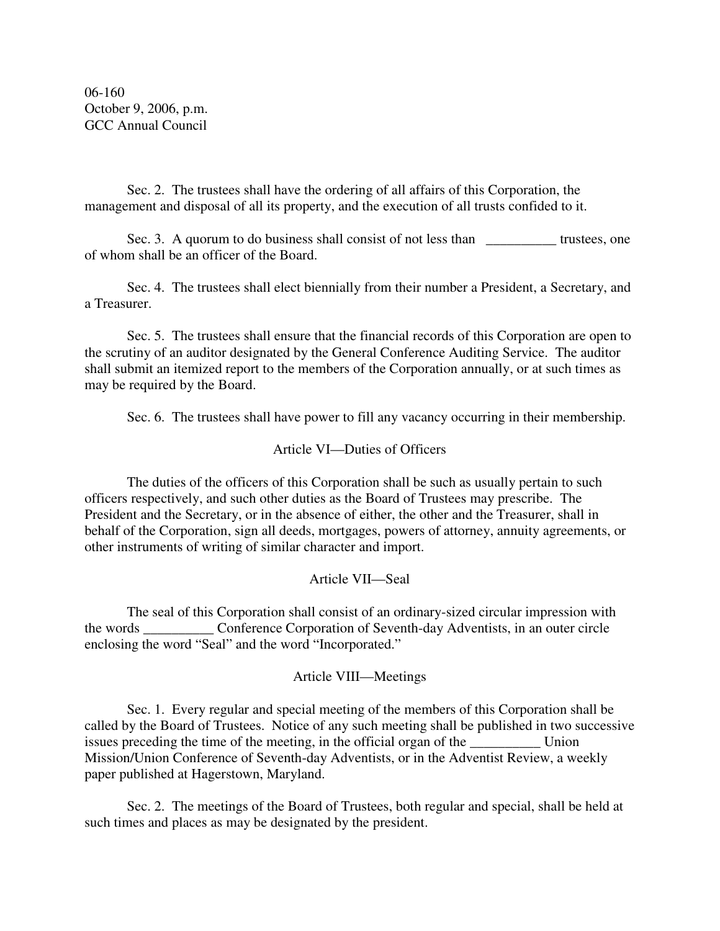06-160 October 9, 2006, p.m. GCC Annual Council

Sec. 2. The trustees shall have the ordering of all affairs of this Corporation, the management and disposal of all its property, and the execution of all trusts confided to it.

Sec. 3. A quorum to do business shall consist of not less than \_\_\_\_\_\_\_\_\_\_\_\_ trustees, one of whom shall be an officer of the Board.

Sec. 4. The trustees shall elect biennially from their number a President, a Secretary, and a Treasurer.

Sec. 5. The trustees shall ensure that the financial records of this Corporation are open to the scrutiny of an auditor designated by the General Conference Auditing Service. The auditor shall submit an itemized report to the members of the Corporation annually, or at such times as may be required by the Board.

Sec. 6. The trustees shall have power to fill any vacancy occurring in their membership.

#### Article VI—Duties of Officers

The duties of the officers of this Corporation shall be such as usually pertain to such officers respectively, and such other duties as the Board of Trustees may prescribe. The President and the Secretary, or in the absence of either, the other and the Treasurer, shall in behalf of the Corporation, sign all deeds, mortgages, powers of attorney, annuity agreements, or other instruments of writing of similar character and import.

### Article VII—Seal

The seal of this Corporation shall consist of an ordinary-sized circular impression with the words \_\_\_\_\_\_\_\_\_\_ Conference Corporation of Seventh-day Adventists, in an outer circle enclosing the word "Seal" and the word "Incorporated."

#### Article VIII—Meetings

Sec. 1. Every regular and special meeting of the members of this Corporation shall be called by the Board of Trustees. Notice of any such meeting shall be published in two successive issues preceding the time of the meeting, in the official organ of the \_\_\_\_\_\_\_\_\_\_ Union Mission/Union Conference of Seventh-day Adventists, or in the Adventist Review, a weekly paper published at Hagerstown, Maryland.

Sec. 2. The meetings of the Board of Trustees, both regular and special, shall be held at such times and places as may be designated by the president.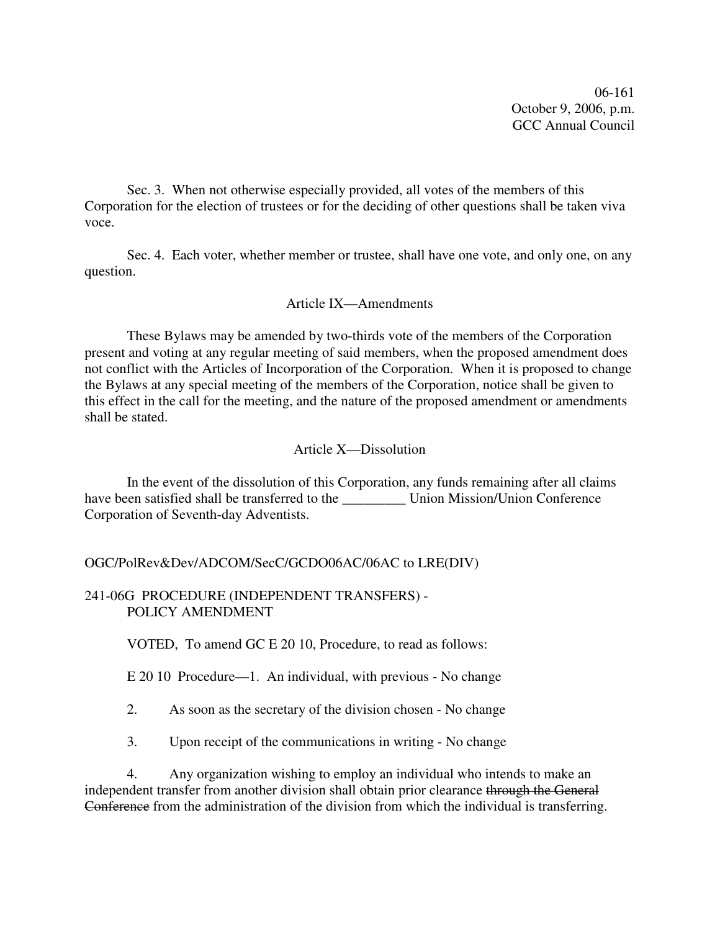06-161 October 9, 2006, p.m. GCC Annual Council

Sec. 3. When not otherwise especially provided, all votes of the members of this Corporation for the election of trustees or for the deciding of other questions shall be taken viva voce.

Sec. 4. Each voter, whether member or trustee, shall have one vote, and only one, on any question.

Article IX—Amendments

These Bylaws may be amended by two-thirds vote of the members of the Corporation present and voting at any regular meeting of said members, when the proposed amendment does not conflict with the Articles of Incorporation of the Corporation. When it is proposed to change the Bylaws at any special meeting of the members of the Corporation, notice shall be given to this effect in the call for the meeting, and the nature of the proposed amendment or amendments shall be stated.

Article X—Dissolution

In the event of the dissolution of this Corporation, any funds remaining after all claims have been satisfied shall be transferred to the Union Mission/Union Conference Corporation of Seventh-day Adventists.

### OGC/PolRev&Dev/ADCOM/SecC/GCDO06AC/06AC to LRE(DIV)

#### 241-06G PROCEDURE (INDEPENDENT TRANSFERS) - POLICY AMENDMENT

VOTED, To amend GC E 20 10, Procedure, to read as follows:

E 20 10 Procedure—1. An individual, with previous - No change

2. As soon as the secretary of the division chosen - No change

3. Upon receipt of the communications in writing - No change

 4. Any organization wishing to employ an individual who intends to make an independent transfer from another division shall obtain prior clearance through the General Conference from the administration of the division from which the individual is transferring.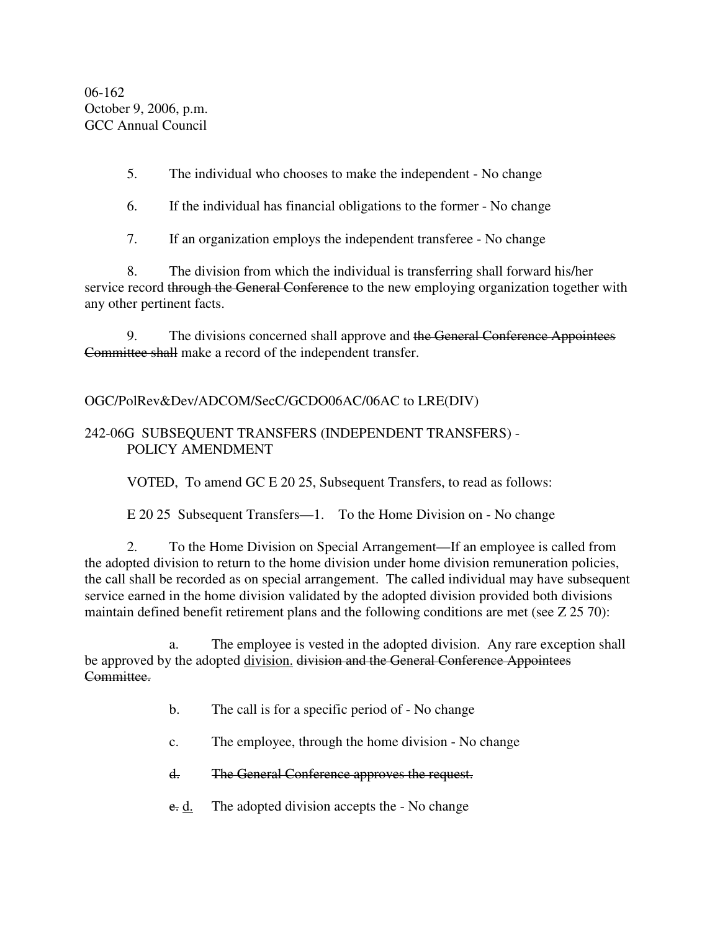06-162 October 9, 2006, p.m. GCC Annual Council

5. The individual who chooses to make the independent - No change

6. If the individual has financial obligations to the former - No change

7. If an organization employs the independent transferee - No change

 8. The division from which the individual is transferring shall forward his/her service record through the General Conference to the new employing organization together with any other pertinent facts.

9. The divisions concerned shall approve and the General Conference Appointees Committee shall make a record of the independent transfer.

# OGC/PolRev&Dev/ADCOM/SecC/GCDO06AC/06AC to LRE(DIV)

# 242-06G SUBSEQUENT TRANSFERS (INDEPENDENT TRANSFERS) - POLICY AMENDMENT

VOTED, To amend GC E 20 25, Subsequent Transfers, to read as follows:

E 20 25 Subsequent Transfers—1. To the Home Division on - No change

 2. To the Home Division on Special Arrangement—If an employee is called from the adopted division to return to the home division under home division remuneration policies, the call shall be recorded as on special arrangement. The called individual may have subsequent service earned in the home division validated by the adopted division provided both divisions maintain defined benefit retirement plans and the following conditions are met (see Z 25 70):

 a. The employee is vested in the adopted division. Any rare exception shall be approved by the adopted division. <del>division and the General Conference Appointees</del> Committee.

- b. The call is for a specific period of No change
- c. The employee, through the home division No change
- d. The General Conference approves the request.
- $e. d.$  The adopted division accepts the No change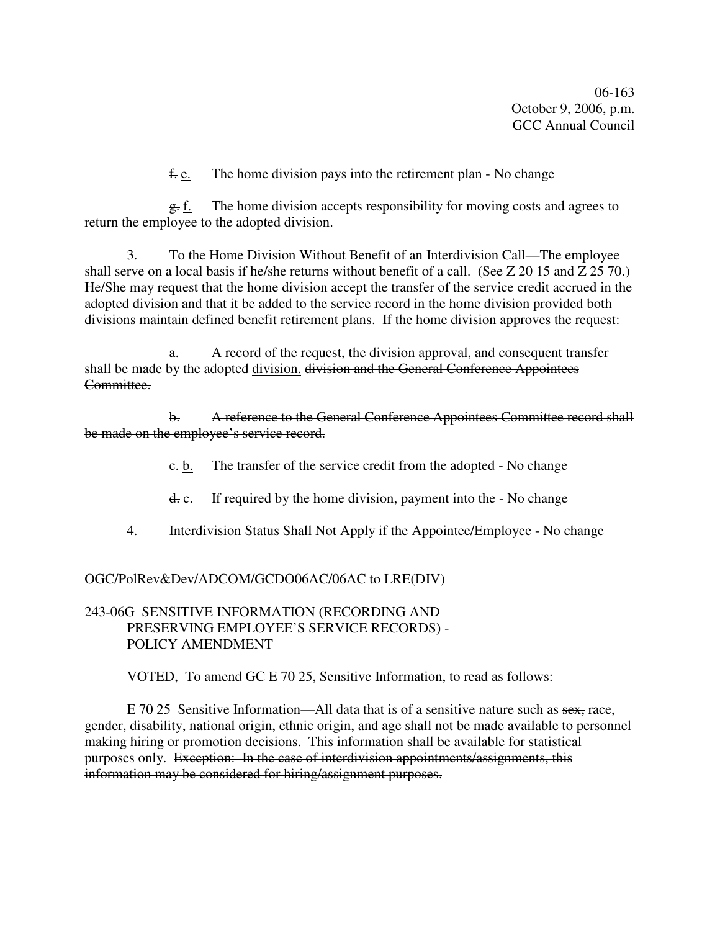06-163 October 9, 2006, p.m. GCC Annual Council

 $f.e.$  The home division pays into the retirement plan - No change

 $\frac{1}{2}$ . The home division accepts responsibility for moving costs and agrees to return the employee to the adopted division.

 3. To the Home Division Without Benefit of an Interdivision Call—The employee shall serve on a local basis if he/she returns without benefit of a call. (See Z 20 15 and Z 25 70.) He/She may request that the home division accept the transfer of the service credit accrued in the adopted division and that it be added to the service record in the home division provided both divisions maintain defined benefit retirement plans. If the home division approves the request:

 a. A record of the request, the division approval, and consequent transfer shall be made by the adopted division. division and the General Conference Appointees Committee.

b. A reference to the General Conference Appointees Committee record shall be made on the employee's service record.

 $\epsilon$ . **b.** The transfer of the service credit from the adopted - No change

- d. c. If required by the home division, payment into the No change
- 4. Interdivision Status Shall Not Apply if the Appointee/Employee No change

OGC/PolRev&Dev/ADCOM/GCDO06AC/06AC to LRE(DIV)

# 243-06G SENSITIVE INFORMATION (RECORDING AND PRESERVING EMPLOYEE'S SERVICE RECORDS) - POLICY AMENDMENT

VOTED, To amend GC E 70 25, Sensitive Information, to read as follows:

E 70 25 Sensitive Information—All data that is of a sensitive nature such as  $\frac{1}{2}$ , race, gender, disability, national origin, ethnic origin, and age shall not be made available to personnel making hiring or promotion decisions. This information shall be available for statistical purposes only. Exception: In the case of interdivision appointments/assignments, this information may be considered for hiring/assignment purposes.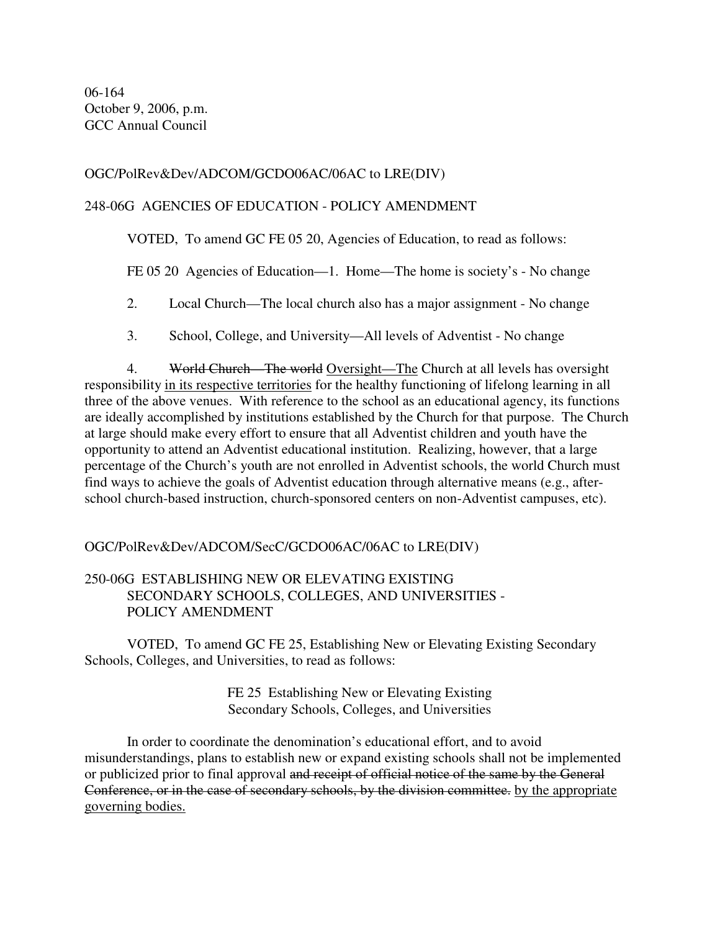06-164 October 9, 2006, p.m. GCC Annual Council

# OGC/PolRev&Dev/ADCOM/GCDO06AC/06AC to LRE(DIV)

## 248-06G AGENCIES OF EDUCATION - POLICY AMENDMENT

VOTED, To amend GC FE 05 20, Agencies of Education, to read as follows:

FE 05 20 Agencies of Education—1. Home—The home is society's - No change

- 2. Local Church—The local church also has a major assignment No change
- 3. School, College, and University—All levels of Adventist No change

4. World Church—The world Oversight—The Church at all levels has oversight responsibility in its respective territories for the healthy functioning of lifelong learning in all three of the above venues. With reference to the school as an educational agency, its functions are ideally accomplished by institutions established by the Church for that purpose. The Church at large should make every effort to ensure that all Adventist children and youth have the opportunity to attend an Adventist educational institution. Realizing, however, that a large percentage of the Church's youth are not enrolled in Adventist schools, the world Church must find ways to achieve the goals of Adventist education through alternative means (e.g., afterschool church-based instruction, church-sponsored centers on non-Adventist campuses, etc).

### OGC/PolRev&Dev/ADCOM/SecC/GCDO06AC/06AC to LRE(DIV)

# 250-06G ESTABLISHING NEW OR ELEVATING EXISTING SECONDARY SCHOOLS, COLLEGES, AND UNIVERSITIES - POLICY AMENDMENT

 VOTED, To amend GC FE 25, Establishing New or Elevating Existing Secondary Schools, Colleges, and Universities, to read as follows:

> FE 25 Establishing New or Elevating Existing Secondary Schools, Colleges, and Universities

In order to coordinate the denomination's educational effort, and to avoid misunderstandings, plans to establish new or expand existing schools shall not be implemented or publicized prior to final approval and receipt of official notice of the same by the General Conference, or in the case of secondary schools, by the division committee. by the appropriate governing bodies.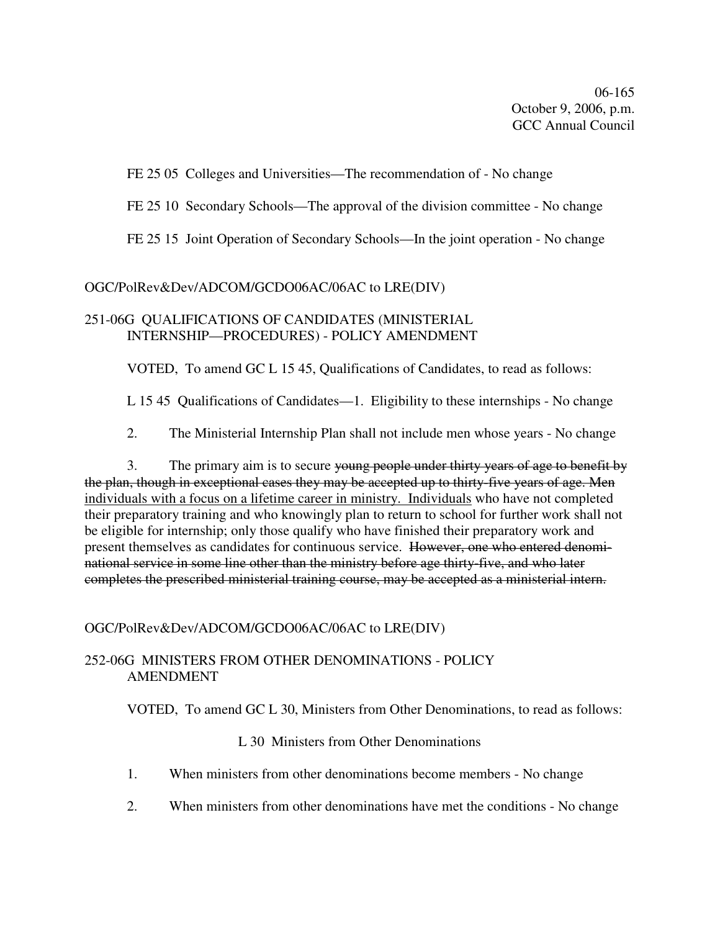06-165 October 9, 2006, p.m. GCC Annual Council

FE 25 05 Colleges and Universities—The recommendation of - No change

FE 25 10 Secondary Schools—The approval of the division committee - No change

FE 25 15 Joint Operation of Secondary Schools—In the joint operation - No change

# OGC/PolRev&Dev/ADCOM/GCDO06AC/06AC to LRE(DIV)

# 251-06G QUALIFICATIONS OF CANDIDATES (MINISTERIAL INTERNSHIP—PROCEDURES) - POLICY AMENDMENT

VOTED, To amend GC L 15 45, Qualifications of Candidates, to read as follows:

L 15 45 Qualifications of Candidates—1. Eligibility to these internships - No change

2. The Ministerial Internship Plan shall not include men whose years - No change

3. The primary aim is to secure young people under thirty years of age to benefit by the plan, though in exceptional cases they may be accepted up to thirty-five years of age. Men individuals with a focus on a lifetime career in ministry. Individuals who have not completed their preparatory training and who knowingly plan to return to school for further work shall not be eligible for internship; only those qualify who have finished their preparatory work and present themselves as candidates for continuous service. However, one who entered denominational service in some line other than the ministry before age thirty-five, and who later completes the prescribed ministerial training course, may be accepted as a ministerial intern.

### OGC/PolRev&Dev/ADCOM/GCDO06AC/06AC to LRE(DIV)

252-06G MINISTERS FROM OTHER DENOMINATIONS - POLICY AMENDMENT

VOTED, To amend GC L 30, Ministers from Other Denominations, to read as follows:

### L 30 Ministers from Other Denominations

- 1. When ministers from other denominations become members No change
- 2. When ministers from other denominations have met the conditions No change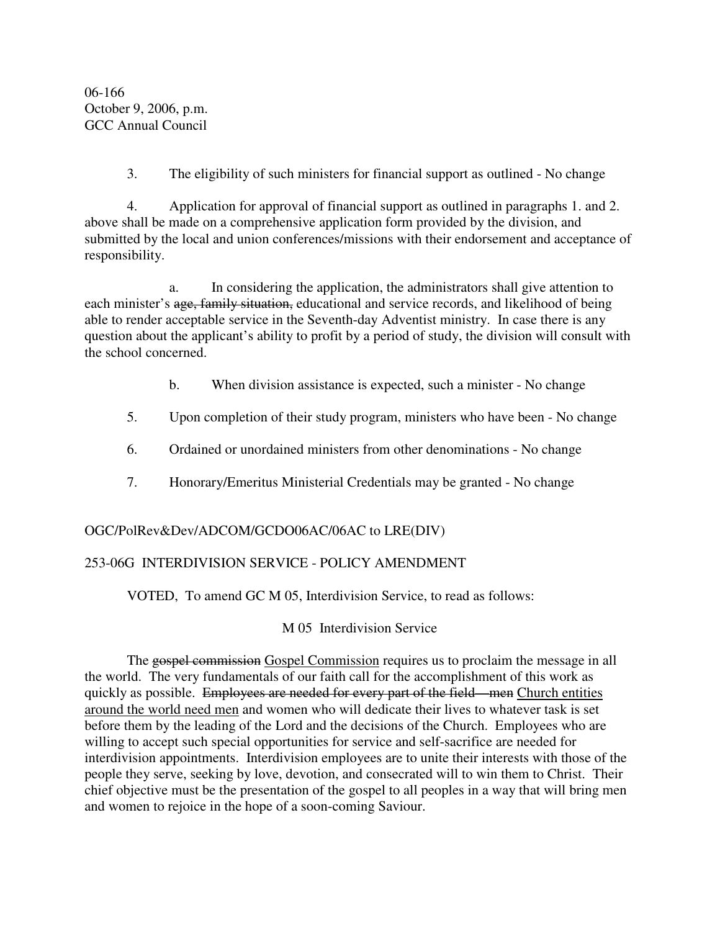06-166 October 9, 2006, p.m. GCC Annual Council

3. The eligibility of such ministers for financial support as outlined - No change

 4. Application for approval of financial support as outlined in paragraphs 1. and 2. above shall be made on a comprehensive application form provided by the division, and submitted by the local and union conferences/missions with their endorsement and acceptance of responsibility.

 a. In considering the application, the administrators shall give attention to each minister's age, family situation, educational and service records, and likelihood of being able to render acceptable service in the Seventh-day Adventist ministry. In case there is any question about the applicant's ability to profit by a period of study, the division will consult with the school concerned.

- b. When division assistance is expected, such a minister No change
- 5. Upon completion of their study program, ministers who have been No change
- 6. Ordained or unordained ministers from other denominations No change
- 7. Honorary/Emeritus Ministerial Credentials may be granted No change

### OGC/PolRev&Dev/ADCOM/GCDO06AC/06AC to LRE(DIV)

# 253-06G INTERDIVISION SERVICE - POLICY AMENDMENT

VOTED, To amend GC M 05, Interdivision Service, to read as follows:

### M 05 Interdivision Service

The gospel commission Gospel Commission requires us to proclaim the message in all the world. The very fundamentals of our faith call for the accomplishment of this work as quickly as possible. Employees are needed for every part of the field—men Church entities around the world need men and women who will dedicate their lives to whatever task is set before them by the leading of the Lord and the decisions of the Church. Employees who are willing to accept such special opportunities for service and self-sacrifice are needed for interdivision appointments. Interdivision employees are to unite their interests with those of the people they serve, seeking by love, devotion, and consecrated will to win them to Christ. Their chief objective must be the presentation of the gospel to all peoples in a way that will bring men and women to rejoice in the hope of a soon-coming Saviour.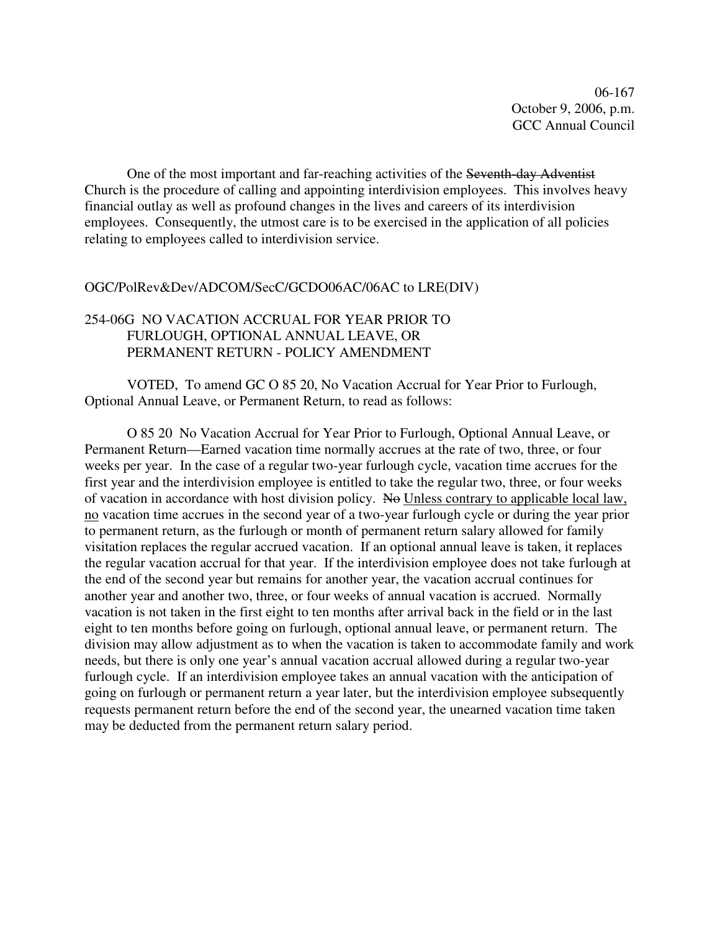06-167 October 9, 2006, p.m. GCC Annual Council

One of the most important and far-reaching activities of the Seventh-day Adventist Church is the procedure of calling and appointing interdivision employees. This involves heavy financial outlay as well as profound changes in the lives and careers of its interdivision employees. Consequently, the utmost care is to be exercised in the application of all policies relating to employees called to interdivision service.

#### OGC/PolRev&Dev/ADCOM/SecC/GCDO06AC/06AC to LRE(DIV)

# 254-06G NO VACATION ACCRUAL FOR YEAR PRIOR TO FURLOUGH, OPTIONAL ANNUAL LEAVE, OR PERMANENT RETURN - POLICY AMENDMENT

 VOTED, To amend GC O 85 20, No Vacation Accrual for Year Prior to Furlough, Optional Annual Leave, or Permanent Return, to read as follows:

O 85 20 No Vacation Accrual for Year Prior to Furlough, Optional Annual Leave, or Permanent Return—Earned vacation time normally accrues at the rate of two, three, or four weeks per year. In the case of a regular two-year furlough cycle, vacation time accrues for the first year and the interdivision employee is entitled to take the regular two, three, or four weeks of vacation in accordance with host division policy. No Unless contrary to applicable local law, no vacation time accrues in the second year of a two-year furlough cycle or during the year prior to permanent return, as the furlough or month of permanent return salary allowed for family visitation replaces the regular accrued vacation. If an optional annual leave is taken, it replaces the regular vacation accrual for that year. If the interdivision employee does not take furlough at the end of the second year but remains for another year, the vacation accrual continues for another year and another two, three, or four weeks of annual vacation is accrued. Normally vacation is not taken in the first eight to ten months after arrival back in the field or in the last eight to ten months before going on furlough, optional annual leave, or permanent return. The division may allow adjustment as to when the vacation is taken to accommodate family and work needs, but there is only one year's annual vacation accrual allowed during a regular two-year furlough cycle. If an interdivision employee takes an annual vacation with the anticipation of going on furlough or permanent return a year later, but the interdivision employee subsequently requests permanent return before the end of the second year, the unearned vacation time taken may be deducted from the permanent return salary period.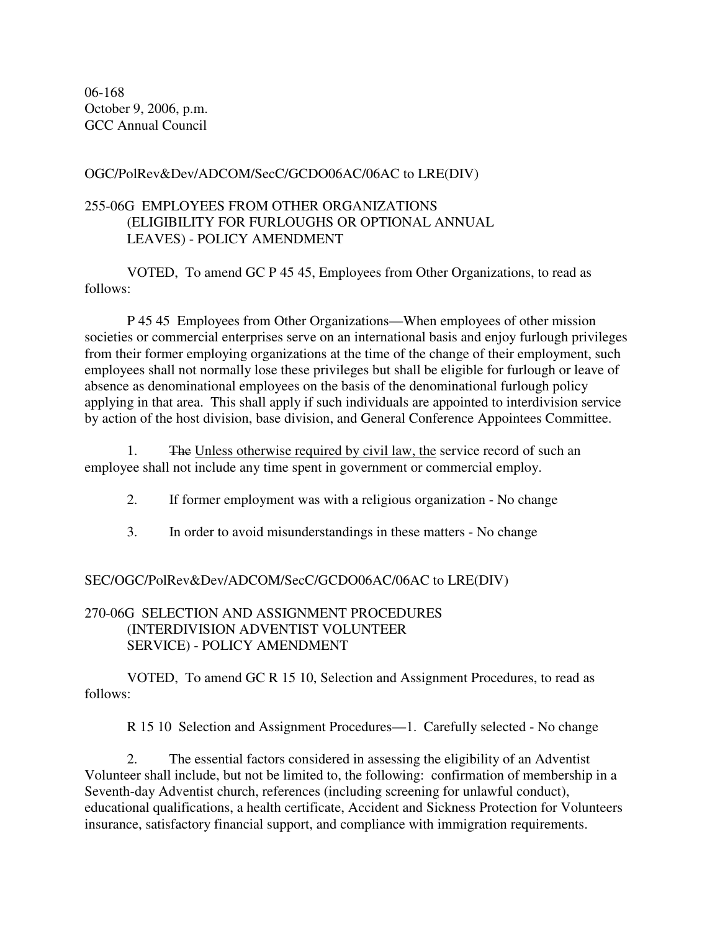06-168 October 9, 2006, p.m. GCC Annual Council

# OGC/PolRev&Dev/ADCOM/SecC/GCDO06AC/06AC to LRE(DIV)

# 255-06G EMPLOYEES FROM OTHER ORGANIZATIONS (ELIGIBILITY FOR FURLOUGHS OR OPTIONAL ANNUAL LEAVES) - POLICY AMENDMENT

 VOTED, To amend GC P 45 45, Employees from Other Organizations, to read as follows:

P 45 45 Employees from Other Organizations—When employees of other mission societies or commercial enterprises serve on an international basis and enjoy furlough privileges from their former employing organizations at the time of the change of their employment, such employees shall not normally lose these privileges but shall be eligible for furlough or leave of absence as denominational employees on the basis of the denominational furlough policy applying in that area. This shall apply if such individuals are appointed to interdivision service by action of the host division, base division, and General Conference Appointees Committee.

1. The Unless otherwise required by civil law, the service record of such an employee shall not include any time spent in government or commercial employ.

2. If former employment was with a religious organization - No change

3. In order to avoid misunderstandings in these matters - No change

SEC/OGC/PolRev&Dev/ADCOM/SecC/GCDO06AC/06AC to LRE(DIV)

# 270-06G SELECTION AND ASSIGNMENT PROCEDURES (INTERDIVISION ADVENTIST VOLUNTEER SERVICE) - POLICY AMENDMENT

 VOTED, To amend GC R 15 10, Selection and Assignment Procedures, to read as follows:

R 15 10 Selection and Assignment Procedures—1. Carefully selected - No change

 2. The essential factors considered in assessing the eligibility of an Adventist Volunteer shall include, but not be limited to, the following: confirmation of membership in a Seventh-day Adventist church, references (including screening for unlawful conduct), educational qualifications, a health certificate, Accident and Sickness Protection for Volunteers insurance, satisfactory financial support, and compliance with immigration requirements.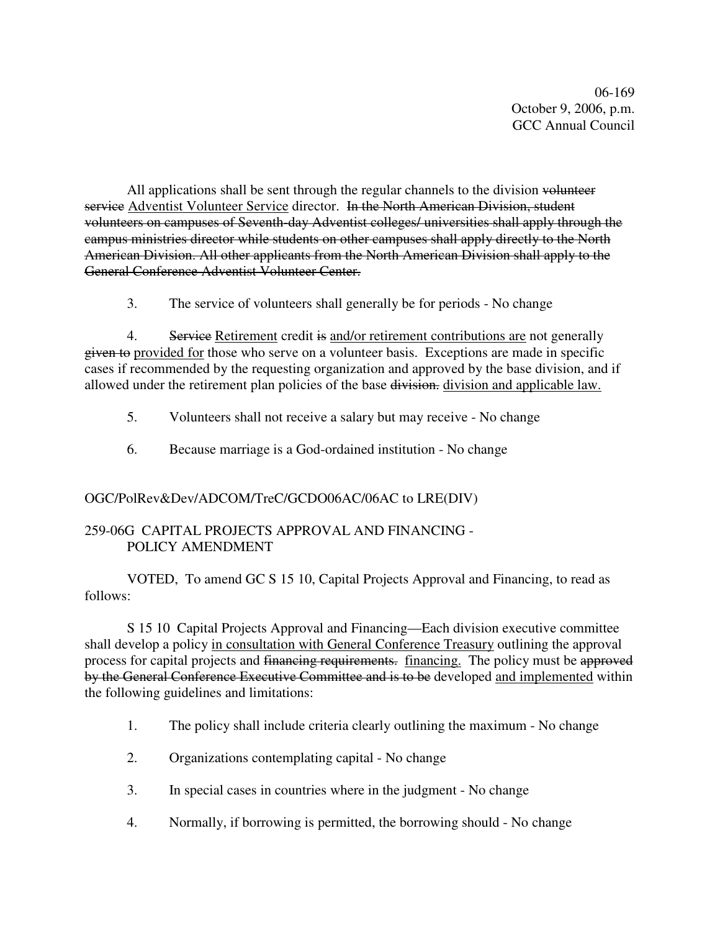06-169 October 9, 2006, p.m. GCC Annual Council

All applications shall be sent through the regular channels to the division volunteer service Adventist Volunteer Service director. In the North American Division, student volunteers on campuses of Seventh-day Adventist colleges/ universities shall apply through the campus ministries director while students on other campuses shall apply directly to the North American Division. All other applicants from the North American Division shall apply to the General Conference Adventist Volunteer Center.

3. The service of volunteers shall generally be for periods - No change

4. Service Retirement credit is and/or retirement contributions are not generally given to provided for those who serve on a volunteer basis. Exceptions are made in specific cases if recommended by the requesting organization and approved by the base division, and if allowed under the retirement plan policies of the base division. division and applicable law.

- 5. Volunteers shall not receive a salary but may receive No change
- 6. Because marriage is a God-ordained institution No change

### OGC/PolRev&Dev/ADCOM/TreC/GCDO06AC/06AC to LRE(DIV)

# 259-06G CAPITAL PROJECTS APPROVAL AND FINANCING - POLICY AMENDMENT

 VOTED, To amend GC S 15 10, Capital Projects Approval and Financing, to read as follows:

S 15 10 Capital Projects Approval and Financing—Each division executive committee shall develop a policy in consultation with General Conference Treasury outlining the approval process for capital projects and <del>financing requirements.</del> financing. The policy must be approved by the General Conference Executive Committee and is to be developed and implemented within the following guidelines and limitations:

- 1. The policy shall include criteria clearly outlining the maximum No change
- 2. Organizations contemplating capital No change
- 3. In special cases in countries where in the judgment No change
- 4. Normally, if borrowing is permitted, the borrowing should No change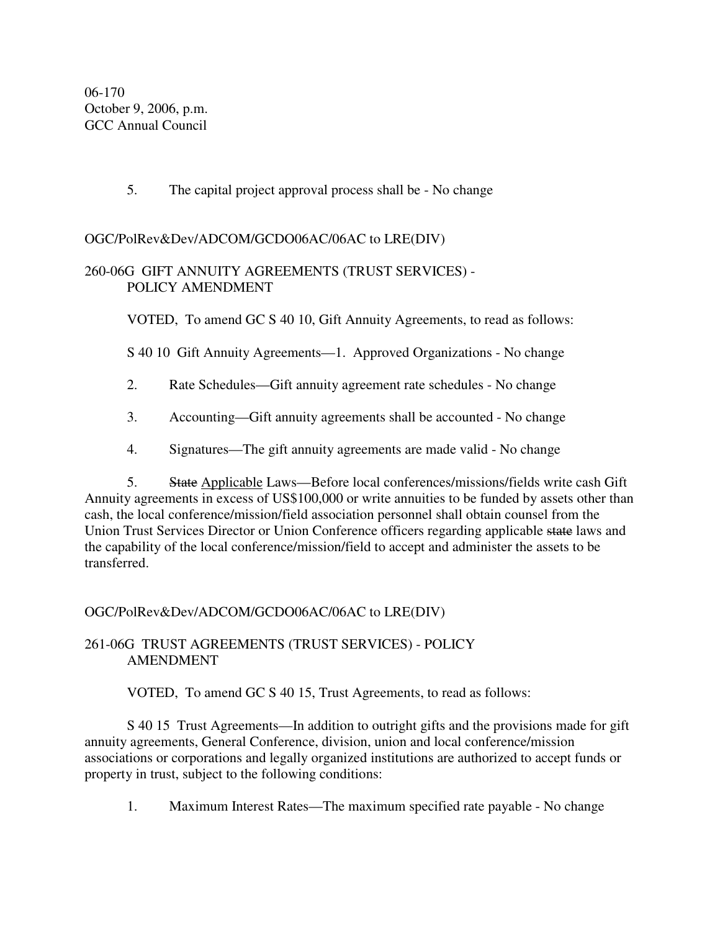5. The capital project approval process shall be - No change

# OGC/PolRev&Dev/ADCOM/GCDO06AC/06AC to LRE(DIV)

# 260-06G GIFT ANNUITY AGREEMENTS (TRUST SERVICES) - POLICY AMENDMENT

VOTED, To amend GC S 40 10, Gift Annuity Agreements, to read as follows:

S 40 10 Gift Annuity Agreements—1. Approved Organizations - No change

- 2. Rate Schedules—Gift annuity agreement rate schedules No change
- 3. Accounting—Gift annuity agreements shall be accounted No change
- 4. Signatures—The gift annuity agreements are made valid No change

 5. State Applicable Laws—Before local conferences/missions/fields write cash Gift Annuity agreements in excess of US\$100,000 or write annuities to be funded by assets other than cash, the local conference/mission/field association personnel shall obtain counsel from the Union Trust Services Director or Union Conference officers regarding applicable state laws and the capability of the local conference/mission/field to accept and administer the assets to be transferred.

# OGC/PolRev&Dev/ADCOM/GCDO06AC/06AC to LRE(DIV)

# 261-06G TRUST AGREEMENTS (TRUST SERVICES) - POLICY AMENDMENT

VOTED, To amend GC S 40 15, Trust Agreements, to read as follows:

S 40 15 Trust Agreements—In addition to outright gifts and the provisions made for gift annuity agreements, General Conference, division, union and local conference/mission associations or corporations and legally organized institutions are authorized to accept funds or property in trust, subject to the following conditions:

1. Maximum Interest Rates—The maximum specified rate payable - No change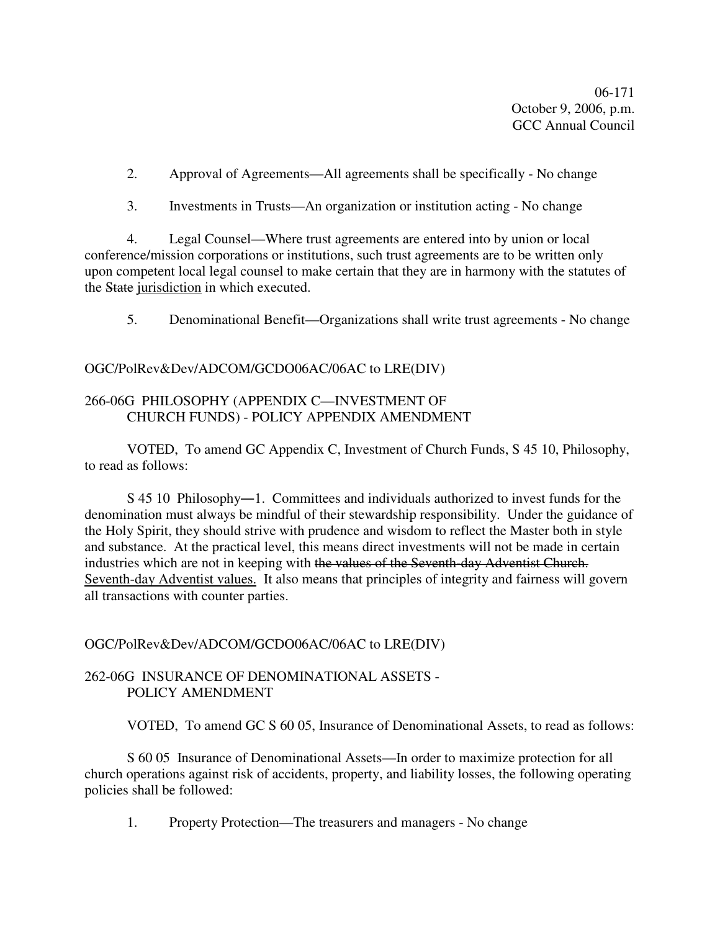06-171 October 9, 2006, p.m. GCC Annual Council

2. Approval of Agreements—All agreements shall be specifically - No change

3. Investments in Trusts—An organization or institution acting - No change

 4. Legal Counsel—Where trust agreements are entered into by union or local conference/mission corporations or institutions, such trust agreements are to be written only upon competent local legal counsel to make certain that they are in harmony with the statutes of the State jurisdiction in which executed.

5. Denominational Benefit—Organizations shall write trust agreements - No change

# OGC/PolRev&Dev/ADCOM/GCDO06AC/06AC to LRE(DIV)

# 266-06G PHILOSOPHY (APPENDIX C—INVESTMENT OF CHURCH FUNDS) - POLICY APPENDIX AMENDMENT

 VOTED, To amend GC Appendix C, Investment of Church Funds, S 45 10, Philosophy, to read as follows:

S 45 10 Philosophy―1. Committees and individuals authorized to invest funds for the denomination must always be mindful of their stewardship responsibility. Under the guidance of the Holy Spirit, they should strive with prudence and wisdom to reflect the Master both in style and substance. At the practical level, this means direct investments will not be made in certain industries which are not in keeping with the values of the Seventh-day Adventist Church. Seventh-day Adventist values. It also means that principles of integrity and fairness will govern all transactions with counter parties.

# OGC/PolRev&Dev/ADCOM/GCDO06AC/06AC to LRE(DIV)

# 262-06G INSURANCE OF DENOMINATIONAL ASSETS - POLICY AMENDMENT

VOTED, To amend GC S 60 05, Insurance of Denominational Assets, to read as follows:

S 60 05 Insurance of Denominational Assets—In order to maximize protection for all church operations against risk of accidents, property, and liability losses, the following operating policies shall be followed:

1. Property Protection—The treasurers and managers - No change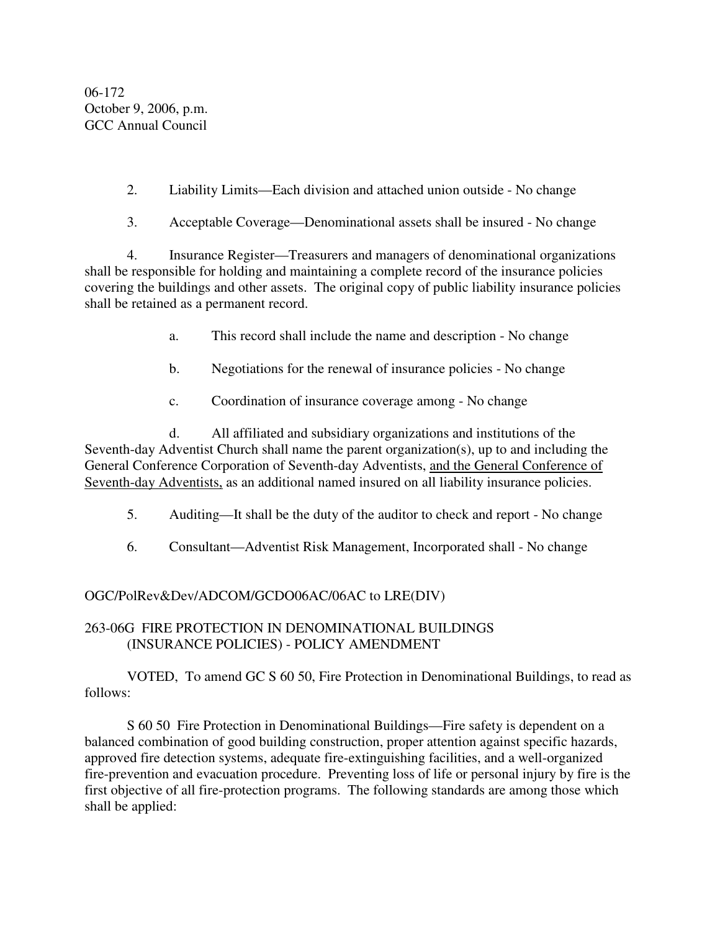06-172 October 9, 2006, p.m. GCC Annual Council

- 2. Liability Limits—Each division and attached union outside No change
- 3. Acceptable Coverage—Denominational assets shall be insured No change

 4. Insurance Register—Treasurers and managers of denominational organizations shall be responsible for holding and maintaining a complete record of the insurance policies covering the buildings and other assets. The original copy of public liability insurance policies shall be retained as a permanent record.

- a. This record shall include the name and description No change
- b. Negotiations for the renewal of insurance policies No change
- c. Coordination of insurance coverage among No change

 d. All affiliated and subsidiary organizations and institutions of the Seventh-day Adventist Church shall name the parent organization(s), up to and including the General Conference Corporation of Seventh-day Adventists, and the General Conference of Seventh-day Adventists, as an additional named insured on all liability insurance policies.

- 5. Auditing—It shall be the duty of the auditor to check and report No change
- 6. Consultant—Adventist Risk Management, Incorporated shall No change

# OGC/PolRev&Dev/ADCOM/GCDO06AC/06AC to LRE(DIV)

# 263-06G FIRE PROTECTION IN DENOMINATIONAL BUILDINGS (INSURANCE POLICIES) - POLICY AMENDMENT

 VOTED, To amend GC S 60 50, Fire Protection in Denominational Buildings, to read as follows:

S 60 50 Fire Protection in Denominational Buildings—Fire safety is dependent on a balanced combination of good building construction, proper attention against specific hazards, approved fire detection systems, adequate fire-extinguishing facilities, and a well-organized fire-prevention and evacuation procedure. Preventing loss of life or personal injury by fire is the first objective of all fire-protection programs. The following standards are among those which shall be applied: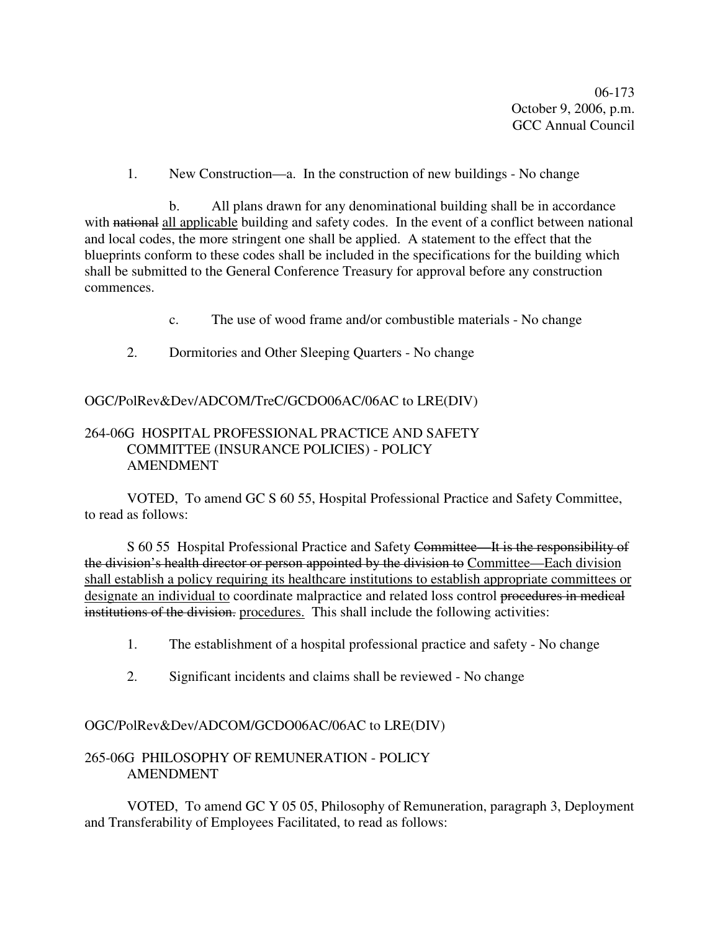06-173 October 9, 2006, p.m. GCC Annual Council

1. New Construction—a. In the construction of new buildings - No change

 b. All plans drawn for any denominational building shall be in accordance with national all applicable building and safety codes. In the event of a conflict between national and local codes, the more stringent one shall be applied. A statement to the effect that the blueprints conform to these codes shall be included in the specifications for the building which shall be submitted to the General Conference Treasury for approval before any construction commences.

- c. The use of wood frame and/or combustible materials No change
- 2. Dormitories and Other Sleeping Quarters No change

# OGC/PolRev&Dev/ADCOM/TreC/GCDO06AC/06AC to LRE(DIV)

# 264-06G HOSPITAL PROFESSIONAL PRACTICE AND SAFETY COMMITTEE (INSURANCE POLICIES) - POLICY AMENDMENT

 VOTED, To amend GC S 60 55, Hospital Professional Practice and Safety Committee, to read as follows:

S 60 55 Hospital Professional Practice and Safety Committee—It is the responsibility of the division's health director or person appointed by the division to Committee—Each division shall establish a policy requiring its healthcare institutions to establish appropriate committees or designate an individual to coordinate malpractice and related loss control procedures in medical institutions of the division. procedures. This shall include the following activities:

- 1. The establishment of a hospital professional practice and safety No change
- 2. Significant incidents and claims shall be reviewed No change

## OGC/PolRev&Dev/ADCOM/GCDO06AC/06AC to LRE(DIV)

## 265-06G PHILOSOPHY OF REMUNERATION - POLICY AMENDMENT

 VOTED, To amend GC Y 05 05, Philosophy of Remuneration, paragraph 3, Deployment and Transferability of Employees Facilitated, to read as follows: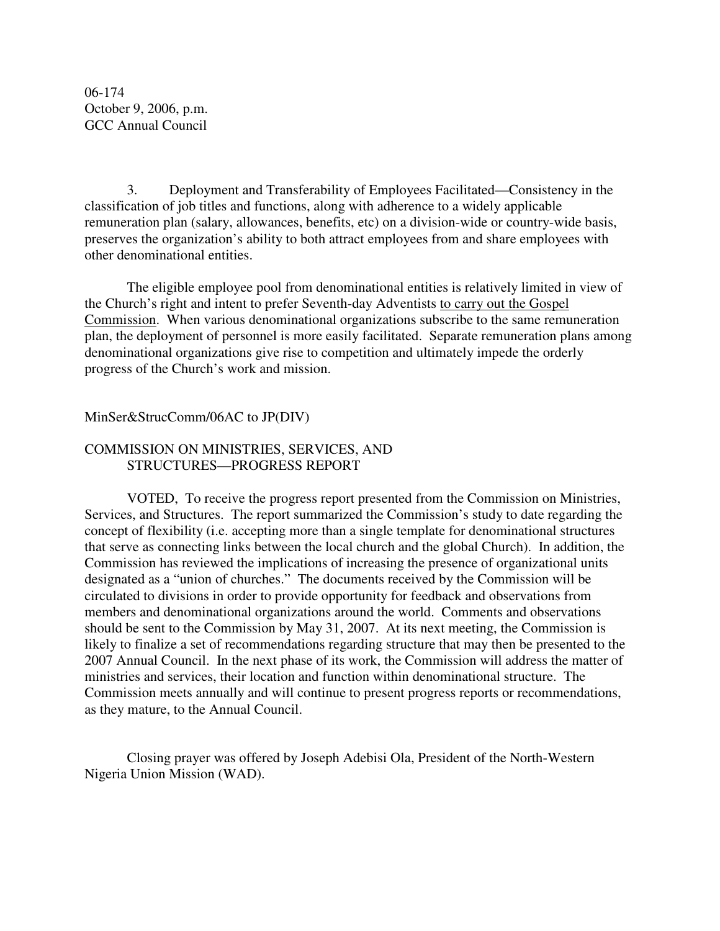06-174 October 9, 2006, p.m. GCC Annual Council

3. Deployment and Transferability of Employees Facilitated—Consistency in the classification of job titles and functions, along with adherence to a widely applicable remuneration plan (salary, allowances, benefits, etc) on a division-wide or country-wide basis, preserves the organization's ability to both attract employees from and share employees with other denominational entities.

The eligible employee pool from denominational entities is relatively limited in view of the Church's right and intent to prefer Seventh-day Adventists to carry out the Gospel Commission. When various denominational organizations subscribe to the same remuneration plan, the deployment of personnel is more easily facilitated. Separate remuneration plans among denominational organizations give rise to competition and ultimately impede the orderly progress of the Church's work and mission.

#### MinSer&StrucComm/06AC to JP(DIV)

## COMMISSION ON MINISTRIES, SERVICES, AND STRUCTURES—PROGRESS REPORT

 VOTED, To receive the progress report presented from the Commission on Ministries, Services, and Structures. The report summarized the Commission's study to date regarding the concept of flexibility (i.e. accepting more than a single template for denominational structures that serve as connecting links between the local church and the global Church). In addition, the Commission has reviewed the implications of increasing the presence of organizational units designated as a "union of churches." The documents received by the Commission will be circulated to divisions in order to provide opportunity for feedback and observations from members and denominational organizations around the world. Comments and observations should be sent to the Commission by May 31, 2007. At its next meeting, the Commission is likely to finalize a set of recommendations regarding structure that may then be presented to the 2007 Annual Council. In the next phase of its work, the Commission will address the matter of ministries and services, their location and function within denominational structure. The Commission meets annually and will continue to present progress reports or recommendations, as they mature, to the Annual Council.

 Closing prayer was offered by Joseph Adebisi Ola, President of the North-Western Nigeria Union Mission (WAD).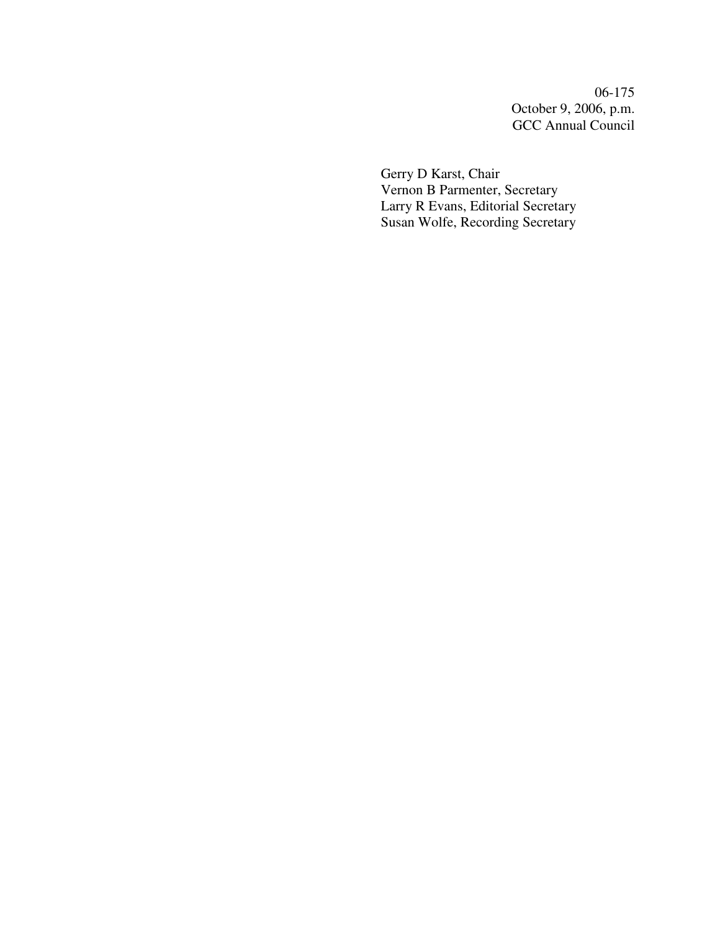06-175 October 9, 2006, p.m. GCC Annual Council

 Gerry D Karst, Chair Vernon B Parmenter, Secretary Larry R Evans, Editorial Secretary Susan Wolfe, Recording Secretary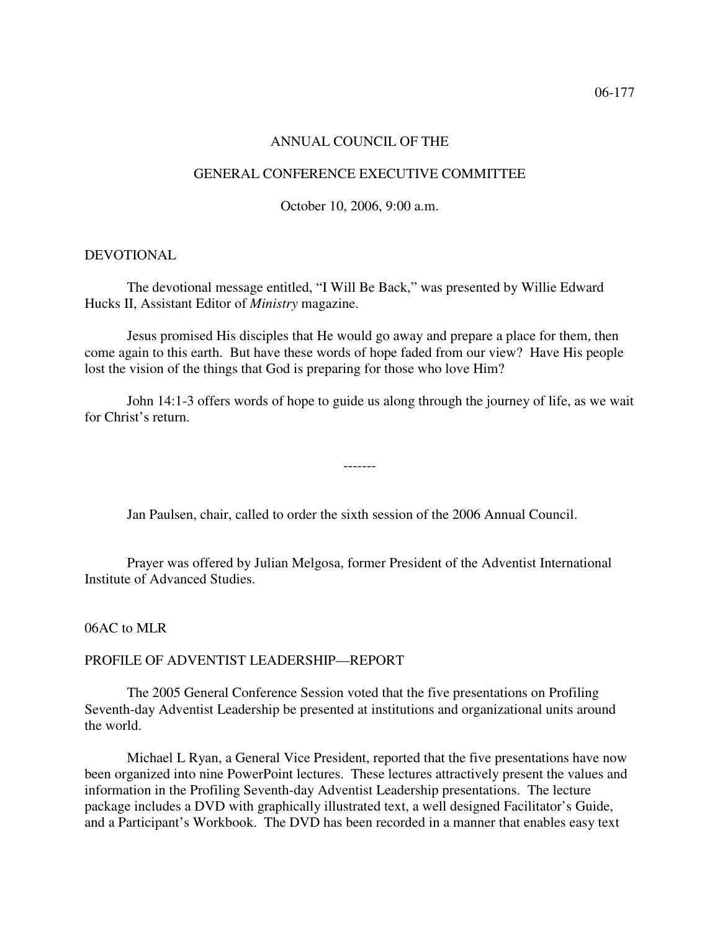#### ANNUAL COUNCIL OF THE

#### GENERAL CONFERENCE EXECUTIVE COMMITTEE

October 10, 2006, 9:00 a.m.

#### DEVOTIONAL

The devotional message entitled, "I Will Be Back," was presented by Willie Edward Hucks II, Assistant Editor of *Ministry* magazine.

Jesus promised His disciples that He would go away and prepare a place for them, then come again to this earth. But have these words of hope faded from our view? Have His people lost the vision of the things that God is preparing for those who love Him?

John 14:1-3 offers words of hope to guide us along through the journey of life, as we wait for Christ's return.

-------

Jan Paulsen, chair, called to order the sixth session of the 2006 Annual Council.

 Prayer was offered by Julian Melgosa, former President of the Adventist International Institute of Advanced Studies.

06AC to MLR

#### PROFILE OF ADVENTIST LEADERSHIP—REPORT

 The 2005 General Conference Session voted that the five presentations on Profiling Seventh-day Adventist Leadership be presented at institutions and organizational units around the world.

 Michael L Ryan, a General Vice President, reported that the five presentations have now been organized into nine PowerPoint lectures. These lectures attractively present the values and information in the Profiling Seventh-day Adventist Leadership presentations. The lecture package includes a DVD with graphically illustrated text, a well designed Facilitator's Guide, and a Participant's Workbook. The DVD has been recorded in a manner that enables easy text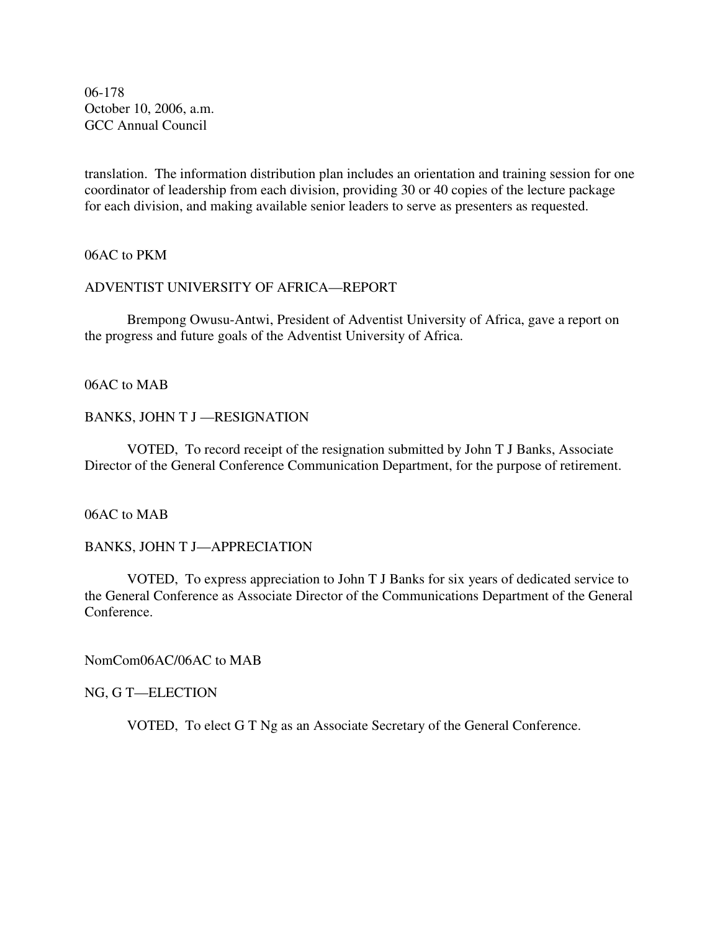06-178 October 10, 2006, a.m. GCC Annual Council

translation. The information distribution plan includes an orientation and training session for one coordinator of leadership from each division, providing 30 or 40 copies of the lecture package for each division, and making available senior leaders to serve as presenters as requested.

06AC to PKM

## ADVENTIST UNIVERSITY OF AFRICA—REPORT

 Brempong Owusu-Antwi, President of Adventist University of Africa, gave a report on the progress and future goals of the Adventist University of Africa.

06AC to MAB

## BANKS, JOHN T J —RESIGNATION

 VOTED, To record receipt of the resignation submitted by John T J Banks, Associate Director of the General Conference Communication Department, for the purpose of retirement.

06AC to MAB

## BANKS, JOHN T J—APPRECIATION

 VOTED, To express appreciation to John T J Banks for six years of dedicated service to the General Conference as Associate Director of the Communications Department of the General Conference.

NomCom06AC/06AC to MAB

NG, G T—ELECTION

VOTED, To elect G T Ng as an Associate Secretary of the General Conference.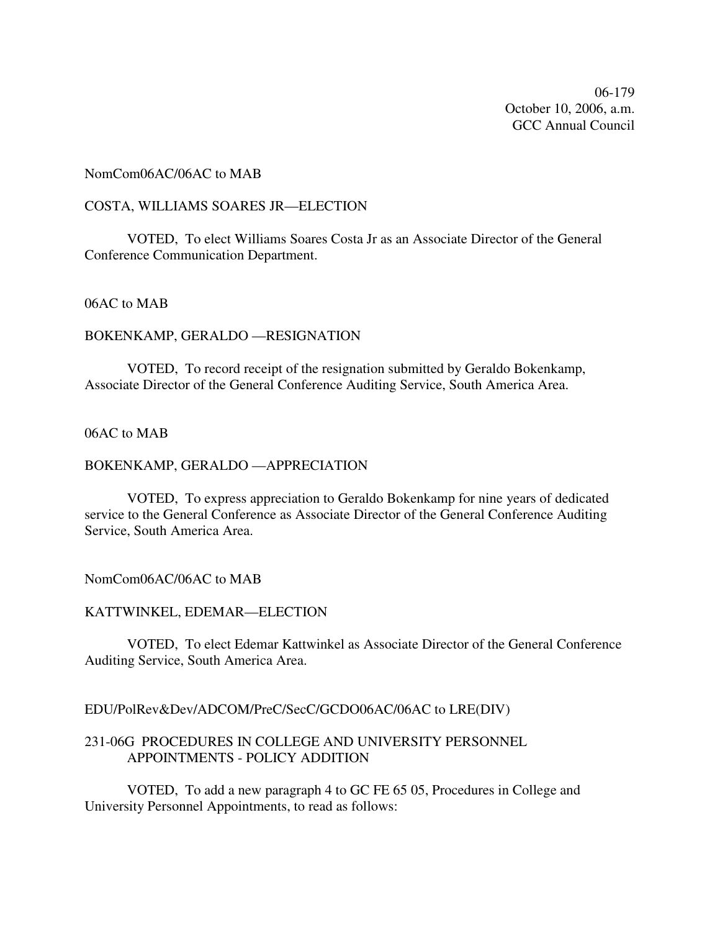06-179 October 10, 2006, a.m. GCC Annual Council

#### NomCom06AC/06AC to MAB

#### COSTA, WILLIAMS SOARES JR—ELECTION

 VOTED, To elect Williams Soares Costa Jr as an Associate Director of the General Conference Communication Department.

# 06AC to MAB

#### BOKENKAMP, GERALDO —RESIGNATION

 VOTED, To record receipt of the resignation submitted by Geraldo Bokenkamp, Associate Director of the General Conference Auditing Service, South America Area.

#### 06AC to MAB

#### BOKENKAMP, GERALDO —APPRECIATION

 VOTED, To express appreciation to Geraldo Bokenkamp for nine years of dedicated service to the General Conference as Associate Director of the General Conference Auditing Service, South America Area.

#### NomCom06AC/06AC to MAB

#### KATTWINKEL, EDEMAR—ELECTION

 VOTED, To elect Edemar Kattwinkel as Associate Director of the General Conference Auditing Service, South America Area.

#### EDU/PolRev&Dev/ADCOM/PreC/SecC/GCDO06AC/06AC to LRE(DIV)

## 231-06G PROCEDURES IN COLLEGE AND UNIVERSITY PERSONNEL APPOINTMENTS - POLICY ADDITION

 VOTED, To add a new paragraph 4 to GC FE 65 05, Procedures in College and University Personnel Appointments, to read as follows: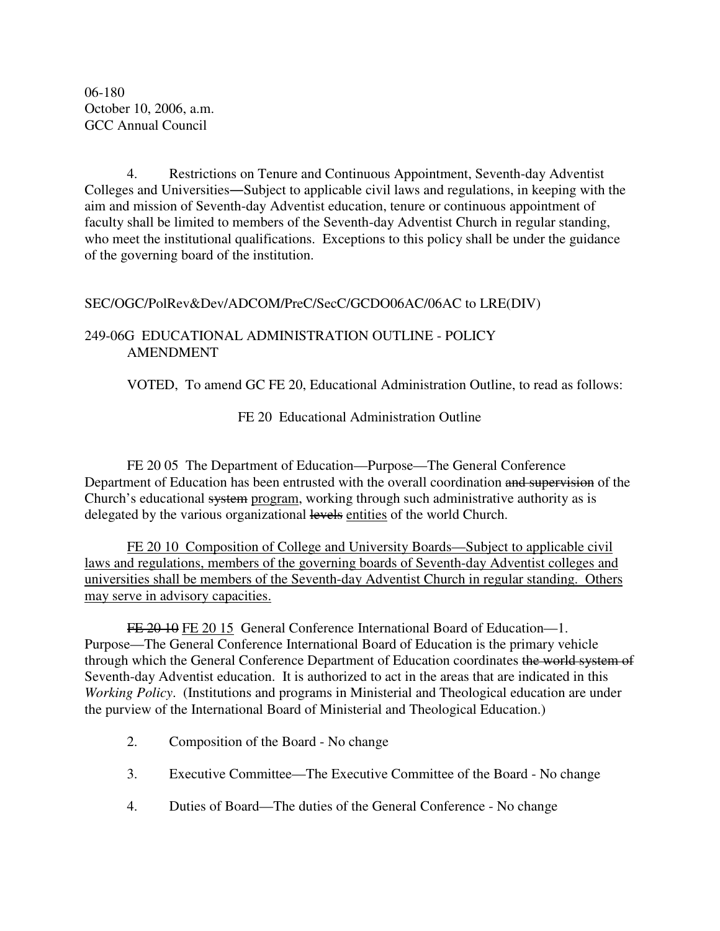06-180 October 10, 2006, a.m. GCC Annual Council

 4. Restrictions on Tenure and Continuous Appointment, Seventh-day Adventist Colleges and Universities―Subject to applicable civil laws and regulations, in keeping with the aim and mission of Seventh-day Adventist education, tenure or continuous appointment of faculty shall be limited to members of the Seventh-day Adventist Church in regular standing, who meet the institutional qualifications. Exceptions to this policy shall be under the guidance of the governing board of the institution.

## SEC/OGC/PolRev&Dev/ADCOM/PreC/SecC/GCDO06AC/06AC to LRE(DIV)

# 249-06G EDUCATIONAL ADMINISTRATION OUTLINE - POLICY AMENDMENT

VOTED, To amend GC FE 20, Educational Administration Outline, to read as follows:

FE 20 Educational Administration Outline

 FE 20 05 The Department of Education—Purpose—The General Conference Department of Education has been entrusted with the overall coordination and supervision of the Church's educational system program, working through such administrative authority as is delegated by the various organizational levels entities of the world Church.

FE 20 10 Composition of College and University Boards—Subject to applicable civil laws and regulations, members of the governing boards of Seventh-day Adventist colleges and universities shall be members of the Seventh-day Adventist Church in regular standing. Others may serve in advisory capacities.

FE 20 10 FE 20 15 General Conference International Board of Education—1. Purpose—The General Conference International Board of Education is the primary vehicle through which the General Conference Department of Education coordinates the world system of Seventh-day Adventist education. It is authorized to act in the areas that are indicated in this *Working Policy*. (Institutions and programs in Ministerial and Theological education are under the purview of the International Board of Ministerial and Theological Education.)

- 2. Composition of the Board No change
- 3. Executive Committee—The Executive Committee of the Board No change
- 4. Duties of Board—The duties of the General Conference No change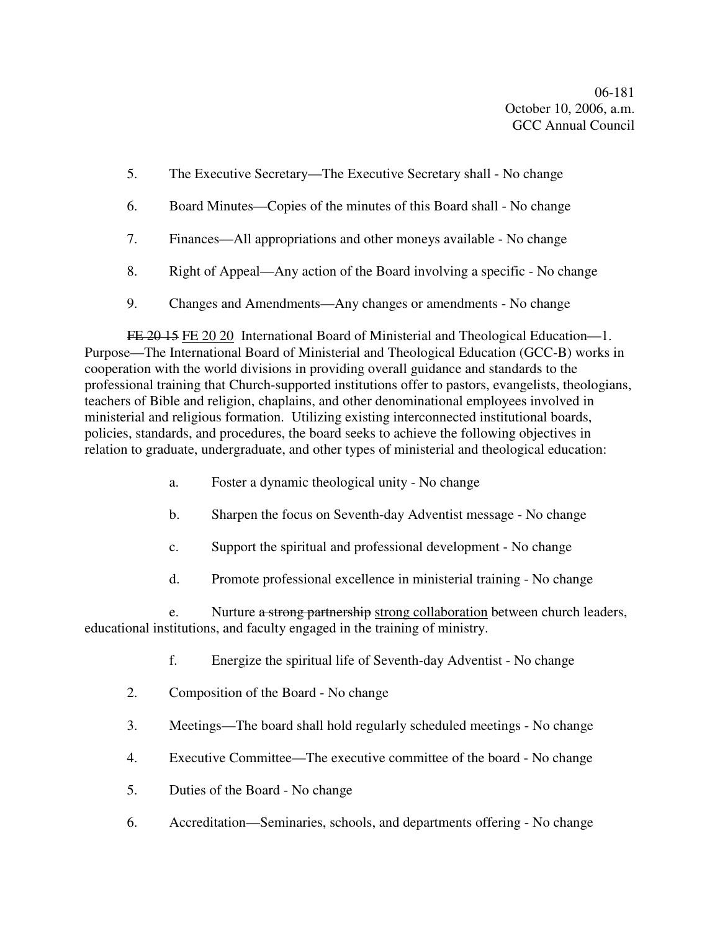06-181 October 10, 2006, a.m. GCC Annual Council

- 5. The Executive Secretary—The Executive Secretary shall No change
- 6. Board Minutes—Copies of the minutes of this Board shall No change
- 7. Finances—All appropriations and other moneys available No change
- 8. Right of Appeal—Any action of the Board involving a specific No change
- 9. Changes and Amendments—Any changes or amendments No change

FE 20 15 FE 20 20 International Board of Ministerial and Theological Education—1. Purpose—The International Board of Ministerial and Theological Education (GCC-B) works in cooperation with the world divisions in providing overall guidance and standards to the professional training that Church-supported institutions offer to pastors, evangelists, theologians, teachers of Bible and religion, chaplains, and other denominational employees involved in ministerial and religious formation. Utilizing existing interconnected institutional boards, policies, standards, and procedures, the board seeks to achieve the following objectives in relation to graduate, undergraduate, and other types of ministerial and theological education:

- a. Foster a dynamic theological unity No change
- b. Sharpen the focus on Seventh-day Adventist message No change
- c. Support the spiritual and professional development No change
- d. Promote professional excellence in ministerial training No change

e. Nurture a strong partnership strong collaboration between church leaders, educational institutions, and faculty engaged in the training of ministry.

- f. Energize the spiritual life of Seventh-day Adventist No change
- 2. Composition of the Board No change
- 3. Meetings—The board shall hold regularly scheduled meetings No change
- 4. Executive Committee—The executive committee of the board No change
- 5. Duties of the Board No change
- 6. Accreditation—Seminaries, schools, and departments offering No change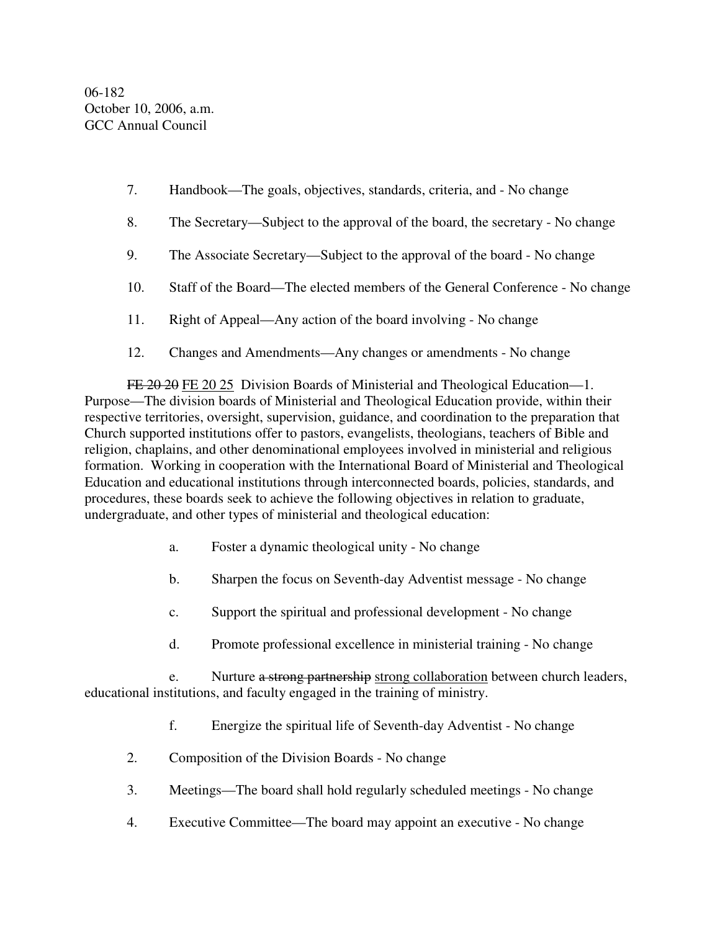- 7. Handbook—The goals, objectives, standards, criteria, and No change
- 8. The Secretary—Subject to the approval of the board, the secretary No change
- 9. The Associate Secretary—Subject to the approval of the board No change
- 10. Staff of the Board—The elected members of the General Conference No change
- 11. Right of Appeal—Any action of the board involving No change
- 12. Changes and Amendments—Any changes or amendments No change

 FE 20 20 FE 20 25 Division Boards of Ministerial and Theological Education—1. Purpose—The division boards of Ministerial and Theological Education provide, within their respective territories, oversight, supervision, guidance, and coordination to the preparation that Church supported institutions offer to pastors, evangelists, theologians, teachers of Bible and religion, chaplains, and other denominational employees involved in ministerial and religious formation. Working in cooperation with the International Board of Ministerial and Theological Education and educational institutions through interconnected boards, policies, standards, and procedures, these boards seek to achieve the following objectives in relation to graduate, undergraduate, and other types of ministerial and theological education:

- a. Foster a dynamic theological unity No change
- b. Sharpen the focus on Seventh-day Adventist message No change
- c. Support the spiritual and professional development No change
- d. Promote professional excellence in ministerial training No change

e. Nurture a strong partnership strong collaboration between church leaders, educational institutions, and faculty engaged in the training of ministry.

- f. Energize the spiritual life of Seventh-day Adventist No change
- 2. Composition of the Division Boards No change
- 3. Meetings—The board shall hold regularly scheduled meetings No change
- 4. Executive Committee—The board may appoint an executive No change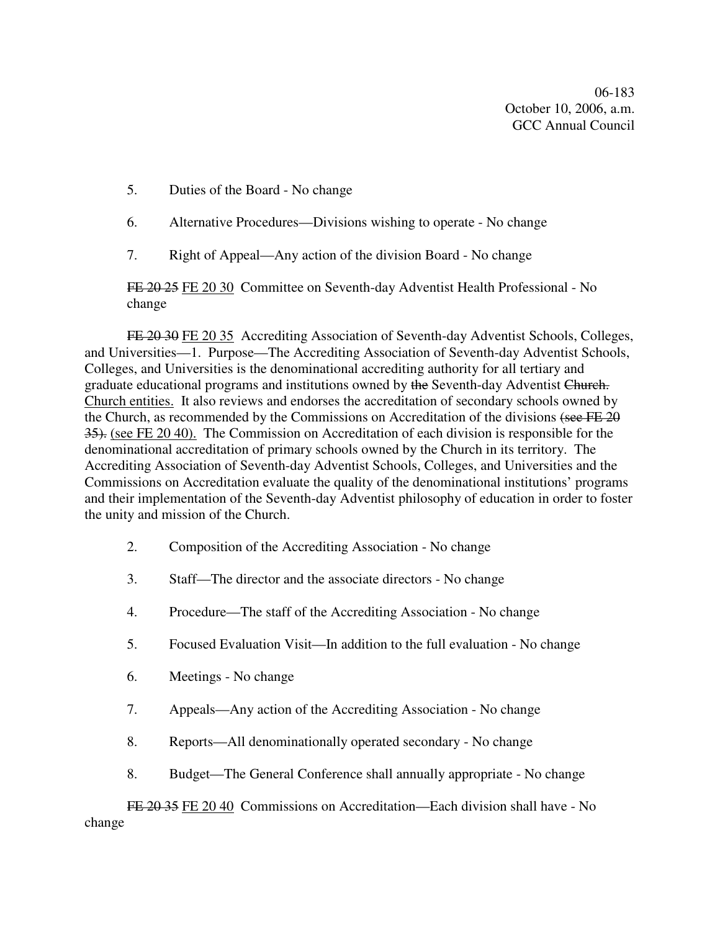06-183 October 10, 2006, a.m. GCC Annual Council

- 5. Duties of the Board No change
- 6. Alternative Procedures—Divisions wishing to operate No change
- 7. Right of Appeal—Any action of the division Board No change

FE 20 25 FE 20 30 Committee on Seventh-day Adventist Health Professional - No change

FE 20 30 FE 20 35 Accrediting Association of Seventh-day Adventist Schools, Colleges, and Universities—1. Purpose—The Accrediting Association of Seventh-day Adventist Schools, Colleges, and Universities is the denominational accrediting authority for all tertiary and graduate educational programs and institutions owned by the Seventh-day Adventist Church. Church entities. It also reviews and endorses the accreditation of secondary schools owned by the Church, as recommended by the Commissions on Accreditation of the divisions (see FE 20) 35). (see FE 20 40). The Commission on Accreditation of each division is responsible for the denominational accreditation of primary schools owned by the Church in its territory. The Accrediting Association of Seventh-day Adventist Schools, Colleges, and Universities and the Commissions on Accreditation evaluate the quality of the denominational institutions' programs and their implementation of the Seventh-day Adventist philosophy of education in order to foster the unity and mission of the Church.

- 2. Composition of the Accrediting Association No change
- 3. Staff—The director and the associate directors No change
- 4. Procedure—The staff of the Accrediting Association No change
- 5. Focused Evaluation Visit—In addition to the full evaluation No change
- 6. Meetings No change
- 7. Appeals—Any action of the Accrediting Association No change
- 8. Reports—All denominationally operated secondary No change
- 8. Budget—The General Conference shall annually appropriate No change

 FE 20 35 FE 20 40 Commissions on Accreditation—Each division shall have - No change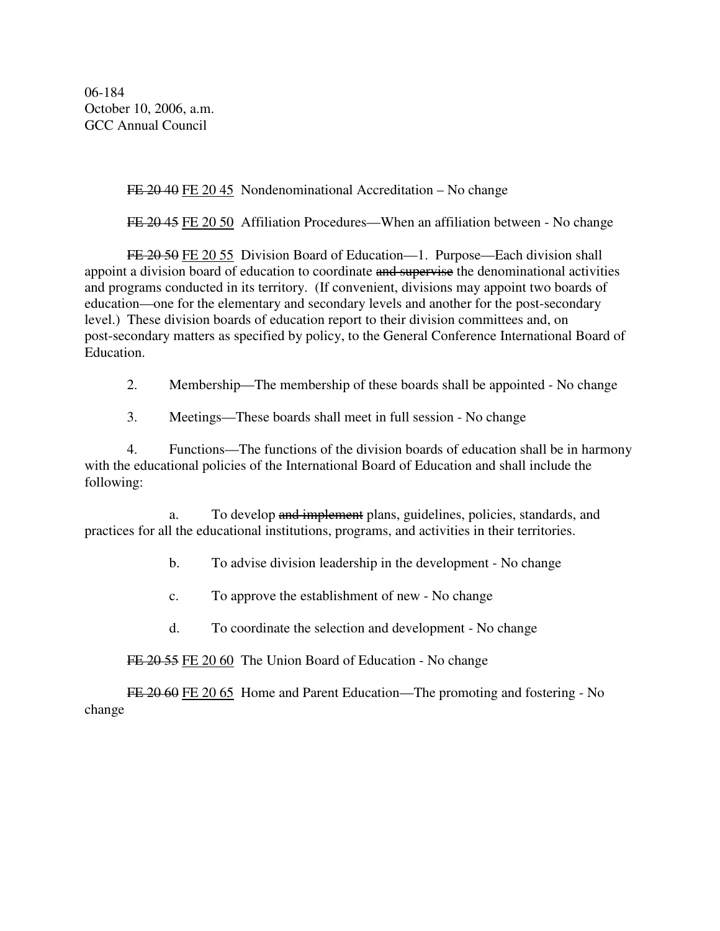06-184 October 10, 2006, a.m. GCC Annual Council

FE 20 40 FE 20 45 Nondenominational Accreditation – No change

FE 20 45 FE 20 50 Affiliation Procedures—When an affiliation between - No change

FE 20 50 FE 20 55 Division Board of Education—1. Purpose—Each division shall appoint a division board of education to coordinate and supervise the denominational activities and programs conducted in its territory. (If convenient, divisions may appoint two boards of education—one for the elementary and secondary levels and another for the post-secondary level.) These division boards of education report to their division committees and, on post-secondary matters as specified by policy, to the General Conference International Board of Education.

2. Membership—The membership of these boards shall be appointed - No change

3. Meetings—These boards shall meet in full session - No change

 4. Functions—The functions of the division boards of education shall be in harmony with the educational policies of the International Board of Education and shall include the following:

 a. To develop and implement plans, guidelines, policies, standards, and practices for all the educational institutions, programs, and activities in their territories.

b. To advise division leadership in the development - No change

c. To approve the establishment of new - No change

d. To coordinate the selection and development - No change

FE 20 55 FE 20 60 The Union Board of Education - No change

FE 20 60 FE 20 65 Home and Parent Education—The promoting and fostering - No change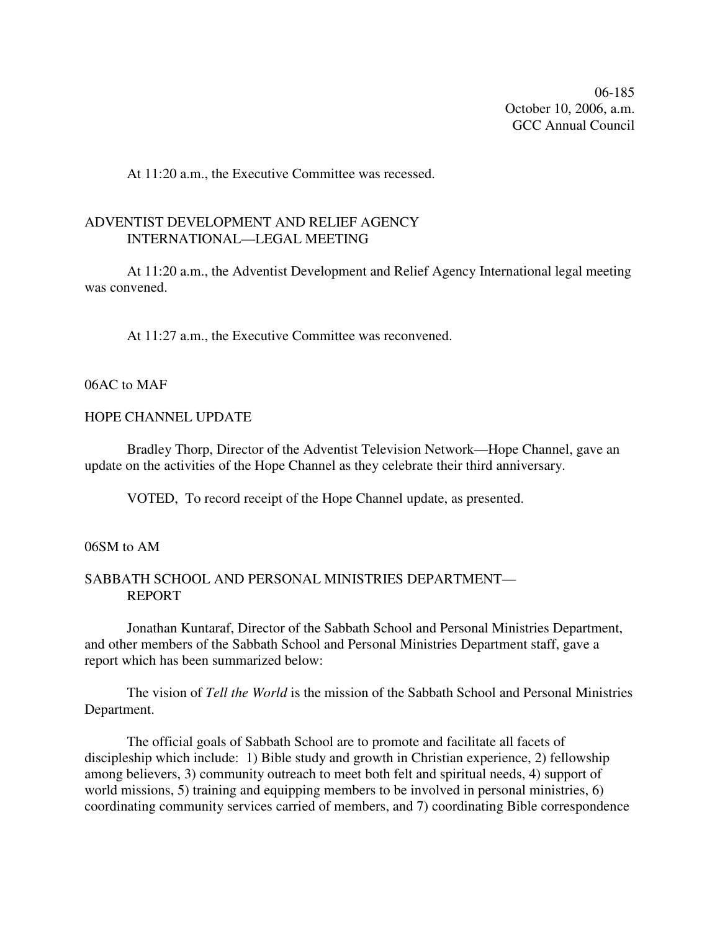06-185 October 10, 2006, a.m. GCC Annual Council

At 11:20 a.m., the Executive Committee was recessed.

# ADVENTIST DEVELOPMENT AND RELIEF AGENCY INTERNATIONAL—LEGAL MEETING

 At 11:20 a.m., the Adventist Development and Relief Agency International legal meeting was convened.

At 11:27 a.m., the Executive Committee was reconvened.

#### 06AC to MAF

#### HOPE CHANNEL UPDATE

 Bradley Thorp, Director of the Adventist Television Network—Hope Channel, gave an update on the activities of the Hope Channel as they celebrate their third anniversary.

VOTED, To record receipt of the Hope Channel update, as presented.

#### 06SM to AM

#### SABBATH SCHOOL AND PERSONAL MINISTRIES DEPARTMENT— REPORT

 Jonathan Kuntaraf, Director of the Sabbath School and Personal Ministries Department, and other members of the Sabbath School and Personal Ministries Department staff, gave a report which has been summarized below:

The vision of *Tell the World* is the mission of the Sabbath School and Personal Ministries Department.

 The official goals of Sabbath School are to promote and facilitate all facets of discipleship which include: 1) Bible study and growth in Christian experience, 2) fellowship among believers, 3) community outreach to meet both felt and spiritual needs, 4) support of world missions, 5) training and equipping members to be involved in personal ministries, 6) coordinating community services carried of members, and 7) coordinating Bible correspondence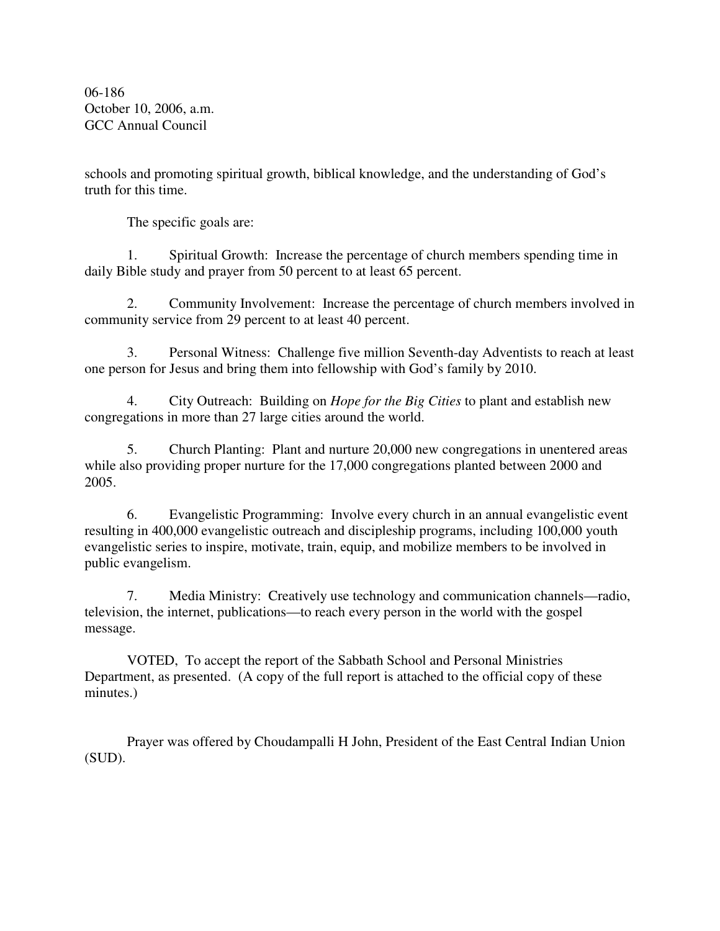06-186 October 10, 2006, a.m. GCC Annual Council

schools and promoting spiritual growth, biblical knowledge, and the understanding of God's truth for this time.

The specific goals are:

 1. Spiritual Growth: Increase the percentage of church members spending time in daily Bible study and prayer from 50 percent to at least 65 percent.

 2. Community Involvement: Increase the percentage of church members involved in community service from 29 percent to at least 40 percent.

 3. Personal Witness: Challenge five million Seventh-day Adventists to reach at least one person for Jesus and bring them into fellowship with God's family by 2010.

 4. City Outreach: Building on *Hope for the Big Cities* to plant and establish new congregations in more than 27 large cities around the world.

 5. Church Planting: Plant and nurture 20,000 new congregations in unentered areas while also providing proper nurture for the 17,000 congregations planted between 2000 and 2005.

 6. Evangelistic Programming: Involve every church in an annual evangelistic event resulting in 400,000 evangelistic outreach and discipleship programs, including 100,000 youth evangelistic series to inspire, motivate, train, equip, and mobilize members to be involved in public evangelism.

 7. Media Ministry: Creatively use technology and communication channels—radio, television, the internet, publications—to reach every person in the world with the gospel message.

VOTED, To accept the report of the Sabbath School and Personal Ministries Department, as presented. (A copy of the full report is attached to the official copy of these minutes.)

Prayer was offered by Choudampalli H John, President of the East Central Indian Union (SUD).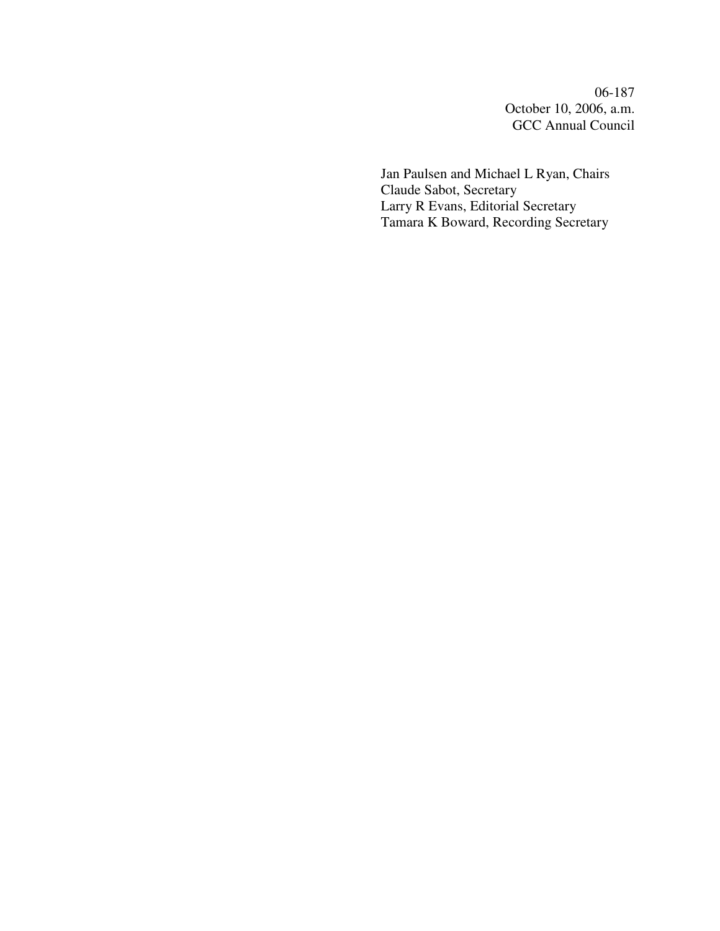06-187 October 10, 2006, a.m. GCC Annual Council

 Jan Paulsen and Michael L Ryan, Chairs Claude Sabot, Secretary Larry R Evans, Editorial Secretary Tamara K Boward, Recording Secretary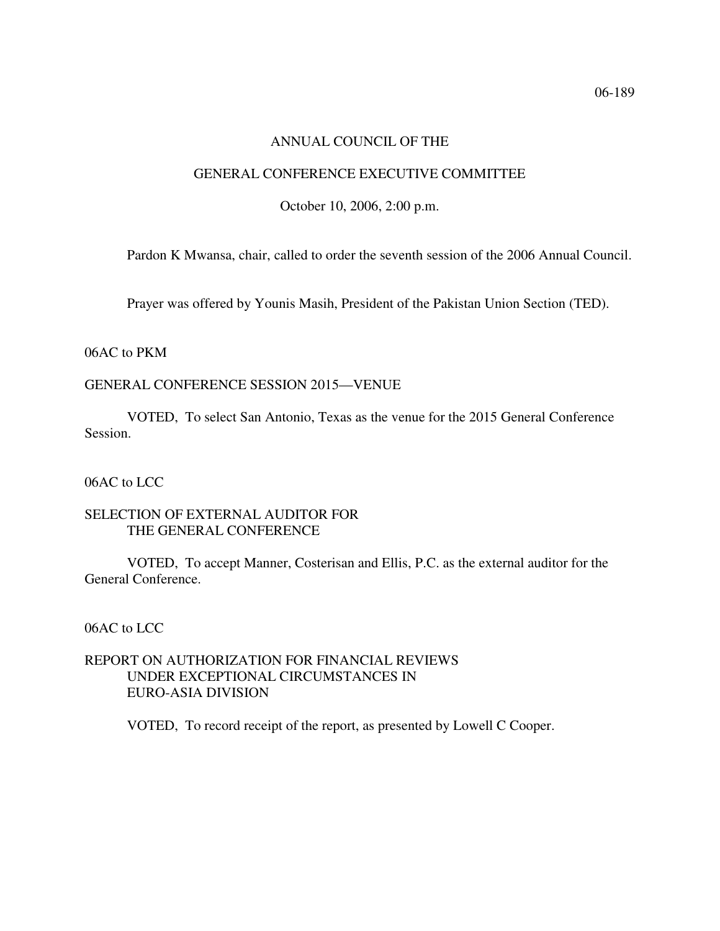#### ANNUAL COUNCIL OF THE

#### GENERAL CONFERENCE EXECUTIVE COMMITTEE

October 10, 2006, 2:00 p.m.

Pardon K Mwansa, chair, called to order the seventh session of the 2006 Annual Council.

Prayer was offered by Younis Masih, President of the Pakistan Union Section (TED).

#### 06AC to PKM

#### GENERAL CONFERENCE SESSION 2015—VENUE

VOTED, To select San Antonio, Texas as the venue for the 2015 General Conference Session.

06AC to LCC

#### SELECTION OF EXTERNAL AUDITOR FOR THE GENERAL CONFERENCE

VOTED, To accept Manner, Costerisan and Ellis, P.C. as the external auditor for the General Conference.

06AC to LCC

# REPORT ON AUTHORIZATION FOR FINANCIAL REVIEWS UNDER EXCEPTIONAL CIRCUMSTANCES IN EURO-ASIA DIVISION

VOTED, To record receipt of the report, as presented by Lowell C Cooper.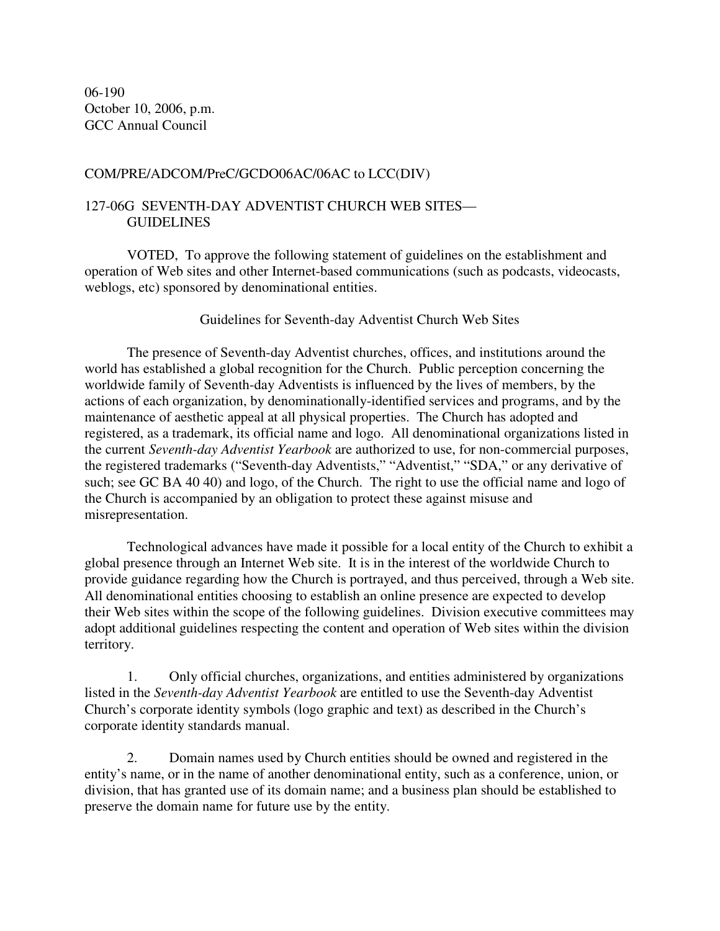06-190 October 10, 2006, p.m. GCC Annual Council

# COM/PRE/ADCOM/PreC/GCDO06AC/06AC to LCC(DIV)

# 127-06G SEVENTH-DAY ADVENTIST CHURCH WEB SITES— **GUIDELINES**

VOTED, To approve the following statement of guidelines on the establishment and operation of Web sites and other Internet-based communications (such as podcasts, videocasts, weblogs, etc) sponsored by denominational entities.

#### Guidelines for Seventh-day Adventist Church Web Sites

 The presence of Seventh-day Adventist churches, offices, and institutions around the world has established a global recognition for the Church. Public perception concerning the worldwide family of Seventh-day Adventists is influenced by the lives of members, by the actions of each organization, by denominationally-identified services and programs, and by the maintenance of aesthetic appeal at all physical properties. The Church has adopted and registered, as a trademark, its official name and logo. All denominational organizations listed in the current *Seventh-day Adventist Yearbook* are authorized to use, for non-commercial purposes, the registered trademarks ("Seventh-day Adventists," "Adventist," "SDA," or any derivative of such; see GC BA 40 40) and logo, of the Church. The right to use the official name and logo of the Church is accompanied by an obligation to protect these against misuse and misrepresentation.

 Technological advances have made it possible for a local entity of the Church to exhibit a global presence through an Internet Web site. It is in the interest of the worldwide Church to provide guidance regarding how the Church is portrayed, and thus perceived, through a Web site. All denominational entities choosing to establish an online presence are expected to develop their Web sites within the scope of the following guidelines. Division executive committees may adopt additional guidelines respecting the content and operation of Web sites within the division territory.

1. Only official churches, organizations, and entities administered by organizations listed in the *Seventh-day Adventist Yearbook* are entitled to use the Seventh-day Adventist Church's corporate identity symbols (logo graphic and text) as described in the Church's corporate identity standards manual.

2. Domain names used by Church entities should be owned and registered in the entity's name, or in the name of another denominational entity, such as a conference, union, or division, that has granted use of its domain name; and a business plan should be established to preserve the domain name for future use by the entity.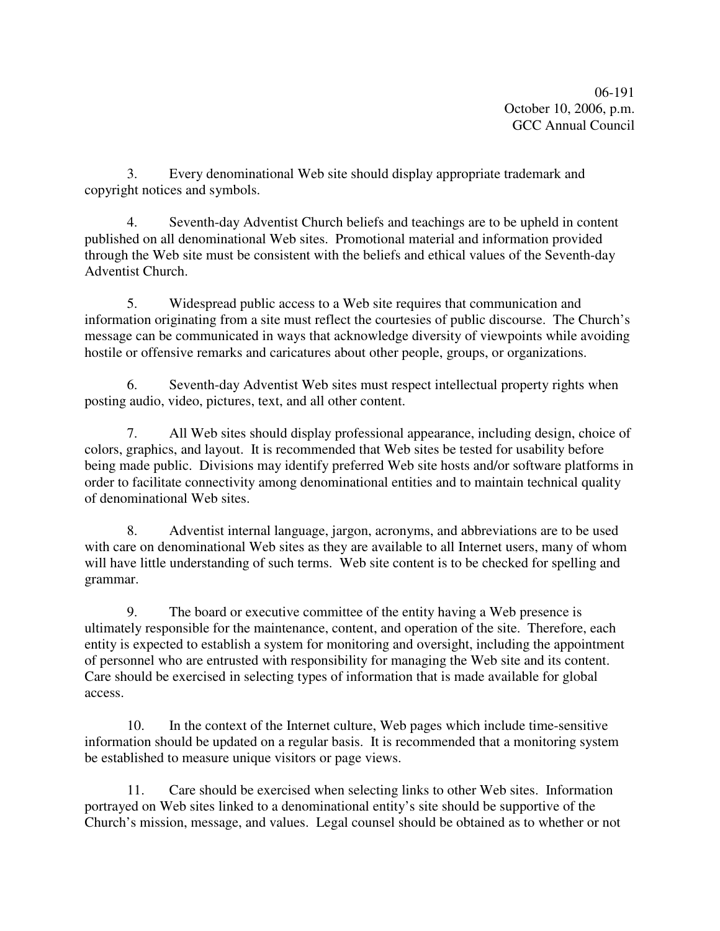06-191 October 10, 2006, p.m. GCC Annual Council

3. Every denominational Web site should display appropriate trademark and copyright notices and symbols.

4. Seventh-day Adventist Church beliefs and teachings are to be upheld in content published on all denominational Web sites. Promotional material and information provided through the Web site must be consistent with the beliefs and ethical values of the Seventh-day Adventist Church.

5. Widespread public access to a Web site requires that communication and information originating from a site must reflect the courtesies of public discourse. The Church's message can be communicated in ways that acknowledge diversity of viewpoints while avoiding hostile or offensive remarks and caricatures about other people, groups, or organizations.

6. Seventh-day Adventist Web sites must respect intellectual property rights when posting audio, video, pictures, text, and all other content.

7. All Web sites should display professional appearance, including design, choice of colors, graphics, and layout. It is recommended that Web sites be tested for usability before being made public. Divisions may identify preferred Web site hosts and/or software platforms in order to facilitate connectivity among denominational entities and to maintain technical quality of denominational Web sites.

8. Adventist internal language, jargon, acronyms, and abbreviations are to be used with care on denominational Web sites as they are available to all Internet users, many of whom will have little understanding of such terms. Web site content is to be checked for spelling and grammar.

9. The board or executive committee of the entity having a Web presence is ultimately responsible for the maintenance, content, and operation of the site. Therefore, each entity is expected to establish a system for monitoring and oversight, including the appointment of personnel who are entrusted with responsibility for managing the Web site and its content. Care should be exercised in selecting types of information that is made available for global access.

10. In the context of the Internet culture, Web pages which include time-sensitive information should be updated on a regular basis. It is recommended that a monitoring system be established to measure unique visitors or page views.

11. Care should be exercised when selecting links to other Web sites. Information portrayed on Web sites linked to a denominational entity's site should be supportive of the Church's mission, message, and values. Legal counsel should be obtained as to whether or not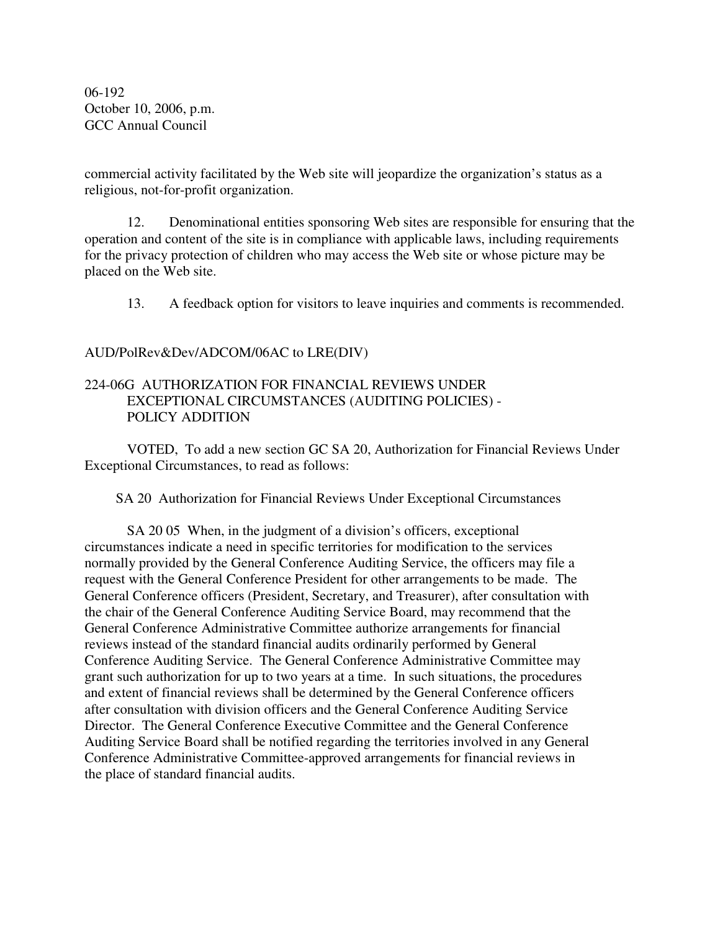06-192 October 10, 2006, p.m. GCC Annual Council

commercial activity facilitated by the Web site will jeopardize the organization's status as a religious, not-for-profit organization.

12. Denominational entities sponsoring Web sites are responsible for ensuring that the operation and content of the site is in compliance with applicable laws, including requirements for the privacy protection of children who may access the Web site or whose picture may be placed on the Web site.

13. A feedback option for visitors to leave inquiries and comments is recommended.

# AUD/PolRev&Dev/ADCOM/06AC to LRE(DIV)

# 224-06G AUTHORIZATION FOR FINANCIAL REVIEWS UNDER EXCEPTIONAL CIRCUMSTANCES (AUDITING POLICIES) - POLICY ADDITION

VOTED, To add a new section GC SA 20, Authorization for Financial Reviews Under Exceptional Circumstances, to read as follows:

SA 20 Authorization for Financial Reviews Under Exceptional Circumstances

SA 20 05 When, in the judgment of a division's officers, exceptional circumstances indicate a need in specific territories for modification to the services normally provided by the General Conference Auditing Service, the officers may file a request with the General Conference President for other arrangements to be made. The General Conference officers (President, Secretary, and Treasurer), after consultation with the chair of the General Conference Auditing Service Board, may recommend that the General Conference Administrative Committee authorize arrangements for financial reviews instead of the standard financial audits ordinarily performed by General Conference Auditing Service. The General Conference Administrative Committee may grant such authorization for up to two years at a time. In such situations, the procedures and extent of financial reviews shall be determined by the General Conference officers after consultation with division officers and the General Conference Auditing Service Director. The General Conference Executive Committee and the General Conference Auditing Service Board shall be notified regarding the territories involved in any General Conference Administrative Committee-approved arrangements for financial reviews in the place of standard financial audits.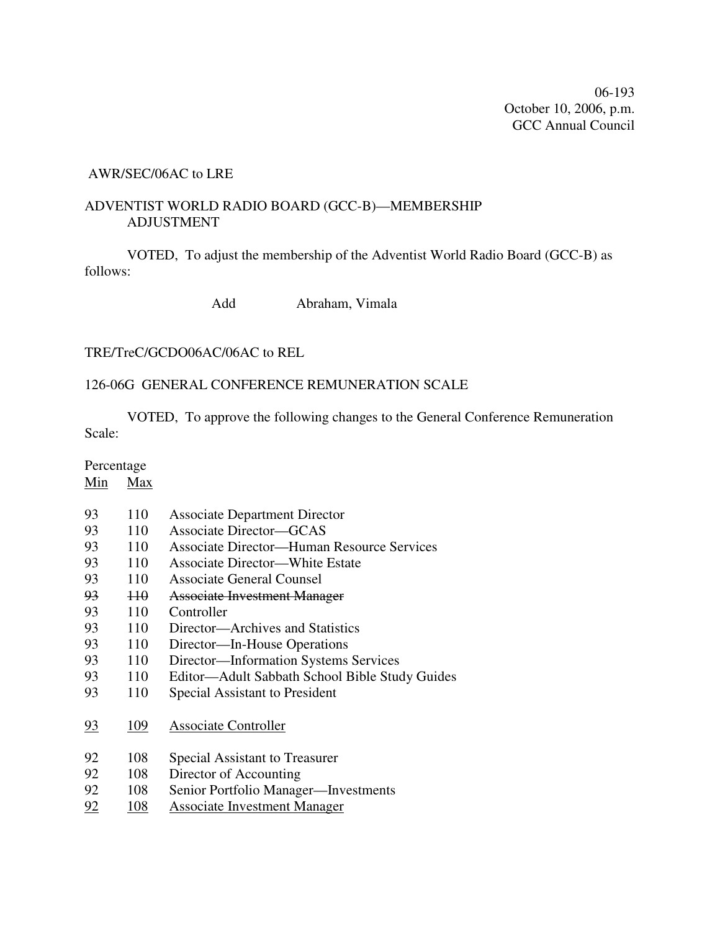06-193 October 10, 2006, p.m. GCC Annual Council

#### AWR/SEC/06AC to LRE

# ADVENTIST WORLD RADIO BOARD (GCC-B)—MEMBERSHIP ADJUSTMENT

 VOTED, To adjust the membership of the Adventist World Radio Board (GCC-B) as follows:

Add Abraham, Vimala

# TRE/TreC/GCDO06AC/06AC to REL

## 126-06G GENERAL CONFERENCE REMUNERATION SCALE

VOTED, To approve the following changes to the General Conference Remuneration Scale:

| Percentage |                  |                                                   |
|------------|------------------|---------------------------------------------------|
| Min        | Max              |                                                   |
|            |                  |                                                   |
| 93         | 110              | <b>Associate Department Director</b>              |
| 93         | 110              | <b>Associate Director-GCAS</b>                    |
| 93         | 110              | <b>Associate Director—Human Resource Services</b> |
| 93         | 110              | <b>Associate Director—White Estate</b>            |
| 93         | 110              | <b>Associate General Counsel</b>                  |
| 93         | $\overline{110}$ | <b>Associate Investment Manager</b>               |
| 93         | 110              | Controller                                        |
| 93         | 110              | Director—Archives and Statistics                  |
| 93         | 110              | Director-In-House Operations                      |
| 93         | 110              | Director—Information Systems Services             |
| 93         | 110              | Editor—Adult Sabbath School Bible Study Guides    |
| 93         | 110              | Special Assistant to President                    |
|            |                  |                                                   |
| <u>93</u>  | 109              | <b>Associate Controller</b>                       |
|            |                  |                                                   |
| 92         | 108              | Special Assistant to Treasurer                    |
| 92         | 108              | Director of Accounting                            |
| 92         | 108              | Senior Portfolio Manager—Investments              |
| 92         | 108              | <b>Associate Investment Manager</b>               |
|            |                  |                                                   |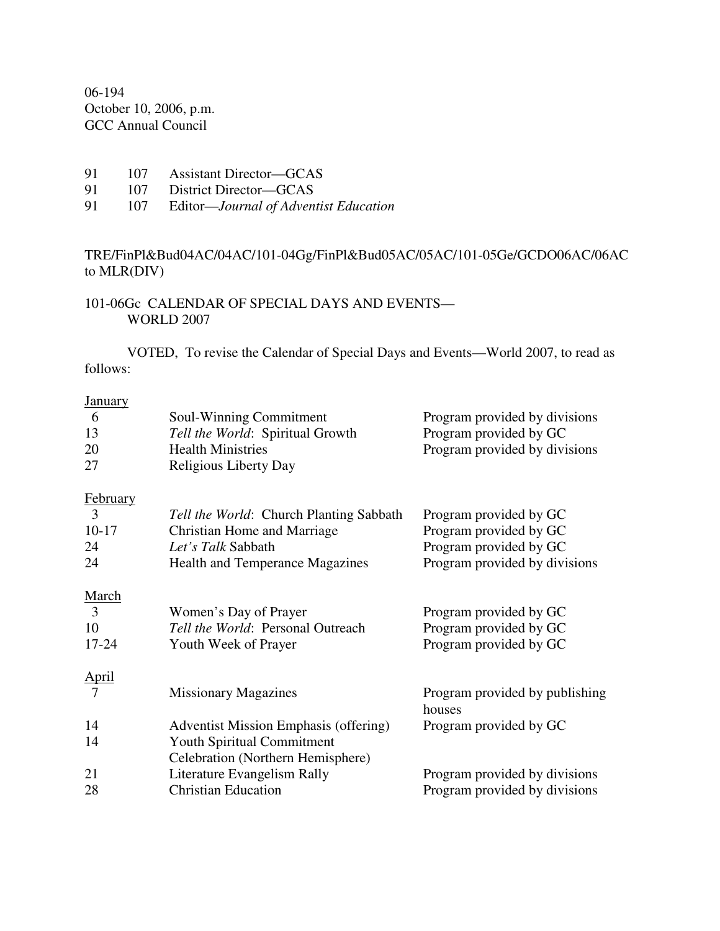06-194 October 10, 2006, p.m. GCC Annual Council

- 91 107 Assistant Director—GCAS<br>91 107 District Director—GCAS
- District Director-GCAS
- 91 107 Editor—*Journal of Adventist Education*

# TRE/FinPl&Bud04AC/04AC/101-04Gg/FinPl&Bud05AC/05AC/101-05Ge/GCDO06AC/06AC to MLR(DIV)

# 101-06Gc CALENDAR OF SPECIAL DAYS AND EVENTS— WORLD 2007

VOTED, To revise the Calendar of Special Days and Events—World 2007, to read as follows:

#### **January**

| 6            | Soul-Winning Commitment                      | Program provided by divisions            |
|--------------|----------------------------------------------|------------------------------------------|
| 13           | Tell the World: Spiritual Growth             | Program provided by GC                   |
| 20           | <b>Health Ministries</b>                     | Program provided by divisions            |
| 27           | Religious Liberty Day                        |                                          |
| February     |                                              |                                          |
| 3            | Tell the World: Church Planting Sabbath      | Program provided by GC                   |
| $10-17$      | Christian Home and Marriage                  | Program provided by GC                   |
| 24           | Let's Talk Sabbath                           | Program provided by GC                   |
| 24           | <b>Health and Temperance Magazines</b>       | Program provided by divisions            |
| <b>March</b> |                                              |                                          |
| 3            | Women's Day of Prayer                        | Program provided by GC                   |
| 10           | Tell the World: Personal Outreach            | Program provided by GC                   |
| $17 - 24$    | Youth Week of Prayer                         | Program provided by GC                   |
| <u>April</u> |                                              |                                          |
|              | <b>Missionary Magazines</b>                  | Program provided by publishing<br>houses |
| 14           | <b>Adventist Mission Emphasis (offering)</b> | Program provided by GC                   |
| 14           | <b>Youth Spiritual Commitment</b>            |                                          |
|              | Celebration (Northern Hemisphere)            |                                          |
| 21           | Literature Evangelism Rally                  | Program provided by divisions            |
| 28           | <b>Christian Education</b>                   | Program provided by divisions            |
|              |                                              |                                          |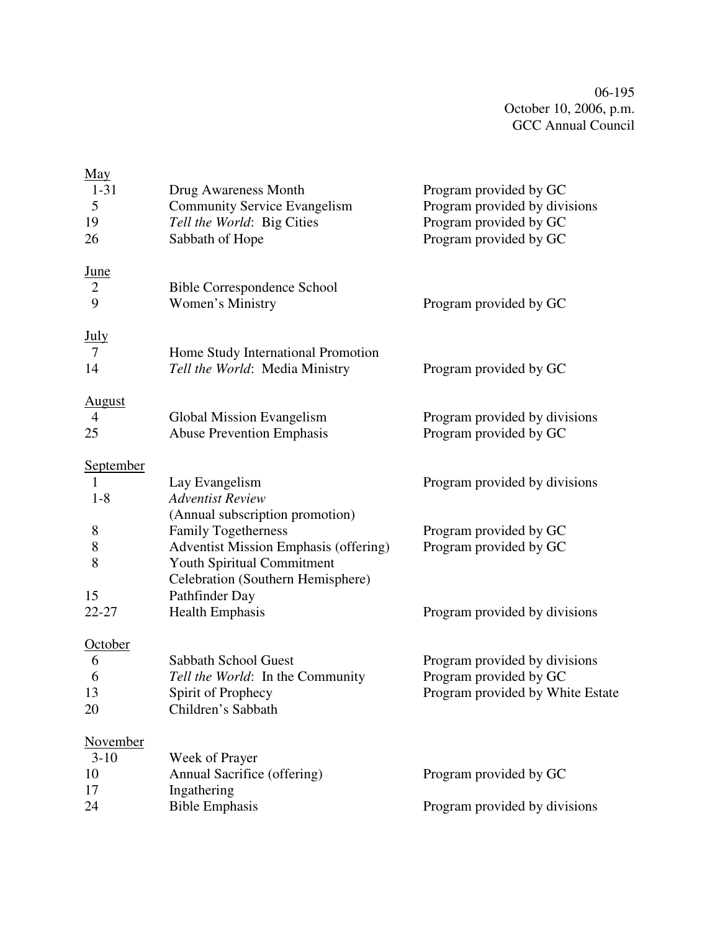06-195 October 10, 2006, p.m. GCC Annual Council

| <u>May</u><br>$1 - 31$<br>5<br>19<br>26     | Drug Awareness Month<br><b>Community Service Evangelism</b><br>Tell the World: Big Cities<br>Sabbath of Hope                                  | Program provided by GC<br>Program provided by divisions<br>Program provided by GC<br>Program provided by GC |
|---------------------------------------------|-----------------------------------------------------------------------------------------------------------------------------------------------|-------------------------------------------------------------------------------------------------------------|
| <u>June</u><br>$\mathfrak{2}$<br>9          | <b>Bible Correspondence School</b><br>Women's Ministry                                                                                        | Program provided by GC                                                                                      |
| <u>July</u><br>$\overline{7}$<br>14         | Home Study International Promotion<br>Tell the World: Media Ministry                                                                          | Program provided by GC                                                                                      |
| <u>August</u><br>4<br>25                    | Global Mission Evangelism<br><b>Abuse Prevention Emphasis</b>                                                                                 | Program provided by divisions<br>Program provided by GC                                                     |
| <b>September</b><br>1<br>$1 - 8$            | Lay Evangelism<br><b>Adventist Review</b><br>(Annual subscription promotion)                                                                  | Program provided by divisions                                                                               |
| 8<br>8<br>8                                 | <b>Family Togetherness</b><br><b>Adventist Mission Emphasis (offering)</b><br>Youth Spiritual Commitment<br>Celebration (Southern Hemisphere) | Program provided by GC<br>Program provided by GC                                                            |
| 15<br>22-27                                 | Pathfinder Day<br><b>Health Emphasis</b>                                                                                                      | Program provided by divisions                                                                               |
| <b>October</b><br>6<br>6<br>13<br>20        | Sabbath School Guest<br>Tell the World: In the Community<br>Spirit of Prophecy<br>Children's Sabbath                                          | Program provided by divisions<br>Program provided by GC<br>Program provided by White Estate                 |
| <b>November</b><br>$3-10$<br>10<br>17<br>24 | Week of Prayer<br>Annual Sacrifice (offering)<br>Ingathering<br><b>Bible Emphasis</b>                                                         | Program provided by GC<br>Program provided by divisions                                                     |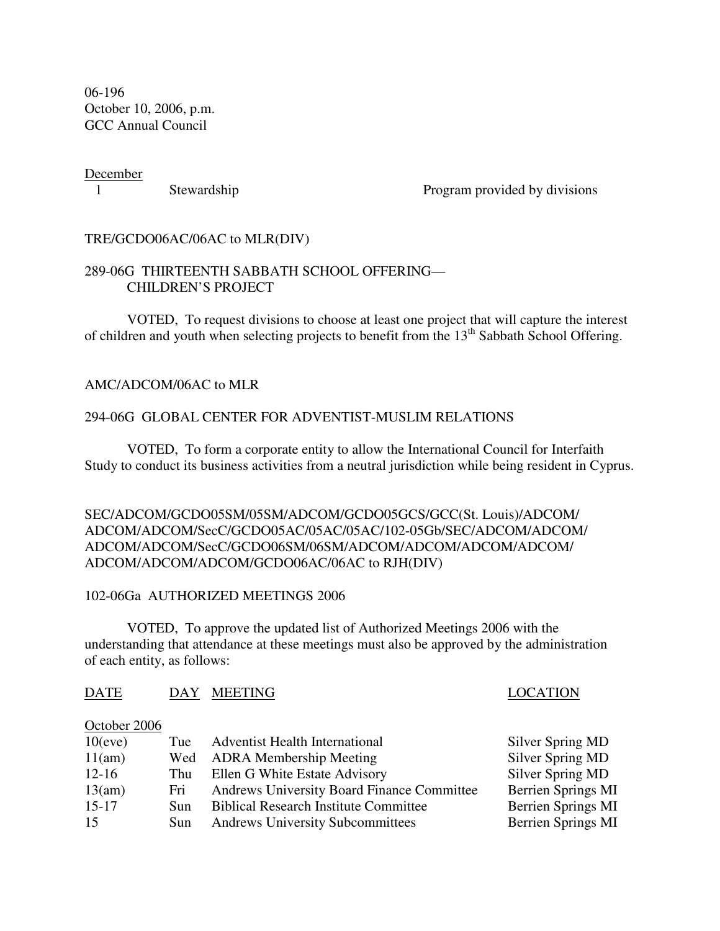06-196 October 10, 2006, p.m. GCC Annual Council

#### December

1 Stewardship Program provided by divisions

## TRE/GCDO06AC/06AC to MLR(DIV)

## 289-06G THIRTEENTH SABBATH SCHOOL OFFERING— CHILDREN'S PROJECT

VOTED, To request divisions to choose at least one project that will capture the interest of children and youth when selecting projects to benefit from the 13<sup>th</sup> Sabbath School Offering.

## AMC/ADCOM/06AC to MLR

#### 294-06G GLOBAL CENTER FOR ADVENTIST-MUSLIM RELATIONS

VOTED, To form a corporate entity to allow the International Council for Interfaith Study to conduct its business activities from a neutral jurisdiction while being resident in Cyprus.

# SEC/ADCOM/GCDO05SM/05SM/ADCOM/GCDO05GCS/GCC(St. Louis)/ADCOM/ ADCOM/ADCOM/SecC/GCDO05AC/05AC/05AC/102-05Gb/SEC/ADCOM/ADCOM/ ADCOM/ADCOM/SecC/GCDO06SM/06SM/ADCOM/ADCOM/ADCOM/ADCOM/ ADCOM/ADCOM/ADCOM/GCDO06AC/06AC to RJH(DIV)

#### 102-06Ga AUTHORIZED MEETINGS 2006

VOTED, To approve the updated list of Authorized Meetings 2006 with the understanding that attendance at these meetings must also be approved by the administration of each entity, as follows:

#### DATE DAY MEETING LOCATION

#### October 2006

| $10$ (eve) | Tue        | <b>Adventist Health International</b>             | Silver Spring MD   |
|------------|------------|---------------------------------------------------|--------------------|
| 11(am)     | Wed        | <b>ADRA Membership Meeting</b>                    | Silver Spring MD   |
| $12 - 16$  | Thu        | Ellen G White Estate Advisory                     | Silver Spring MD   |
| 13(am)     | Fri        | <b>Andrews University Board Finance Committee</b> | Berrien Springs MI |
| $15 - 17$  | <b>Sun</b> | <b>Biblical Research Institute Committee</b>      | Berrien Springs MI |
| 15         | Sun.       | <b>Andrews University Subcommittees</b>           | Berrien Springs MI |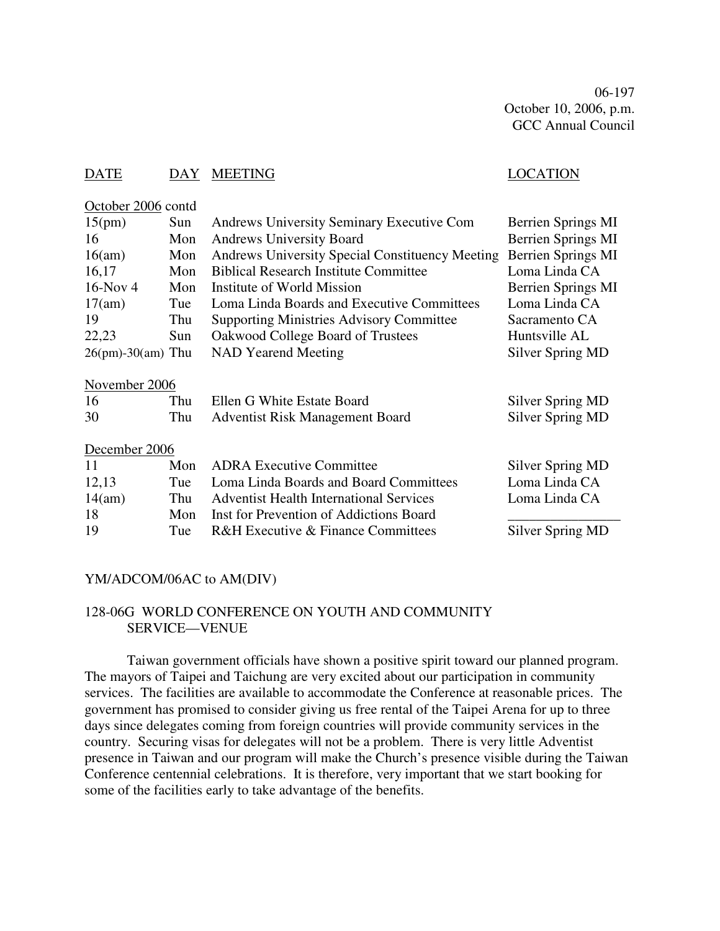06-197 October 10, 2006, p.m. GCC Annual Council

#### DATE DAY MEETING SERVICES AND LOCATION

| October 2006 contd                           |                          |                                                                                                                                                                        |                                                    |
|----------------------------------------------|--------------------------|------------------------------------------------------------------------------------------------------------------------------------------------------------------------|----------------------------------------------------|
| 15(pm)                                       | Sun                      | Andrews University Seminary Executive Com                                                                                                                              | Berrien Springs MI                                 |
| 16                                           | Mon                      | <b>Andrews University Board</b>                                                                                                                                        | Berrien Springs MI                                 |
| 16(am)                                       | Mon                      | <b>Andrews University Special Constituency Meeting</b>                                                                                                                 | <b>Berrien Springs MI</b>                          |
| 16,17                                        | Mon                      | <b>Biblical Research Institute Committee</b>                                                                                                                           | Loma Linda CA                                      |
| 16-Nov 4                                     | Mon                      | Institute of World Mission                                                                                                                                             | Berrien Springs MI                                 |
| 17(am)                                       | Tue                      | Loma Linda Boards and Executive Committees                                                                                                                             | Loma Linda CA                                      |
| 19                                           | Thu                      | <b>Supporting Ministries Advisory Committee</b>                                                                                                                        | Sacramento CA                                      |
| 22,23                                        | Sun                      | Oakwood College Board of Trustees                                                                                                                                      | Huntsville AL                                      |
| $26(pm) - 30(am)$ Thu                        |                          | <b>NAD Yearend Meeting</b>                                                                                                                                             | Silver Spring MD                                   |
| November 2006                                |                          |                                                                                                                                                                        |                                                    |
| 16                                           | Thu                      | Ellen G White Estate Board                                                                                                                                             | Silver Spring MD                                   |
| 30                                           | Thu                      | <b>Adventist Risk Management Board</b>                                                                                                                                 | Silver Spring MD                                   |
| December 2006<br>11<br>12,13<br>14(am)<br>18 | Mon<br>Tue<br>Thu<br>Mon | <b>ADRA Executive Committee</b><br>Loma Linda Boards and Board Committees<br><b>Adventist Health International Services</b><br>Inst for Prevention of Addictions Board | Silver Spring MD<br>Loma Linda CA<br>Loma Linda CA |
| 19                                           | Tue                      | R&H Executive & Finance Committees                                                                                                                                     | Silver Spring MD                                   |
|                                              |                          |                                                                                                                                                                        |                                                    |

#### YM/ADCOM/06AC to AM(DIV)

## 128-06G WORLD CONFERENCE ON YOUTH AND COMMUNITY SERVICE—VENUE

Taiwan government officials have shown a positive spirit toward our planned program. The mayors of Taipei and Taichung are very excited about our participation in community services. The facilities are available to accommodate the Conference at reasonable prices. The government has promised to consider giving us free rental of the Taipei Arena for up to three days since delegates coming from foreign countries will provide community services in the country. Securing visas for delegates will not be a problem. There is very little Adventist presence in Taiwan and our program will make the Church's presence visible during the Taiwan Conference centennial celebrations. It is therefore, very important that we start booking for some of the facilities early to take advantage of the benefits.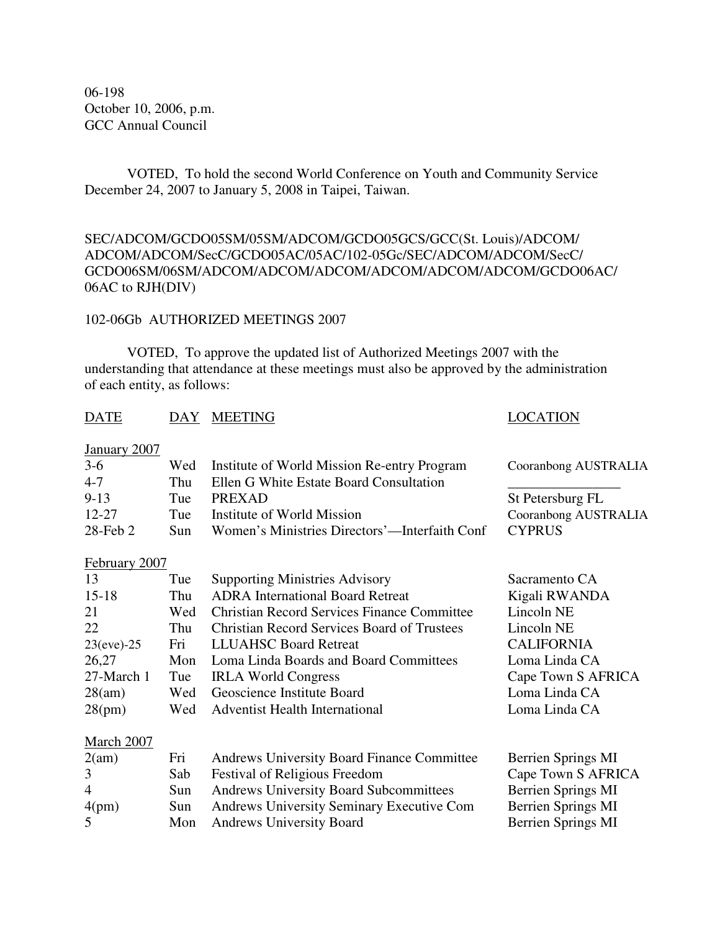06-198 October 10, 2006, p.m. GCC Annual Council

 VOTED, To hold the second World Conference on Youth and Community Service December 24, 2007 to January 5, 2008 in Taipei, Taiwan.

# SEC/ADCOM/GCDO05SM/05SM/ADCOM/GCDO05GCS/GCC(St. Louis)/ADCOM/ ADCOM/ADCOM/SecC/GCDO05AC/05AC/102-05Gc/SEC/ADCOM/ADCOM/SecC/ GCDO06SM/06SM/ADCOM/ADCOM/ADCOM/ADCOM/ADCOM/ADCOM/GCDO06AC/ 06AC to RJH(DIV)

#### 102-06Gb AUTHORIZED MEETINGS 2007

 VOTED, To approve the updated list of Authorized Meetings 2007 with the understanding that attendance at these meetings must also be approved by the administration of each entity, as follows:

| DATE              | DAY | <b>MEETING</b>                                     | <b>LOCATION</b>           |
|-------------------|-----|----------------------------------------------------|---------------------------|
| January 2007      |     |                                                    |                           |
| $3-6$             | Wed | Institute of World Mission Re-entry Program        | Cooranbong AUSTRALIA      |
| $4 - 7$           | Thu | Ellen G White Estate Board Consultation            |                           |
| $9 - 13$          | Tue | <b>PREXAD</b>                                      | St Petersburg FL          |
| $12 - 27$         | Tue | Institute of World Mission                         | Cooranbong AUSTRALIA      |
| 28-Feb 2          | Sun | Women's Ministries Directors'—Interfaith Conf      | <b>CYPRUS</b>             |
| February 2007     |     |                                                    |                           |
| 13                | Tue | <b>Supporting Ministries Advisory</b>              | Sacramento CA             |
| $15 - 18$         | Thu | <b>ADRA</b> International Board Retreat            | Kigali RWANDA             |
| 21                | Wed | <b>Christian Record Services Finance Committee</b> | Lincoln NE                |
| 22                | Thu | <b>Christian Record Services Board of Trustees</b> | Lincoln NE                |
| $23(eve) - 25$    | Fri | <b>LLUAHSC Board Retreat</b>                       | <b>CALIFORNIA</b>         |
| 26,27             | Mon | Loma Linda Boards and Board Committees             | Loma Linda CA             |
| 27-March 1        | Tue | <b>IRLA World Congress</b>                         | Cape Town S AFRICA        |
| 28(am)            | Wed | Geoscience Institute Board                         | Loma Linda CA             |
| 28(pm)            | Wed | <b>Adventist Health International</b>              | Loma Linda CA             |
| <b>March 2007</b> |     |                                                    |                           |
| 2(am)             | Fri | <b>Andrews University Board Finance Committee</b>  | <b>Berrien Springs MI</b> |
| 3                 | Sab | Festival of Religious Freedom                      | Cape Town S AFRICA        |
| 4                 | Sun | <b>Andrews University Board Subcommittees</b>      | Berrien Springs MI        |
| 4(pm)             | Sun | Andrews University Seminary Executive Com          | <b>Berrien Springs MI</b> |
| 5                 | Mon | <b>Andrews University Board</b>                    | <b>Berrien Springs MI</b> |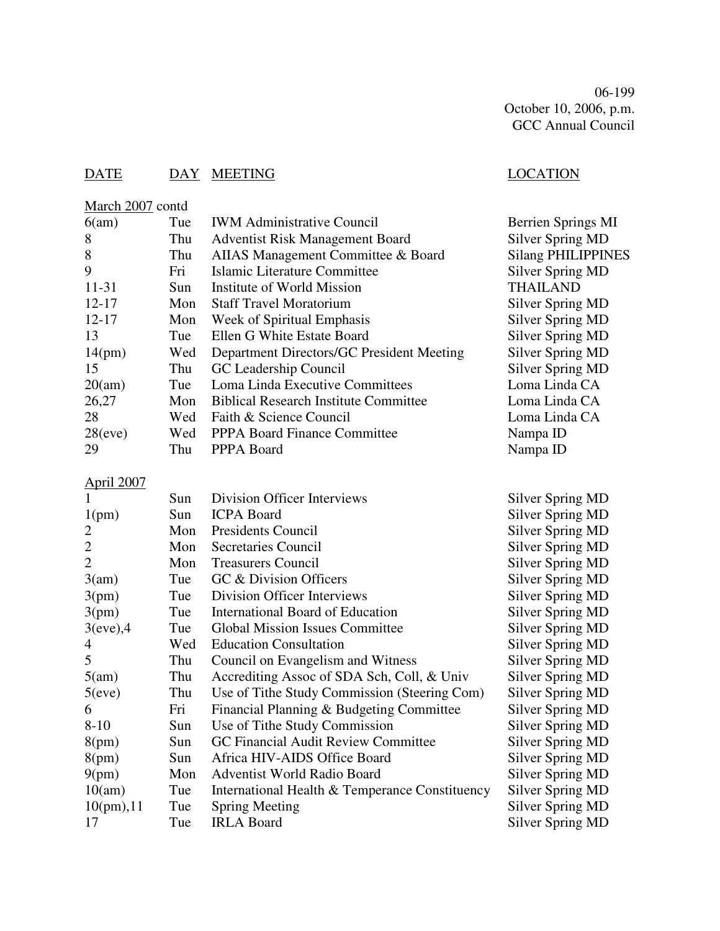06-199 October 10, 2006, p.m. GCC Annual Council

# DATE DAY MEETING LOCATION

| March 2007 contd  |     |                                              |                           |
|-------------------|-----|----------------------------------------------|---------------------------|
| 6(am)             | Tue | <b>IWM</b> Administrative Council            | Berrien Springs MI        |
| 8                 | Thu | <b>Adventist Risk Management Board</b>       | <b>Silver Spring MD</b>   |
| 8                 | Thu | AIIAS Management Committee & Board           | <b>Silang PHILIPPINES</b> |
| 9                 | Fri | Islamic Literature Committee                 | <b>Silver Spring MD</b>   |
| $11-31$           | Sun | Institute of World Mission                   | <b>THAILAND</b>           |
| $12 - 17$         | Mon | <b>Staff Travel Moratorium</b>               | Silver Spring MD          |
| $12 - 17$         | Mon | Week of Spiritual Emphasis                   | Silver Spring MD          |
| 13                | Tue | Ellen G White Estate Board                   | <b>Silver Spring MD</b>   |
| 14(pm)            | Wed | Department Directors/GC President Meeting    | <b>Silver Spring MD</b>   |
| 15                | Thu | GC Leadership Council                        | Silver Spring MD          |
| 20(am)            | Tue | Loma Linda Executive Committees              | Loma Linda CA             |
| 26,27             | Mon | <b>Biblical Research Institute Committee</b> | Loma Linda CA             |
| 28                | Wed | Faith & Science Council                      | Loma Linda CA             |
| 28(eve)           | Wed | <b>PPPA Board Finance Committee</b>          | Nampa ID                  |
| 29                | Thu | PPPA Board                                   | Nampa ID                  |
| $\cdots$ $\alpha$ |     |                                              |                           |

#### April 2007

|                | Sun | Division Officer Interviews                    | Silver Spring MD        |
|----------------|-----|------------------------------------------------|-------------------------|
| 1(pm)          | Sun | <b>ICPA Board</b>                              | Silver Spring MD        |
| 2              | Mon | <b>Presidents Council</b>                      | Silver Spring MD        |
| $\overline{2}$ | Mon | <b>Secretaries Council</b>                     | Silver Spring MD        |
| $\overline{2}$ | Mon | <b>Treasurers Council</b>                      | Silver Spring MD        |
| 3(am)          | Tue | GC & Division Officers                         | <b>Silver Spring MD</b> |
| 3(pm)          | Tue | Division Officer Interviews                    | Silver Spring MD        |
| 3(pm)          | Tue | International Board of Education               | Silver Spring MD        |
| $3(eve)$ ,4    | Tue | <b>Global Mission Issues Committee</b>         | Silver Spring MD        |
| 4              | Wed | <b>Education Consultation</b>                  | <b>Silver Spring MD</b> |
| 5              | Thu | Council on Evangelism and Witness              | Silver Spring MD        |
| 5(am)          | Thu | Accrediting Assoc of SDA Sch, Coll, & Univ     | <b>Silver Spring MD</b> |
| 5(eve)         | Thu | Use of Tithe Study Commission (Steering Com)   | Silver Spring MD        |
| 6.             | Fri | Financial Planning & Budgeting Committee       | Silver Spring MD        |
| $8 - 10$       | Sun | Use of Tithe Study Commission                  | <b>Silver Spring MD</b> |
| 8(pm)          | Sun | <b>GC Financial Audit Review Committee</b>     | <b>Silver Spring MD</b> |
| 8(pm)          | Sun | Africa HIV-AIDS Office Board                   | Silver Spring MD        |
| 9(pm)          | Mon | <b>Adventist World Radio Board</b>             | Silver Spring MD        |
| 10(am)         | Tue | International Health & Temperance Constituency | Silver Spring MD        |
| $10(pm)$ , 11  | Tue | <b>Spring Meeting</b>                          | Silver Spring MD        |
| 17             | Tue | <b>IRLA Board</b>                              | <b>Silver Spring MD</b> |
|                |     |                                                |                         |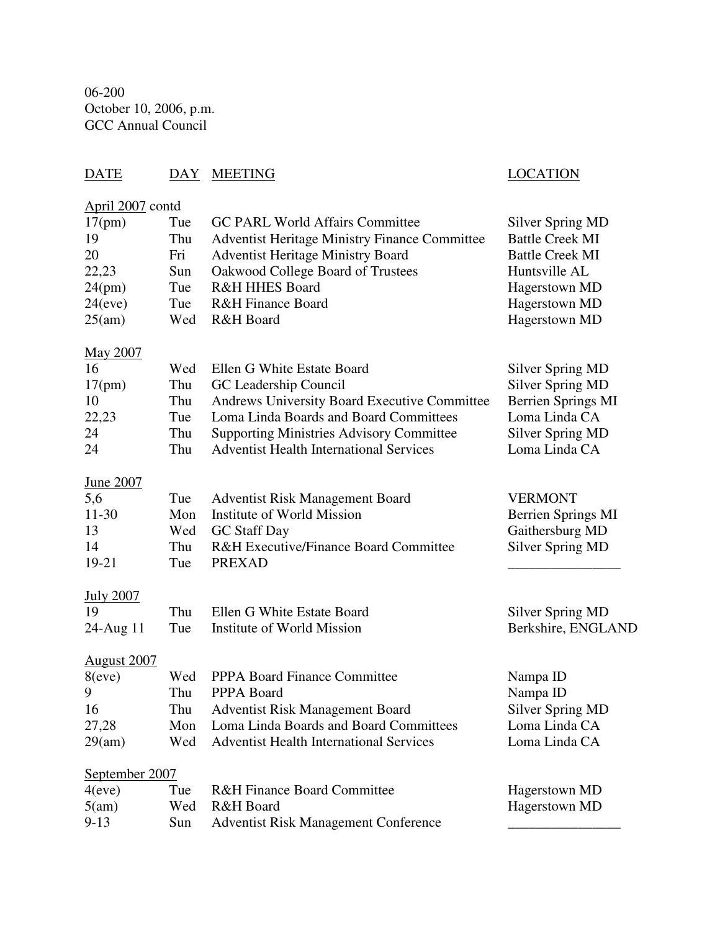06-200 October 10, 2006, p.m. GCC Annual Council

# DATE DAY MEETING LOCATION

# April 2007 contd

| 17(pm)             | Tue | <b>GC PARL World Affairs Committee</b>               | <b>Silver Spring MD</b>   |
|--------------------|-----|------------------------------------------------------|---------------------------|
| 19                 | Thu | <b>Adventist Heritage Ministry Finance Committee</b> | <b>Battle Creek MI</b>    |
| 20                 | Fri | <b>Adventist Heritage Ministry Board</b>             | <b>Battle Creek MI</b>    |
| 22,23              | Sun | Oakwood College Board of Trustees                    | Huntsville AL             |
| 24(pm)             | Tue | R&H HHES Board                                       | Hagerstown MD             |
| 24(eve)            | Tue | <b>R&amp;H Finance Board</b>                         | Hagerstown MD             |
| 25(am)             | Wed | R&H Board                                            | Hagerstown MD             |
| May 2007           |     |                                                      |                           |
| 16                 | Wed | Ellen G White Estate Board                           | <b>Silver Spring MD</b>   |
| 17(pm)             | Thu | GC Leadership Council                                | <b>Silver Spring MD</b>   |
| 10                 | Thu | Andrews University Board Executive Committee         | <b>Berrien Springs MI</b> |
| 22,23              | Tue | Loma Linda Boards and Board Committees               | Loma Linda CA             |
| 24                 | Thu | <b>Supporting Ministries Advisory Committee</b>      | <b>Silver Spring MD</b>   |
| 24                 | Thu | <b>Adventist Health International Services</b>       | Loma Linda CA             |
| June 2007          |     |                                                      |                           |
| 5,6                | Tue | <b>Adventist Risk Management Board</b>               | <b>VERMONT</b>            |
| $11-30$            | Mon | Institute of World Mission                           | <b>Berrien Springs MI</b> |
| 13                 | Wed | <b>GC Staff Day</b>                                  | Gaithersburg MD           |
| 14                 | Thu | R&H Executive/Finance Board Committee                | <b>Silver Spring MD</b>   |
| 19-21              | Tue | <b>PREXAD</b>                                        |                           |
| <b>July 2007</b>   |     |                                                      |                           |
| 19                 | Thu | Ellen G White Estate Board                           | <b>Silver Spring MD</b>   |
| 24-Aug 11          | Tue | Institute of World Mission                           | Berkshire, ENGLAND        |
| <b>August 2007</b> |     |                                                      |                           |
| 8(eve)             | Wed | <b>PPPA Board Finance Committee</b>                  | Nampa ID                  |
| 9                  | Thu | PPPA Board                                           | Nampa ID                  |
| 16                 | Thu | <b>Adventist Risk Management Board</b>               | <b>Silver Spring MD</b>   |
| 27,28              | Mon | Loma Linda Boards and Board Committees               | Loma Linda CA             |
| 29(am)             | Wed | <b>Adventist Health International Services</b>       | Loma Linda CA             |
| September 2007     |     |                                                      |                           |
| 4(eve)             | Tue | <b>R&amp;H Finance Board Committee</b>               | Hagerstown MD             |
| 5(am)              | Wed | R&H Board                                            | Hagerstown MD             |
| $9 - 13$           | Sun | <b>Adventist Risk Management Conference</b>          |                           |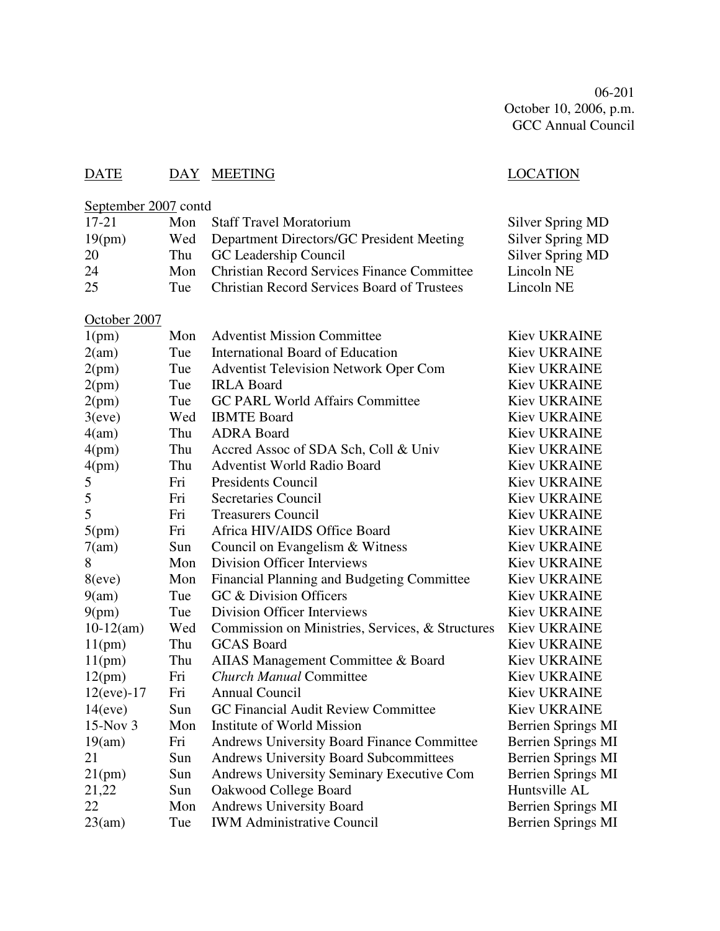06-201 October 10, 2006, p.m. GCC Annual Council

# DATE DAY MEETING LOCATION

# September 2007 contd

| 17-21  |     | Mon Staff Travel Moratorium                        | Silver Spring MD |
|--------|-----|----------------------------------------------------|------------------|
| 19(pm) |     | Wed Department Directors/GC President Meeting      | Silver Spring MD |
| 20     |     | Thu GC Leadership Council                          | Silver Spring MD |
| 24     |     | Mon Christian Record Services Finance Committee    | Lincoln NE       |
| 25     | Tue | <b>Christian Record Services Board of Trustees</b> | Lincoln NE       |

# October 2007

| 1(pm)          | Mon | <b>Adventist Mission Committee</b>               | <b>Kiev UKRAINE</b>       |
|----------------|-----|--------------------------------------------------|---------------------------|
| 2(am)          | Tue | International Board of Education                 | Kiev UKRAINE              |
| 2(pm)          | Tue | <b>Adventist Television Network Oper Com</b>     | <b>Kiev UKRAINE</b>       |
| 2(pm)          | Tue | <b>IRLA Board</b>                                | <b>Kiev UKRAINE</b>       |
| 2(pm)          | Tue | <b>GC PARL World Affairs Committee</b>           | <b>Kiev UKRAINE</b>       |
| 3(eve)         | Wed | <b>IBMTE Board</b>                               | Kiev UKRAINE              |
| 4(am)          | Thu | <b>ADRA Board</b>                                | <b>Kiev UKRAINE</b>       |
| 4(pm)          | Thu | Accred Assoc of SDA Sch, Coll & Univ             | Kiev UKRAINE              |
| 4(pm)          | Thu | <b>Adventist World Radio Board</b>               | <b>Kiev UKRAINE</b>       |
| 5              | Fri | <b>Presidents Council</b>                        | <b>Kiev UKRAINE</b>       |
| $\mathfrak{S}$ | Fri | <b>Secretaries Council</b>                       | <b>Kiev UKRAINE</b>       |
| 5              | Fri | <b>Treasurers Council</b>                        | Kiev UKRAINE              |
| 5(pm)          | Fri | Africa HIV/AIDS Office Board                     | Kiev UKRAINE              |
| 7(am)          | Sun | Council on Evangelism & Witness                  | <b>Kiev UKRAINE</b>       |
| 8              | Mon | <b>Division Officer Interviews</b>               | <b>Kiev UKRAINE</b>       |
| $8$ (eve)      | Mon | Financial Planning and Budgeting Committee       | <b>Kiev UKRAINE</b>       |
| 9(am)          | Tue | GC & Division Officers                           | <b>Kiev UKRAINE</b>       |
| 9(pm)          | Tue | Division Officer Interviews                      | <b>Kiev UKRAINE</b>       |
| $10-12(am)$    | Wed | Commission on Ministries, Services, & Structures | <b>Kiev UKRAINE</b>       |
| 11(pm)         | Thu | <b>GCAS</b> Board                                | <b>Kiev UKRAINE</b>       |
| 11(pm)         | Thu | AIIAS Management Committee & Board               | <b>Kiev UKRAINE</b>       |
| 12(pm)         | Fri | <b>Church Manual Committee</b>                   | <b>Kiev UKRAINE</b>       |
| $12(eve) - 17$ | Fri | <b>Annual Council</b>                            | <b>Kiev UKRAINE</b>       |
| 14(eve)        | Sun | GC Financial Audit Review Committee              | <b>Kiev UKRAINE</b>       |
| 15-Nov 3       | Mon | Institute of World Mission                       | <b>Berrien Springs MI</b> |
| 19(am)         | Fri | Andrews University Board Finance Committee       | <b>Berrien Springs MI</b> |
| 21             | Sun | <b>Andrews University Board Subcommittees</b>    | <b>Berrien Springs MI</b> |
| 21(pm)         | Sun | <b>Andrews University Seminary Executive Com</b> | <b>Berrien Springs MI</b> |
| 21,22          | Sun | Oakwood College Board                            | Huntsville AL             |
| 22             | Mon | Andrews University Board                         | <b>Berrien Springs MI</b> |
| 23(am)         | Tue | <b>IWM Administrative Council</b>                | Berrien Springs MI        |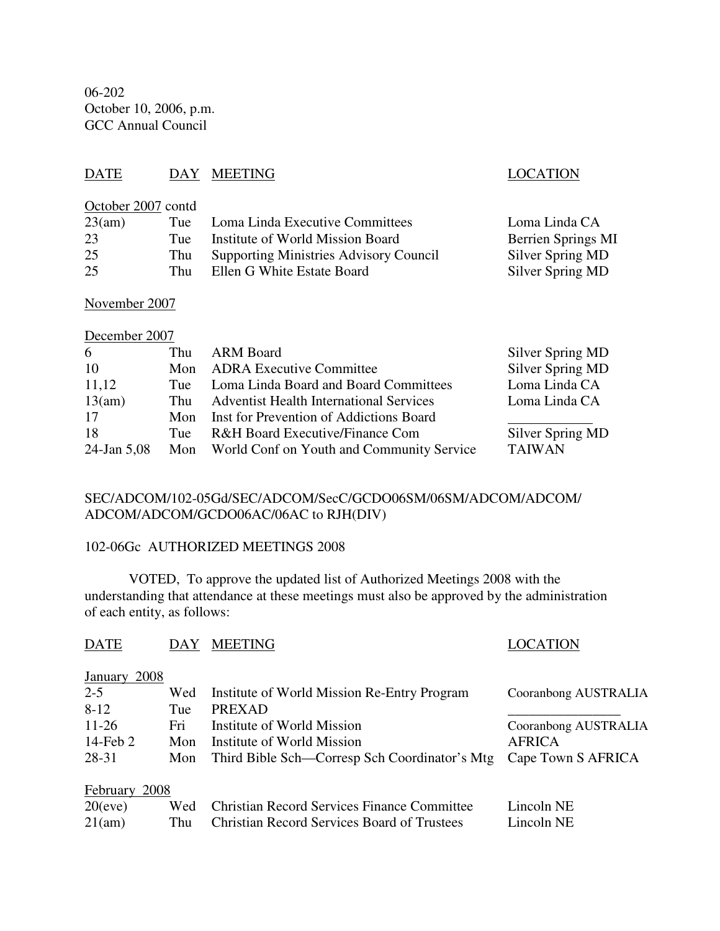06-202 October 10, 2006, p.m. GCC Annual Council

# DATE DAY MEETING LOCATION

October 2007 contd

| 23(am) | Tue | Loma Linda Executive Committees               | Loma Linda CA      |
|--------|-----|-----------------------------------------------|--------------------|
| 23     | Tue | Institute of World Mission Board              | Berrien Springs MI |
| 25     | Thu | <b>Supporting Ministries Advisory Council</b> | Silver Spring MD   |
| 25     | Thu | Ellen G White Estate Board                    | Silver Spring MD   |

November 2007

| December 2007  |     |                                                |                  |
|----------------|-----|------------------------------------------------|------------------|
| 6              | Thu | <b>ARM Board</b>                               | Silver Spring MD |
| 10             | Mon | <b>ADRA Executive Committee</b>                | Silver Spring MD |
| 11,12          | Tue | Loma Linda Board and Board Committees          | Loma Linda CA    |
| 13(am)         | Thu | <b>Adventist Health International Services</b> | Loma Linda CA    |
| 17             | Mon | Inst for Prevention of Addictions Board        |                  |
| 18             | Tue | R&H Board Executive/Finance Com                | Silver Spring MD |
| $24$ -Jan 5,08 |     | Mon World Conf on Youth and Community Service  | <b>TAIWAN</b>    |

# SEC/ADCOM/102-05Gd/SEC/ADCOM/SecC/GCDO06SM/06SM/ADCOM/ADCOM/ ADCOM/ADCOM/GCDO06AC/06AC to RJH(DIV)

## 102-06Gc AUTHORIZED MEETINGS 2008

 VOTED, To approve the updated list of Authorized Meetings 2008 with the understanding that attendance at these meetings must also be approved by the administration of each entity, as follows:

# DATE DAY MEETING SERVICES AND LOCATION

| <b>January</b><br>2008 |     |                                                    |                      |
|------------------------|-----|----------------------------------------------------|----------------------|
| $2 - 5$                | Wed | Institute of World Mission Re-Entry Program        | Cooranbong AUSTRALIA |
| $8 - 12$               | Tue | <b>PREXAD</b>                                      |                      |
| $11 - 26$              | Fri | Institute of World Mission                         | Cooranbong AUSTRALIA |
| $14$ -Feb $2$          | Mon | Institute of World Mission                         | AFRICA               |
| 28-31                  | Mon | Third Bible Sch—Corresp Sch Coordinator's Mtg      | Cape Town S AFRICA   |
| February<br>2008       |     |                                                    |                      |
| 20(eve)                | Wed | <b>Christian Record Services Finance Committee</b> | Lincoln NE           |
| 21(am)                 | Thu | <b>Christian Record Services Board of Trustees</b> | Lincoln NE           |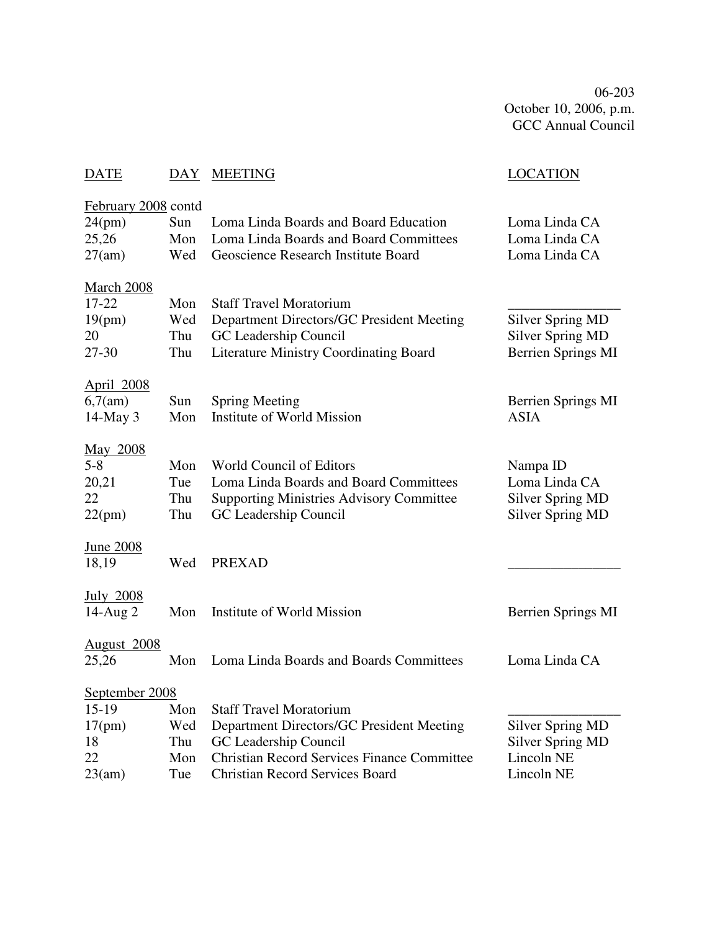06-203 October 10, 2006, p.m. GCC Annual Council

# DATE DAY MEETING SERVICES AND LOCATION February 2008 contd 24(pm) Sun Loma Linda Boards and Board Education Loma Linda CA 25,26 Mon Loma Linda Boards and Board Committees Loma Linda CA 27(am) Wed Geoscience Research Institute Board Loma Linda CA March 2008 17-22 Mon Staff Travel Moratorium 19(pm) Wed Department Directors/GC President Meeting Silver Spring MD 20 Thu GC Leadership Council Silver Spring MD 27-30 Thu Literature Ministry Coordinating Board Berrien Springs MI April 2008 6,7(am) Sun Spring Meeting Berrien Springs MI 14-May 3 Mon Institute of World Mission ASIA May 2008 5-8 Mon World Council of Editors Nampa ID 20,21 Tue Loma Linda Boards and Board Committees Loma Linda CA 22 Thu Supporting Ministries Advisory Committee Silver Spring MD 22(pm) Thu GC Leadership Council Silver Spring MD June 2008 18,19 Wed PREXAD July 2008 14-Aug 2 Mon Institute of World Mission Berrien Springs MI August 2008 25,26 Mon Loma Linda Boards and Boards Committees Loma Linda CA September 2008 15-19 Mon Staff Travel Moratorium 17(pm) Wed Department Directors/GC President Meeting Silver Spring MD 18 Thu GC Leadership Council Silver Spring MD<br>22 Mon Christian Record Services Finance Committee Lincoln NE 22 Mon Christian Record Services Finance Committee 23(am) Tue Christian Record Services Board Lincoln NE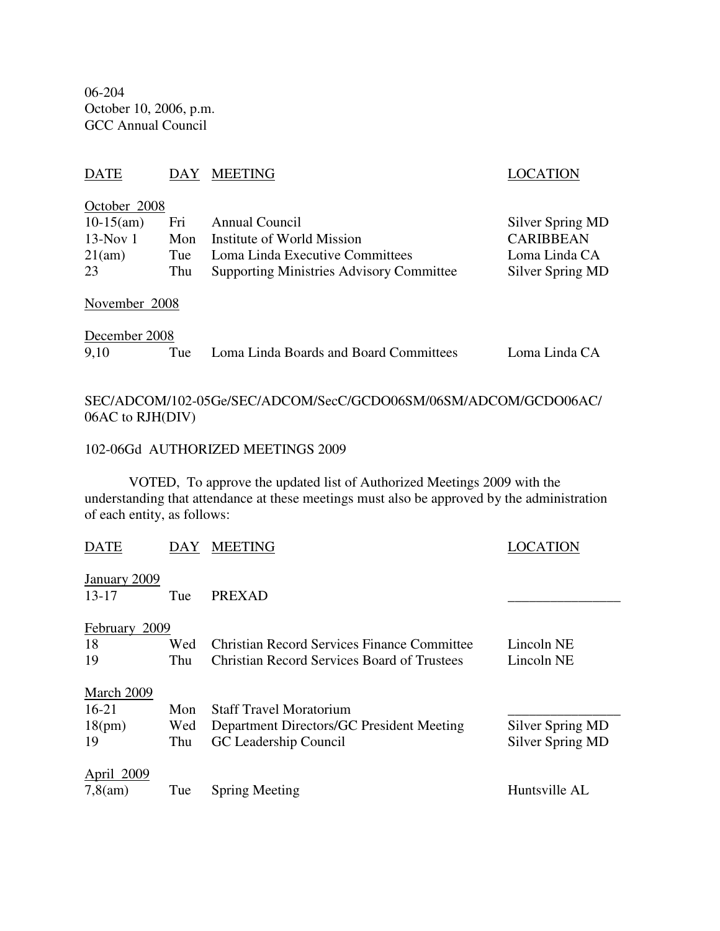06-204 October 10, 2006, p.m. GCC Annual Council

# DATE DAY MEETING SECOND LOCATION

| October 2008  |     |                                                 |                  |
|---------------|-----|-------------------------------------------------|------------------|
| 10-15 $(am)$  | Fri | Annual Council                                  | Silver Spring MD |
| $13-Nov1$     | Mon | Institute of World Mission                      | <b>CARIBBEAN</b> |
| 21(am)        | Tue | Loma Linda Executive Committees                 | Loma Linda CA    |
| 23            | Thu | <b>Supporting Ministries Advisory Committee</b> | Silver Spring MD |
| November 2008 |     |                                                 |                  |

| December 2008 |                                            |               |
|---------------|--------------------------------------------|---------------|
| 9,10          | Tue Loma Linda Boards and Board Committees | Loma Linda CA |

# SEC/ADCOM/102-05Ge/SEC/ADCOM/SecC/GCDO06SM/06SM/ADCOM/GCDO06AC/ 06AC to RJH(DIV)

# 102-06Gd AUTHORIZED MEETINGS 2009

 VOTED, To approve the updated list of Authorized Meetings 2009 with the understanding that attendance at these meetings must also be approved by the administration of each entity, as follows:

| <b>DATE</b>           | DAY | <b>MEETING</b>                              | LOCATION         |
|-----------------------|-----|---------------------------------------------|------------------|
| January 2009<br>13-17 | Tue | <b>PREXAD</b>                               |                  |
| February<br>2009      |     |                                             |                  |
| 18                    | Wed | Christian Record Services Finance Committee | Lincoln NE       |
| 19                    | Thu | Christian Record Services Board of Trustees | Lincoln NE       |
| March 2009            |     |                                             |                  |
| $16 - 21$             | Mon | <b>Staff Travel Moratorium</b>              |                  |
| 18(pm)                | Wed | Department Directors/GC President Meeting   | Silver Spring MD |
| 19                    | Thu | GC Leadership Council                       | Silver Spring MD |
| April 2009<br>7,8(am) | Tue | <b>Spring Meeting</b>                       | Huntsville AL    |
|                       |     |                                             |                  |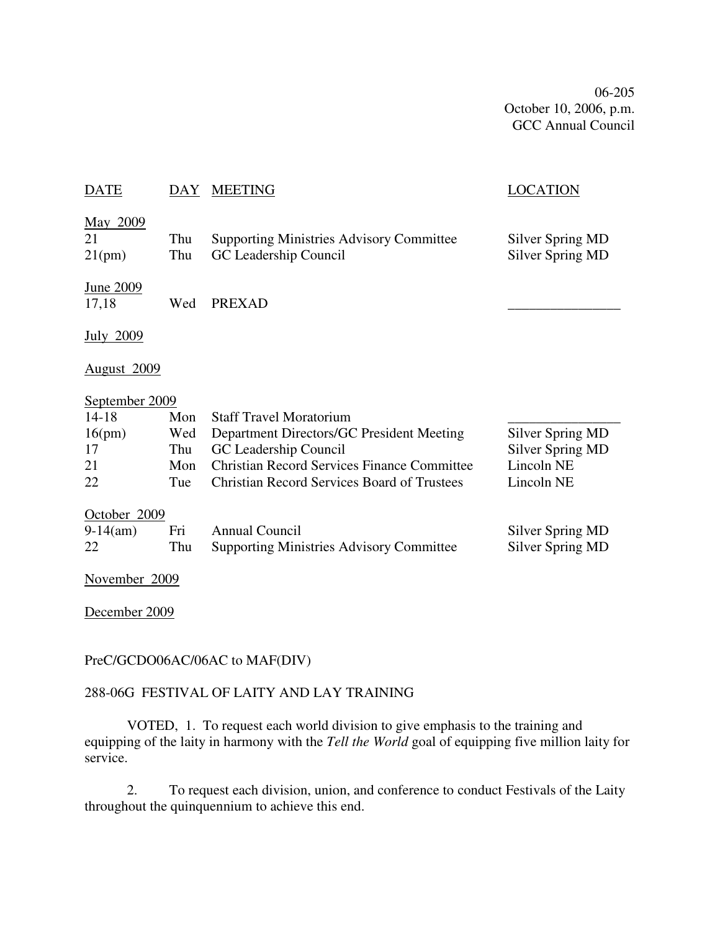06-205 October 10, 2006, p.m. GCC Annual Council

# DATE DAY MEETING LOCATION May 2009 21 Thu Supporting Ministries Advisory Committee Silver Spring MD<br>21(pm) Thu GC Leadership Council Silver Spring MD  $21(pm)$  Thu GC Leadership Council June 2009 17,18 Wed PREXAD July 2009 August 2009 September 2009 14-18 Mon Staff Travel Moratorium<br>
16(pm) Wed Department Directors/GC President Meeting Silver Spring MD 16(pm) Wed Department Directors/GC President Meeting 17 Thu GC Leadership Council Silver Spring MD<br>21 Mon Christian Record Services Finance Committee Lincoln NE 21 Mon Christian Record Services Finance Committee 22 Tue Christian Record Services Board of Trustees Lincoln NE October 2009 9-14(am) Fri Annual Council Silver Spring MD 22 Thu Supporting Ministries Advisory Committee Silver Spring MD November 2009

December 2009

PreC/GCDO06AC/06AC to MAF(DIV)

# 288-06G FESTIVAL OF LAITY AND LAY TRAINING

VOTED, 1. To request each world division to give emphasis to the training and equipping of the laity in harmony with the *Tell the World* goal of equipping five million laity for service.

 2. To request each division, union, and conference to conduct Festivals of the Laity throughout the quinquennium to achieve this end.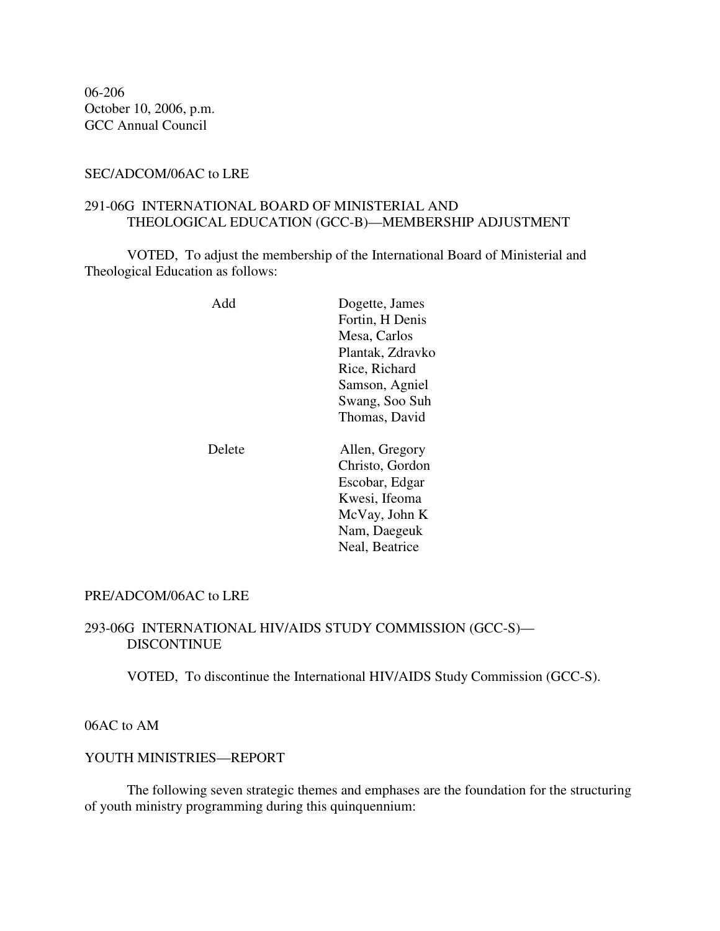06-206 October 10, 2006, p.m. GCC Annual Council

#### SEC/ADCOM/06AC to LRE

# 291-06G INTERNATIONAL BOARD OF MINISTERIAL AND THEOLOGICAL EDUCATION (GCC-B)—MEMBERSHIP ADJUSTMENT

VOTED, To adjust the membership of the International Board of Ministerial and Theological Education as follows:

| Add    | Dogette, James   |
|--------|------------------|
|        | Fortin, H Denis  |
|        | Mesa, Carlos     |
|        | Plantak, Zdravko |
|        | Rice, Richard    |
|        | Samson, Agniel   |
|        | Swang, Soo Suh   |
|        | Thomas, David    |
| Delete | Allen, Gregory   |
|        | Christo Gordon   |

 Christo, Gordon Escobar, Edgar Kwesi, Ifeoma McVay, John K Nam, Daegeuk Neal, Beatrice

## PRE/ADCOM/06AC to LRE

## 293-06G INTERNATIONAL HIV/AIDS STUDY COMMISSION (GCC-S)— DISCONTINUE

VOTED, To discontinue the International HIV/AIDS Study Commission (GCC-S).

06AC to AM

## YOUTH MINISTRIES—REPORT

 The following seven strategic themes and emphases are the foundation for the structuring of youth ministry programming during this quinquennium: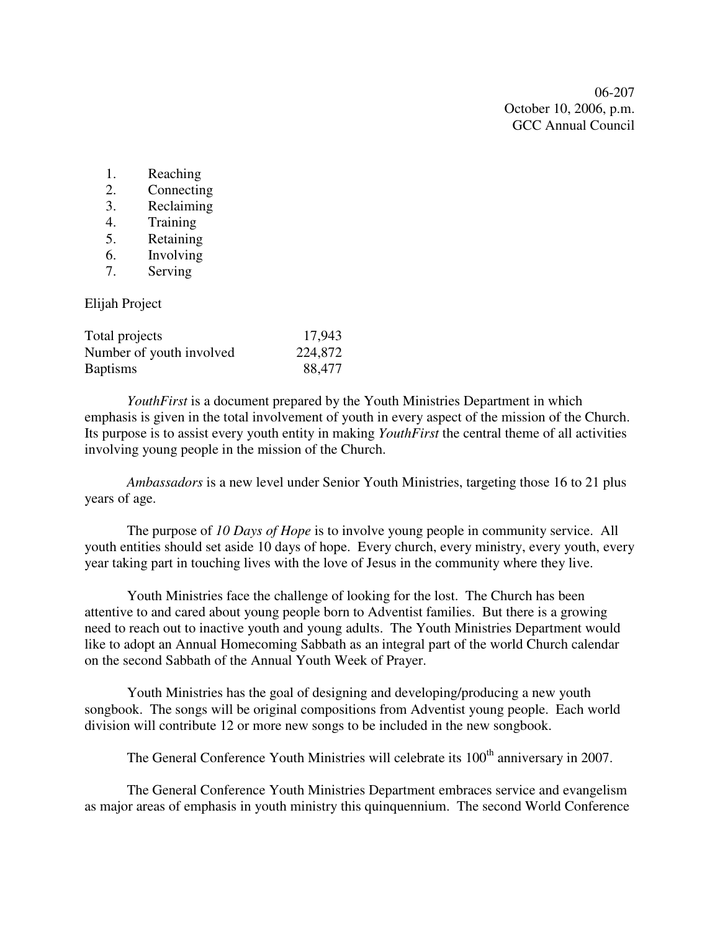06-207 October 10, 2006, p.m. GCC Annual Council

- 1. Reaching
- 2. Connecting
- 3. Reclaiming
- 4. Training
- 5. Retaining
- 6. Involving
- 7. Serving

Elijah Project

| Total projects           | 17,943  |
|--------------------------|---------|
| Number of youth involved | 224,872 |
| <b>Baptisms</b>          | 88,477  |

*YouthFirst* is a document prepared by the Youth Ministries Department in which emphasis is given in the total involvement of youth in every aspect of the mission of the Church. Its purpose is to assist every youth entity in making *YouthFirst* the central theme of all activities involving young people in the mission of the Church.

*Ambassadors* is a new level under Senior Youth Ministries, targeting those 16 to 21 plus years of age.

 The purpose of *10 Days of Hope* is to involve young people in community service. All youth entities should set aside 10 days of hope. Every church, every ministry, every youth, every year taking part in touching lives with the love of Jesus in the community where they live.

 Youth Ministries face the challenge of looking for the lost. The Church has been attentive to and cared about young people born to Adventist families. But there is a growing need to reach out to inactive youth and young adults. The Youth Ministries Department would like to adopt an Annual Homecoming Sabbath as an integral part of the world Church calendar on the second Sabbath of the Annual Youth Week of Prayer.

 Youth Ministries has the goal of designing and developing/producing a new youth songbook. The songs will be original compositions from Adventist young people. Each world division will contribute 12 or more new songs to be included in the new songbook.

The General Conference Youth Ministries will celebrate its 100<sup>th</sup> anniversary in 2007.

 The General Conference Youth Ministries Department embraces service and evangelism as major areas of emphasis in youth ministry this quinquennium. The second World Conference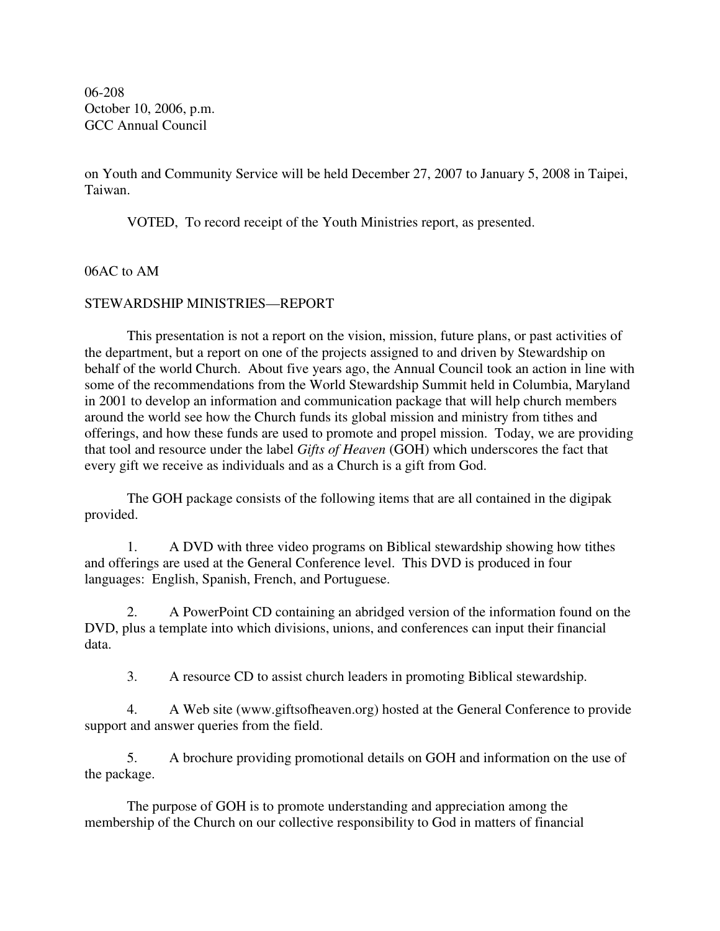06-208 October 10, 2006, p.m. GCC Annual Council

on Youth and Community Service will be held December 27, 2007 to January 5, 2008 in Taipei, Taiwan.

VOTED, To record receipt of the Youth Ministries report, as presented.

# 06AC to AM

# STEWARDSHIP MINISTRIES—REPORT

 This presentation is not a report on the vision, mission, future plans, or past activities of the department, but a report on one of the projects assigned to and driven by Stewardship on behalf of the world Church. About five years ago, the Annual Council took an action in line with some of the recommendations from the World Stewardship Summit held in Columbia, Maryland in 2001 to develop an information and communication package that will help church members around the world see how the Church funds its global mission and ministry from tithes and offerings, and how these funds are used to promote and propel mission. Today, we are providing that tool and resource under the label *Gifts of Heaven* (GOH) which underscores the fact that every gift we receive as individuals and as a Church is a gift from God.

 The GOH package consists of the following items that are all contained in the digipak provided.

1. A DVD with three video programs on Biblical stewardship showing how tithes and offerings are used at the General Conference level. This DVD is produced in four languages: English, Spanish, French, and Portuguese.

2. A PowerPoint CD containing an abridged version of the information found on the DVD, plus a template into which divisions, unions, and conferences can input their financial data.

3. A resource CD to assist church leaders in promoting Biblical stewardship.

4. A Web site (www.giftsofheaven.org) hosted at the General Conference to provide support and answer queries from the field.

5. A brochure providing promotional details on GOH and information on the use of the package.

 The purpose of GOH is to promote understanding and appreciation among the membership of the Church on our collective responsibility to God in matters of financial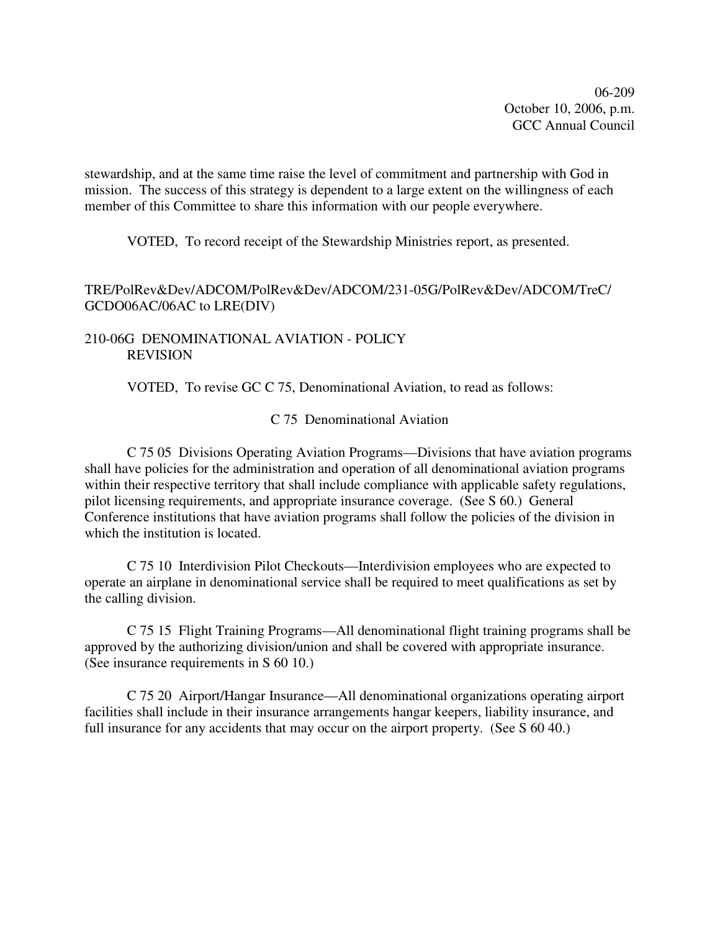06-209 October 10, 2006, p.m. GCC Annual Council

stewardship, and at the same time raise the level of commitment and partnership with God in mission. The success of this strategy is dependent to a large extent on the willingness of each member of this Committee to share this information with our people everywhere.

VOTED, To record receipt of the Stewardship Ministries report, as presented.

# TRE/PolRev&Dev/ADCOM/PolRev&Dev/ADCOM/231-05G/PolRev&Dev/ADCOM/TreC/ GCDO06AC/06AC to LRE(DIV)

# 210-06G DENOMINATIONAL AVIATION - POLICY REVISION

VOTED, To revise GC C 75, Denominational Aviation, to read as follows:

C 75 Denominational Aviation

C 75 05 Divisions Operating Aviation Programs—Divisions that have aviation programs shall have policies for the administration and operation of all denominational aviation programs within their respective territory that shall include compliance with applicable safety regulations, pilot licensing requirements, and appropriate insurance coverage. (See S 60.) General Conference institutions that have aviation programs shall follow the policies of the division in which the institution is located.

C 75 10 Interdivision Pilot Checkouts—Interdivision employees who are expected to operate an airplane in denominational service shall be required to meet qualifications as set by the calling division.

C 75 15 Flight Training Programs—All denominational flight training programs shall be approved by the authorizing division/union and shall be covered with appropriate insurance. (See insurance requirements in S 60 10.)

C 75 20 Airport/Hangar Insurance—All denominational organizations operating airport facilities shall include in their insurance arrangements hangar keepers, liability insurance, and full insurance for any accidents that may occur on the airport property. (See S 60 40.)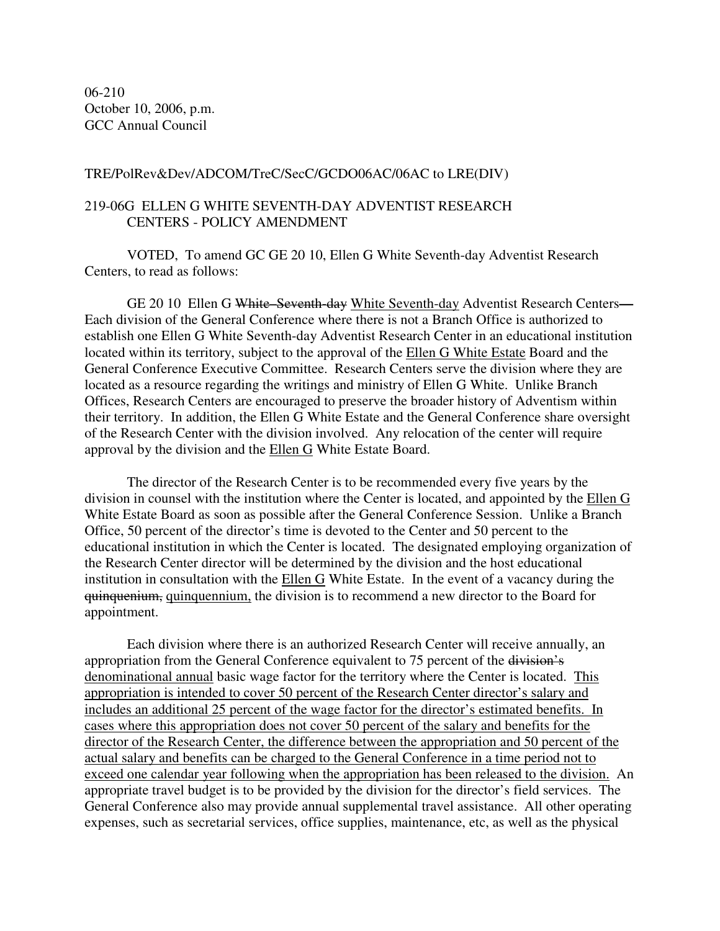06-210 October 10, 2006, p.m. GCC Annual Council

#### TRE/PolRev&Dev/ADCOM/TreC/SecC/GCDO06AC/06AC to LRE(DIV)

### 219-06G ELLEN G WHITE SEVENTH-DAY ADVENTIST RESEARCH CENTERS - POLICY AMENDMENT

VOTED, To amend GC GE 20 10, Ellen G White Seventh-day Adventist Research Centers, to read as follows:

 GE 20 10 Ellen G White–Seventh-day White Seventh-day Adventist Research Centers**—** Each division of the General Conference where there is not a Branch Office is authorized to establish one Ellen G White Seventh-day Adventist Research Center in an educational institution located within its territory, subject to the approval of the Ellen G White Estate Board and the General Conference Executive Committee. Research Centers serve the division where they are located as a resource regarding the writings and ministry of Ellen G White. Unlike Branch Offices, Research Centers are encouraged to preserve the broader history of Adventism within their territory. In addition, the Ellen G White Estate and the General Conference share oversight of the Research Center with the division involved. Any relocation of the center will require approval by the division and the Ellen G White Estate Board.

The director of the Research Center is to be recommended every five years by the division in counsel with the institution where the Center is located, and appointed by the Ellen G White Estate Board as soon as possible after the General Conference Session. Unlike a Branch Office, 50 percent of the director's time is devoted to the Center and 50 percent to the educational institution in which the Center is located. The designated employing organization of the Research Center director will be determined by the division and the host educational institution in consultation with the Ellen G White Estate. In the event of a vacancy during the quinquenium, quinquennium, the division is to recommend a new director to the Board for appointment.

Each division where there is an authorized Research Center will receive annually, an appropriation from the General Conference equivalent to 75 percent of the division's denominational annual basic wage factor for the territory where the Center is located. This appropriation is intended to cover 50 percent of the Research Center director's salary and includes an additional 25 percent of the wage factor for the director's estimated benefits. In cases where this appropriation does not cover 50 percent of the salary and benefits for the director of the Research Center, the difference between the appropriation and 50 percent of the actual salary and benefits can be charged to the General Conference in a time period not to exceed one calendar year following when the appropriation has been released to the division. An appropriate travel budget is to be provided by the division for the director's field services. The General Conference also may provide annual supplemental travel assistance. All other operating expenses, such as secretarial services, office supplies, maintenance, etc, as well as the physical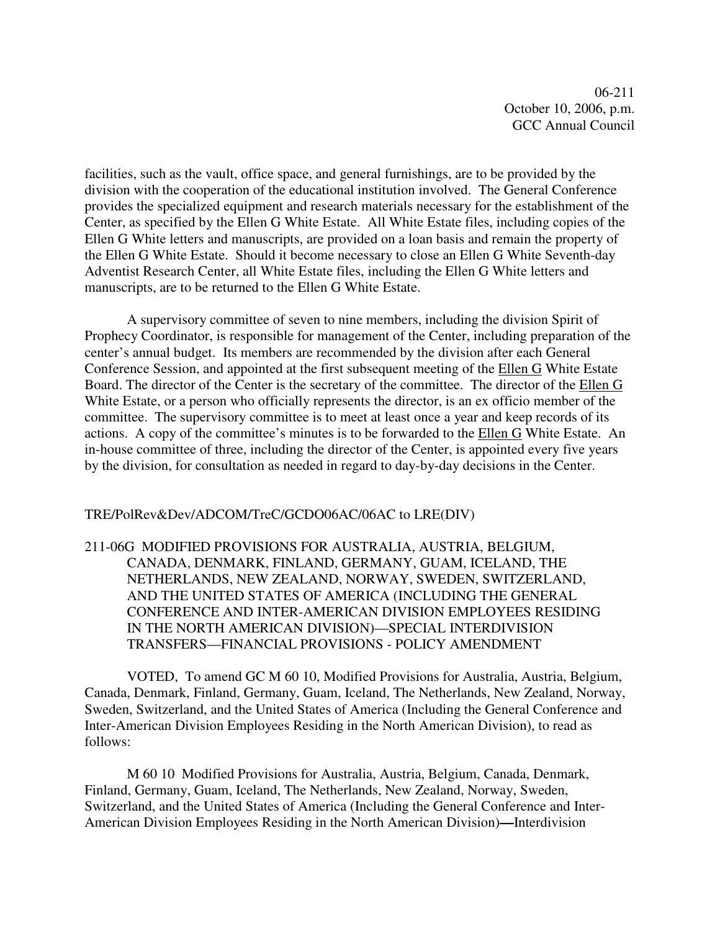06-211 October 10, 2006, p.m. GCC Annual Council

facilities, such as the vault, office space, and general furnishings, are to be provided by the division with the cooperation of the educational institution involved. The General Conference provides the specialized equipment and research materials necessary for the establishment of the Center, as specified by the Ellen G White Estate. All White Estate files, including copies of the Ellen G White letters and manuscripts, are provided on a loan basis and remain the property of the Ellen G White Estate. Should it become necessary to close an Ellen G White Seventh-day Adventist Research Center, all White Estate files, including the Ellen G White letters and manuscripts, are to be returned to the Ellen G White Estate.

A supervisory committee of seven to nine members, including the division Spirit of Prophecy Coordinator, is responsible for management of the Center, including preparation of the center's annual budget. Its members are recommended by the division after each General Conference Session, and appointed at the first subsequent meeting of the Ellen G White Estate Board. The director of the Center is the secretary of the committee. The director of the Ellen G White Estate, or a person who officially represents the director, is an ex officio member of the committee. The supervisory committee is to meet at least once a year and keep records of its actions. A copy of the committee's minutes is to be forwarded to the Ellen G White Estate. An in-house committee of three, including the director of the Center, is appointed every five years by the division, for consultation as needed in regard to day-by-day decisions in the Center.

#### TRE/PolRev&Dev/ADCOM/TreC/GCDO06AC/06AC to LRE(DIV)

## 211-06G MODIFIED PROVISIONS FOR AUSTRALIA, AUSTRIA, BELGIUM, CANADA, DENMARK, FINLAND, GERMANY, GUAM, ICELAND, THE NETHERLANDS, NEW ZEALAND, NORWAY, SWEDEN, SWITZERLAND, AND THE UNITED STATES OF AMERICA (INCLUDING THE GENERAL CONFERENCE AND INTER-AMERICAN DIVISION EMPLOYEES RESIDING IN THE NORTH AMERICAN DIVISION)—SPECIAL INTERDIVISION TRANSFERS—FINANCIAL PROVISIONS - POLICY AMENDMENT

VOTED, To amend GC M 60 10, Modified Provisions for Australia, Austria, Belgium, Canada, Denmark, Finland, Germany, Guam, Iceland, The Netherlands, New Zealand, Norway, Sweden, Switzerland, and the United States of America (Including the General Conference and Inter-American Division Employees Residing in the North American Division), to read as follows:

M 60 10 Modified Provisions for Australia, Austria, Belgium, Canada, Denmark, Finland, Germany, Guam, Iceland, The Netherlands, New Zealand, Norway, Sweden, Switzerland, and the United States of America (Including the General Conference and Inter-American Division Employees Residing in the North American Division)**—**Interdivision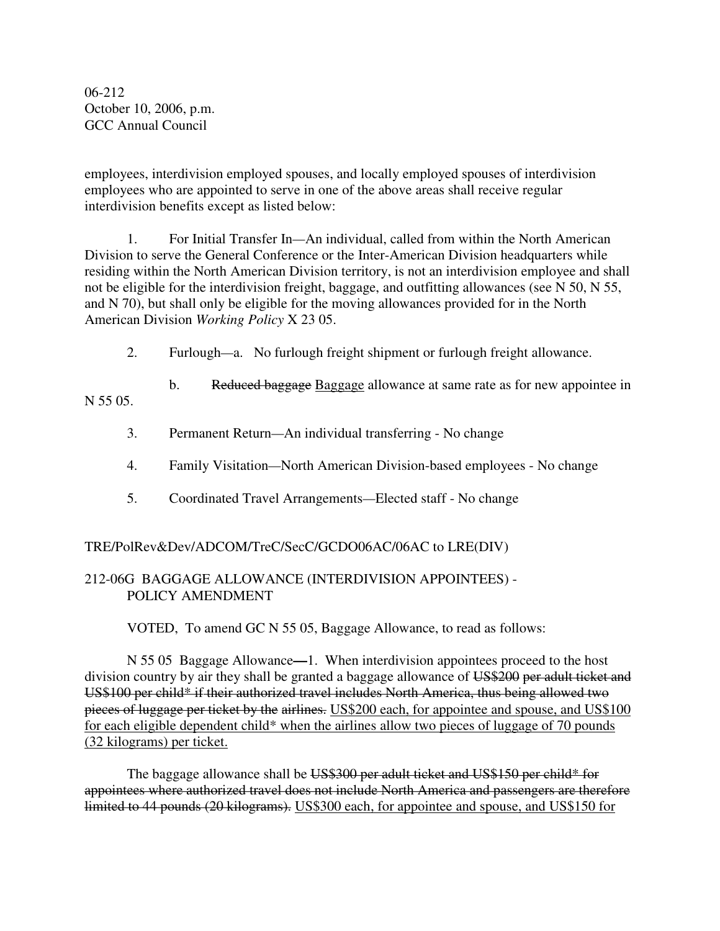06-212 October 10, 2006, p.m. GCC Annual Council

employees, interdivision employed spouses, and locally employed spouses of interdivision employees who are appointed to serve in one of the above areas shall receive regular interdivision benefits except as listed below:

 1. For Initial Transfer In*—*An individual, called from within the North American Division to serve the General Conference or the Inter-American Division headquarters while residing within the North American Division territory, is not an interdivision employee and shall not be eligible for the interdivision freight, baggage, and outfitting allowances (see N 50, N 55, and N 70), but shall only be eligible for the moving allowances provided for in the North American Division *Working Policy* X 23 05.

2. Furlough*—*a. No furlough freight shipment or furlough freight allowance.

b. Reduced baggage Baggage allowance at same rate as for new appointee in N 55 05.

- 3. Permanent Return*—*An individual transferring No change
- 4. Family Visitation*—*North American Division-based employees No change
- 5. Coordinated Travel Arrangements*—*Elected staff No change

# TRE/PolRev&Dev/ADCOM/TreC/SecC/GCDO06AC/06AC to LRE(DIV)

# 212-06G BAGGAGE ALLOWANCE (INTERDIVISION APPOINTEES) - POLICY AMENDMENT

VOTED, To amend GC N 55 05, Baggage Allowance, to read as follows:

N 55 05 Baggage Allowance**—**1. When interdivision appointees proceed to the host division country by air they shall be granted a baggage allowance of US\$200 per adult ticket and US\$100 per child\* if their authorized travel includes North America, thus being allowed two pieces of luggage per ticket by the airlines. US\$200 each, for appointee and spouse, and US\$100 for each eligible dependent child\* when the airlines allow two pieces of luggage of 70 pounds (32 kilograms) per ticket.

The baggage allowance shall be US\$300 per adult ticket and US\$150 per child\* for appointees where authorized travel does not include North America and passengers are therefore limited to 44 pounds (20 kilograms). US\$300 each, for appointee and spouse, and US\$150 for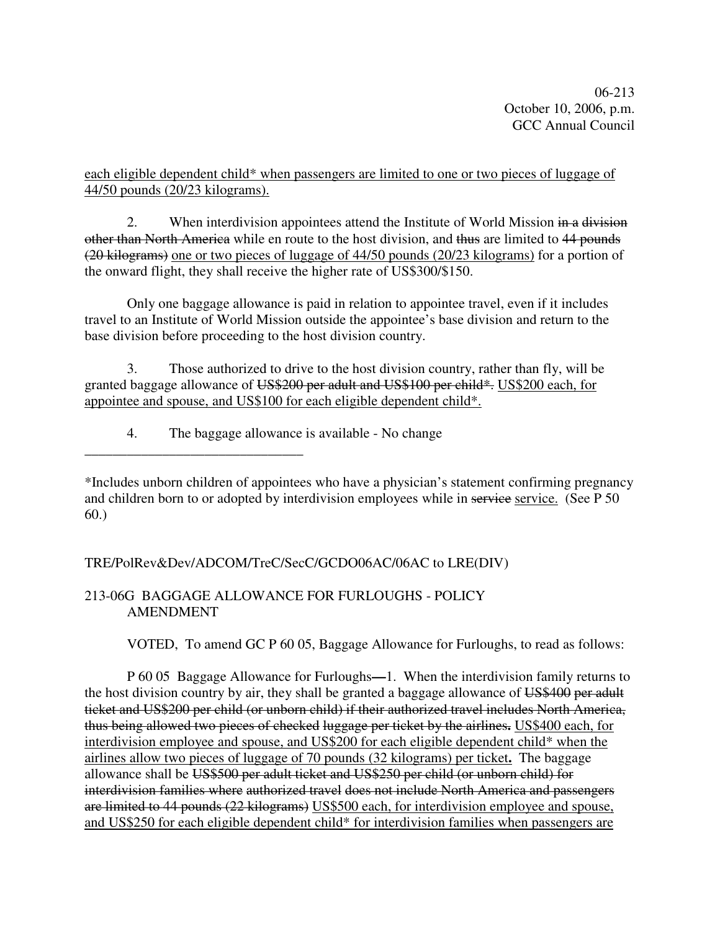06-213 October 10, 2006, p.m. GCC Annual Council

each eligible dependent child\* when passengers are limited to one or two pieces of luggage of 44/50 pounds (20/23 kilograms).

2. When interdivision appointees attend the Institute of World Mission in a division other than North America while en route to the host division, and thus are limited to 44 pounds (20 kilograms) one or two pieces of luggage of 44/50 pounds (20/23 kilograms) for a portion of the onward flight, they shall receive the higher rate of US\$300/\$150.

Only one baggage allowance is paid in relation to appointee travel, even if it includes travel to an Institute of World Mission outside the appointee's base division and return to the base division before proceeding to the host division country.

 3. Those authorized to drive to the host division country, rather than fly, will be granted baggage allowance of US\$200 per adult and US\$100 per child\*. US\$200 each, for appointee and spouse, and US\$100 for each eligible dependent child\*.

4. The baggage allowance is available - No change

\_\_\_\_\_\_\_\_\_\_\_\_\_\_\_\_\_\_\_\_\_\_\_\_\_\_\_\_\_\_\_

\*Includes unborn children of appointees who have a physician's statement confirming pregnancy and children born to or adopted by interdivision employees while in service service. (See P 50 60.)

# TRE/PolRev&Dev/ADCOM/TreC/SecC/GCDO06AC/06AC to LRE(DIV)

## 213-06G BAGGAGE ALLOWANCE FOR FURLOUGHS - POLICY AMENDMENT

VOTED, To amend GC P 60 05, Baggage Allowance for Furloughs, to read as follows:

P 60 05 Baggage Allowance for Furloughs**—**1. When the interdivision family returns to the host division country by air, they shall be granted a baggage allowance of US\$400 per adult ticket and US\$200 per child (or unborn child) if their authorized travel includes North America, thus being allowed two pieces of checked luggage per ticket by the airlines**.** US\$400 each, for interdivision employee and spouse, and US\$200 for each eligible dependent child\* when the airlines allow two pieces of luggage of 70 pounds (32 kilograms) per ticket**.** The baggage allowance shall be US\$500 per adult ticket and US\$250 per child (or unborn child) for interdivision families where authorized travel does not include North America and passengers are limited to 44 pounds (22 kilograms) US\$500 each, for interdivision employee and spouse, and US\$250 for each eligible dependent child\* for interdivision families when passengers are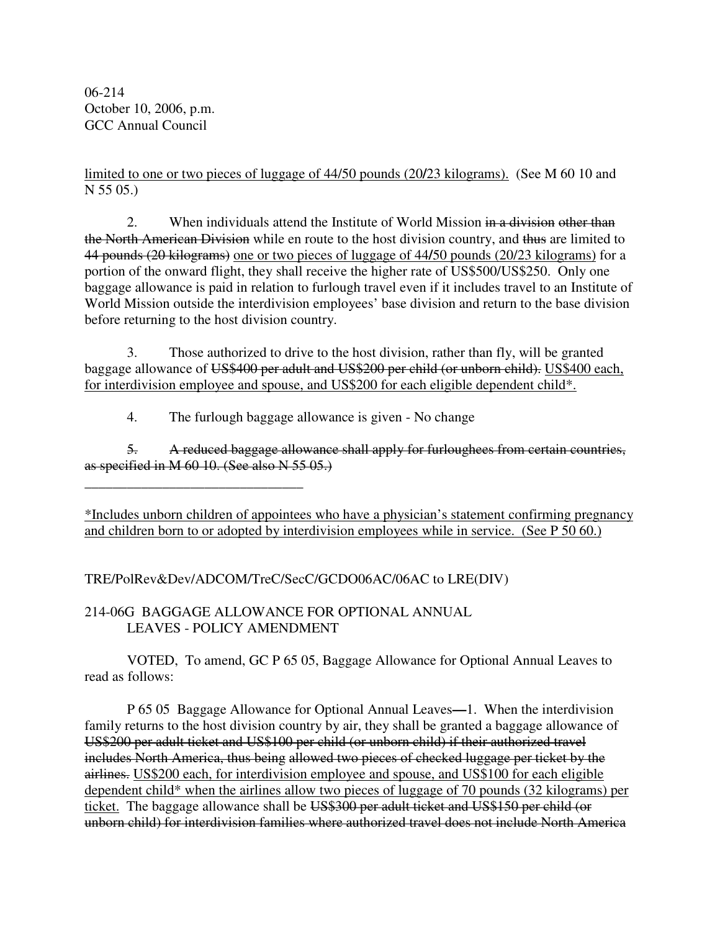06-214 October 10, 2006, p.m. GCC Annual Council

limited to one or two pieces of luggage of 44/50 pounds (20**/**23 kilograms). (See M 60 10 and N 55 05.)

2. When individuals attend the Institute of World Mission in a division other than the North American Division while en route to the host division country, and thus are limited to 44 pounds (20 kilograms) one or two pieces of luggage of 44**/**50 pounds (20/23 kilograms) for a portion of the onward flight, they shall receive the higher rate of US\$500/US\$250. Only one baggage allowance is paid in relation to furlough travel even if it includes travel to an Institute of World Mission outside the interdivision employees' base division and return to the base division before returning to the host division country.

 3. Those authorized to drive to the host division, rather than fly, will be granted baggage allowance of US\$400 per adult and US\$200 per child (or unborn child). US\$400 each, for interdivision employee and spouse, and US\$200 for each eligible dependent child\*.

4. The furlough baggage allowance is given - No change

 5. A reduced baggage allowance shall apply for furloughees from certain countries, as specified in M 60 10. (See also N 55 05.)

\*Includes unborn children of appointees who have a physician's statement confirming pregnancy and children born to or adopted by interdivision employees while in service. (See P 50 60.)

TRE/PolRev&Dev/ADCOM/TreC/SecC/GCDO06AC/06AC to LRE(DIV)

214-06G BAGGAGE ALLOWANCE FOR OPTIONAL ANNUAL LEAVES - POLICY AMENDMENT

\_\_\_\_\_\_\_\_\_\_\_\_\_\_\_\_\_\_\_\_\_\_\_\_\_\_\_\_\_\_\_

VOTED, To amend, GC P 65 05, Baggage Allowance for Optional Annual Leaves to read as follows:

P 65 05 Baggage Allowance for Optional Annual Leaves**—**1. When the interdivision family returns to the host division country by air, they shall be granted a baggage allowance of US\$200 per adult ticket and US\$100 per child (or unborn child) if their authorized travel includes North America, thus being allowed two pieces of checked luggage per ticket by the airlines. US\$200 each, for interdivision employee and spouse, and US\$100 for each eligible dependent child\* when the airlines allow two pieces of luggage of 70 pounds (32 kilograms) per ticket. The baggage allowance shall be US\$300 per adult ticket and US\$150 per child (or unborn child) for interdivision families where authorized travel does not include North America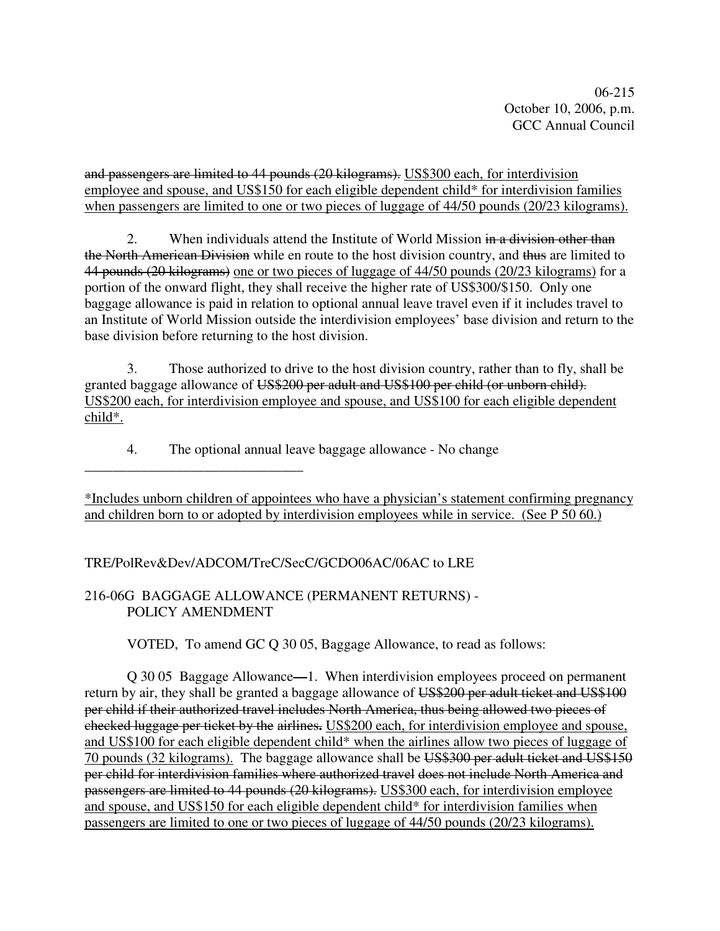06-215 October 10, 2006, p.m. GCC Annual Council

and passengers are limited to 44 pounds (20 kilograms). US\$300 each, for interdivision employee and spouse, and US\$150 for each eligible dependent child\* for interdivision families when passengers are limited to one or two pieces of luggage of 44/50 pounds (20/23 kilograms).

2. When individuals attend the Institute of World Mission in a division other than the North American Division while en route to the host division country, and thus are limited to 44 pounds (20 kilograms) one or two pieces of luggage of 44/50 pounds (20/23 kilograms) for a portion of the onward flight, they shall receive the higher rate of US\$300/\$150. Only one baggage allowance is paid in relation to optional annual leave travel even if it includes travel to an Institute of World Mission outside the interdivision employees' base division and return to the base division before returning to the host division.

 3. Those authorized to drive to the host division country, rather than to fly, shall be granted baggage allowance of US\$200 per adult and US\$100 per child (or unborn child). US\$200 each, for interdivision employee and spouse, and US\$100 for each eligible dependent child\*.

4. The optional annual leave baggage allowance - No change

\*Includes unborn children of appointees who have a physician's statement confirming pregnancy and children born to or adopted by interdivision employees while in service. (See P 50 60.)

# TRE/PolRev&Dev/ADCOM/TreC/SecC/GCDO06AC/06AC to LRE

\_\_\_\_\_\_\_\_\_\_\_\_\_\_\_\_\_\_\_\_\_\_\_\_\_\_\_\_\_\_\_

# 216-06G BAGGAGE ALLOWANCE (PERMANENT RETURNS) - POLICY AMENDMENT

VOTED, To amend GC Q 30 05, Baggage Allowance, to read as follows:

Q 30 05 Baggage Allowance**—**1. When interdivision employees proceed on permanent return by air, they shall be granted a baggage allowance of US\$200 per adult ticket and US\$100 per child if their authorized travel includes North America, thus being allowed two pieces of checked luggage per ticket by the airlines**.** US\$200 each, for interdivision employee and spouse, and US\$100 for each eligible dependent child\* when the airlines allow two pieces of luggage of 70 pounds (32 kilograms). The baggage allowance shall be US\$300 per adult ticket and US\$150 per child for interdivision families where authorized travel does not include North America and passengers are limited to 44 pounds (20 kilograms). US\$300 each, for interdivision employee and spouse, and US\$150 for each eligible dependent child\* for interdivision families when passengers are limited to one or two pieces of luggage of 44/50 pounds (20/23 kilograms).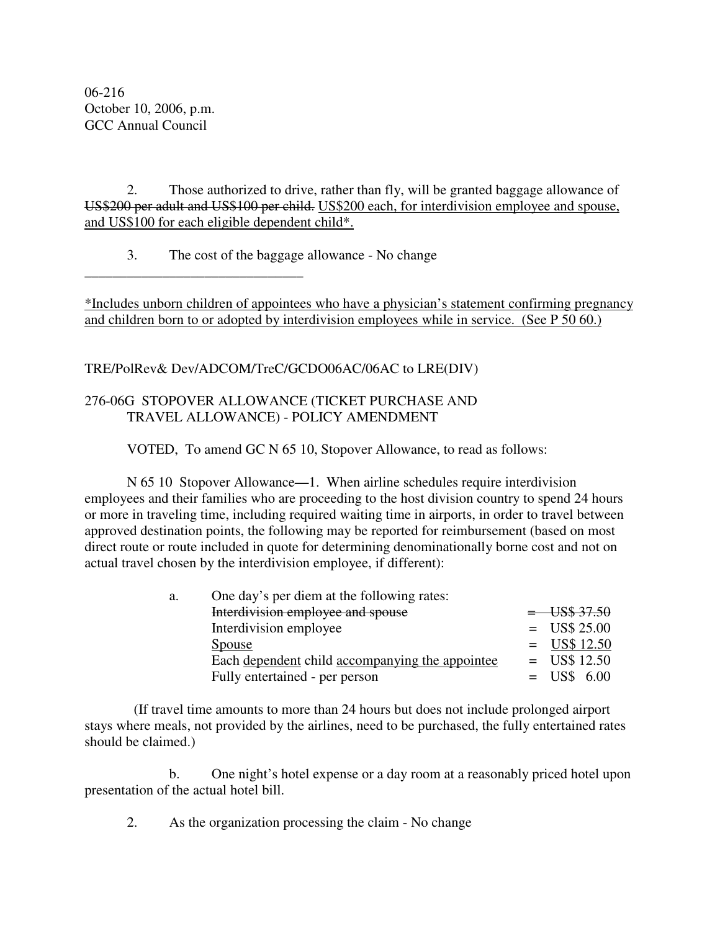06-216 October 10, 2006, p.m. GCC Annual Council

\_\_\_\_\_\_\_\_\_\_\_\_\_\_\_\_\_\_\_\_\_\_\_\_\_\_\_\_\_\_\_

 2. Those authorized to drive, rather than fly, will be granted baggage allowance of US\$200 per adult and US\$100 per child. US\$200 each, for interdivision employee and spouse, and US\$100 for each eligible dependent child\*.

3. The cost of the baggage allowance - No change

\*Includes unborn children of appointees who have a physician's statement confirming pregnancy and children born to or adopted by interdivision employees while in service. (See P 50 60.)

TRE/PolRev& Dev/ADCOM/TreC/GCDO06AC/06AC to LRE(DIV)

# 276-06G STOPOVER ALLOWANCE (TICKET PURCHASE AND TRAVEL ALLOWANCE) - POLICY AMENDMENT

VOTED, To amend GC N 65 10, Stopover Allowance, to read as follows:

N 65 10 Stopover Allowance**—**1. When airline schedules require interdivision employees and their families who are proceeding to the host division country to spend 24 hours or more in traveling time, including required waiting time in airports, in order to travel between approved destination points, the following may be reported for reimbursement (based on most direct route or route included in quote for determining denominationally borne cost and not on actual travel chosen by the interdivision employee, if different):

|                                                 | $=$ US\$ 37.50 |
|-------------------------------------------------|----------------|
|                                                 | $=$ US\$ 25.00 |
|                                                 | $=$ US\$ 12.50 |
| Each dependent child accompanying the appointee | $=$ US\$ 12.50 |
|                                                 | $=$ US\$ 6.00  |
|                                                 |                |

(If travel time amounts to more than 24 hours but does not include prolonged airport stays where meals, not provided by the airlines, need to be purchased, the fully entertained rates should be claimed.)

 b. One night's hotel expense or a day room at a reasonably priced hotel upon presentation of the actual hotel bill.

2. As the organization processing the claim - No change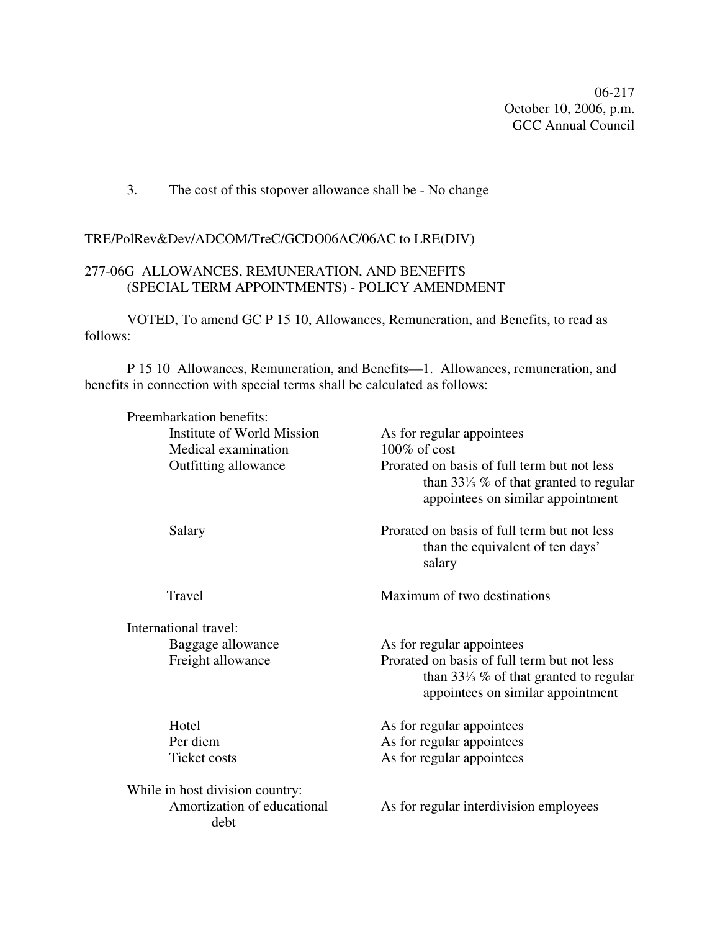06-217 October 10, 2006, p.m. GCC Annual Council

### 3. The cost of this stopover allowance shall be - No change

## TRE/PolRev&Dev/ADCOM/TreC/GCDO06AC/06AC to LRE(DIV)

## 277-06G ALLOWANCES, REMUNERATION, AND BENEFITS (SPECIAL TERM APPOINTMENTS) - POLICY AMENDMENT

VOTED, To amend GC P 15 10, Allowances, Remuneration, and Benefits, to read as follows:

P 15 10 Allowances, Remuneration, and Benefits—1. Allowances, remuneration, and benefits in connection with special terms shall be calculated as follows:

| Preembarkation benefits:                                       |                                                                                                                                       |
|----------------------------------------------------------------|---------------------------------------------------------------------------------------------------------------------------------------|
| Institute of World Mission                                     | As for regular appointees                                                                                                             |
| Medical examination                                            | $100\%$ of cost                                                                                                                       |
| Outfitting allowance                                           | Prorated on basis of full term but not less<br>than $33\frac{1}{3}$ % of that granted to regular<br>appointees on similar appointment |
| Salary                                                         | Prorated on basis of full term but not less<br>than the equivalent of ten days'<br>salary                                             |
| Travel                                                         | Maximum of two destinations                                                                                                           |
| International travel:                                          |                                                                                                                                       |
| Baggage allowance                                              | As for regular appointees                                                                                                             |
| Freight allowance                                              | Prorated on basis of full term but not less<br>than $33\frac{1}{3}$ % of that granted to regular<br>appointees on similar appointment |
| Hotel                                                          | As for regular appointees                                                                                                             |
| Per diem                                                       | As for regular appointees                                                                                                             |
| <b>Ticket costs</b>                                            | As for regular appointees                                                                                                             |
| While in host division country:<br>Amortization of educational | As for regular interdivision employees                                                                                                |
| debt                                                           |                                                                                                                                       |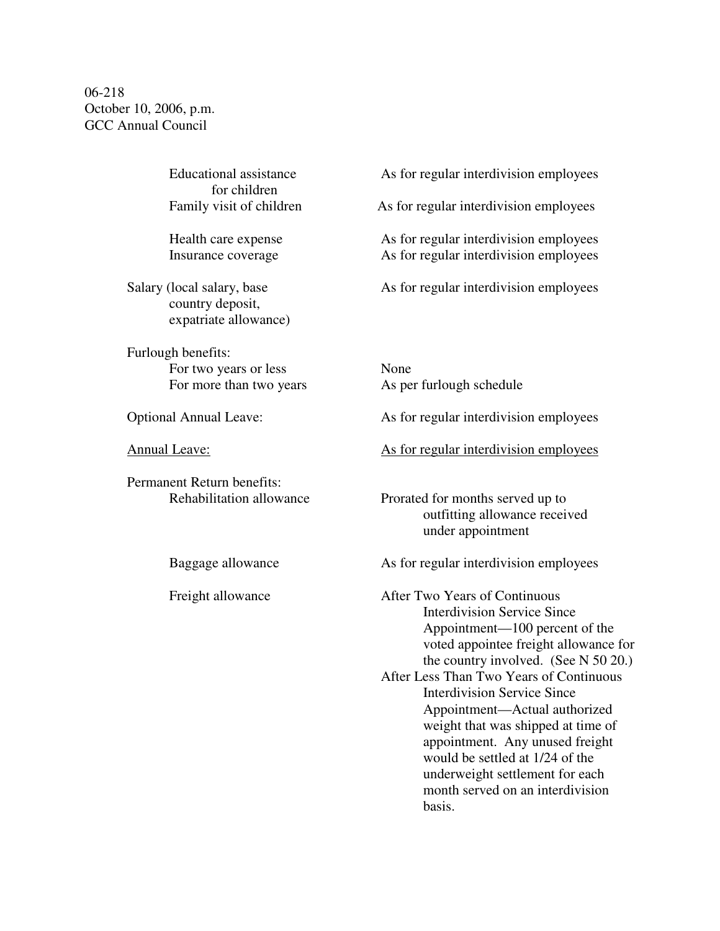06-218 October 10, 2006, p.m. GCC Annual Council

for children

 country deposit, expatriate allowance)

 Furlough benefits: For two years or less None

Permanent Return benefits:

Educational assistance As for regular interdivision employees

Family visit of children As for regular interdivision employees

Health care expense As for regular interdivision employees Insurance coverage As for regular interdivision employees

Salary (local salary, base As for regular interdivision employees

For more than two years As per furlough schedule

Optional Annual Leave: As for regular interdivision employees

Annual Leave: As for regular interdivision employees

Rehabilitation allowance Prorated for months served up to outfitting allowance received under appointment

Baggage allowance As for regular interdivision employees

Freight allowance After Two Years of Continuous Interdivision Service Since Appointment—100 percent of the voted appointee freight allowance for the country involved. (See N 50 20.) After Less Than Two Years of Continuous Interdivision Service Since Appointment—Actual authorized weight that was shipped at time of appointment. Any unused freight would be settled at 1/24 of the underweight settlement for each month served on an interdivision basis.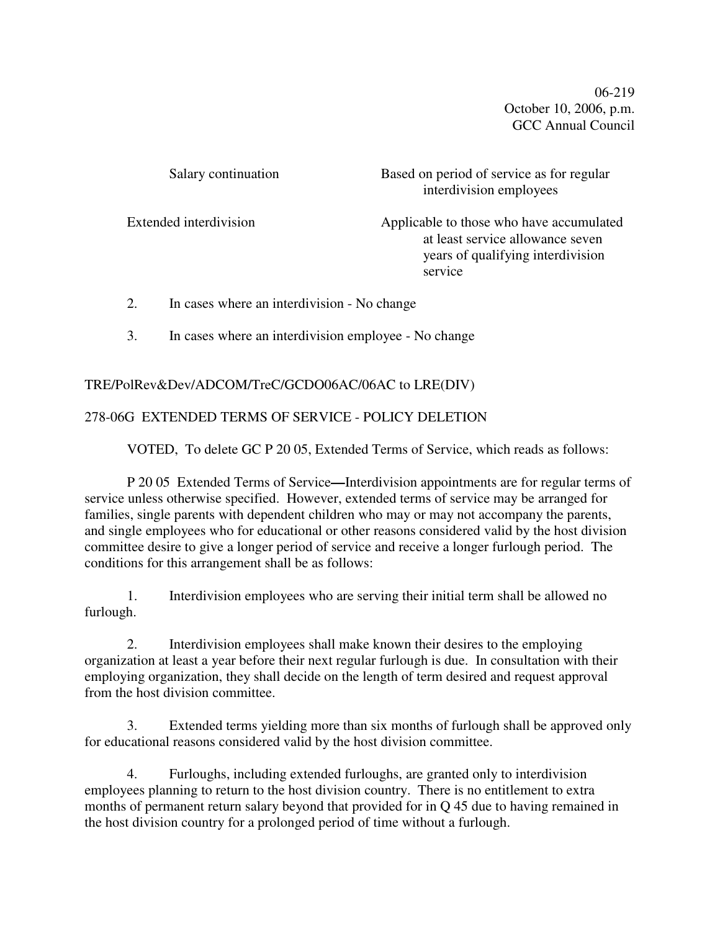06-219 October 10, 2006, p.m. GCC Annual Council

| Salary continuation    |                                             | Based on period of service as for regular<br>interdivision employees                                                         |
|------------------------|---------------------------------------------|------------------------------------------------------------------------------------------------------------------------------|
| Extended interdivision |                                             | Applicable to those who have accumulated<br>at least service allowance seven<br>years of qualifying interdivision<br>service |
| 2.                     | In cases where an interdivision - No change |                                                                                                                              |

3. In cases where an interdivision employee - No change

## TRE/PolRev&Dev/ADCOM/TreC/GCDO06AC/06AC to LRE(DIV)

## 278-06G EXTENDED TERMS OF SERVICE - POLICY DELETION

VOTED, To delete GC P 20 05, Extended Terms of Service, which reads as follows:

P 20 05 Extended Terms of Service**—**Interdivision appointments are for regular terms of service unless otherwise specified. However, extended terms of service may be arranged for families, single parents with dependent children who may or may not accompany the parents, and single employees who for educational or other reasons considered valid by the host division committee desire to give a longer period of service and receive a longer furlough period. The conditions for this arrangement shall be as follows:

 1. Interdivision employees who are serving their initial term shall be allowed no furlough.

 2. Interdivision employees shall make known their desires to the employing organization at least a year before their next regular furlough is due. In consultation with their employing organization, they shall decide on the length of term desired and request approval from the host division committee.

 3. Extended terms yielding more than six months of furlough shall be approved only for educational reasons considered valid by the host division committee.

 4. Furloughs, including extended furloughs, are granted only to interdivision employees planning to return to the host division country. There is no entitlement to extra months of permanent return salary beyond that provided for in Q 45 due to having remained in the host division country for a prolonged period of time without a furlough.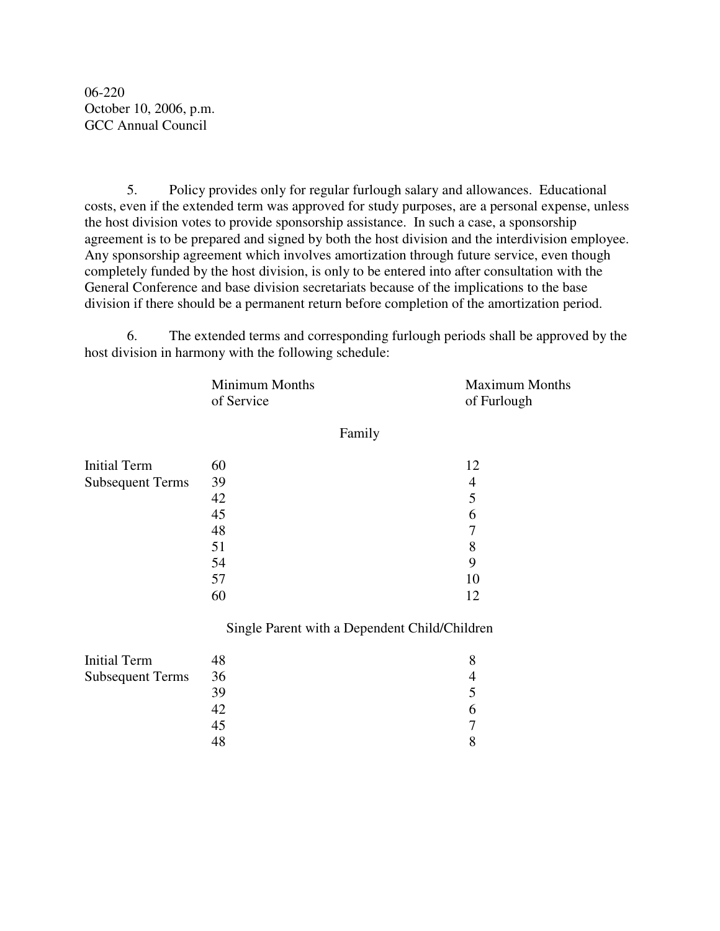06-220 October 10, 2006, p.m. GCC Annual Council

 5. Policy provides only for regular furlough salary and allowances. Educational costs, even if the extended term was approved for study purposes, are a personal expense, unless the host division votes to provide sponsorship assistance. In such a case, a sponsorship agreement is to be prepared and signed by both the host division and the interdivision employee. Any sponsorship agreement which involves amortization through future service, even though completely funded by the host division, is only to be entered into after consultation with the General Conference and base division secretariats because of the implications to the base division if there should be a permanent return before completion of the amortization period.

 6. The extended terms and corresponding furlough periods shall be approved by the host division in harmony with the following schedule:

|                         | <b>Minimum Months</b><br>of Service           | <b>Maximum Months</b><br>of Furlough |
|-------------------------|-----------------------------------------------|--------------------------------------|
|                         | Family                                        |                                      |
| <b>Initial Term</b>     | 60                                            | 12                                   |
| <b>Subsequent Terms</b> | 39                                            | 4                                    |
|                         | 42                                            | 5                                    |
|                         | 45                                            | 6                                    |
|                         | 48                                            | 7                                    |
|                         | 51                                            | 8                                    |
|                         | 54                                            | 9                                    |
|                         | 57                                            | 10                                   |
|                         | 60                                            | 12                                   |
|                         | Single Parent with a Dependent Child/Children |                                      |
| <b>Initial Term</b>     | 48                                            | 8                                    |

| Initial Term            |    |  |
|-------------------------|----|--|
| <b>Subsequent Terms</b> | 36 |  |
|                         | 39 |  |
|                         |    |  |
|                         | 45 |  |
|                         |    |  |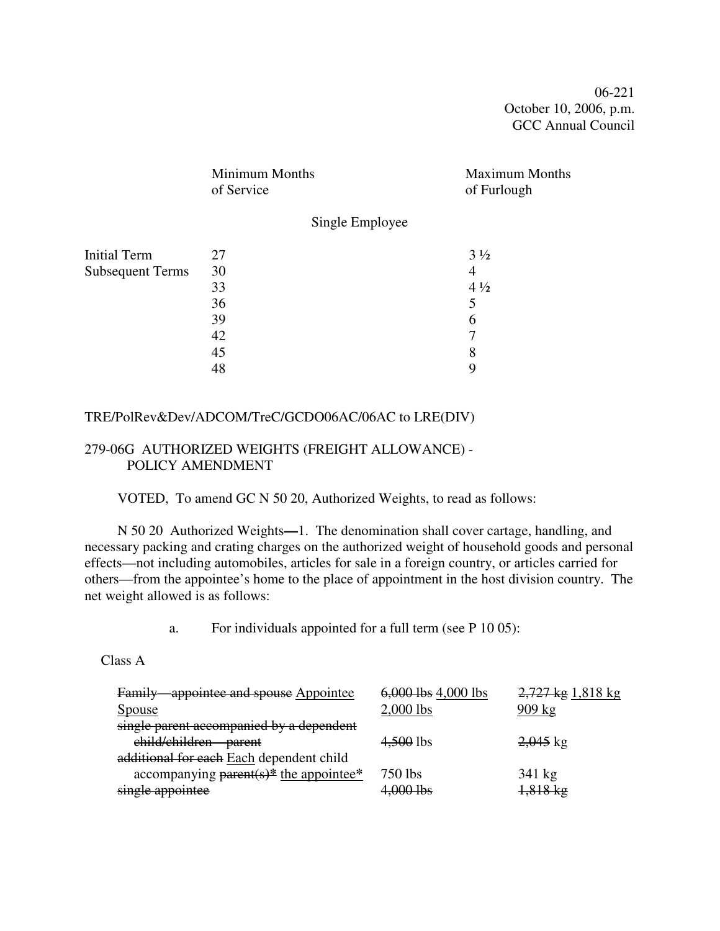06-221 October 10, 2006, p.m. GCC Annual Council

|                         | <b>Minimum Months</b><br>of Service |                 | <b>Maximum Months</b><br>of Furlough |
|-------------------------|-------------------------------------|-----------------|--------------------------------------|
|                         |                                     | Single Employee |                                      |
| <b>Initial Term</b>     | 27                                  |                 | $3\frac{1}{2}$                       |
| <b>Subsequent Terms</b> | 30                                  |                 | 4                                    |
|                         | 33                                  |                 | $4\frac{1}{2}$                       |
|                         | 36                                  |                 | 5                                    |
|                         | 39                                  |                 | 6                                    |
|                         | 42                                  |                 | 7                                    |
|                         | 45                                  |                 | 8                                    |
|                         | 48                                  |                 | 9                                    |
|                         |                                     |                 |                                      |

### TRE/PolRev&Dev/ADCOM/TreC/GCDO06AC/06AC to LRE(DIV)

# 279-06G AUTHORIZED WEIGHTS (FREIGHT ALLOWANCE) - POLICY AMENDMENT

VOTED, To amend GC N 50 20, Authorized Weights, to read as follows:

N 50 20 Authorized Weights**—**1. The denomination shall cover cartage, handling, and necessary packing and crating charges on the authorized weight of household goods and personal effects—not including automobiles, articles for sale in a foreign country, or articles carried for others—from the appointee's home to the place of appointment in the host division country. The net weight allowed is as follows:

a. For individuals appointed for a full term (see P 10 05):

#### Class A

| $6,000$ lbs 4,000 lbs | $2,727$ kg 1,818 kg |
|-----------------------|---------------------|
| 2,000 lbs             | 909 kg              |
|                       |                     |
| 4, <del>500</del> lbs | $2,045$ kg          |
|                       |                     |
| 750 lbs               | 341 kg              |
| 4,000 lbs             | $1,818$ kg          |
|                       |                     |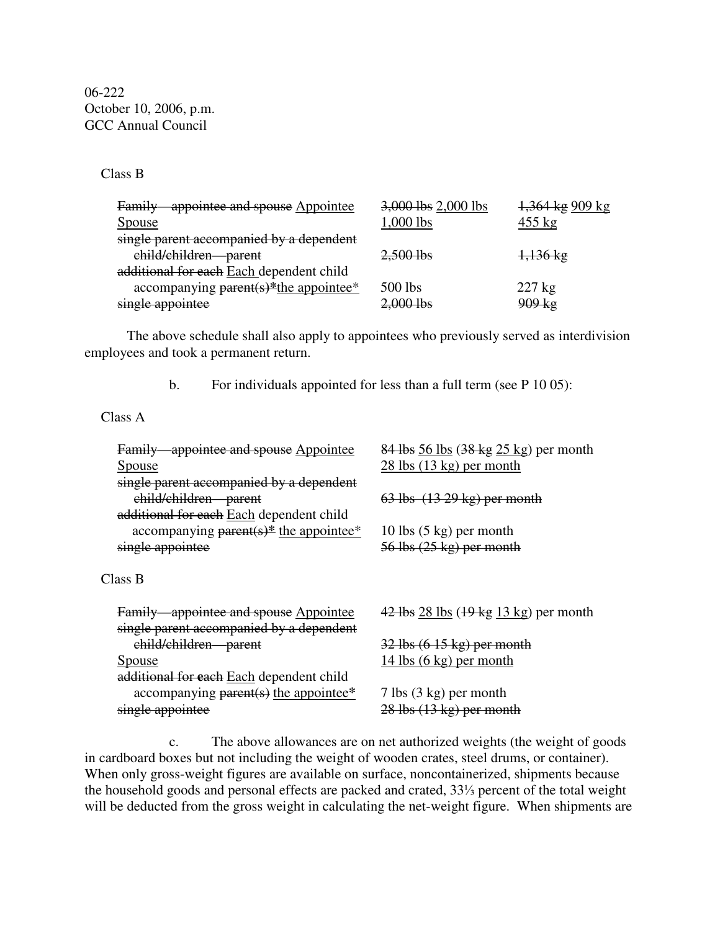06-222 October 10, 2006, p.m. GCC Annual Council

Class B

| <b>Family</b><br>appointee and spouse Appointee               | $3,000$ lbs 2,000 lbs | $1,364$ kg 909 kg   |
|---------------------------------------------------------------|-----------------------|---------------------|
| Spouse                                                        | .000 lbs              |                     |
| single parent accompanied by a dependent                      |                       |                     |
| child/children-<br><del>-parent</del>                         | <del>2,500 lbs</del>  | <del>1,136 kg</del> |
| additional for each Each dependent child                      |                       |                     |
| accompanying $\frac{\text{parent}(s)^\text{*}$ the appointee* | 500 lbs               | $227 \text{ kg}$    |
| single appointee                                              | ገበበ 1ኬ∈               | እህወ ኮሚ              |

The above schedule shall also apply to appointees who previously served as interdivision employees and took a permanent return.

b. For individuals appointed for less than a full term (see P 10 05):

Class A

| <b>Family</b> appointee and spouse Appointee<br>Spouse                                               | $84$ lbs 56 lbs $(38 \text{ kg } 25 \text{ kg})$ per month<br>$28$ lbs $(13 \text{ kg})$ per month |
|------------------------------------------------------------------------------------------------------|----------------------------------------------------------------------------------------------------|
| single parent accompanied by a dependent                                                             |                                                                                                    |
| child/children-parent                                                                                | $63$ lbs $(13\ 29 \text{ kg})$ per month                                                           |
| additional for each Each dependent child<br>accompanying $\frac{\text{parent}(s)}{k}$ the appointee* | 10 lbs $(5 \text{ kg})$ per month                                                                  |
| single appointee                                                                                     | $56$ lbs $(25 \text{ kg})$ per month                                                               |
| Class B                                                                                              |                                                                                                    |
| <b>Family</b> appointee and spouse Appointee                                                         | $42$ lbs 28 lbs $(19 \text{ kg } 13 \text{ kg})$ per month                                         |
| single parent accompanied by a dependent                                                             |                                                                                                    |
| child/children-parent                                                                                | $32$ lbs $(6\,15\,\mathrm{kg})$ per month                                                          |
| <u>Spouse</u>                                                                                        | $14$ lbs $(6 \text{ kg})$ per month                                                                |
| additional for each Each dependent child                                                             |                                                                                                    |
| accompanying $\frac{\text{parent}(s)}{\text{theta}}$ the appointee*                                  | $7 \text{ lbs } (3 \text{ kg})$ per month                                                          |
| single appointee                                                                                     | $28$ lbs $(13 \text{ kg})$ per month                                                               |

 c. The above allowances are on net authorized weights (the weight of goods in cardboard boxes but not including the weight of wooden crates, steel drums, or container). When only gross-weight figures are available on surface, noncontainerized, shipments because the household goods and personal effects are packed and crated, 33⅓ percent of the total weight will be deducted from the gross weight in calculating the net-weight figure. When shipments are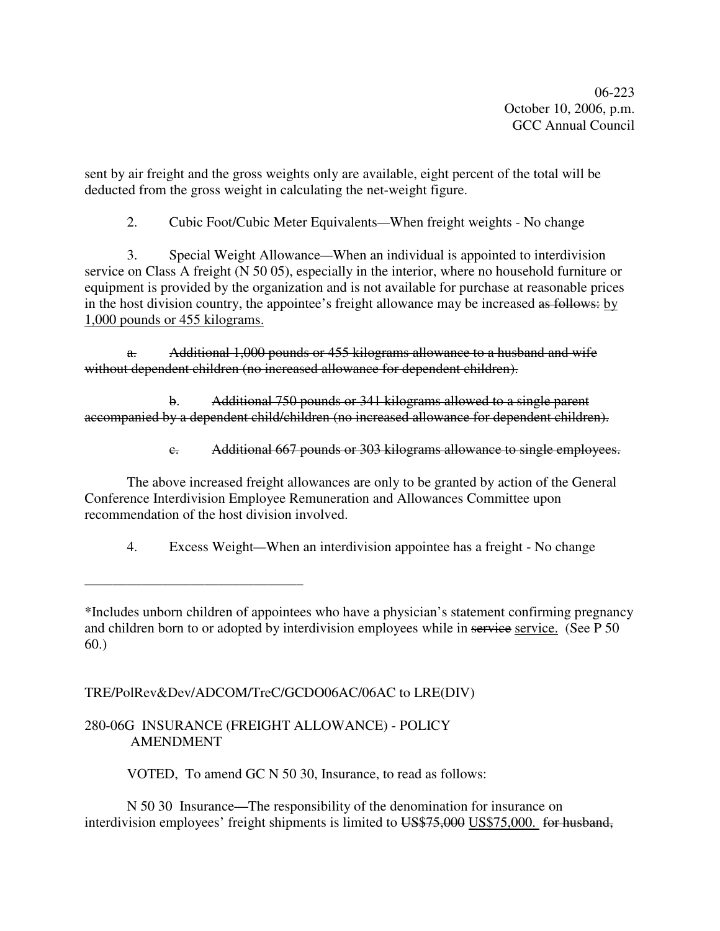06-223 October 10, 2006, p.m. GCC Annual Council

sent by air freight and the gross weights only are available, eight percent of the total will be deducted from the gross weight in calculating the net-weight figure.

2. Cubic Foot/Cubic Meter Equivalents*—*When freight weights - No change

3. Special Weight Allowance*—*When an individual is appointed to interdivision service on Class A freight (N 50 05), especially in the interior, where no household furniture or equipment is provided by the organization and is not available for purchase at reasonable prices in the host division country, the appointee's freight allowance may be increased as follows: by 1,000 pounds or 455 kilograms.

 a. Additional 1,000 pounds or 455 kilograms allowance to a husband and wife without dependent children (no increased allowance for dependent children).

 b. Additional 750 pounds or 341 kilograms allowed to a single parent accompanied by a dependent child/children (no increased allowance for dependent children).

c. Additional 667 pounds or 303 kilograms allowance to single employees.

The above increased freight allowances are only to be granted by action of the General Conference Interdivision Employee Remuneration and Allowances Committee upon recommendation of the host division involved.

4. Excess Weight*—*When an interdivision appointee has a freight - No change

TRE/PolRev&Dev/ADCOM/TreC/GCDO06AC/06AC to LRE(DIV)

# 280-06G INSURANCE (FREIGHT ALLOWANCE) - POLICY AMENDMENT

\_\_\_\_\_\_\_\_\_\_\_\_\_\_\_\_\_\_\_\_\_\_\_\_\_\_\_\_\_\_\_

VOTED, To amend GC N 50 30, Insurance, to read as follows:

N 50 30 Insurance**—**The responsibility of the denomination for insurance on interdivision employees' freight shipments is limited to US\$75,000 US\$75,000. for husband,

<sup>\*</sup>Includes unborn children of appointees who have a physician's statement confirming pregnancy and children born to or adopted by interdivision employees while in service service. (See P 50 60.)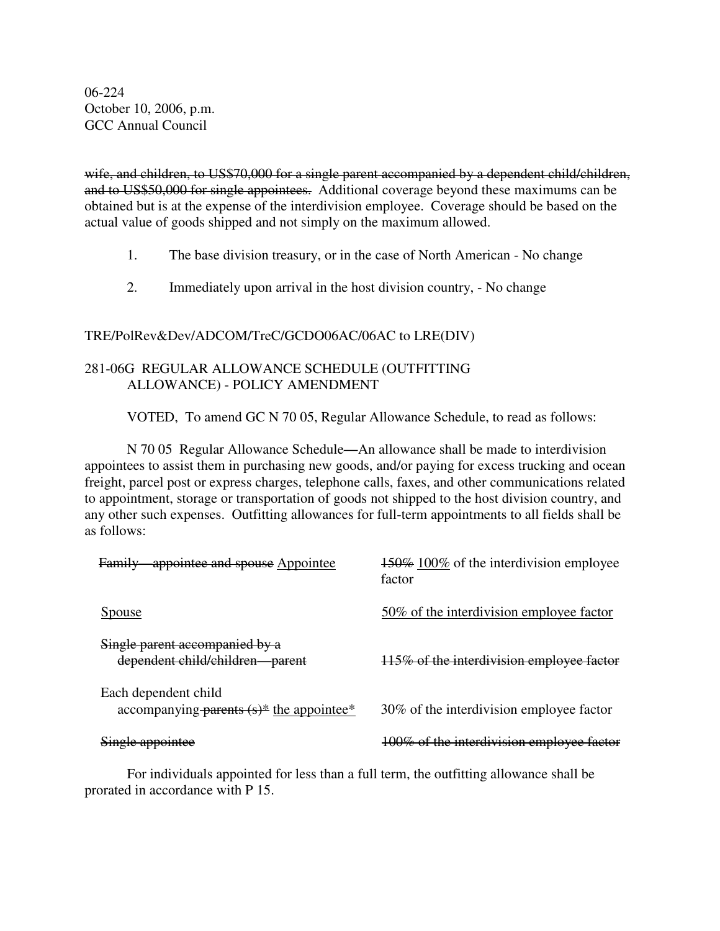06-224 October 10, 2006, p.m. GCC Annual Council

wife, and children, to US\$70,000 for a single parent accompanied by a dependent child/children, and to US\$50,000 for single appointees. Additional coverage beyond these maximums can be obtained but is at the expense of the interdivision employee. Coverage should be based on the actual value of goods shipped and not simply on the maximum allowed.

- 1. The base division treasury, or in the case of North American No change
- 2. Immediately upon arrival in the host division country, No change

## TRE/PolRev&Dev/ADCOM/TreC/GCDO06AC/06AC to LRE(DIV)

# 281-06G REGULAR ALLOWANCE SCHEDULE (OUTFITTING ALLOWANCE) - POLICY AMENDMENT

VOTED, To amend GC N 70 05, Regular Allowance Schedule, to read as follows:

N 70 05 Regular Allowance Schedule**—**An allowance shall be made to interdivision appointees to assist them in purchasing new goods, and/or paying for excess trucking and ocean freight, parcel post or express charges, telephone calls, faxes, and other communications related to appointment, storage or transportation of goods not shipped to the host division country, and any other such expenses. Outfitting allowances for full-term appointments to all fields shall be as follows:

| appointee and spouse Appointee<br>Family                                                   | 150% 100% of the interdivision employee<br>factor |
|--------------------------------------------------------------------------------------------|---------------------------------------------------|
| Spouse                                                                                     | 50% of the interdivision employee factor          |
| Single parent accompanied by a<br>dependent child/children—parent                          | 115% of the interdivision employee factor         |
| Each dependent child<br>accompanying parents $(s)$ <sup>*</sup> the appointee <sup>*</sup> | 30% of the interdivision employee factor          |
| Single appointee                                                                           | 100% of the interdivision employee factor         |

For individuals appointed for less than a full term, the outfitting allowance shall be prorated in accordance with P 15.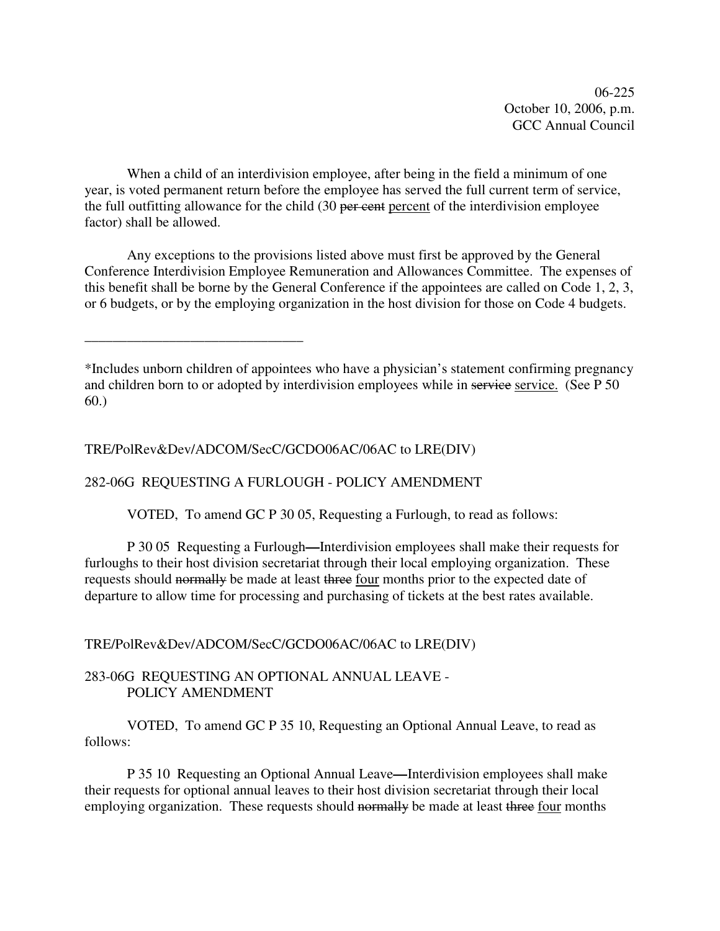06-225 October 10, 2006, p.m. GCC Annual Council

When a child of an interdivision employee, after being in the field a minimum of one year, is voted permanent return before the employee has served the full current term of service, the full outfitting allowance for the child (30 per cent percent of the interdivision employee factor) shall be allowed.

Any exceptions to the provisions listed above must first be approved by the General Conference Interdivision Employee Remuneration and Allowances Committee. The expenses of this benefit shall be borne by the General Conference if the appointees are called on Code 1, 2, 3, or 6 budgets, or by the employing organization in the host division for those on Code 4 budgets.

\_\_\_\_\_\_\_\_\_\_\_\_\_\_\_\_\_\_\_\_\_\_\_\_\_\_\_\_\_\_\_

\*Includes unborn children of appointees who have a physician's statement confirming pregnancy and children born to or adopted by interdivision employees while in service service. (See P 50 60.)

# TRE/PolRev&Dev/ADCOM/SecC/GCDO06AC/06AC to LRE(DIV)

# 282-06G REQUESTING A FURLOUGH - POLICY AMENDMENT

VOTED, To amend GC P 30 05, Requesting a Furlough, to read as follows:

 P 30 05 Requesting a Furlough**—**Interdivision employees shall make their requests for furloughs to their host division secretariat through their local employing organization. These requests should normally be made at least three four months prior to the expected date of departure to allow time for processing and purchasing of tickets at the best rates available.

TRE/PolRev&Dev/ADCOM/SecC/GCDO06AC/06AC to LRE(DIV)

## 283-06G REQUESTING AN OPTIONAL ANNUAL LEAVE - POLICY AMENDMENT

 VOTED, To amend GC P 35 10, Requesting an Optional Annual Leave, to read as follows:

P 35 10 Requesting an Optional Annual Leave**—**Interdivision employees shall make their requests for optional annual leaves to their host division secretariat through their local employing organization. These requests should normally be made at least three four months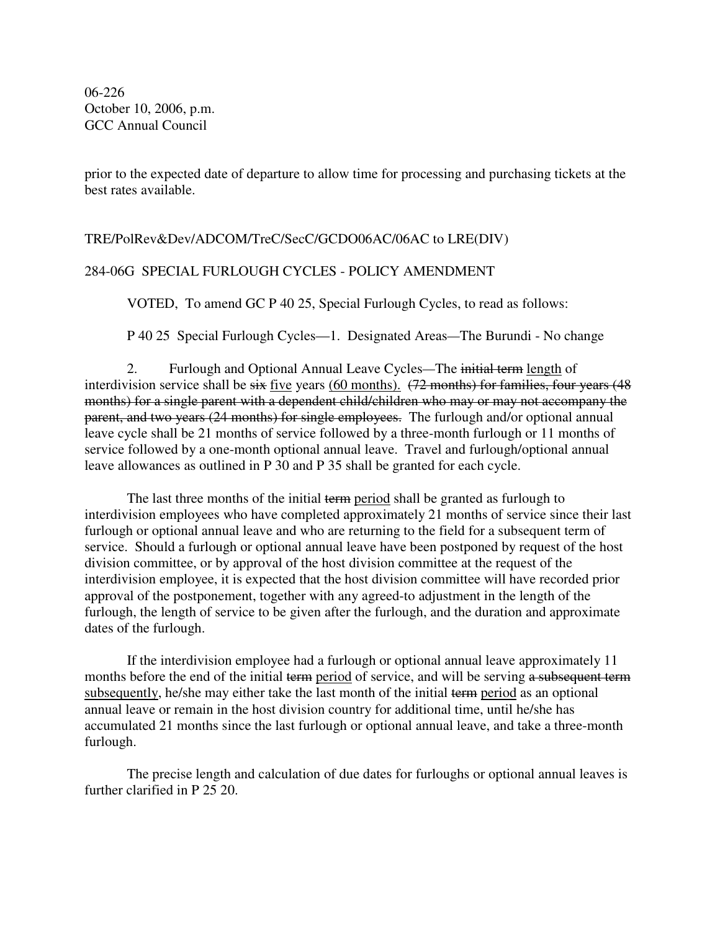06-226 October 10, 2006, p.m. GCC Annual Council

prior to the expected date of departure to allow time for processing and purchasing tickets at the best rates available.

## TRE/PolRev&Dev/ADCOM/TreC/SecC/GCDO06AC/06AC to LRE(DIV)

## 284-06G SPECIAL FURLOUGH CYCLES - POLICY AMENDMENT

VOTED, To amend GC P 40 25, Special Furlough Cycles, to read as follows:

P 40 25 Special Furlough Cycles—1. Designated Areas*—*The Burundi - No change

 2. Furlough and Optional Annual Leave Cycles*—*The initial term length of interdivision service shall be six five years (60 months). (72 months) for families, four years (48 months) for a single parent with a dependent child/children who may or may not accompany the parent, and two years (24 months) for single employees. The furlough and/or optional annual leave cycle shall be 21 months of service followed by a three-month furlough or 11 months of service followed by a one-month optional annual leave. Travel and furlough/optional annual leave allowances as outlined in P 30 and P 35 shall be granted for each cycle.

The last three months of the initial term period shall be granted as furlough to interdivision employees who have completed approximately 21 months of service since their last furlough or optional annual leave and who are returning to the field for a subsequent term of service. Should a furlough or optional annual leave have been postponed by request of the host division committee, or by approval of the host division committee at the request of the interdivision employee, it is expected that the host division committee will have recorded prior approval of the postponement, together with any agreed-to adjustment in the length of the furlough, the length of service to be given after the furlough, and the duration and approximate dates of the furlough.

If the interdivision employee had a furlough or optional annual leave approximately 11 months before the end of the initial term period of service, and will be serving a subsequent term subsequently, he/she may either take the last month of the initial term period as an optional annual leave or remain in the host division country for additional time, until he/she has accumulated 21 months since the last furlough or optional annual leave, and take a three-month furlough.

The precise length and calculation of due dates for furloughs or optional annual leaves is further clarified in P 25 20.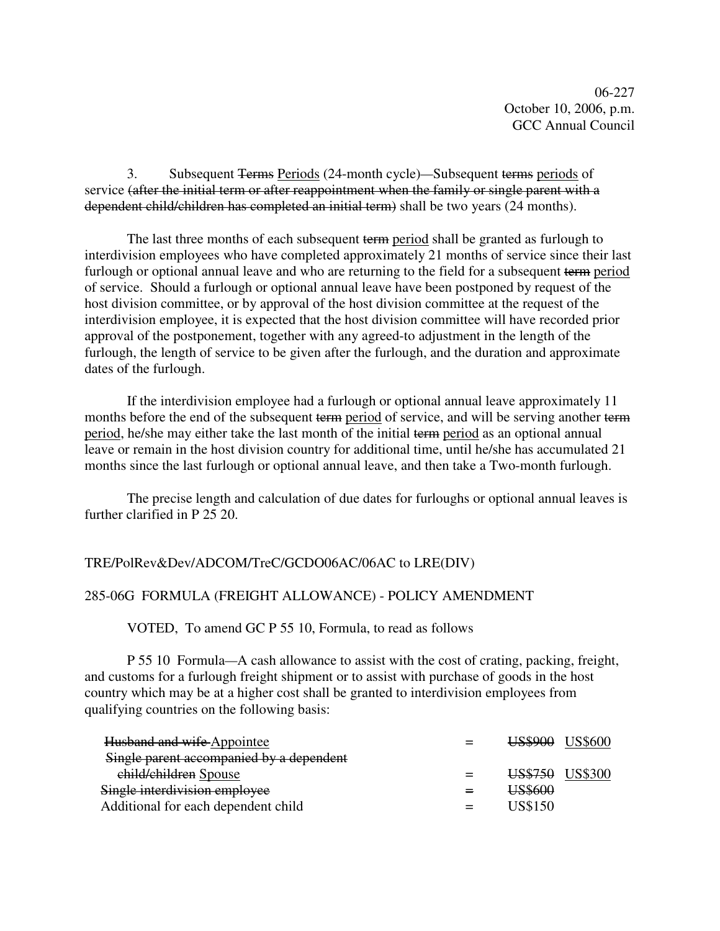06-227 October 10, 2006, p.m. GCC Annual Council

 3. Subsequent Terms Periods (24-month cycle)*—*Subsequent terms periods of service (after the initial term or after reappointment when the family or single parent with a dependent child/children has completed an initial term) shall be two years (24 months).

The last three months of each subsequent term period shall be granted as furlough to interdivision employees who have completed approximately 21 months of service since their last furlough or optional annual leave and who are returning to the field for a subsequent term period of service. Should a furlough or optional annual leave have been postponed by request of the host division committee, or by approval of the host division committee at the request of the interdivision employee, it is expected that the host division committee will have recorded prior approval of the postponement, together with any agreed-to adjustment in the length of the furlough, the length of service to be given after the furlough, and the duration and approximate dates of the furlough.

If the interdivision employee had a furlough or optional annual leave approximately 11 months before the end of the subsequent term period of service, and will be serving another term period, he/she may either take the last month of the initial term period as an optional annual leave or remain in the host division country for additional time, until he/she has accumulated 21 months since the last furlough or optional annual leave, and then take a Two-month furlough.

The precise length and calculation of due dates for furloughs or optional annual leaves is further clarified in P 25 20.

### TRE/PolRev&Dev/ADCOM/TreC/GCDO06AC/06AC to LRE(DIV)

#### 285-06G FORMULA (FREIGHT ALLOWANCE) - POLICY AMENDMENT

VOTED, To amend GC P 55 10, Formula, to read as follows

P 55 10 Formula*—*A cash allowance to assist with the cost of crating, packing, freight, and customs for a furlough freight shipment or to assist with purchase of goods in the host country which may be at a higher cost shall be granted to interdivision employees from qualifying countries on the following basis:

| $=$ |                              |                            |
|-----|------------------------------|----------------------------|
| $=$ | ا آ94701<br><del>ussuu</del> |                            |
|     | US\$150                      |                            |
|     |                              | US\$900<br>US\$750 US\$300 |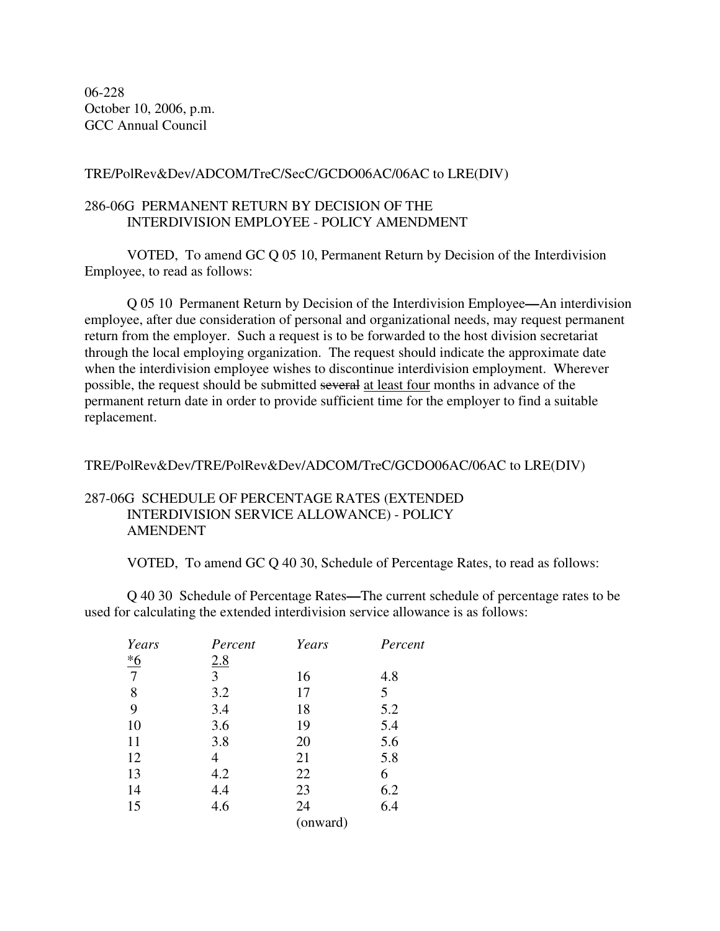06-228 October 10, 2006, p.m. GCC Annual Council

### TRE/PolRev&Dev/ADCOM/TreC/SecC/GCDO06AC/06AC to LRE(DIV)

## 286-06G PERMANENT RETURN BY DECISION OF THE INTERDIVISION EMPLOYEE - POLICY AMENDMENT

 VOTED, To amend GC Q 05 10, Permanent Return by Decision of the Interdivision Employee, to read as follows:

Q 05 10 Permanent Return by Decision of the Interdivision Employee**—**An interdivision employee, after due consideration of personal and organizational needs, may request permanent return from the employer. Such a request is to be forwarded to the host division secretariat through the local employing organization. The request should indicate the approximate date when the interdivision employee wishes to discontinue interdivision employment. Wherever possible, the request should be submitted several at least four months in advance of the permanent return date in order to provide sufficient time for the employer to find a suitable replacement.

TRE/PolRev&Dev/TRE/PolRev&Dev/ADCOM/TreC/GCDO06AC/06AC to LRE(DIV)

### 287-06G SCHEDULE OF PERCENTAGE RATES (EXTENDED INTERDIVISION SERVICE ALLOWANCE) - POLICY AMENDENT

VOTED, To amend GC Q 40 30, Schedule of Percentage Rates, to read as follows:

Q 40 30 Schedule of Percentage Rates**—**The current schedule of percentage rates to be used for calculating the extended interdivision service allowance is as follows:

| Years          | Percent | Years    | Percent |
|----------------|---------|----------|---------|
| $*6$           | 2.8     |          |         |
| $\overline{7}$ | 3       | 16       | 4.8     |
| 8              | 3.2     | 17       | 5       |
| 9              | 3.4     | 18       | 5.2     |
| 10             | 3.6     | 19       | 5.4     |
| 11             | 3.8     | 20       | 5.6     |
| 12             | 4       | 21       | 5.8     |
| 13             | 4.2     | 22       | 6       |
| 14             | 4.4     | 23       | 6.2     |
| 15             | 4.6     | 24       | 6.4     |
|                |         | (onward) |         |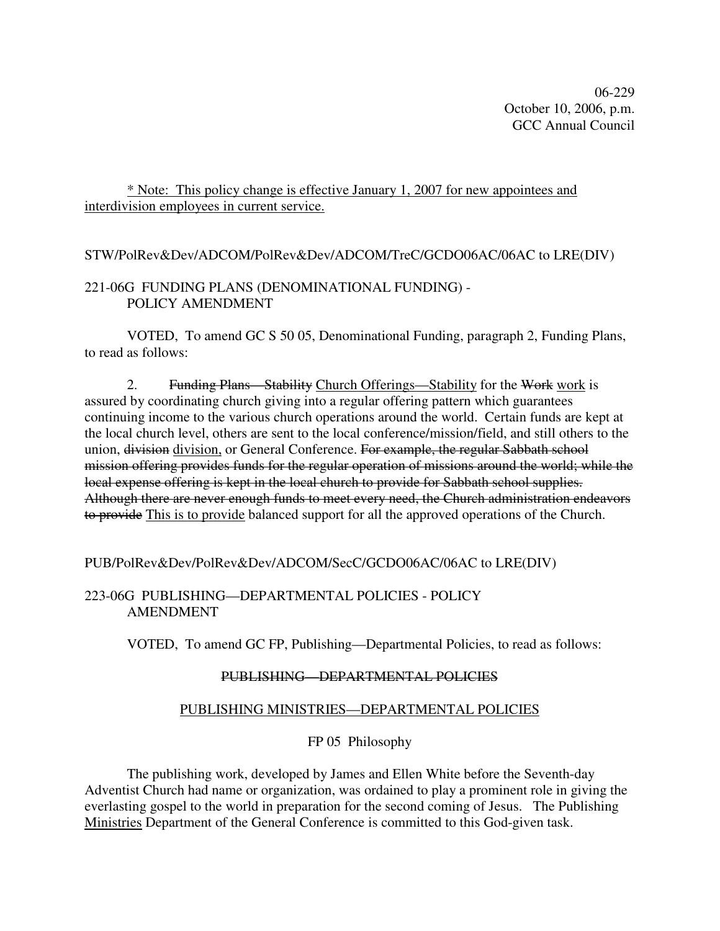06-229 October 10, 2006, p.m. GCC Annual Council

\* Note: This policy change is effective January 1, 2007 for new appointees and interdivision employees in current service.

## STW/PolRev&Dev/ADCOM/PolRev&Dev/ADCOM/TreC/GCDO06AC/06AC to LRE(DIV)

## 221-06G FUNDING PLANS (DENOMINATIONAL FUNDING) - POLICY AMENDMENT

 VOTED, To amend GC S 50 05, Denominational Funding, paragraph 2, Funding Plans, to read as follows:

2. Funding Plans—Stability Church Offerings—Stability for the Work work is assured by coordinating church giving into a regular offering pattern which guarantees continuing income to the various church operations around the world. Certain funds are kept at the local church level, others are sent to the local conference/mission/field, and still others to the union, division division, or General Conference. For example, the regular Sabbath school mission offering provides funds for the regular operation of missions around the world; while the local expense offering is kept in the local church to provide for Sabbath school supplies. Although there are never enough funds to meet every need, the Church administration endeavors to provide This is to provide balanced support for all the approved operations of the Church.

# PUB/PolRev&Dev/PolRev&Dev/ADCOM/SecC/GCDO06AC/06AC to LRE(DIV)

### 223-06G PUBLISHING—DEPARTMENTAL POLICIES - POLICY AMENDMENT

VOTED, To amend GC FP, Publishing—Departmental Policies, to read as follows:

# PUBLISHING—DEPARTMENTAL POLICIES

# PUBLISHING MINISTRIES—DEPARTMENTAL POLICIES

FP 05 Philosophy

The publishing work, developed by James and Ellen White before the Seventh-day Adventist Church had name or organization, was ordained to play a prominent role in giving the everlasting gospel to the world in preparation for the second coming of Jesus. The Publishing Ministries Department of the General Conference is committed to this God-given task.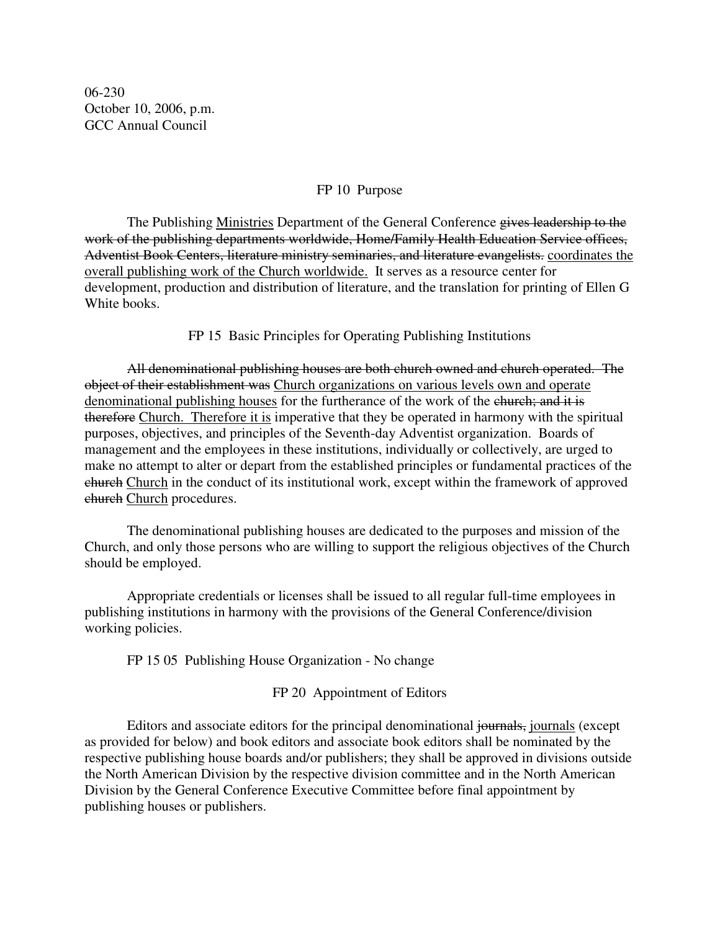06-230 October 10, 2006, p.m. GCC Annual Council

#### FP 10 Purpose

The Publishing Ministries Department of the General Conference gives leadership to the work of the publishing departments worldwide, Home/Family Health Education Service offices, Adventist Book Centers, literature ministry seminaries, and literature evangelists. coordinates the overall publishing work of the Church worldwide. It serves as a resource center for development, production and distribution of literature, and the translation for printing of Ellen G White books.

#### FP 15 Basic Principles for Operating Publishing Institutions

All denominational publishing houses are both church owned and church operated. The object of their establishment was Church organizations on various levels own and operate denominational publishing houses for the furtherance of the work of the church; and it is therefore Church. Therefore it is imperative that they be operated in harmony with the spiritual purposes, objectives, and principles of the Seventh-day Adventist organization. Boards of management and the employees in these institutions, individually or collectively, are urged to make no attempt to alter or depart from the established principles or fundamental practices of the church Church in the conduct of its institutional work, except within the framework of approved church Church procedures.

The denominational publishing houses are dedicated to the purposes and mission of the Church, and only those persons who are willing to support the religious objectives of the Church should be employed.

Appropriate credentials or licenses shall be issued to all regular full-time employees in publishing institutions in harmony with the provisions of the General Conference/division working policies.

FP 15 05 Publishing House Organization - No change

FP 20 Appointment of Editors

Editors and associate editors for the principal denominational journals, journals (except as provided for below) and book editors and associate book editors shall be nominated by the respective publishing house boards and/or publishers; they shall be approved in divisions outside the North American Division by the respective division committee and in the North American Division by the General Conference Executive Committee before final appointment by publishing houses or publishers.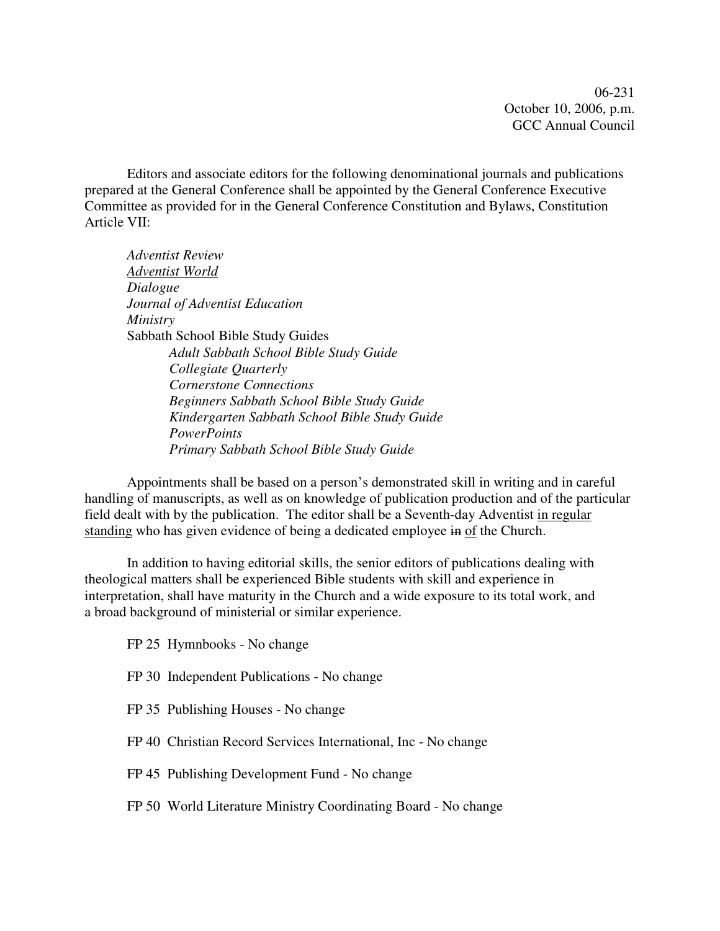06-231 October 10, 2006, p.m. GCC Annual Council

Editors and associate editors for the following denominational journals and publications prepared at the General Conference shall be appointed by the General Conference Executive Committee as provided for in the General Conference Constitution and Bylaws, Constitution Article VII:

*Adventist Review Adventist World Dialogue Journal of Adventist Education Ministry*  Sabbath School Bible Study Guides *Adult Sabbath School Bible Study Guide Collegiate Quarterly Cornerstone Connections Beginners Sabbath School Bible Study Guide Kindergarten Sabbath School Bible Study Guide PowerPoints Primary Sabbath School Bible Study Guide* 

Appointments shall be based on a person's demonstrated skill in writing and in careful handling of manuscripts, as well as on knowledge of publication production and of the particular field dealt with by the publication. The editor shall be a Seventh-day Adventist in regular standing who has given evidence of being a dedicated employee in of the Church.

In addition to having editorial skills, the senior editors of publications dealing with theological matters shall be experienced Bible students with skill and experience in interpretation, shall have maturity in the Church and a wide exposure to its total work, and a broad background of ministerial or similar experience.

FP 25 Hymnbooks - No change

- FP 30 Independent Publications No change
- FP 35 Publishing Houses No change
- FP 40 Christian Record Services International, Inc No change

FP 45 Publishing Development Fund - No change

FP 50 World Literature Ministry Coordinating Board - No change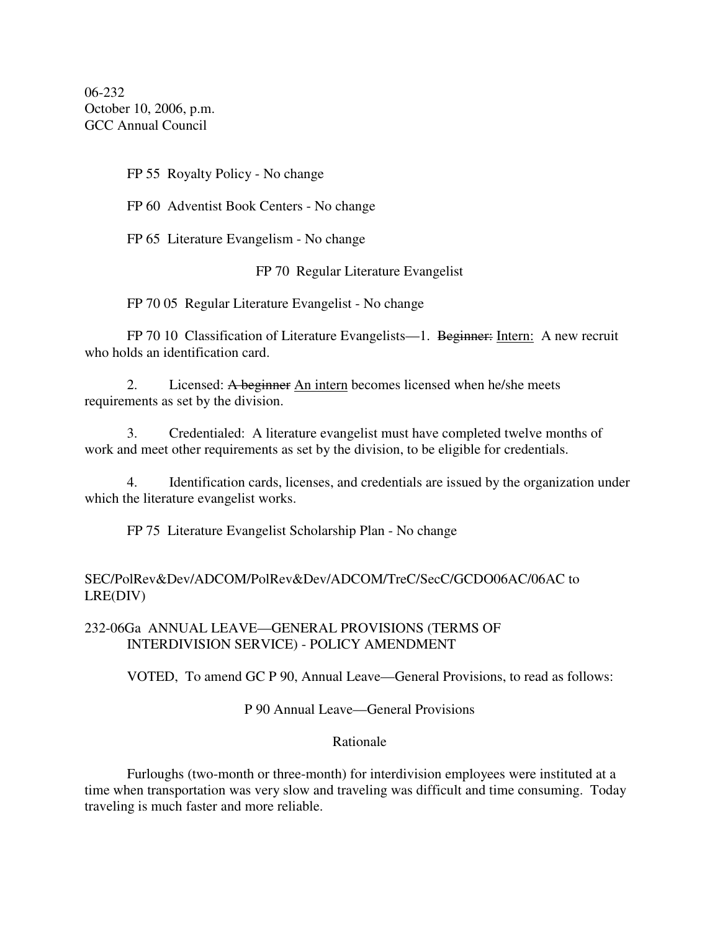06-232 October 10, 2006, p.m. GCC Annual Council

FP 55 Royalty Policy - No change

FP 60 Adventist Book Centers - No change

FP 65 Literature Evangelism - No change

FP 70 Regular Literature Evangelist

FP 70 05 Regular Literature Evangelist - No change

FP 70 10 Classification of Literature Evangelists—1. Beginner: Intern: A new recruit who holds an identification card.

2. Licensed: A beginner An intern becomes licensed when he/she meets requirements as set by the division.

 3. Credentialed: A literature evangelist must have completed twelve months of work and meet other requirements as set by the division, to be eligible for credentials.

 4. Identification cards, licenses, and credentials are issued by the organization under which the literature evangelist works.

FP 75 Literature Evangelist Scholarship Plan - No change

# SEC/PolRev&Dev/ADCOM/PolRev&Dev/ADCOM/TreC/SecC/GCDO06AC/06AC to LRE(DIV)

232-06Ga ANNUAL LEAVE—GENERAL PROVISIONS (TERMS OF INTERDIVISION SERVICE) - POLICY AMENDMENT

VOTED, To amend GC P 90, Annual Leave—General Provisions, to read as follows:

P 90 Annual Leave—General Provisions

### Rationale

Furloughs (two-month or three-month) for interdivision employees were instituted at a time when transportation was very slow and traveling was difficult and time consuming. Today traveling is much faster and more reliable.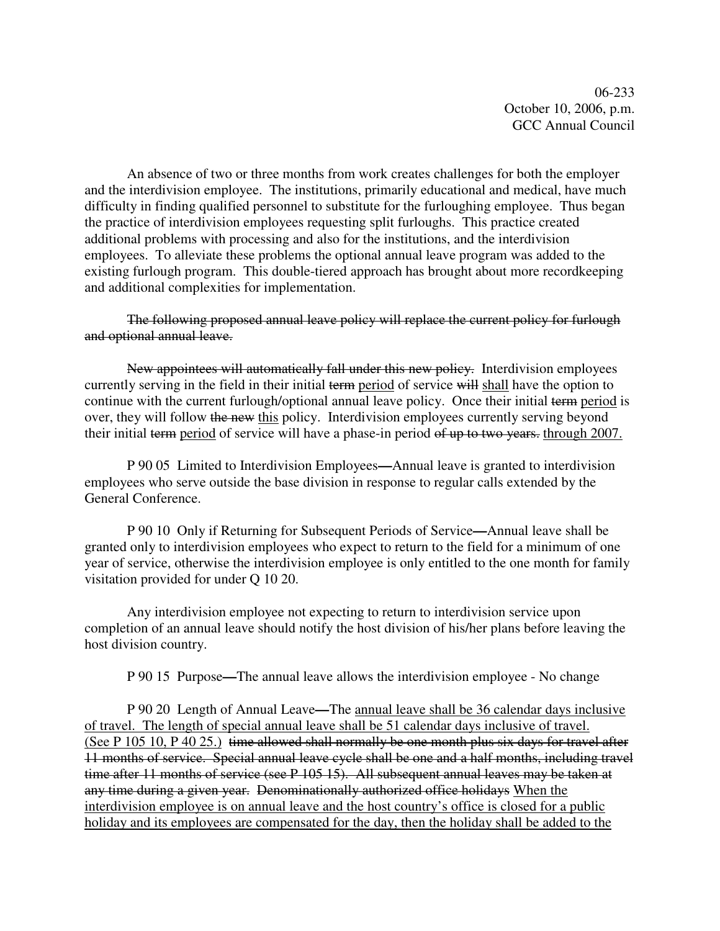06-233 October 10, 2006, p.m. GCC Annual Council

An absence of two or three months from work creates challenges for both the employer and the interdivision employee. The institutions, primarily educational and medical, have much difficulty in finding qualified personnel to substitute for the furloughing employee. Thus began the practice of interdivision employees requesting split furloughs. This practice created additional problems with processing and also for the institutions, and the interdivision employees. To alleviate these problems the optional annual leave program was added to the existing furlough program. This double-tiered approach has brought about more recordkeeping and additional complexities for implementation.

The following proposed annual leave policy will replace the current policy for furlough and optional annual leave.

New appointees will automatically fall under this new policy. Interdivision employees currently serving in the field in their initial term period of service will shall have the option to continue with the current furlough/optional annual leave policy. Once their initial term period is over, they will follow the new this policy. Interdivision employees currently serving beyond their initial term period of service will have a phase-in period of up to two years, through 2007.

P 90 05 Limited to Interdivision Employees**—**Annual leave is granted to interdivision employees who serve outside the base division in response to regular calls extended by the General Conference.

 P 90 10 Only if Returning for Subsequent Periods of Service**—**Annual leave shall be granted only to interdivision employees who expect to return to the field for a minimum of one year of service, otherwise the interdivision employee is only entitled to the one month for family visitation provided for under Q 10 20.

 Any interdivision employee not expecting to return to interdivision service upon completion of an annual leave should notify the host division of his/her plans before leaving the host division country.

P 90 15 Purpose**—**The annual leave allows the interdivision employee - No change

P 90 20 Length of Annual Leave**—**The annual leave shall be 36 calendar days inclusive of travel. The length of special annual leave shall be 51 calendar days inclusive of travel. (See P 105 10, P 40 25.) time allowed shall normally be one month plus six days for travel after 11 months of service. Special annual leave cycle shall be one and a half months, including travel time after 11 months of service (see P 105 15). All subsequent annual leaves may be taken at any time during a given year. Denominationally authorized office holidays When the interdivision employee is on annual leave and the host country's office is closed for a public holiday and its employees are compensated for the day, then the holiday shall be added to the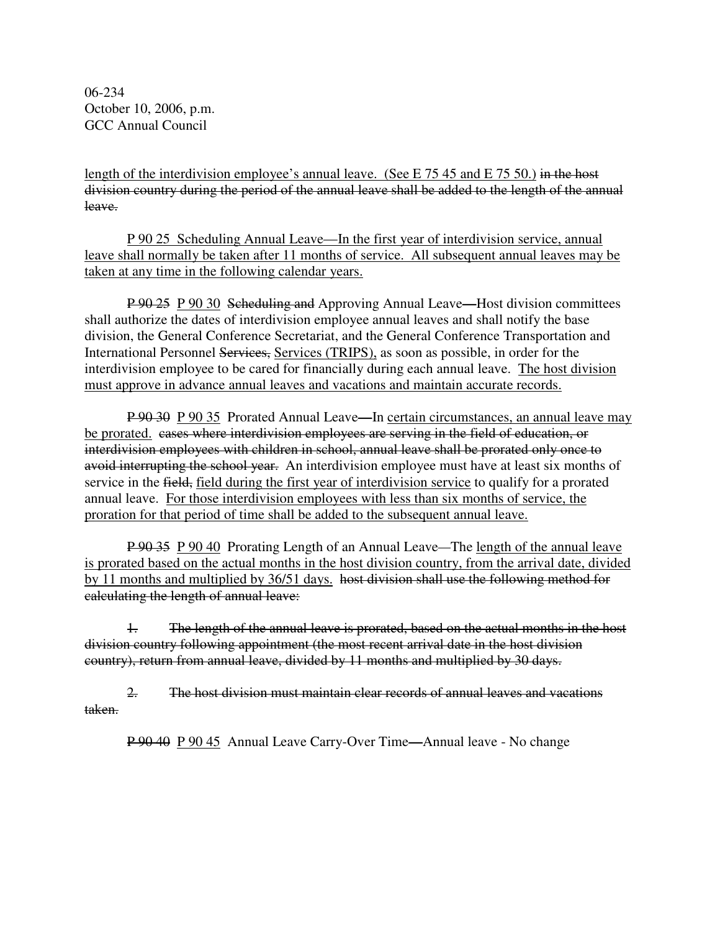06-234 October 10, 2006, p.m. GCC Annual Council

length of the interdivision employee's annual leave. (See E 75 45 and E 75 50.) in the host division country during the period of the annual leave shall be added to the length of the annual leave.

 P 90 25 Scheduling Annual Leave—In the first year of interdivision service, annual leave shall normally be taken after 11 months of service. All subsequent annual leaves may be taken at any time in the following calendar years.

P 90 25 P 90 30 Scheduling and Approving Annual Leave**—**Host division committees shall authorize the dates of interdivision employee annual leaves and shall notify the base division, the General Conference Secretariat, and the General Conference Transportation and International Personnel Services, Services (TRIPS), as soon as possible, in order for the interdivision employee to be cared for financially during each annual leave. The host division must approve in advance annual leaves and vacations and maintain accurate records.

P 90 30 P 90 35 Prorated Annual Leave**—**In certain circumstances, an annual leave may be prorated. cases where interdivision employees are serving in the field of education, or interdivision employees with children in school, annual leave shall be prorated only once to avoid interrupting the school year. An interdivision employee must have at least six months of service in the field, field during the first year of interdivision service to qualify for a prorated annual leave. For those interdivision employees with less than six months of service, the proration for that period of time shall be added to the subsequent annual leave.

P 90 35 P 90 40 Prorating Length of an Annual Leave*—*The length of the annual leave is prorated based on the actual months in the host division country, from the arrival date, divided by 11 months and multiplied by 36/51 days. host division shall use the following method for calculating the length of annual leave:

 1. The length of the annual leave is prorated, based on the actual months in the host division country following appointment (the most recent arrival date in the host division country), return from annual leave, divided by 11 months and multiplied by 30 days.

 2. The host division must maintain clear records of annual leaves and vacations taken.

P 90 40 P 90 45 Annual Leave Carry-Over Time**—**Annual leave - No change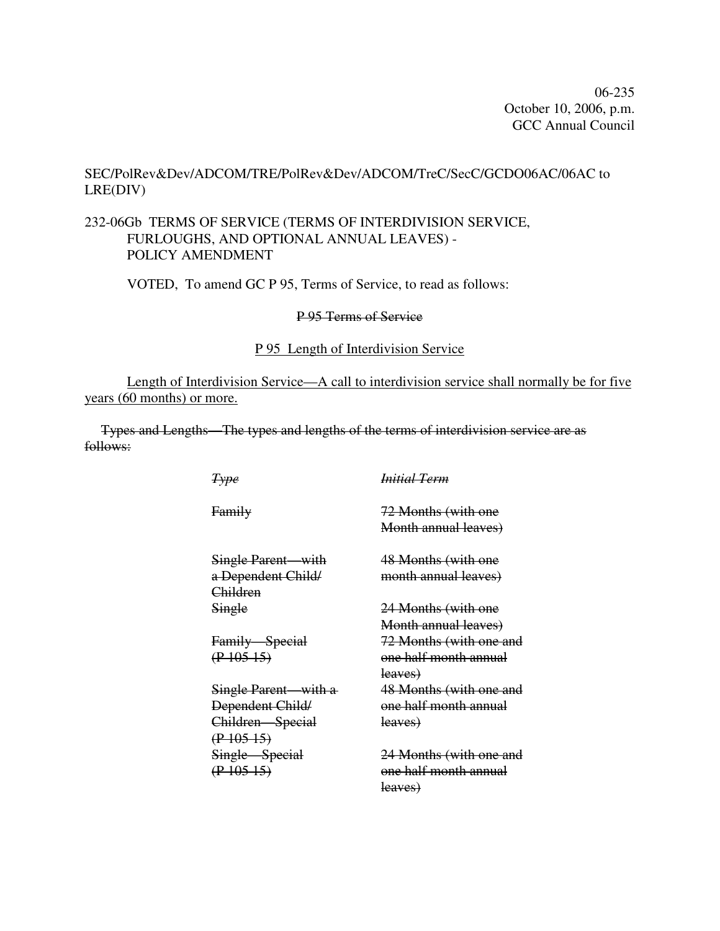06-235 October 10, 2006, p.m. GCC Annual Council

# SEC/PolRev&Dev/ADCOM/TRE/PolRev&Dev/ADCOM/TreC/SecC/GCDO06AC/06AC to LRE(DIV)

## 232-06Gb TERMS OF SERVICE (TERMS OF INTERDIVISION SERVICE, FURLOUGHS, AND OPTIONAL ANNUAL LEAVES) - POLICY AMENDMENT

VOTED, To amend GC P 95, Terms of Service, to read as follows:

#### P 95 Terms of Service

#### P 95 Length of Interdivision Service

 Length of Interdivision Service—A call to interdivision service shall normally be for five years (60 months) or more.

Types and Lengths**—**The types and lengths of the terms of interdivision service are as follows:

| <b>Type</b>                                          | <del>Initial Term</del>                                                |
|------------------------------------------------------|------------------------------------------------------------------------|
| <b>Family</b>                                        | 72 Months (with one<br>Month annual leaves)                            |
| Single Parent—with<br>a Dependent Child/<br>Children | 48 Months (with one<br>month annual leaves)                            |
| Single                                               | 24 Months (with one<br>Month annual leaves)                            |
| Family Special<br>$(P$ 105 15)                       | 72 Months (with one and<br><del>one half month annual</del><br>leaves) |
| Single Parent with a<br>Dependent Child/             | 48 Months (with one and<br>one half month annual                       |
| Children Special<br>$(P$ 105 15)                     | leaves)                                                                |
| Single Special<br>$(P$ 105 15)                       | 24 Months (with one and<br><del>one half month annual</del><br>leaves) |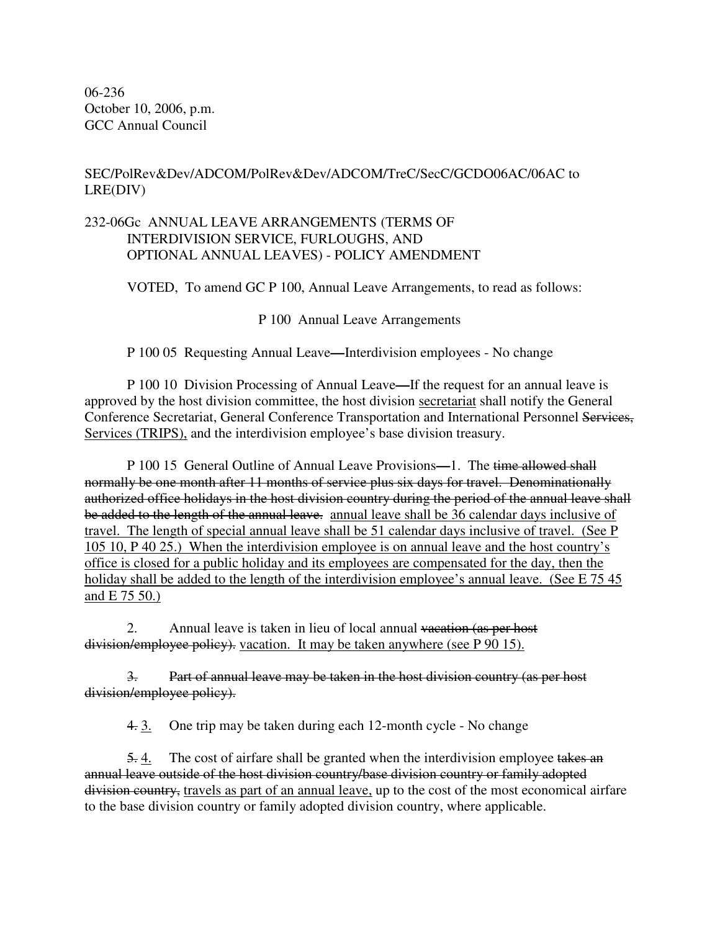06-236 October 10, 2006, p.m. GCC Annual Council

# SEC/PolRev&Dev/ADCOM/PolRev&Dev/ADCOM/TreC/SecC/GCDO06AC/06AC to LRE(DIV)

### 232-06Gc ANNUAL LEAVE ARRANGEMENTS (TERMS OF INTERDIVISION SERVICE, FURLOUGHS, AND OPTIONAL ANNUAL LEAVES) - POLICY AMENDMENT

VOTED, To amend GC P 100, Annual Leave Arrangements, to read as follows:

#### P 100 Annual Leave Arrangements

P 100 05 Requesting Annual Leave**—**Interdivision employees - No change

P 100 10 Division Processing of Annual Leave**—**If the request for an annual leave is approved by the host division committee, the host division secretariat shall notify the General Conference Secretariat, General Conference Transportation and International Personnel Services, Services (TRIPS), and the interdivision employee's base division treasury.

P 100 15 General Outline of Annual Leave Provisions**—**1. The time allowed shall normally be one month after 11 months of service plus six days for travel. Denominationally authorized office holidays in the host division country during the period of the annual leave shall be added to the length of the annual leave. annual leave shall be 36 calendar days inclusive of travel. The length of special annual leave shall be 51 calendar days inclusive of travel. (See P 105 10, P 40 25.) When the interdivision employee is on annual leave and the host country's office is closed for a public holiday and its employees are compensated for the day, then the holiday shall be added to the length of the interdivision employee's annual leave. (See E 75 45 and E 75 50.)

2. Annual leave is taken in lieu of local annual vacation (as per host division/employee policy). vacation. It may be taken anywhere (see P 90 15).

 3. Part of annual leave may be taken in the host division country (as per host division/employee policy).

4. 3. One trip may be taken during each 12-month cycle - No change

 5. 4. The cost of airfare shall be granted when the interdivision employee takes an annual leave outside of the host division country/base division country or family adopted division country, travels as part of an annual leave, up to the cost of the most economical airfare to the base division country or family adopted division country, where applicable.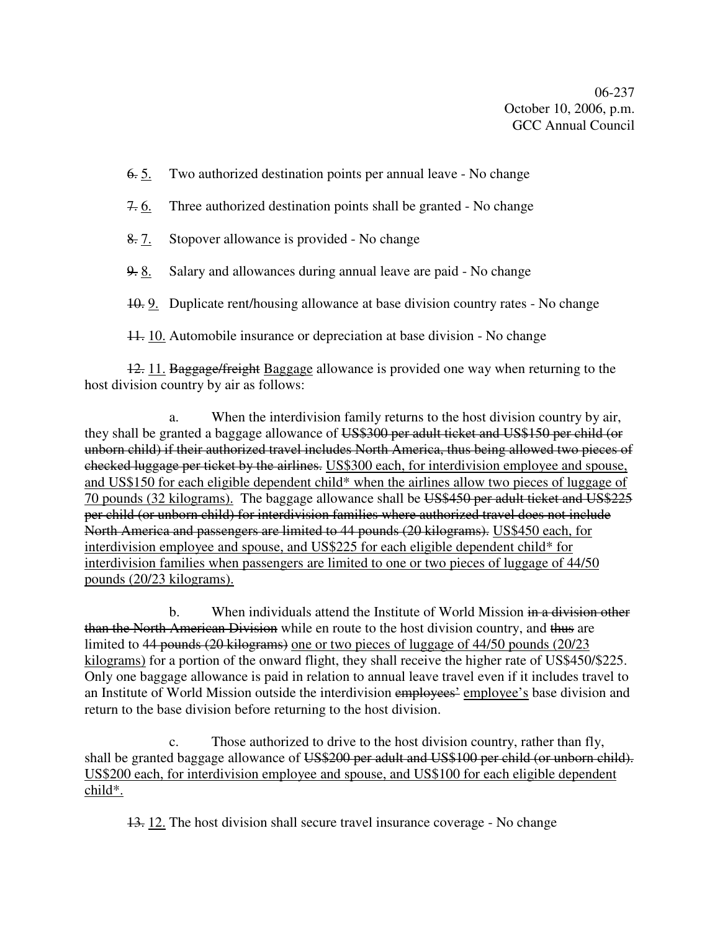06-237 October 10, 2006, p.m. GCC Annual Council

6. 5. Two authorized destination points per annual leave - No change

7. 6. Three authorized destination points shall be granted - No change

8. 7. Stopover allowance is provided - No change

9. 8. Salary and allowances during annual leave are paid - No change

10. 9. Duplicate rent/housing allowance at base division country rates - No change

11. 10. Automobile insurance or depreciation at base division - No change

 12. 11. Baggage/freight Baggage allowance is provided one way when returning to the host division country by air as follows:

 a. When the interdivision family returns to the host division country by air, they shall be granted a baggage allowance of US\$300 per adult ticket and US\$150 per child (or unborn child) if their authorized travel includes North America, thus being allowed two pieces of checked luggage per ticket by the airlines. US\$300 each, for interdivision employee and spouse, and US\$150 for each eligible dependent child\* when the airlines allow two pieces of luggage of 70 pounds (32 kilograms). The baggage allowance shall be US\$450 per adult ticket and US\$225 per child (or unborn child) for interdivision families where authorized travel does not include North America and passengers are limited to 44 pounds (20 kilograms). US\$450 each, for interdivision employee and spouse, and US\$225 for each eligible dependent child\* for interdivision families when passengers are limited to one or two pieces of luggage of 44/50 pounds (20/23 kilograms).

b. When individuals attend the Institute of World Mission in a division other than the North American Division while en route to the host division country, and thus are limited to 44 pounds (20 kilograms) one or two pieces of luggage of 44/50 pounds (20/23 kilograms) for a portion of the onward flight, they shall receive the higher rate of US\$450/\$225. Only one baggage allowance is paid in relation to annual leave travel even if it includes travel to an Institute of World Mission outside the interdivision employees' employee's base division and return to the base division before returning to the host division.

 c. Those authorized to drive to the host division country, rather than fly, shall be granted baggage allowance of US\$200 per adult and US\$100 per child (or unborn child). US\$200 each, for interdivision employee and spouse, and US\$100 for each eligible dependent child\*.

13. 12. The host division shall secure travel insurance coverage - No change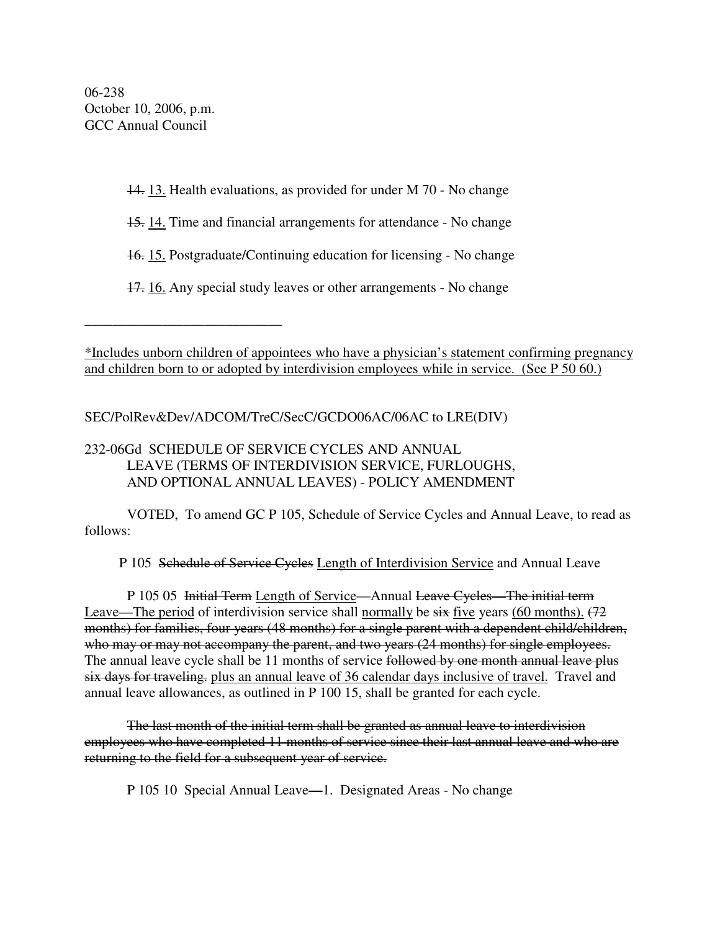06-238 October 10, 2006, p.m. GCC Annual Council

\_\_\_\_\_\_\_\_\_\_\_\_\_\_\_\_\_\_\_\_\_\_\_\_\_\_\_\_

14. 13. Health evaluations, as provided for under M 70 - No change

15. 14. Time and financial arrangements for attendance - No change

16. 15. Postgraduate/Continuing education for licensing - No change

17. 16. Any special study leaves or other arrangements - No change

\*Includes unborn children of appointees who have a physician's statement confirming pregnancy and children born to or adopted by interdivision employees while in service. (See P 50 60.)

SEC/PolRev&Dev/ADCOM/TreC/SecC/GCDO06AC/06AC to LRE(DIV)

# 232-06Gd SCHEDULE OF SERVICE CYCLES AND ANNUAL LEAVE (TERMS OF INTERDIVISION SERVICE, FURLOUGHS, AND OPTIONAL ANNUAL LEAVES) - POLICY AMENDMENT

 VOTED, To amend GC P 105, Schedule of Service Cycles and Annual Leave, to read as follows:

P 105 Schedule of Service Cycles Length of Interdivision Service and Annual Leave

P 105 05 Initial Term Length of Service—Annual Leave Cycles**—**The initial term Leave—The period of interdivision service shall normally be  $s\ddot{x}$  five years (60 months). (72 months) for families, four years (48 months) for a single parent with a dependent child/children, who may or may not accompany the parent, and two years (24 months) for single employees. The annual leave cycle shall be 11 months of service followed by one month annual leave plus six days for traveling. plus an annual leave of 36 calendar days inclusive of travel. Travel and annual leave allowances, as outlined in P 100 15, shall be granted for each cycle.

 The last month of the initial term shall be granted as annual leave to interdivision employees who have completed 11 months of service since their last annual leave and who are returning to the field for a subsequent year of service.

P 105 10 Special Annual Leave**—**1. Designated Areas - No change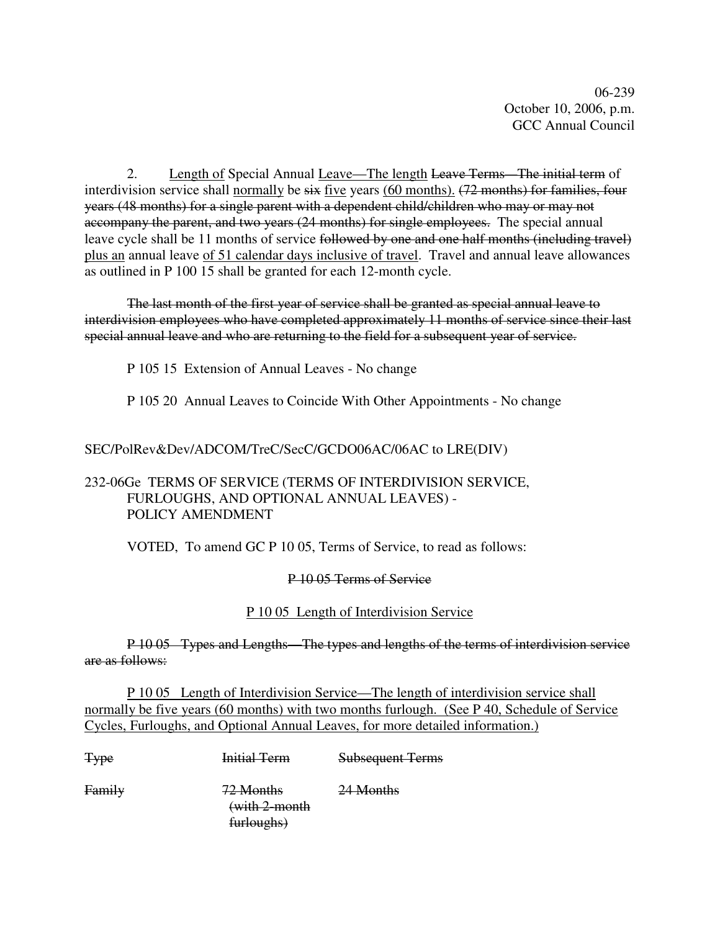06-239 October 10, 2006, p.m. GCC Annual Council

 2. Length of Special Annual Leave—The length Leave Terms*—*The initial term of interdivision service shall normally be six five years (60 months). (72 months) for families, four years (48 months) for a single parent with a dependent child/children who may or may not accompany the parent, and two years (24 months) for single employees. The special annual leave cycle shall be 11 months of service followed by one and one half months (including travel) plus an annual leave of 51 calendar days inclusive of travel. Travel and annual leave allowances as outlined in P 100 15 shall be granted for each 12-month cycle.

 The last month of the first year of service shall be granted as special annual leave to interdivision employees who have completed approximately 11 months of service since their last special annual leave and who are returning to the field for a subsequent year of service.

P 105 15 Extension of Annual Leaves - No change

P 105 20 Annual Leaves to Coincide With Other Appointments - No change

## SEC/PolRev&Dev/ADCOM/TreC/SecC/GCDO06AC/06AC to LRE(DIV)

# 232-06Ge TERMS OF SERVICE (TERMS OF INTERDIVISION SERVICE, FURLOUGHS, AND OPTIONAL ANNUAL LEAVES) - POLICY AMENDMENT

VOTED, To amend GC P 10 05, Terms of Service, to read as follows:

### P 10 05 Terms of Service

# P 10 05 Length of Interdivision Service

P 10 05 Types and Lengths**—**The types and lengths of the terms of interdivision service are as follows:

 P 10 05 Length of Interdivision Service—The length of interdivision service shall normally be five years (60 months) with two months furlough. (See P 40, Schedule of Service Cycles, Furloughs, and Optional Annual Leaves, for more detailed information.)

| <b>Type</b> | <b>Initial Term</b>        | <b>Subsequent Terms</b> |
|-------------|----------------------------|-------------------------|
| Family      | 72 Months<br>(with 2-month | 24 Months               |
|             | furloughs)                 |                         |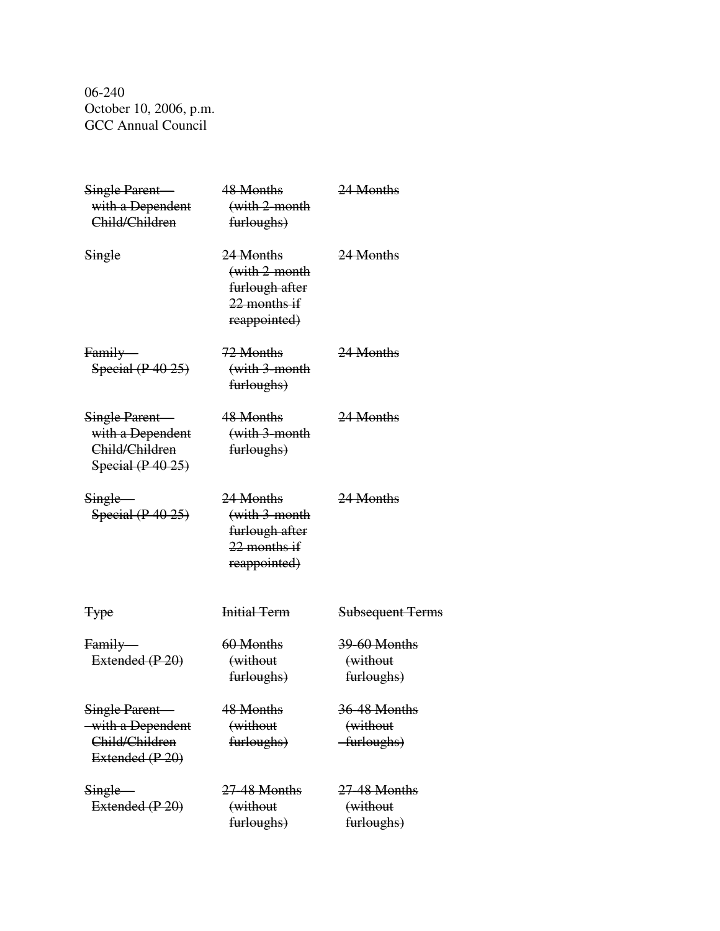06-240 October 10, 2006, p.m. GCC Annual Council

| Single Parent-<br>with a Dependent<br>Child/Children                             | 48 Months<br>(with 2-month<br>furloughs)                                       | 24 Months                              |
|----------------------------------------------------------------------------------|--------------------------------------------------------------------------------|----------------------------------------|
| Single                                                                           | 24 Months<br>(with 2-month<br>furlough after<br>22 months if<br>reappointed)   | 24 Months                              |
| Family-<br>Special $(P 40 25)$                                                   | 72 Months<br>(with 3-month<br>furloughs)                                       | 24 Months                              |
| <b>Single Parent-</b><br>with a Dependent<br>Child/Children<br>Special (P 40-25) | 48 Months<br>(with 3-month<br>furloughs)                                       | 24 Months                              |
| Single-<br>Special $(P 40 25)$                                                   | 24 Months<br>(with 3-month<br>furlough after<br>$22$ months if<br>reappointed) | 24 Months                              |
| <del>Type</del>                                                                  | <b>Initial Term</b>                                                            | <b>Subsequent Terms</b>                |
| Family-<br>Extended (P20)                                                        | 60 Months<br>(without<br>furloughs)                                            | 39-60 Months<br>(without<br>furloughs) |
| <b>Single Parent</b><br>-with a Dependent<br>Child/Children<br>Extended (P20)    | 48 Months<br>(without<br>furloughs)                                            | 36-48 Months<br>(without<br>furloughs) |
| Single<br>Extended (P 20)                                                        | 27-48 Months<br>(without<br>furloughs)                                         | 27-48 Months<br>(without<br>furloughs) |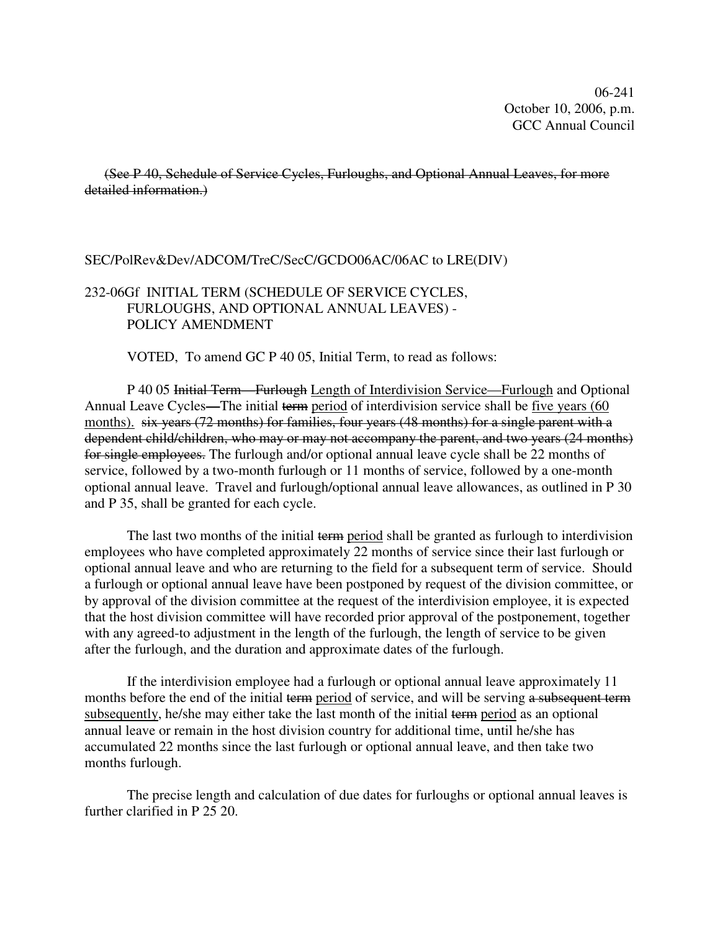06-241 October 10, 2006, p.m. GCC Annual Council

 (See P 40, Schedule of Service Cycles, Furloughs, and Optional Annual Leaves, for more detailed information.)

#### SEC/PolRev&Dev/ADCOM/TreC/SecC/GCDO06AC/06AC to LRE(DIV)

## 232-06Gf INITIAL TERM (SCHEDULE OF SERVICE CYCLES, FURLOUGHS, AND OPTIONAL ANNUAL LEAVES) - POLICY AMENDMENT

VOTED, To amend GC P 40 05, Initial Term, to read as follows:

P 40 05 Initial Term—Furlough Length of Interdivision Service—Furlough and Optional Annual Leave Cycles**—**The initial term period of interdivision service shall be five years (60 months). six years (72 months) for families, four years (48 months) for a single parent with a dependent child/children, who may or may not accompany the parent, and two years (24 months) for single employees. The furlough and/or optional annual leave cycle shall be 22 months of service, followed by a two-month furlough or 11 months of service, followed by a one-month optional annual leave. Travel and furlough/optional annual leave allowances, as outlined in P 30 and P 35, shall be granted for each cycle.

The last two months of the initial term period shall be granted as furlough to interdivision employees who have completed approximately 22 months of service since their last furlough or optional annual leave and who are returning to the field for a subsequent term of service. Should a furlough or optional annual leave have been postponed by request of the division committee, or by approval of the division committee at the request of the interdivision employee, it is expected that the host division committee will have recorded prior approval of the postponement, together with any agreed-to adjustment in the length of the furlough, the length of service to be given after the furlough, and the duration and approximate dates of the furlough.

If the interdivision employee had a furlough or optional annual leave approximately 11 months before the end of the initial term period of service, and will be serving a subsequent term subsequently, he/she may either take the last month of the initial term period as an optional annual leave or remain in the host division country for additional time, until he/she has accumulated 22 months since the last furlough or optional annual leave, and then take two months furlough.

The precise length and calculation of due dates for furloughs or optional annual leaves is further clarified in P 25 20.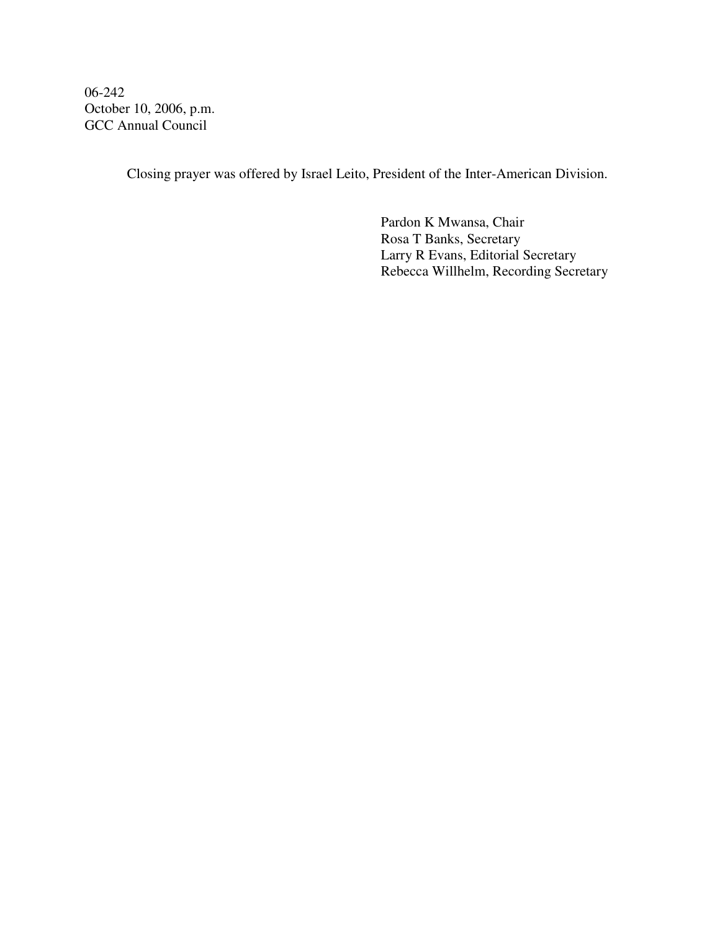06-242 October 10, 2006, p.m. GCC Annual Council

Closing prayer was offered by Israel Leito, President of the Inter-American Division.

 Pardon K Mwansa, Chair Rosa T Banks, Secretary Larry R Evans, Editorial Secretary Rebecca Willhelm, Recording Secretary